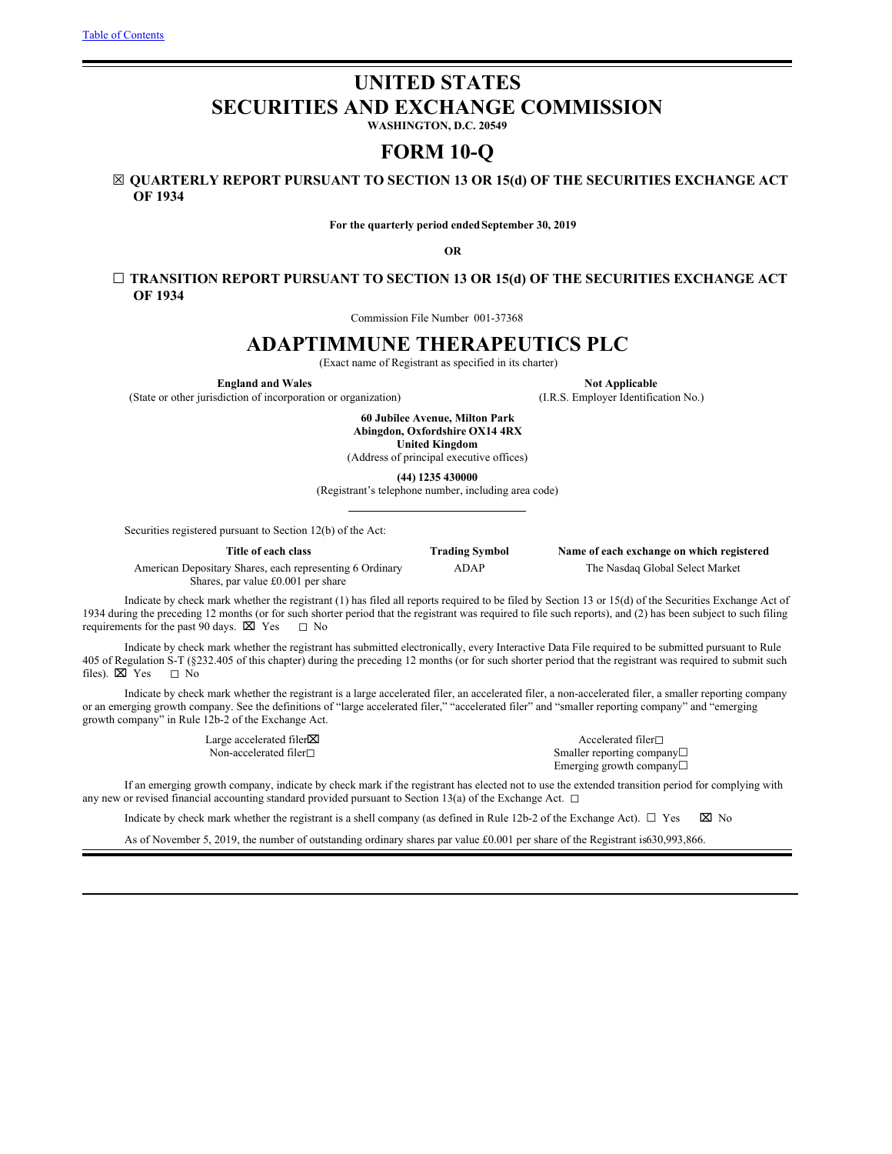# **UNITED STATES SECURITIES AND EXCHANGE COMMISSION**

**WASHINGTON, D.C. 20549**

# **FORM 10-Q**

<span id="page-0-0"></span>**☒ QUARTERLY REPORT PURSUANT TO SECTION 13 OR 15(d) OF THE SECURITIES EXCHANGE ACT OF 1934**

**For the quarterly period endedSeptember 30, 2019**

**OR**

## **☐ TRANSITION REPORT PURSUANT TO SECTION 13 OR 15(d) OF THE SECURITIES EXCHANGE ACT OF 1934**

Commission File Number 001-37368

# **ADAPTIMMUNE THERAPEUTICS PLC**

(Exact name of Registrant as specified in its charter)

**England and Wales Not Applicable**<br>
Mot **Applicable**<br>
(I.R.S. Employer Identification No.)<br>
(I.R.S. Employer Identification No.) (State or other jurisdiction of incorporation or organization)

> **60 Jubilee Avenue, Milton Park Abingdon, Oxfordshire OX14 4RX United Kingdom** (Address of principal executive offices)

> > **(44) 1235 430000**

(Registrant's telephone number, including area code)

Securities registered pursuant to Section 12(b) of the Act:

## **Title of each class Trading Symbol Name of each exchange on which registered** American Depositary Shares, each representing 6 Ordinary

ADAP The Nasdaq Global Select Market

Shares, par value £0.001 per share

Indicate by check mark whether the registrant (1) has filed all reports required to be filed by Section 13 or 15(d) of the Securities Exchange Act of 1934 during the preceding 12 months (or for such shorter period that the registrant was required to file such reports), and (2) has been subject to such filing requirements for the past 90 days.  $\boxtimes$  Yes  $\Box$  No

Indicate by check mark whether the registrant has submitted electronically, every Interactive Data File required to be submitted pursuant to Rule 405 of Regulation S-T (§232.405 of this chapter) during the preceding 12 months (or for such shorter period that the registrant was required to submit such files). **⊠** Yes □ No

Indicate by check mark whether the registrant is a large accelerated filer, an accelerated filer, a non-accelerated filer, a smaller reporting company or an emerging growth company. See the definitions of "large accelerated filer," "accelerated filer" and "smaller reporting company" and "emerging growth company" in Rule 12b-2 of the Exchange Act.

Large accelerated filer**⊠** and a set of the accelerated filer**□** 

Non-accelerated filer□ smaller reporting company□ Emerging growth company☐

If an emerging growth company, indicate by check mark if the registrant has elected not to use the extended transition period for complying with any new or revised financial accounting standard provided pursuant to Section 13(a) of the Exchange Act. □

Indicate by check mark whether the registrant is a shell company (as defined in Rule 12b-2 of the Exchange Act).  $\Box$  Yes  $\boxtimes$  No

As of November 5, 2019, the number of outstanding ordinary shares par value £0.001 per share of the Registrant is630,993,866.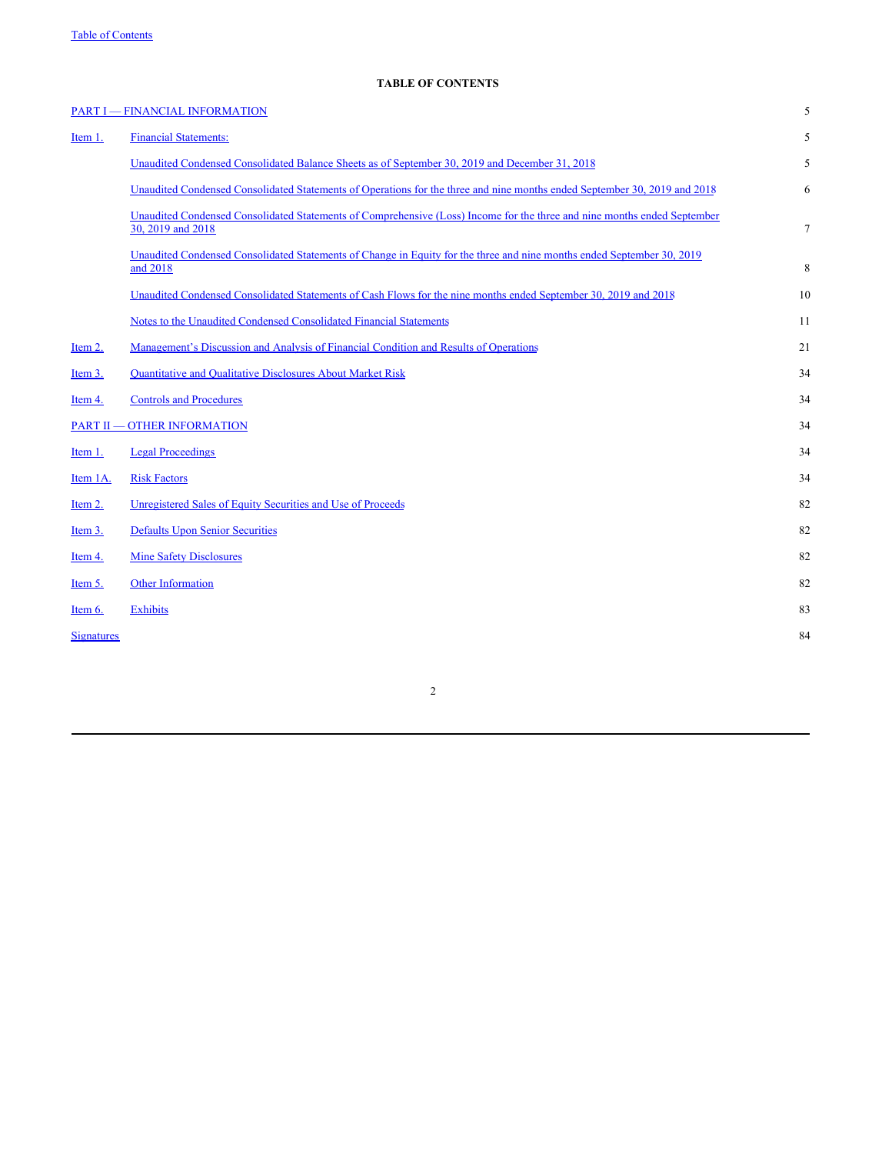## **TABLE OF CONTENTS**

## PART I — FINANCIAL [INFORMATION](#page-0-0) 5

| Item 1.           | <b>Financial Statements:</b>                                                                                                                  | 5      |
|-------------------|-----------------------------------------------------------------------------------------------------------------------------------------------|--------|
|                   | Unaudited Condensed Consolidated Balance Sheets as of September 30, 2019 and December 31, 2018                                                | 5      |
|                   | Unaudited Condensed Consolidated Statements of Operations for the three and nine months ended September 30, 2019 and 2018                     | 6      |
|                   | Unaudited Condensed Consolidated Statements of Comprehensive (Loss) Income for the three and nine months ended September<br>30, 2019 and 2018 | $\tau$ |
|                   | Unaudited Condensed Consolidated Statements of Change in Equity for the three and nine months ended September 30, 2019<br>and 2018            | 8      |
|                   | Unaudited Condensed Consolidated Statements of Cash Flows for the nine months ended September 30, 2019 and 2018                               | 10     |
|                   | Notes to the Unaudited Condensed Consolidated Financial Statements                                                                            | 11     |
| Item 2.           | Management's Discussion and Analysis of Financial Condition and Results of Operations                                                         | 21     |
| Item 3.           | Quantitative and Qualitative Disclosures About Market Risk                                                                                    | 34     |
| Item 4.           | <b>Controls and Procedures</b>                                                                                                                | 34     |
|                   | PART II - OTHER INFORMATION                                                                                                                   | 34     |
| Item 1.           | <b>Legal Proceedings</b>                                                                                                                      | 34     |
| Item 1A.          | <b>Risk Factors</b>                                                                                                                           | 34     |
| Item 2.           | Unregistered Sales of Equity Securities and Use of Proceeds                                                                                   | 82     |
| Item 3.           | <b>Defaults Upon Senior Securities</b>                                                                                                        | 82     |
| Item 4.           | <b>Mine Safety Disclosures</b>                                                                                                                | 82     |
| Item 5.           | Other Information                                                                                                                             | 82     |
| Item 6.           | <b>Exhibits</b>                                                                                                                               | 83     |
| <b>Signatures</b> |                                                                                                                                               | 84     |
|                   |                                                                                                                                               |        |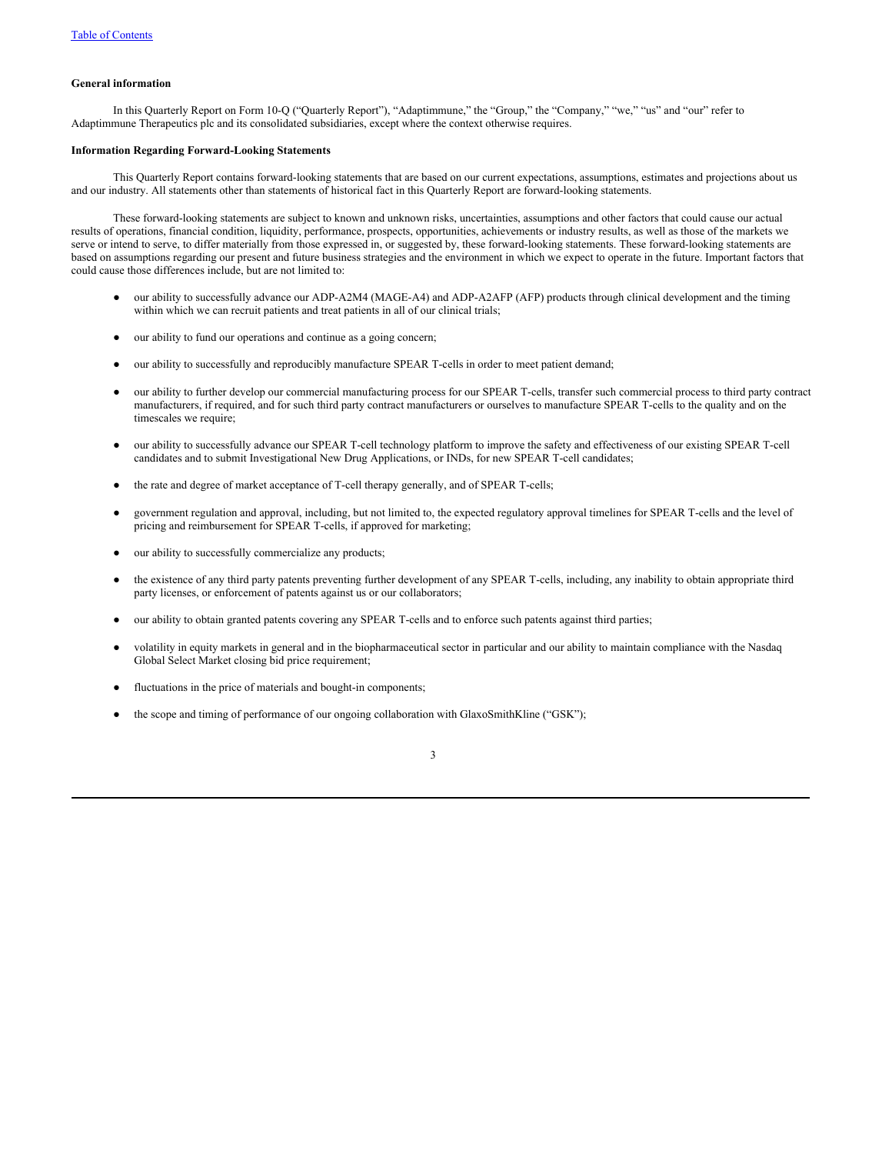#### **General information**

In this Quarterly Report on Form 10-Q ("Quarterly Report"), "Adaptimmune," the "Group," the "Company," "we," "us" and "our" refer to Adaptimmune Therapeutics plc and its consolidated subsidiaries, except where the context otherwise requires.

## **Information Regarding Forward-Looking Statements**

This Quarterly Report contains forward-looking statements that are based on our current expectations, assumptions, estimates and projections about us and our industry. All statements other than statements of historical fact in this Quarterly Report are forward-looking statements.

These forward-looking statements are subject to known and unknown risks, uncertainties, assumptions and other factors that could cause our actual results of operations, financial condition, liquidity, performance, prospects, opportunities, achievements or industry results, as well as those of the markets we serve or intend to serve, to differ materially from those expressed in, or suggested by, these forward-looking statements. These forward-looking statements are based on assumptions regarding our present and future business strategies and the environment in which we expect to operate in the future. Important factors that could cause those differences include, but are not limited to:

- our ability to successfully advance our ADP-A2M4 (MAGE-A4) and ADP-A2AFP (AFP) products through clinical development and the timing within which we can recruit patients and treat patients in all of our clinical trials;
- our ability to fund our operations and continue as a going concern;
- our ability to successfully and reproducibly manufacture SPEAR T-cells in order to meet patient demand;
- our ability to further develop our commercial manufacturing process for our SPEAR T-cells, transfer such commercial process to third party contract manufacturers, if required, and for such third party contract manufacturers or ourselves to manufacture SPEAR T-cells to the quality and on the timescales we require;
- our ability to successfully advance our SPEAR T-cell technology platform to improve the safety and effectiveness of our existing SPEAR T-cell candidates and to submit Investigational New Drug Applications, or INDs, for new SPEAR T-cell candidates;
- the rate and degree of market acceptance of T-cell therapy generally, and of SPEAR T-cells;
- government regulation and approval, including, but not limited to, the expected regulatory approval timelines for SPEAR T-cells and the level of pricing and reimbursement for SPEAR T-cells, if approved for marketing;
- our ability to successfully commercialize any products;
- the existence of any third party patents preventing further development of any SPEAR T-cells, including, any inability to obtain appropriate third party licenses, or enforcement of patents against us or our collaborators;
- our ability to obtain granted patents covering any SPEAR T-cells and to enforce such patents against third parties;
- volatility in equity markets in general and in the biopharmaceutical sector in particular and our ability to maintain compliance with the Nasdaq Global Select Market closing bid price requirement;
- fluctuations in the price of materials and bought-in components;
- the scope and timing of performance of our ongoing collaboration with GlaxoSmithKline ("GSK");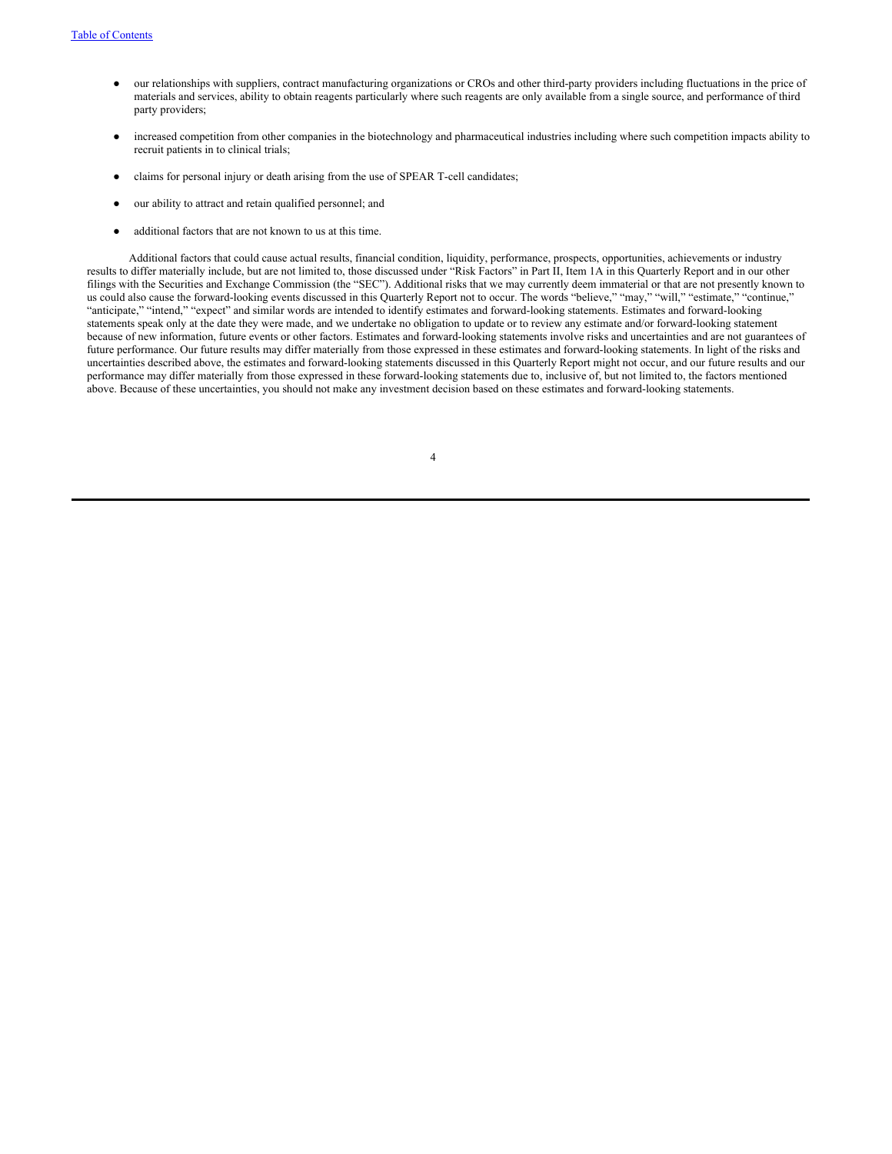- our relationships with suppliers, contract manufacturing organizations or CROs and other third-party providers including fluctuations in the price of materials and services, ability to obtain reagents particularly where such reagents are only available from a single source, and performance of third party providers;
- increased competition from other companies in the biotechnology and pharmaceutical industries including where such competition impacts ability to recruit patients in to clinical trials;
- claims for personal injury or death arising from the use of SPEAR T-cell candidates;
- our ability to attract and retain qualified personnel; and
- additional factors that are not known to us at this time.

Additional factors that could cause actual results, financial condition, liquidity, performance, prospects, opportunities, achievements or industry results to differ materially include, but are not limited to, those discussed under "Risk Factors" in Part II, Item 1A in this Quarterly Report and in our other filings with the Securities and Exchange Commission (the "SEC"). Additional risks that we may currently deem immaterial or that are not presently known to us could also cause the forward-looking events discussed in this Quarterly Report not to occur. The words "believe," "may," "will," "estimate," "continue," "anticipate," "intend," "expect" and similar words are intended to identify estimates and forward-looking statements. Estimates and forward-looking statements speak only at the date they were made, and we undertake no obligation to update or to review any estimate and/or forward-looking statement because of new information, future events or other factors. Estimates and forward-looking statements involve risks and uncertainties and are not guarantees of future performance. Our future results may differ materially from those expressed in these estimates and forward-looking statements. In light of the risks and uncertainties described above, the estimates and forward-looking statements discussed in this Quarterly Report might not occur, and our future results and our performance may differ materially from those expressed in these forward-looking statements due to, inclusive of, but not limited to, the factors mentioned above. Because of these uncertainties, you should not make any investment decision based on these estimates and forward-looking statements.

| I<br>٠ |  |
|--------|--|
|        |  |
|        |  |
| ٠      |  |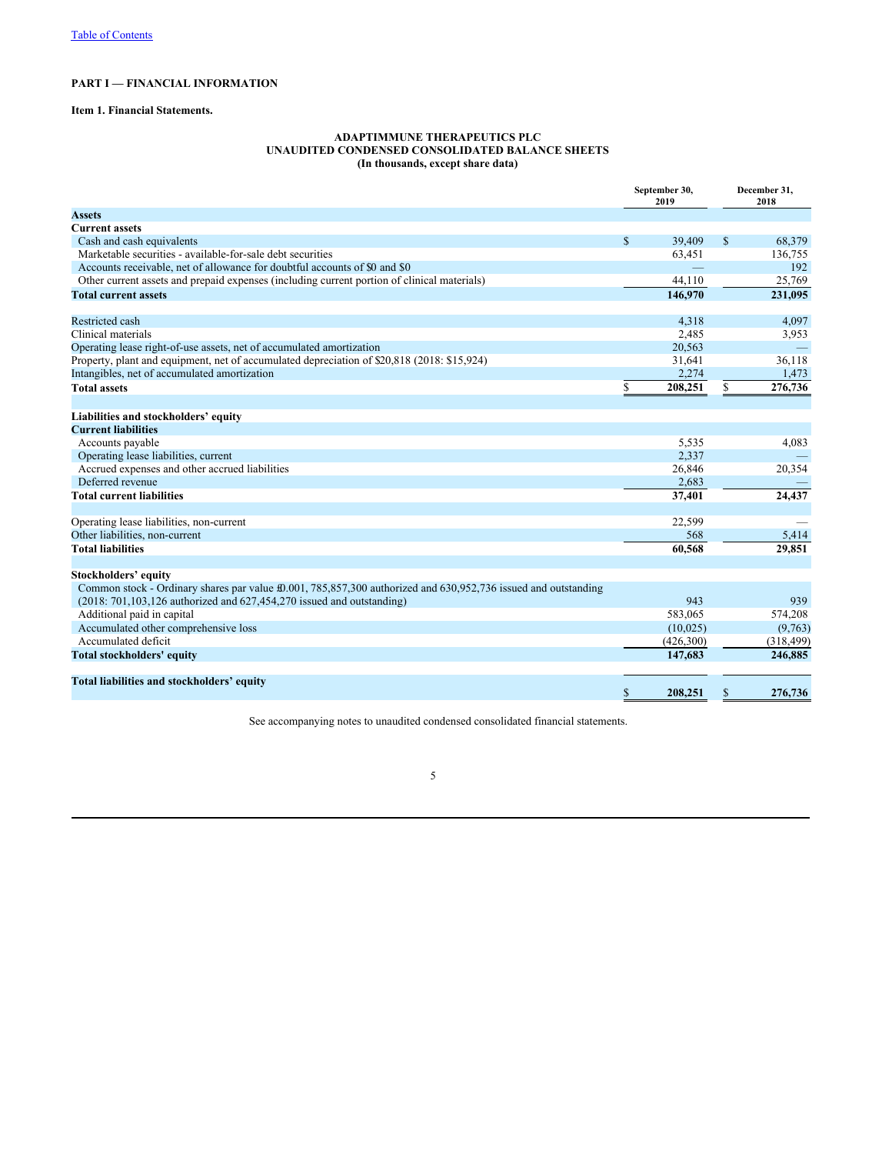## **PART I — FINANCIAL INFORMATION**

## **Item 1. Financial Statements.**

#### **ADAPTIMMUNE THERAPEUTICS PLC UNAUDITED CONDENSED CONSOLIDATED BALANCE SHEETS (In thousands, except share data)**

|                                                                                                                                      |    | September 30,<br>2019 | December 31,<br>2018 |            |  |
|--------------------------------------------------------------------------------------------------------------------------------------|----|-----------------------|----------------------|------------|--|
| <b>Assets</b>                                                                                                                        |    |                       |                      |            |  |
| <b>Current assets</b>                                                                                                                |    |                       |                      |            |  |
| Cash and cash equivalents                                                                                                            | \$ | 39,409                | $\mathbf S$          | 68,379     |  |
| Marketable securities - available-for-sale debt securities                                                                           |    | 63,451                |                      | 136,755    |  |
| Accounts receivable, net of allowance for doubtful accounts of \$0 and \$0                                                           |    |                       |                      | 192        |  |
| Other current assets and prepaid expenses (including current portion of clinical materials)                                          |    | 44,110                |                      | 25,769     |  |
| <b>Total current assets</b>                                                                                                          |    | 146,970               |                      | 231,095    |  |
| <b>Restricted cash</b>                                                                                                               |    | 4,318                 |                      | 4,097      |  |
| Clinical materials                                                                                                                   |    | 2,485                 |                      | 3,953      |  |
| Operating lease right-of-use assets, net of accumulated amortization                                                                 |    | 20,563                |                      |            |  |
| Property, plant and equipment, net of accumulated depreciation of \$20,818 (2018: \$15,924)                                          |    | 31,641                |                      | 36,118     |  |
| Intangibles, net of accumulated amortization                                                                                         |    | 2,274                 |                      | 1,473      |  |
| <b>Total assets</b>                                                                                                                  | \$ | 208,251               | S                    | 276,736    |  |
|                                                                                                                                      |    |                       |                      |            |  |
| Liabilities and stockholders' equity                                                                                                 |    |                       |                      |            |  |
| <b>Current liabilities</b>                                                                                                           |    |                       |                      |            |  |
| Accounts payable                                                                                                                     |    | 5,535                 |                      | 4,083      |  |
| Operating lease liabilities, current                                                                                                 |    | 2,337                 |                      |            |  |
| Accrued expenses and other accrued liabilities                                                                                       |    | 26,846                |                      | 20,354     |  |
| Deferred revenue                                                                                                                     |    | 2,683                 |                      |            |  |
| <b>Total current liabilities</b>                                                                                                     |    | 37,401                |                      | 24,437     |  |
| Operating lease liabilities, non-current                                                                                             |    | 22,599                |                      |            |  |
| Other liabilities, non-current                                                                                                       |    | 568                   |                      | 5,414      |  |
| <b>Total liabilities</b>                                                                                                             |    |                       |                      |            |  |
|                                                                                                                                      |    | 60,568                |                      | 29,851     |  |
| <b>Stockholders' equity</b>                                                                                                          |    |                       |                      |            |  |
| Common stock - Ordinary shares par value $\text{\textsterling}0.001$ , 785,857,300 authorized and 630,952,736 issued and outstanding |    |                       |                      |            |  |
| $(2018: 701, 103, 126$ authorized and $627, 454, 270$ issued and outstanding)                                                        |    | 943                   |                      | 939        |  |
| Additional paid in capital                                                                                                           |    | 583,065               |                      | 574,208    |  |
| Accumulated other comprehensive loss                                                                                                 |    | (10,025)              |                      | (9,763)    |  |
| Accumulated deficit                                                                                                                  |    | (426,300)             |                      | (318, 499) |  |
| <b>Total stockholders' equity</b>                                                                                                    |    | 147,683               |                      | 246,885    |  |
| Total liabilities and stockholders' equity                                                                                           | \$ | 208,251               | S                    | 276,736    |  |

See accompanying notes to unaudited condensed consolidated financial statements.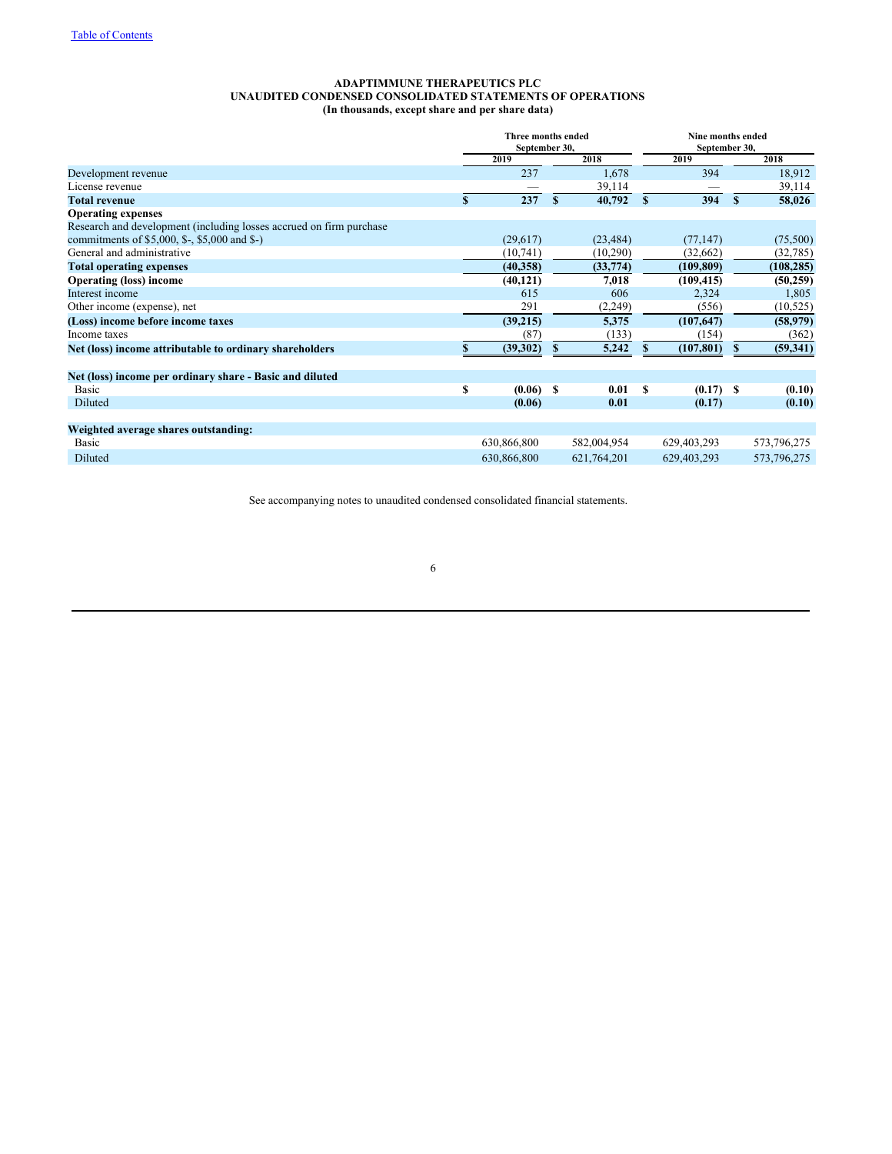## **ADAPTIMMUNE THERAPEUTICS PLC UNAUDITED CONDENSED CONSOLIDATED STATEMENTS OF OPERATIONS (In thousands, except share and per share data)**

|                                                                                                                      |              | <b>Three months ended</b><br>September 30, |              |             |              | <b>Nine months ended</b><br>September 30, |               |             |  |
|----------------------------------------------------------------------------------------------------------------------|--------------|--------------------------------------------|--------------|-------------|--------------|-------------------------------------------|---------------|-------------|--|
|                                                                                                                      |              | 2019                                       |              | 2018        |              | 2019                                      |               | 2018        |  |
| Development revenue                                                                                                  |              | 237                                        |              | 1,678       |              | 394                                       |               | 18,912      |  |
| License revenue                                                                                                      |              | -                                          |              | 39,114      |              |                                           |               | 39,114      |  |
| <b>Total revenue</b>                                                                                                 | $\mathbf{s}$ | 237                                        | $\mathbf{s}$ | 40,792      | $\mathbf{s}$ | 394                                       | <sup>\$</sup> | 58,026      |  |
| <b>Operating expenses</b>                                                                                            |              |                                            |              |             |              |                                           |               |             |  |
| Research and development (including losses accrued on firm purchase<br>commitments of \$5,000, \$-, \$5,000 and \$-) |              | (29,617)                                   |              | (23, 484)   |              | (77, 147)                                 |               | (75,500)    |  |
| General and administrative                                                                                           |              | (10,741)                                   |              | (10, 290)   |              | (32, 662)                                 |               | (32, 785)   |  |
| <b>Total operating expenses</b>                                                                                      |              | (40, 358)                                  |              | (33, 774)   |              | (109, 809)                                |               | (108, 285)  |  |
| <b>Operating (loss) income</b>                                                                                       |              | (40, 121)                                  |              | 7,018       |              | (109, 415)                                |               | (50, 259)   |  |
| Interest income                                                                                                      |              | 615                                        |              | 606         |              | 2,324                                     |               | 1,805       |  |
| Other income (expense), net                                                                                          |              | 291                                        |              | (2, 249)    |              | (556)                                     |               | (10, 525)   |  |
| (Loss) income before income taxes                                                                                    |              | (39,215)                                   |              | 5,375       |              | (107, 647)                                |               | (58, 979)   |  |
| Income taxes                                                                                                         |              | (87)                                       |              | (133)       |              | (154)                                     |               | (362)       |  |
| Net (loss) income attributable to ordinary shareholders                                                              |              | (39, 302)                                  | <sup>S</sup> | 5,242       |              | (107, 801)                                | S             | (59, 341)   |  |
| Net (loss) income per ordinary share - Basic and diluted                                                             |              |                                            |              |             |              |                                           |               |             |  |
| <b>Basic</b>                                                                                                         | S            | $(0.06)$ \$                                |              | 0.01        | - \$         | $(0.17)$ \$                               |               | (0.10)      |  |
| Diluted                                                                                                              |              | (0.06)                                     |              | 0.01        |              | (0.17)                                    |               | (0.10)      |  |
| Weighted average shares outstanding:                                                                                 |              |                                            |              |             |              |                                           |               |             |  |
| Basic                                                                                                                |              | 630,866,800                                |              | 582,004,954 |              | 629,403,293                               |               | 573,796,275 |  |
| Diluted                                                                                                              |              | 630,866,800                                |              | 621,764,201 |              | 629,403,293                               |               | 573,796,275 |  |

See accompanying notes to unaudited condensed consolidated financial statements.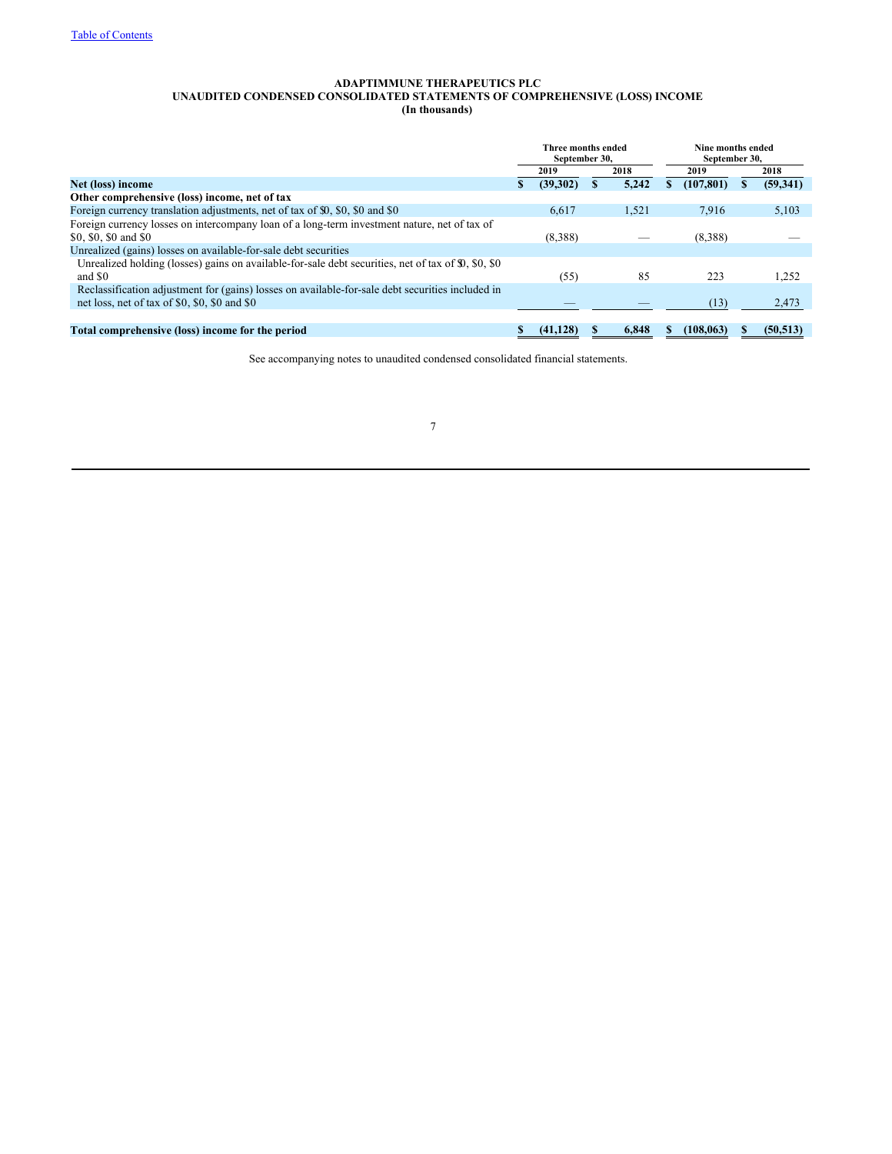## **ADAPTIMMUNE THERAPEUTICS PLC UNAUDITED CONDENSED CONSOLIDATED STATEMENTS OF COMPREHENSIVE (LOSS) INCOME (In thousands)**

|                                                                                                                                                          | Three months ended<br>September 30. |      |       | Nine months ended<br>September 30. |  |           |
|----------------------------------------------------------------------------------------------------------------------------------------------------------|-------------------------------------|------|-------|------------------------------------|--|-----------|
|                                                                                                                                                          | 2019                                | 2018 |       | 2019                               |  | 2018      |
| Net (loss) income                                                                                                                                        | (39,302)                            |      | 5,242 | (107.801)                          |  | (59,341)  |
| Other comprehensive (loss) income, net of tax                                                                                                            |                                     |      |       |                                    |  |           |
| Foreign currency translation adjustments, net of tax of \$0, \$0, \$0 and \$0                                                                            | 6,617                               |      | 1,521 | 7,916                              |  | 5,103     |
| Foreign currency losses on intercompany loan of a long-term investment nature, net of tax of                                                             |                                     |      |       |                                    |  |           |
| \$0, \$0, \$0 and \$0                                                                                                                                    | (8,388)                             |      |       | (8,388)                            |  |           |
| Unrealized (gains) losses on available-for-sale debt securities                                                                                          |                                     |      |       |                                    |  |           |
| Unrealized holding (losses) gains on available-for-sale debt securities, net of tax of $\mathfrak{D}$ , $\mathfrak{D}$ , $\mathfrak{D}$ , $\mathfrak{D}$ |                                     |      |       |                                    |  |           |
| and \$0                                                                                                                                                  | (55)                                |      | 85    | 223                                |  | 1,252     |
| Reclassification adjustment for (gains) losses on available-for-sale debt securities included in                                                         |                                     |      |       |                                    |  |           |
| net loss, net of tax of \$0, \$0, \$0 and \$0                                                                                                            |                                     |      |       | (13)                               |  | 2,473     |
|                                                                                                                                                          |                                     |      |       |                                    |  |           |
| Total comprehensive (loss) income for the period                                                                                                         | (41, 128)                           |      | 6.848 | (108.063)                          |  | (50, 513) |

See accompanying notes to unaudited condensed consolidated financial statements.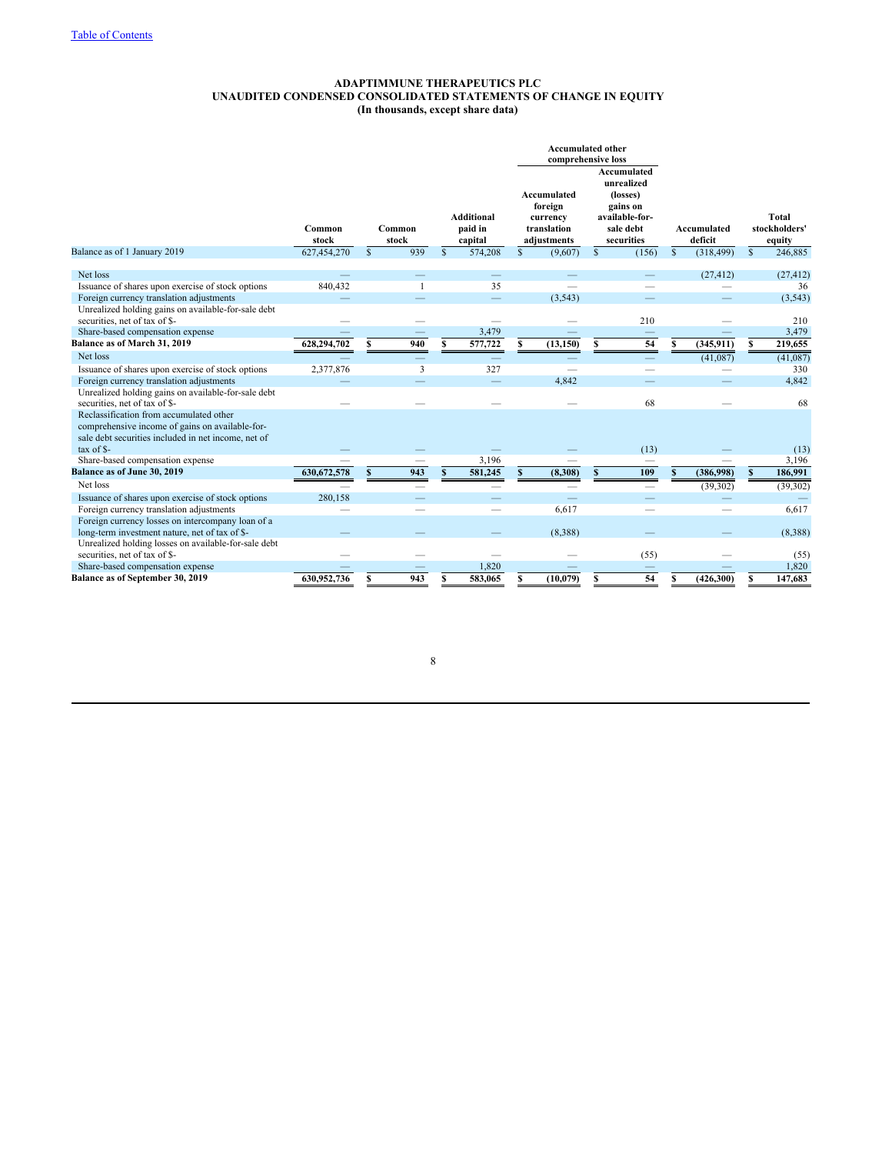#### **ADAPTIMMUNE THERAPEUTICS PLC UNAUDITED CONDENSED CONSOLIDATED STATEMENTS OF CHANGE IN EQUITY (In thousands, except share data)**

|                                                                                                                                                   |                 |               |                 |              |                                         |               | <b>Accumulated other</b><br>comprehensive loss                   |               |                                                                                                |              |                        |   |                                  |
|---------------------------------------------------------------------------------------------------------------------------------------------------|-----------------|---------------|-----------------|--------------|-----------------------------------------|---------------|------------------------------------------------------------------|---------------|------------------------------------------------------------------------------------------------|--------------|------------------------|---|----------------------------------|
|                                                                                                                                                   | Common<br>stock |               | Common<br>stock |              | <b>Additional</b><br>paid in<br>capital |               | Accumulated<br>foreign<br>currency<br>translation<br>adiustments |               | Accumulated<br>unrealized<br>(losses)<br>gains on<br>available-for-<br>sale debt<br>securities |              | Accumulated<br>deficit |   | Total<br>stockholders'<br>equity |
| Balance as of 1 January 2019                                                                                                                      | 627,454,270     | $\mathcal{S}$ | 939             | $\mathbf{s}$ | 574.208                                 | $\mathcal{S}$ | (9,607)                                                          | $\mathcal{S}$ | (156)                                                                                          | $\mathbf{s}$ | (318, 499)             | S | 246,885                          |
| Net loss                                                                                                                                          |                 |               |                 |              |                                         |               |                                                                  |               |                                                                                                |              | (27, 412)              |   | (27, 412)                        |
| Issuance of shares upon exercise of stock options                                                                                                 | 840,432         |               | $\mathbf{1}$    |              | 35                                      |               |                                                                  |               |                                                                                                |              |                        |   | 36                               |
| Foreign currency translation adjustments                                                                                                          |                 |               |                 |              |                                         |               | (3,543)                                                          |               |                                                                                                |              |                        |   | (3, 543)                         |
| Unrealized holding gains on available-for-sale debt                                                                                               |                 |               |                 |              |                                         |               |                                                                  |               |                                                                                                |              |                        |   |                                  |
| securities, net of tax of \$-                                                                                                                     |                 |               |                 |              |                                         |               |                                                                  |               | 210                                                                                            |              |                        |   | 210                              |
| Share-based compensation expense                                                                                                                  |                 |               |                 |              | 3,479                                   |               |                                                                  |               | -                                                                                              |              |                        |   | 3,479                            |
| Balance as of March 31, 2019                                                                                                                      | 628,294,702     | s             | 940             | S            | 577,722                                 | \$            | (13, 150)                                                        | S             | 54                                                                                             | S            | (345, 911)             | s | 219,655                          |
| Net loss                                                                                                                                          |                 |               |                 |              |                                         |               |                                                                  |               |                                                                                                |              | (41,087)               |   | (41,087)                         |
| Issuance of shares upon exercise of stock options                                                                                                 | 2,377,876       |               | 3               |              | 327                                     |               |                                                                  |               |                                                                                                |              |                        |   | 330                              |
| Foreign currency translation adjustments                                                                                                          |                 |               |                 |              |                                         |               | 4.842                                                            |               |                                                                                                |              |                        |   | 4.842                            |
| Unrealized holding gains on available-for-sale debt                                                                                               |                 |               |                 |              |                                         |               |                                                                  |               |                                                                                                |              |                        |   |                                  |
| securities, net of tax of \$-                                                                                                                     |                 |               |                 |              |                                         |               |                                                                  |               | 68                                                                                             |              |                        |   | 68                               |
| Reclassification from accumulated other<br>comprehensive income of gains on available-for-<br>sale debt securities included in net income, net of |                 |               |                 |              |                                         |               |                                                                  |               |                                                                                                |              |                        |   |                                  |
| tax of \$-                                                                                                                                        |                 |               |                 |              |                                         |               |                                                                  |               | (13)                                                                                           |              |                        |   | (13)                             |
| Share-based compensation expense                                                                                                                  |                 |               |                 |              | 3,196                                   |               |                                                                  |               |                                                                                                |              |                        |   | 3,196                            |
| Balance as of June 30, 2019                                                                                                                       | 630,672,578     | \$            | 943             | $\mathbf{s}$ | 581,245                                 | $\mathbf{s}$  | (8,308)                                                          | $\mathbf{s}$  | 109                                                                                            | $\mathbf{s}$ | (386,998)              | S | 186,991                          |
| Net loss                                                                                                                                          |                 |               |                 |              |                                         |               |                                                                  |               |                                                                                                |              | (39,302)               |   | (39, 302)                        |
| Issuance of shares upon exercise of stock options                                                                                                 | 280,158         |               |                 |              |                                         |               |                                                                  |               |                                                                                                |              |                        |   |                                  |
| Foreign currency translation adjustments                                                                                                          |                 |               |                 |              |                                         |               | 6,617                                                            |               | -                                                                                              |              |                        |   | 6,617                            |
| Foreign currency losses on intercompany loan of a                                                                                                 |                 |               |                 |              |                                         |               |                                                                  |               |                                                                                                |              |                        |   |                                  |
| long-term investment nature, net of tax of \$-                                                                                                    |                 |               |                 |              |                                         |               | (8,388)                                                          |               |                                                                                                |              |                        |   | (8,388)                          |
| Unrealized holding losses on available-for-sale debt                                                                                              |                 |               |                 |              |                                         |               |                                                                  |               |                                                                                                |              |                        |   |                                  |
| securities, net of tax of \$-                                                                                                                     |                 |               |                 |              |                                         |               |                                                                  |               | (55)                                                                                           |              |                        |   | (55)                             |
| Share-based compensation expense                                                                                                                  |                 |               |                 |              | 1,820                                   |               |                                                                  |               |                                                                                                |              |                        |   | 1.820                            |
| Balance as of September 30, 2019                                                                                                                  | 630.952.736     | \$            | 943             | S            | 583,065                                 | \$            | (10,079)                                                         |               | 54                                                                                             | S            | (426,300)              | S | 147,683                          |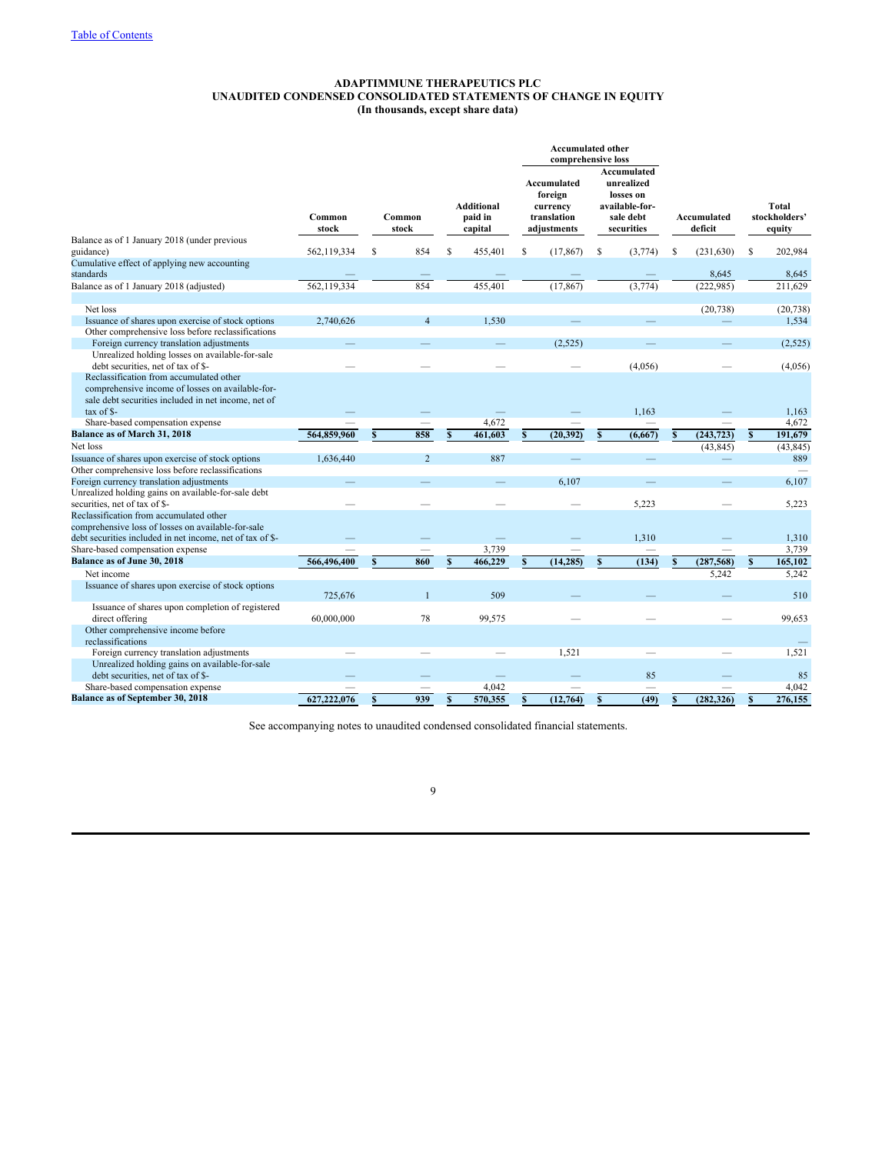## **ADAPTIMMUNE THERAPEUTICS PLC UNAUDITED CONDENSED CONSOLIDATED STATEMENTS OF CHANGE IN EQUITY (In thousands, except share data)**

|                                                                                                                                                                     |                 |              |                 |              |                                         |              | <b>Accumulated other</b><br>comprehensive loss                   |              |                                                                                     |              |                        |                |                                  |
|---------------------------------------------------------------------------------------------------------------------------------------------------------------------|-----------------|--------------|-----------------|--------------|-----------------------------------------|--------------|------------------------------------------------------------------|--------------|-------------------------------------------------------------------------------------|--------------|------------------------|----------------|----------------------------------|
|                                                                                                                                                                     | Common<br>stock |              | Common<br>stock |              | <b>Additional</b><br>paid in<br>capital |              | Accumulated<br>foreign<br>currency<br>translation<br>adjustments |              | Accumulated<br>unrealized<br>losses on<br>available-for-<br>sale debt<br>securities |              | Accumulated<br>deficit |                | Total<br>stockholders'<br>equity |
| Balance as of 1 January 2018 (under previous<br>guidance)                                                                                                           | 562,119,334     | S            | 854             | \$           | 455,401                                 | \$           | (17, 867)                                                        | \$           | (3,774)                                                                             | <b>S</b>     | (231, 630)             | \$             | 202,984                          |
| Cumulative effect of applying new accounting                                                                                                                        |                 |              |                 |              |                                         |              |                                                                  |              |                                                                                     |              |                        |                |                                  |
| standards                                                                                                                                                           |                 |              |                 |              |                                         |              |                                                                  |              |                                                                                     |              | 8,645                  |                | 8,645                            |
| Balance as of 1 January 2018 (adjusted)                                                                                                                             | 562,119,334     |              | 854             |              | 455,401                                 |              | (17, 867)                                                        |              | (3,774)                                                                             |              | (222, 985)             |                | 211.629                          |
| Net loss                                                                                                                                                            |                 |              |                 |              |                                         |              |                                                                  |              |                                                                                     |              | (20, 738)              |                | (20, 738)                        |
| Issuance of shares upon exercise of stock options<br>Other comprehensive loss before reclassifications                                                              | 2,740,626       |              | $\overline{4}$  |              | 1,530                                   |              |                                                                  |              |                                                                                     |              |                        |                | 1,534                            |
| Foreign currency translation adjustments                                                                                                                            |                 |              |                 |              |                                         |              | (2,525)                                                          |              |                                                                                     |              |                        |                | (2,525)                          |
| Unrealized holding losses on available-for-sale<br>debt securities, net of tax of \$-                                                                               |                 |              |                 |              |                                         |              |                                                                  |              | (4,056)                                                                             |              |                        |                | (4,056)                          |
| Reclassification from accumulated other<br>comprehensive income of losses on available-for-<br>sale debt securities included in net income, net of<br>$tax$ of $$-$ |                 |              |                 |              |                                         |              |                                                                  |              | 1.163                                                                               |              |                        |                | 1.163                            |
| Share-based compensation expense                                                                                                                                    |                 |              |                 |              | 4,672                                   |              |                                                                  |              |                                                                                     |              |                        |                | 4,672                            |
| Balance as of March 31, 2018                                                                                                                                        | 564,859,960     | $\mathbf{s}$ | 858             | $\mathbf{s}$ | 461,603                                 | $\mathbf{s}$ | (20, 392)                                                        | $\mathbf{s}$ | (6,667)                                                                             | $\mathbf{s}$ | (243, 723)             | $\overline{s}$ | 191,679                          |
| Net loss                                                                                                                                                            |                 |              |                 |              |                                         |              |                                                                  |              |                                                                                     |              | (43, 845)              |                | (43, 845)                        |
| Issuance of shares upon exercise of stock options                                                                                                                   | 1,636,440       |              | $\overline{2}$  |              | 887                                     |              |                                                                  |              |                                                                                     |              |                        |                | 889                              |
| Other comprehensive loss before reclassifications<br>Foreign currency translation adjustments                                                                       |                 |              |                 |              |                                         |              | 6.107                                                            |              |                                                                                     |              |                        |                | 6.107                            |
| Unrealized holding gains on available-for-sale debt                                                                                                                 |                 |              |                 |              |                                         |              |                                                                  |              |                                                                                     |              |                        |                |                                  |
| securities, net of tax of \$-                                                                                                                                       |                 |              |                 |              |                                         |              |                                                                  |              | 5,223                                                                               |              |                        |                | 5,223                            |
| Reclassification from accumulated other<br>comprehensive loss of losses on available-for-sale                                                                       |                 |              |                 |              |                                         |              |                                                                  |              |                                                                                     |              |                        |                |                                  |
| debt securities included in net income, net of tax of \$-                                                                                                           |                 |              |                 |              |                                         |              |                                                                  |              | 1,310                                                                               |              |                        |                | 1,310                            |
| Share-based compensation expense                                                                                                                                    |                 |              |                 |              | 3,739                                   |              |                                                                  |              |                                                                                     |              |                        |                | 3,739                            |
| Balance as of June 30, 2018                                                                                                                                         | 566,496,400     | S            | 860             | S            | 466,229                                 | $\mathbf{s}$ | (14, 285)                                                        | S            | (134)                                                                               | S            | (287, 568)             | $\mathbf{s}$   | 165,102                          |
| Net income                                                                                                                                                          |                 |              |                 |              |                                         |              |                                                                  |              |                                                                                     |              | 5,242                  |                | 5,242                            |
| Issuance of shares upon exercise of stock options                                                                                                                   | 725,676         |              |                 |              | 509                                     |              |                                                                  |              |                                                                                     |              |                        |                | 510                              |
| Issuance of shares upon completion of registered<br>direct offering                                                                                                 | 60,000,000      |              | 78              |              | 99,575                                  |              |                                                                  |              |                                                                                     |              |                        |                | 99,653                           |
| Other comprehensive income before<br>reclassifications                                                                                                              |                 |              |                 |              |                                         |              |                                                                  |              |                                                                                     |              |                        |                |                                  |
| Foreign currency translation adjustments                                                                                                                            |                 |              |                 |              |                                         |              | 1,521                                                            |              |                                                                                     |              |                        |                | 1,521                            |
| Unrealized holding gains on available-for-sale<br>debt securities, net of tax of \$-                                                                                |                 |              |                 |              |                                         |              |                                                                  |              | 85                                                                                  |              |                        |                | 85                               |
| Share-based compensation expense                                                                                                                                    |                 |              |                 |              | 4,042                                   |              |                                                                  |              |                                                                                     |              |                        |                | 4,042                            |
| Balance as of September 30, 2018                                                                                                                                    | 627,222,076     | S            | 939             | $\mathbf{s}$ | 570,355                                 | $\mathbf{s}$ | (12.764)                                                         | $\mathbf{s}$ | (49)                                                                                | $\mathbf{s}$ | (282.326)              | $\mathbf{s}$   | 276,155                          |

See accompanying notes to unaudited condensed consolidated financial statements.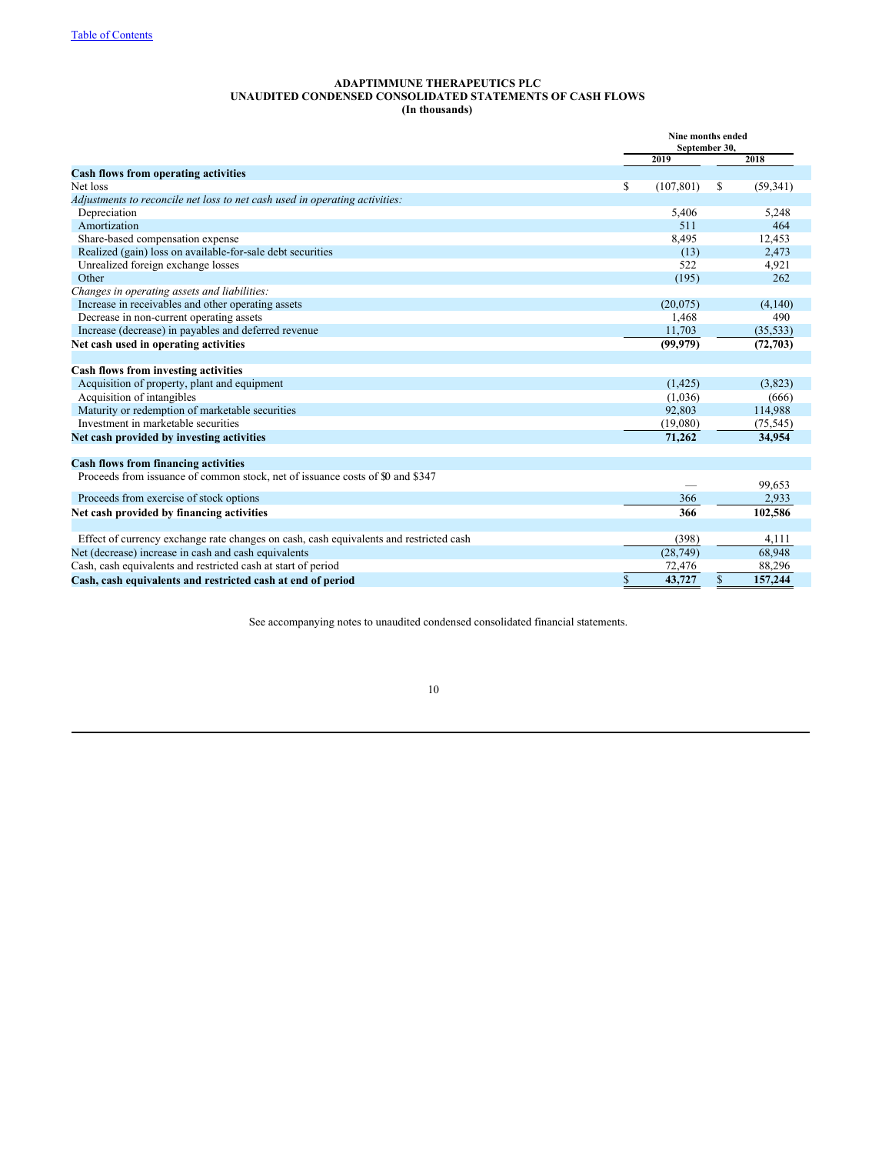#### **ADAPTIMMUNE THERAPEUTICS PLC UNAUDITED CONDENSED CONSOLIDATED STATEMENTS OF CASH FLOWS (In thousands)**

|                                                                                        | Nine months ended<br>September 30, |              |           |
|----------------------------------------------------------------------------------------|------------------------------------|--------------|-----------|
|                                                                                        | 2019                               |              | 2018      |
| <b>Cash flows from operating activities</b>                                            |                                    |              |           |
| Net loss                                                                               | \$<br>(107, 801)                   | \$           | (59, 341) |
| Adjustments to reconcile net loss to net cash used in operating activities:            |                                    |              |           |
| Depreciation                                                                           | 5,406                              |              | 5,248     |
| Amortization                                                                           | 511                                |              | 464       |
| Share-based compensation expense                                                       | 8.495                              |              | 12,453    |
| Realized (gain) loss on available-for-sale debt securities                             | (13)                               |              | 2,473     |
| Unrealized foreign exchange losses                                                     | 522                                |              | 4,921     |
| Other                                                                                  | (195)                              |              | 262       |
| Changes in operating assets and liabilities:                                           |                                    |              |           |
| Increase in receivables and other operating assets                                     | (20,075)                           |              | (4,140)   |
| Decrease in non-current operating assets                                               | 1,468                              |              | 490       |
| Increase (decrease) in payables and deferred revenue                                   | 11,703                             |              | (35, 533) |
| Net cash used in operating activities                                                  | (99, 979)                          |              | (72, 703) |
| Cash flows from investing activities                                                   |                                    |              |           |
| Acquisition of property, plant and equipment                                           | (1, 425)                           |              | (3,823)   |
| Acquisition of intangibles                                                             | (1,036)                            |              | (666)     |
| Maturity or redemption of marketable securities                                        | 92,803                             |              | 114,988   |
| Investment in marketable securities                                                    | (19,080)                           |              | (75, 545) |
| Net cash provided by investing activities                                              | 71,262                             |              | 34,954    |
|                                                                                        |                                    |              |           |
| <b>Cash flows from financing activities</b>                                            |                                    |              |           |
| Proceeds from issuance of common stock, net of issuance costs of \$0 and \$347         |                                    |              | 99,653    |
| Proceeds from exercise of stock options                                                | 366                                |              | 2,933     |
| Net cash provided by financing activities                                              | 366                                |              | 102,586   |
| Effect of currency exchange rate changes on cash, cash equivalents and restricted cash | (398)                              |              | 4,111     |
| Net (decrease) increase in cash and cash equivalents                                   | (28, 749)                          |              | 68,948    |
| Cash, cash equivalents and restricted cash at start of period                          | 72,476                             |              | 88,296    |
|                                                                                        | 43,727                             | $\mathbb{S}$ | 157,244   |
| Cash, cash equivalents and restricted cash at end of period                            | \$                                 |              |           |

See accompanying notes to unaudited condensed consolidated financial statements.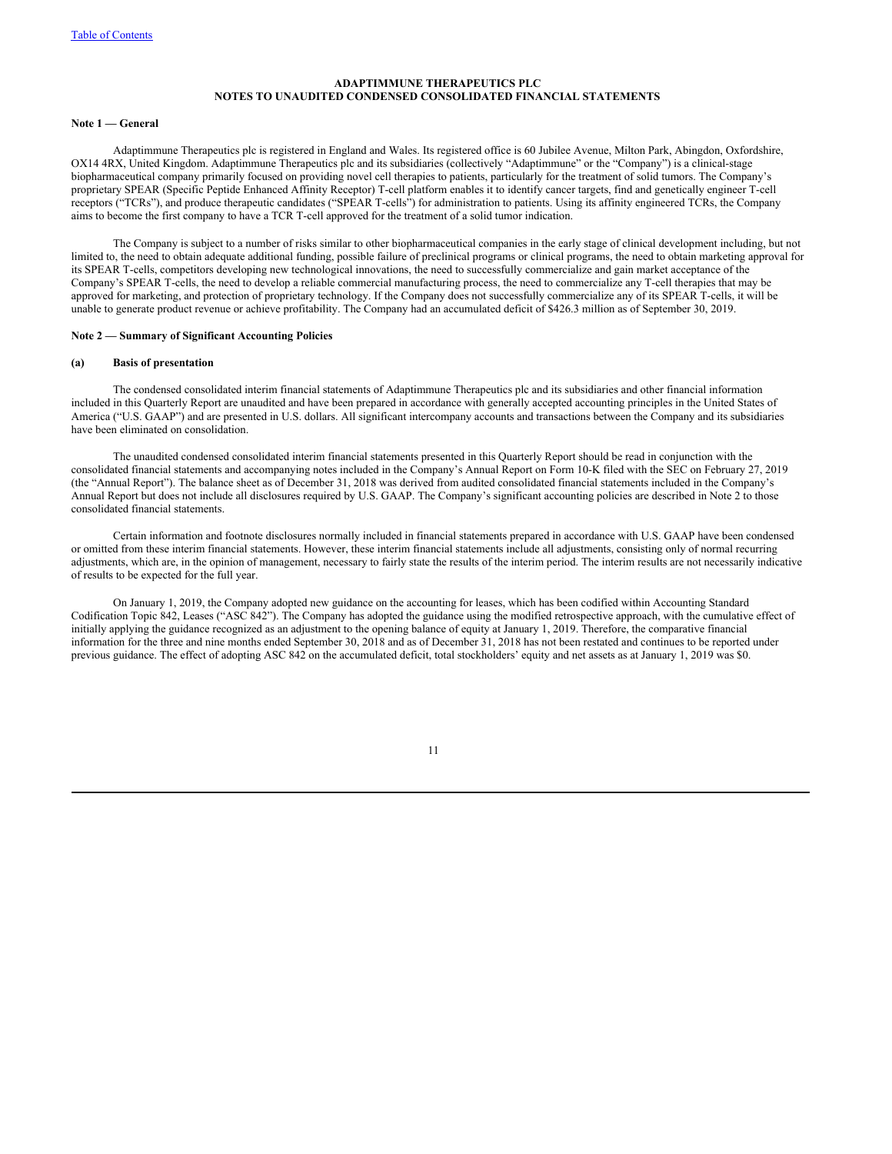## **ADAPTIMMUNE THERAPEUTICS PLC NOTES TO UNAUDITED CONDENSED CONSOLIDATED FINANCIAL STATEMENTS**

## **Note 1 — General**

Adaptimmune Therapeutics plc is registered in England and Wales. Its registered office is 60 Jubilee Avenue, Milton Park, Abingdon, Oxfordshire, OX14 4RX, United Kingdom. Adaptimmune Therapeutics plc and its subsidiaries (collectively "Adaptimmune" or the "Company") is a clinical-stage biopharmaceutical company primarily focused on providing novel cell therapies to patients, particularly for the treatment of solid tumors. The Company's proprietary SPEAR (Specific Peptide Enhanced Affinity Receptor) T-cell platform enables it to identify cancer targets, find and genetically engineer T-cell receptors ("TCRs"), and produce therapeutic candidates ("SPEAR T-cells") for administration to patients. Using its affinity engineered TCRs, the Company aims to become the first company to have a TCR T-cell approved for the treatment of a solid tumor indication.

The Company is subject to a number of risks similar to other biopharmaceutical companies in the early stage of clinical development including, but not limited to, the need to obtain adequate additional funding, possible failure of preclinical programs or clinical programs, the need to obtain marketing approval for its SPEAR T-cells, competitors developing new technological innovations, the need to successfully commercialize and gain market acceptance of the Company's SPEAR T-cells, the need to develop a reliable commercial manufacturing process, the need to commercialize any T-cell therapies that may be approved for marketing, and protection of proprietary technology. If the Company does not successfully commercialize any of its SPEAR T-cells, it will be unable to generate product revenue or achieve profitability. The Company had an accumulated deficit of \$426.3 million as of September 30, 2019.

## **Note 2 — Summary of Significant Accounting Policies**

#### **(a) Basis of presentation**

The condensed consolidated interim financial statements of Adaptimmune Therapeutics plc and its subsidiaries and other financial information included in this Quarterly Report are unaudited and have been prepared in accordance with generally accepted accounting principles in the United States of America ("U.S. GAAP") and are presented in U.S. dollars. All significant intercompany accounts and transactions between the Company and its subsidiaries have been eliminated on consolidation.

The unaudited condensed consolidated interim financial statements presented in this Quarterly Report should be read in conjunction with the consolidated financial statements and accompanying notes included in the Company's Annual Report on Form 10-K filed with the SEC on February 27, 2019 (the "Annual Report"). The balance sheet as of December 31, 2018 was derived from audited consolidated financial statements included in the Company's Annual Report but does not include all disclosures required by U.S. GAAP. The Company's significant accounting policies are described in Note 2 to those consolidated financial statements.

Certain information and footnote disclosures normally included in financial statements prepared in accordance with U.S. GAAP have been condensed or omitted from these interim financial statements. However, these interim financial statements include all adjustments, consisting only of normal recurring adjustments, which are, in the opinion of management, necessary to fairly state the results of the interim period. The interim results are not necessarily indicative of results to be expected for the full year.

On January 1, 2019, the Company adopted new guidance on the accounting for leases, which has been codified within Accounting Standard Codification Topic 842, Leases ("ASC 842"). The Company has adopted the guidance using the modified retrospective approach, with the cumulative effect of initially applying the guidance recognized as an adjustment to the opening balance of equity at January 1, 2019. Therefore, the comparative financial information for the three and nine months ended September 30, 2018 and as of December 31, 2018 has not been restated and continues to be reported under previous guidance. The effect of adopting ASC 842 on the accumulated deficit, total stockholders' equity and net assets as at January 1, 2019 was \$0.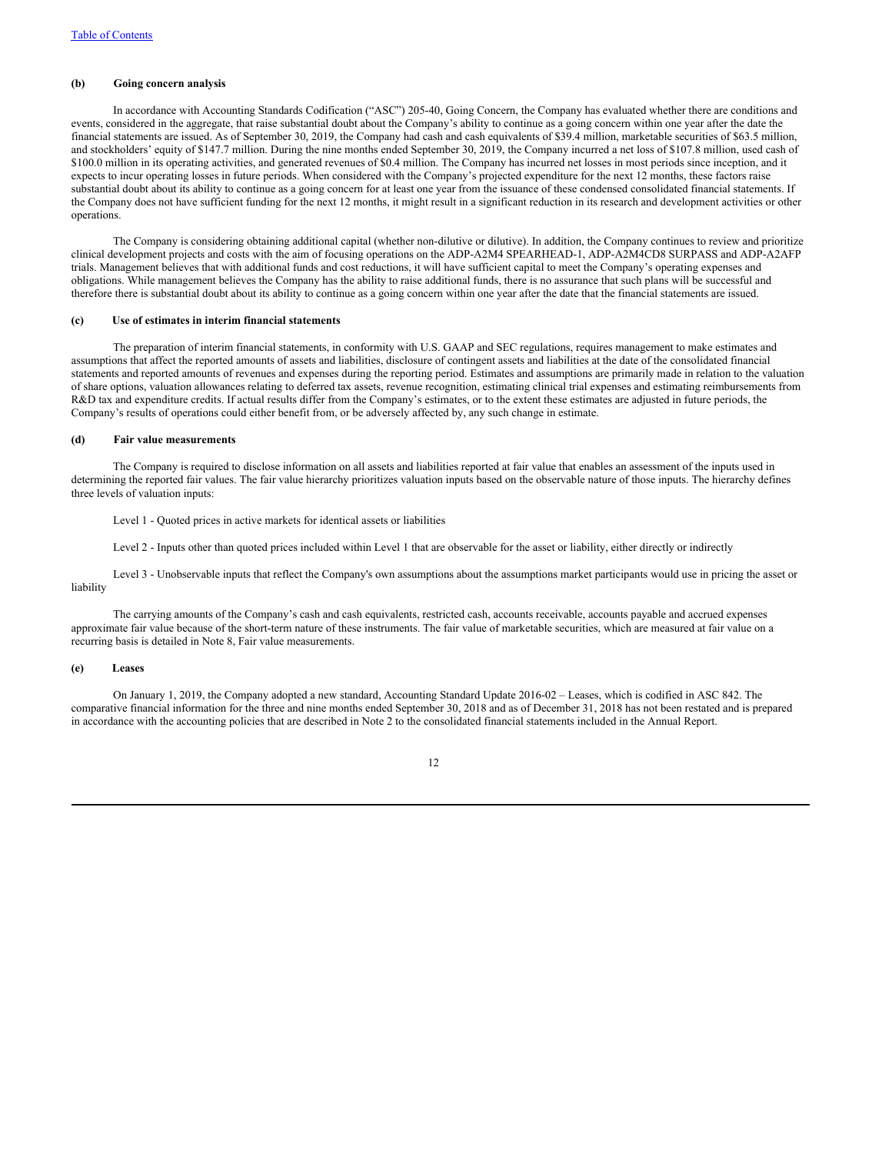#### **(b) Going concern analysis**

In accordance with Accounting Standards Codification ("ASC") 205-40, Going Concern, the Company has evaluated whether there are conditions and events, considered in the aggregate, that raise substantial doubt about the Company's ability to continue as a going concern within one year after the date the financial statements are issued. As of September 30, 2019, the Company had cash and cash equivalents of \$39.4 million, marketable securities of \$63.5 million, and stockholders' equity of \$147.7 million. During the nine months ended September 30, 2019, the Company incurred a net loss of \$107.8 million, used cash of \$100.0 million in its operating activities, and generated revenues of \$0.4 million. The Company has incurred net losses in most periods since inception, and it expects to incur operating losses in future periods. When considered with the Company's projected expenditure for the next 12 months, these factors raise substantial doubt about its ability to continue as a going concern for at least one year from the issuance of these condensed consolidated financial statements. If the Company does not have sufficient funding for the next 12 months, it might result in a significant reduction in its research and development activities or other operations.

The Company is considering obtaining additional capital (whether non-dilutive or dilutive). In addition, the Company continues to review and prioritize clinical development projects and costs with the aim of focusing operations on the ADP-A2M4 SPEARHEAD-1, ADP-A2M4CD8 SURPASS and ADP-A2AFP trials. Management believes that with additional funds and cost reductions, it will have sufficient capital to meet the Company's operating expenses and obligations. While management believes the Company has the ability to raise additional funds, there is no assurance that such plans will be successful and therefore there is substantial doubt about its ability to continue as a going concern within one year after the date that the financial statements are issued.

## **(c) Use of estimates in interim financial statements**

The preparation of interim financial statements, in conformity with U.S. GAAP and SEC regulations, requires management to make estimates and assumptions that affect the reported amounts of assets and liabilities, disclosure of contingent assets and liabilities at the date of the consolidated financial statements and reported amounts of revenues and expenses during the reporting period. Estimates and assumptions are primarily made in relation to the valuation of share options, valuation allowances relating to deferred tax assets, revenue recognition, estimating clinical trial expenses and estimating reimbursements from R&D tax and expenditure credits. If actual results differ from the Company's estimates, or to the extent these estimates are adjusted in future periods, the Company's results of operations could either benefit from, or be adversely affected by, any such change in estimate.

## **(d) Fair value measurements**

The Company is required to disclose information on all assets and liabilities reported at fair value that enables an assessment of the inputs used in determining the reported fair values. The fair value hierarchy prioritizes valuation inputs based on the observable nature of those inputs. The hierarchy defines three levels of valuation inputs:

Level 1 - Quoted prices in active markets for identical assets or liabilities

Level 2 - Inputs other than quoted prices included within Level 1 that are observable for the asset or liability, either directly or indirectly

Level 3 - Unobservable inputs that reflect the Company's own assumptions about the assumptions market participants would use in pricing the asset or liability

The carrying amounts of the Company's cash and cash equivalents, restricted cash, accounts receivable, accounts payable and accrued expenses approximate fair value because of the short-term nature of these instruments. The fair value of marketable securities, which are measured at fair value on a recurring basis is detailed in Note 8, Fair value measurements.

#### **(e) Leases**

On January 1, 2019, the Company adopted a new standard, Accounting Standard Update 2016-02 – Leases, which is codified in ASC 842. The comparative financial information for the three and nine months ended September 30, 2018 and as of December 31, 2018 has not been restated and is prepared in accordance with the accounting policies that are described in Note 2 to the consolidated financial statements included in the Annual Report.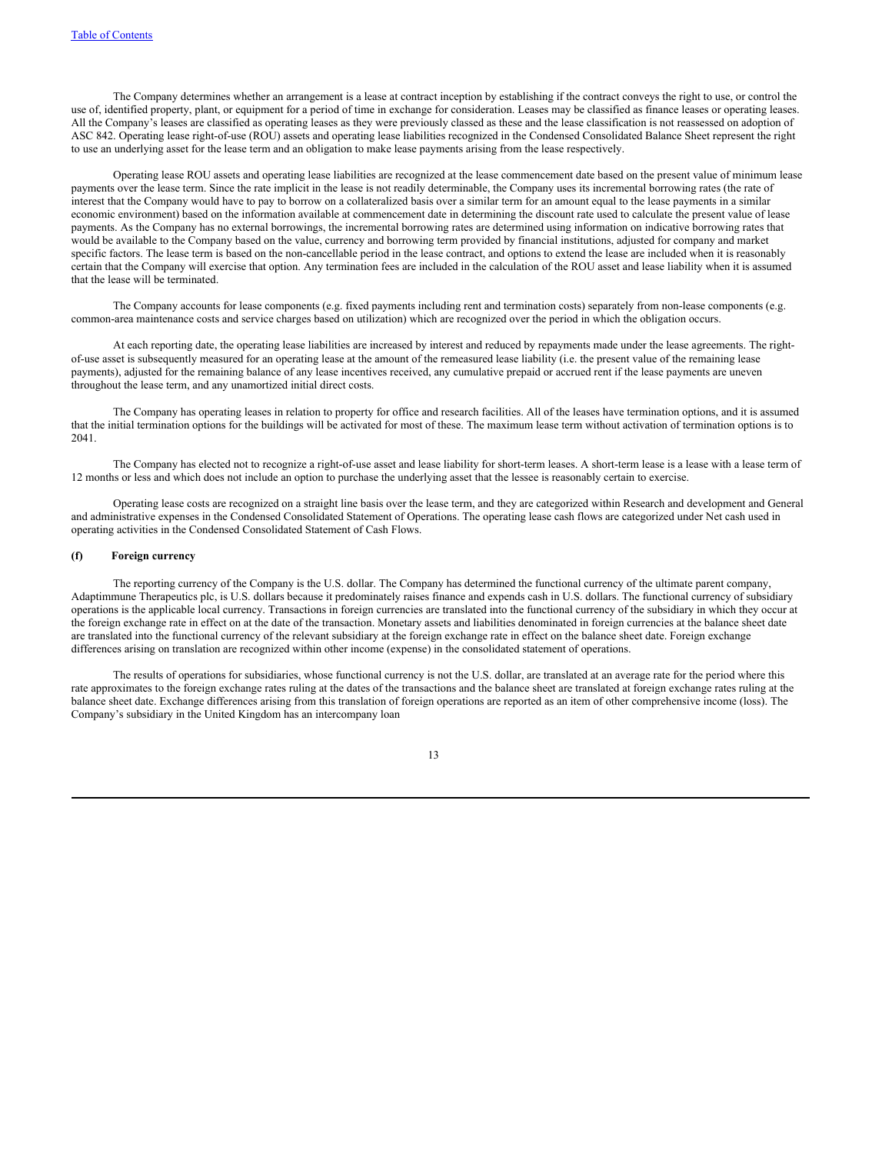The Company determines whether an arrangement is a lease at contract inception by establishing if the contract conveys the right to use, or control the use of, identified property, plant, or equipment for a period of time in exchange for consideration. Leases may be classified as finance leases or operating leases. All the Company's leases are classified as operating leases as they were previously classed as these and the lease classification is not reassessed on adoption of ASC 842. Operating lease right-of-use (ROU) assets and operating lease liabilities recognized in the Condensed Consolidated Balance Sheet represent the right to use an underlying asset for the lease term and an obligation to make lease payments arising from the lease respectively.

Operating lease ROU assets and operating lease liabilities are recognized at the lease commencement date based on the present value of minimum lease payments over the lease term. Since the rate implicit in the lease is not readily determinable, the Company uses its incremental borrowing rates (the rate of interest that the Company would have to pay to borrow on a collateralized basis over a similar term for an amount equal to the lease payments in a similar economic environment) based on the information available at commencement date in determining the discount rate used to calculate the present value of lease payments. As the Company has no external borrowings, the incremental borrowing rates are determined using information on indicative borrowing rates that would be available to the Company based on the value, currency and borrowing term provided by financial institutions, adjusted for company and market specific factors. The lease term is based on the non-cancellable period in the lease contract, and options to extend the lease are included when it is reasonably certain that the Company will exercise that option. Any termination fees are included in the calculation of the ROU asset and lease liability when it is assumed that the lease will be terminated.

The Company accounts for lease components (e.g. fixed payments including rent and termination costs) separately from non-lease components (e.g. common-area maintenance costs and service charges based on utilization) which are recognized over the period in which the obligation occurs.

At each reporting date, the operating lease liabilities are increased by interest and reduced by repayments made under the lease agreements. The rightof-use asset is subsequently measured for an operating lease at the amount of the remeasured lease liability (i.e. the present value of the remaining lease payments), adjusted for the remaining balance of any lease incentives received, any cumulative prepaid or accrued rent if the lease payments are uneven throughout the lease term, and any unamortized initial direct costs.

The Company has operating leases in relation to property for office and research facilities. All of the leases have termination options, and it is assumed that the initial termination options for the buildings will be activated for most of these. The maximum lease term without activation of termination options is to 2041.

The Company has elected not to recognize a right-of-use asset and lease liability for short-term leases. A short-term lease is a lease with a lease term of 12 months or less and which does not include an option to purchase the underlying asset that the lessee is reasonably certain to exercise.

Operating lease costs are recognized on a straight line basis over the lease term, and they are categorized within Research and development and General and administrative expenses in the Condensed Consolidated Statement of Operations. The operating lease cash flows are categorized under Net cash used in operating activities in the Condensed Consolidated Statement of Cash Flows.

#### **(f) Foreign currency**

The reporting currency of the Company is the U.S. dollar. The Company has determined the functional currency of the ultimate parent company, Adaptimmune Therapeutics plc, is U.S. dollars because it predominately raises finance and expends cash in U.S. dollars. The functional currency of subsidiary operations is the applicable local currency. Transactions in foreign currencies are translated into the functional currency of the subsidiary in which they occur at the foreign exchange rate in effect on at the date of the transaction. Monetary assets and liabilities denominated in foreign currencies at the balance sheet date are translated into the functional currency of the relevant subsidiary at the foreign exchange rate in effect on the balance sheet date. Foreign exchange differences arising on translation are recognized within other income (expense) in the consolidated statement of operations.

The results of operations for subsidiaries, whose functional currency is not the U.S. dollar, are translated at an average rate for the period where this rate approximates to the foreign exchange rates ruling at the dates of the transactions and the balance sheet are translated at foreign exchange rates ruling at the balance sheet date. Exchange differences arising from this translation of foreign operations are reported as an item of other comprehensive income (loss). The Company's subsidiary in the United Kingdom has an intercompany loan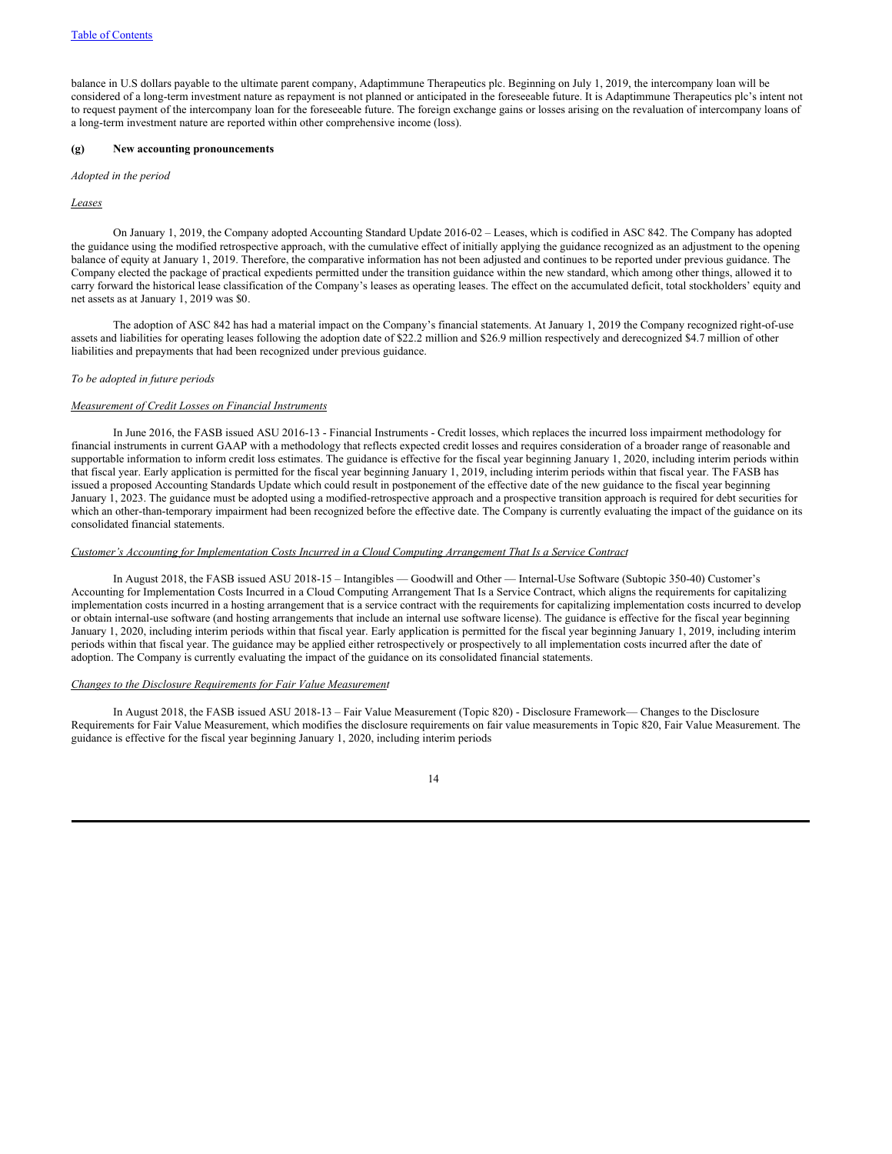balance in U.S dollars payable to the ultimate parent company, Adaptimmune Therapeutics plc. Beginning on July 1, 2019, the intercompany loan will be considered of a long-term investment nature as repayment is not planned or anticipated in the foreseeable future. It is Adaptimmune Therapeutics plc's intent not to request payment of the intercompany loan for the foreseeable future. The foreign exchange gains or losses arising on the revaluation of intercompany loans of a long-term investment nature are reported within other comprehensive income (loss).

## **(g) New accounting pronouncements**

*Adopted in the period*

#### *Leases*

On January 1, 2019, the Company adopted Accounting Standard Update 2016-02 – Leases, which is codified in ASC 842. The Company has adopted the guidance using the modified retrospective approach, with the cumulative effect of initially applying the guidance recognized as an adjustment to the opening balance of equity at January 1, 2019. Therefore, the comparative information has not been adjusted and continues to be reported under previous guidance. The Company elected the package of practical expedients permitted under the transition guidance within the new standard, which among other things, allowed it to carry forward the historical lease classification of the Company's leases as operating leases. The effect on the accumulated deficit, total stockholders' equity and net assets as at January 1, 2019 was \$0.

The adoption of ASC 842 has had a material impact on the Company's financial statements. At January 1, 2019 the Company recognized right-of-use assets and liabilities for operating leases following the adoption date of \$22.2 million and \$26.9 million respectively and derecognized \$4.7 million of other liabilities and prepayments that had been recognized under previous guidance.

#### *To be adopted in future periods*

## *Measurement of Credit Losses on Financial Instruments*

In June 2016, the FASB issued ASU 2016-13 - Financial Instruments - Credit losses, which replaces the incurred loss impairment methodology for financial instruments in current GAAP with a methodology that reflects expected credit losses and requires consideration of a broader range of reasonable and supportable information to inform credit loss estimates. The guidance is effective for the fiscal year beginning January 1, 2020, including interim periods within that fiscal year. Early application is permitted for the fiscal year beginning January 1, 2019, including interim periods within that fiscal year. The FASB has issued a proposed Accounting Standards Update which could result in postponement of the effective date of the new guidance to the fiscal year beginning January 1, 2023. The guidance must be adopted using a modified-retrospective approach and a prospective transition approach is required for debt securities for which an other-than-temporary impairment had been recognized before the effective date. The Company is currently evaluating the impact of the guidance on its consolidated financial statements.

## Customer's Accounting for Implementation Costs Incurred in a Cloud Computing Arrangement That Is a Service Contract

In August 2018, the FASB issued ASU 2018-15 – Intangibles — Goodwill and Other — Internal-Use Software (Subtopic 350-40) Customer's Accounting for Implementation Costs Incurred in a Cloud Computing Arrangement That Is a Service Contract, which aligns the requirements for capitalizing implementation costs incurred in a hosting arrangement that is a service contract with the requirements for capitalizing implementation costs incurred to develop or obtain internal-use software (and hosting arrangements that include an internal use software license). The guidance is effective for the fiscal year beginning January 1, 2020, including interim periods within that fiscal year. Early application is permitted for the fiscal year beginning January 1, 2019, including interim periods within that fiscal year. The guidance may be applied either retrospectively or prospectively to all implementation costs incurred after the date of adoption. The Company is currently evaluating the impact of the guidance on its consolidated financial statements.

#### *Changes to the Disclosure Requirements for Fair Value Measurement*

In August 2018, the FASB issued ASU 2018-13 – Fair Value Measurement (Topic 820) - Disclosure Framework— Changes to the Disclosure Requirements for Fair Value Measurement, which modifies the disclosure requirements on fair value measurements in Topic 820, Fair Value Measurement. The guidance is effective for the fiscal year beginning January 1, 2020, including interim periods

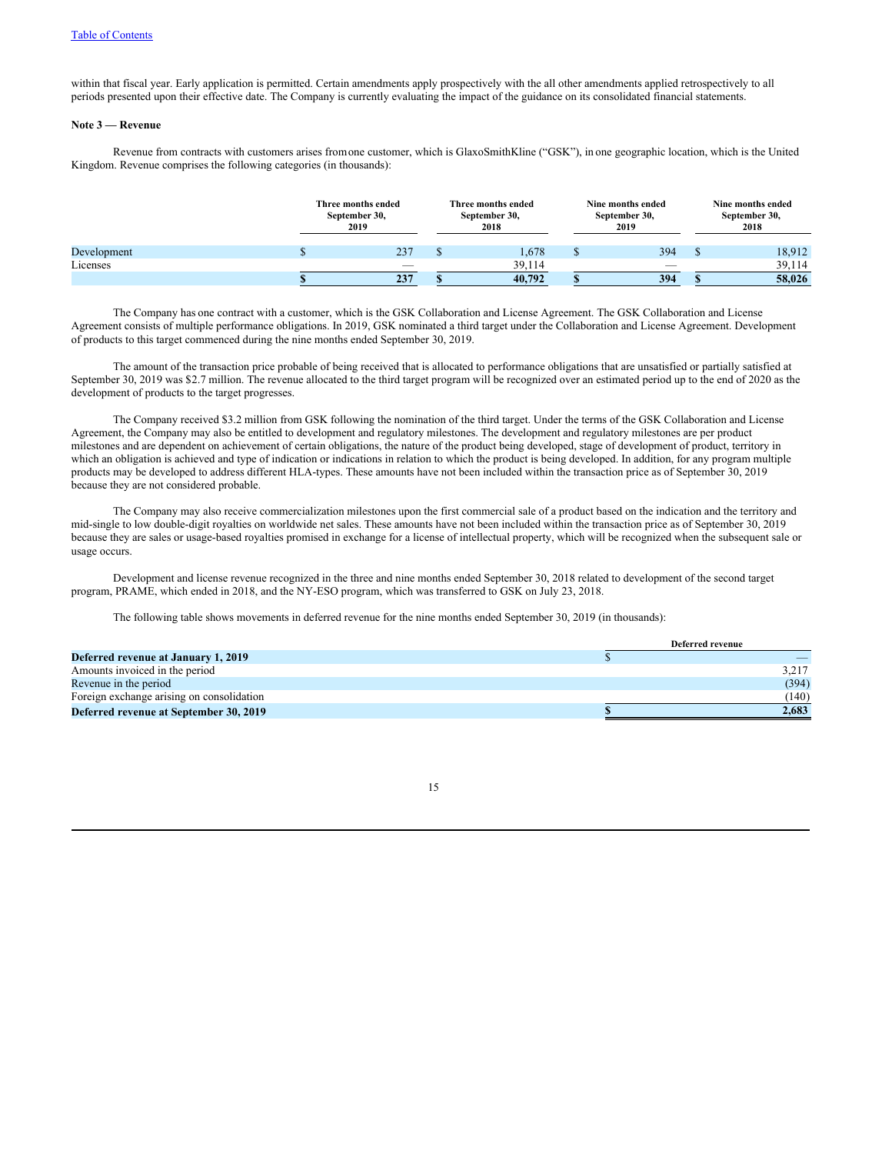within that fiscal year. Early application is permitted. Certain amendments apply prospectively with the all other amendments applied retrospectively to all periods presented upon their effective date. The Company is currently evaluating the impact of the guidance on its consolidated financial statements.

#### **Note 3 — Revenue**

Revenue from contracts with customers arises fromone customer, which is GlaxoSmithKline ("GSK"), in one geographic location, which is the United Kingdom. Revenue comprises the following categories (in thousands):

|             | Three months ended<br>September 30,<br>2019 |  | Three months ended<br>September 30,<br>2018 | Nine months ended<br>September 30,<br>2019 | Nine months ended<br>September 30,<br>2018 |        |  |
|-------------|---------------------------------------------|--|---------------------------------------------|--------------------------------------------|--------------------------------------------|--------|--|
| Development | 237                                         |  | 1.678                                       | 394                                        |                                            | 18.912 |  |
| Licenses    | __                                          |  | 39.114                                      | $\overline{\phantom{a}}$                   |                                            | 39,114 |  |
|             | 237                                         |  | 40,792                                      | 394                                        |                                            | 58,026 |  |

The Company has one contract with a customer, which is the GSK Collaboration and License Agreement. The GSK Collaboration and License Agreement consists of multiple performance obligations. In 2019, GSK nominated a third target under the Collaboration and License Agreement. Development of products to this target commenced during the nine months ended September 30, 2019.

The amount of the transaction price probable of being received that is allocated to performance obligations that are unsatisfied or partially satisfied at September 30, 2019 was \$2.7 million. The revenue allocated to the third target program will be recognized over an estimated period up to the end of 2020 as the development of products to the target progresses.

The Company received \$3.2 million from GSK following the nomination of the third target. Under the terms of the GSK Collaboration and License Agreement, the Company may also be entitled to development and regulatory milestones. The development and regulatory milestones are per product milestones and are dependent on achievement of certain obligations, the nature of the product being developed, stage of development of product, territory in which an obligation is achieved and type of indication or indications in relation to which the product is being developed. In addition, for any program multiple products may be developed to address different HLA-types. These amounts have not been included within the transaction price as of September 30, 2019 because they are not considered probable.

The Company may also receive commercialization milestones upon the first commercial sale of a product based on the indication and the territory and mid-single to low double-digit royalties on worldwide net sales. These amounts have not been included within the transaction price as of September 30, 2019 because they are sales or usage-based royalties promised in exchange for a license of intellectual property, which will be recognized when the subsequent sale or usage occurs.

Development and license revenue recognized in the three and nine months ended September 30, 2018 related to development of the second target program, PRAME, which ended in 2018, and the NY-ESO program, which was transferred to GSK on July 23, 2018.

The following table shows movements in deferred revenue for the nine months ended September 30, 2019 (in thousands):

|                                           | Deferred revenue |
|-------------------------------------------|------------------|
| Deferred revenue at January 1, 2019       |                  |
| Amounts invoiced in the period            | 3,217            |
| Revenue in the period                     | (394)            |
| Foreign exchange arising on consolidation | (140)            |
| Deferred revenue at September 30, 2019    | 2.683            |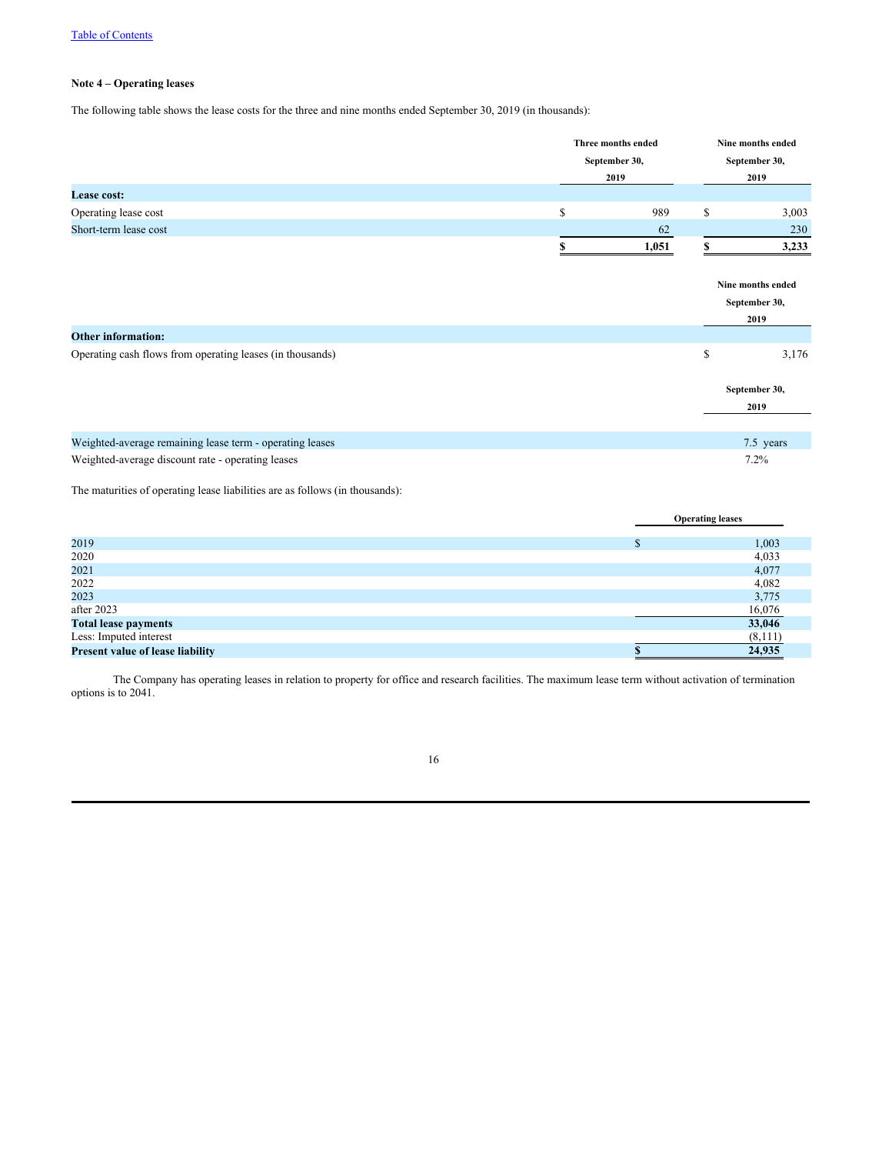## **Note 4 – Operating leases**

The following table shows the lease costs for the three and nine months ended September 30, 2019 (in thousands):

|                                                           |    | Three months ended<br>September 30,<br>2019 |    | Nine months ended<br>September 30,<br>2019 |
|-----------------------------------------------------------|----|---------------------------------------------|----|--------------------------------------------|
| Lease cost:                                               |    |                                             |    |                                            |
| Operating lease cost                                      | \$ | 989                                         | \$ | 3,003                                      |
| Short-term lease cost                                     |    | 62                                          |    | 230                                        |
|                                                           | S  | 1,051                                       | S  | 3,233                                      |
| <b>Other information:</b>                                 |    |                                             |    | Nine months ended<br>September 30,<br>2019 |
| Operating cash flows from operating leases (in thousands) |    |                                             | \$ | 3,176                                      |
|                                                           |    |                                             |    | September 30,<br>2019                      |
| Weighted-average remaining lease term - operating leases  |    |                                             |    | 7.5 years                                  |
| Weighted-average discount rate - operating leases         |    |                                             |    | $7.2\%$                                    |

The maturities of operating lease liabilities are as follows (in thousands):

|                                         |          | <b>Operating leases</b> |
|-----------------------------------------|----------|-------------------------|
| 2019                                    | $\sigma$ | 1,003                   |
| 2020                                    |          | 4,033                   |
| 2021                                    |          | 4,077                   |
| 2022                                    |          | 4,082                   |
| 2023                                    |          | 3,775                   |
| after 2023                              |          | 16,076                  |
| <b>Total lease payments</b>             |          | 33,046                  |
| Less: Imputed interest                  |          | (8,111)                 |
| <b>Present value of lease liability</b> |          | 24,935                  |

The Company has operating leases in relation to property for office and research facilities. The maximum lease term without activation of termination options is to 2041.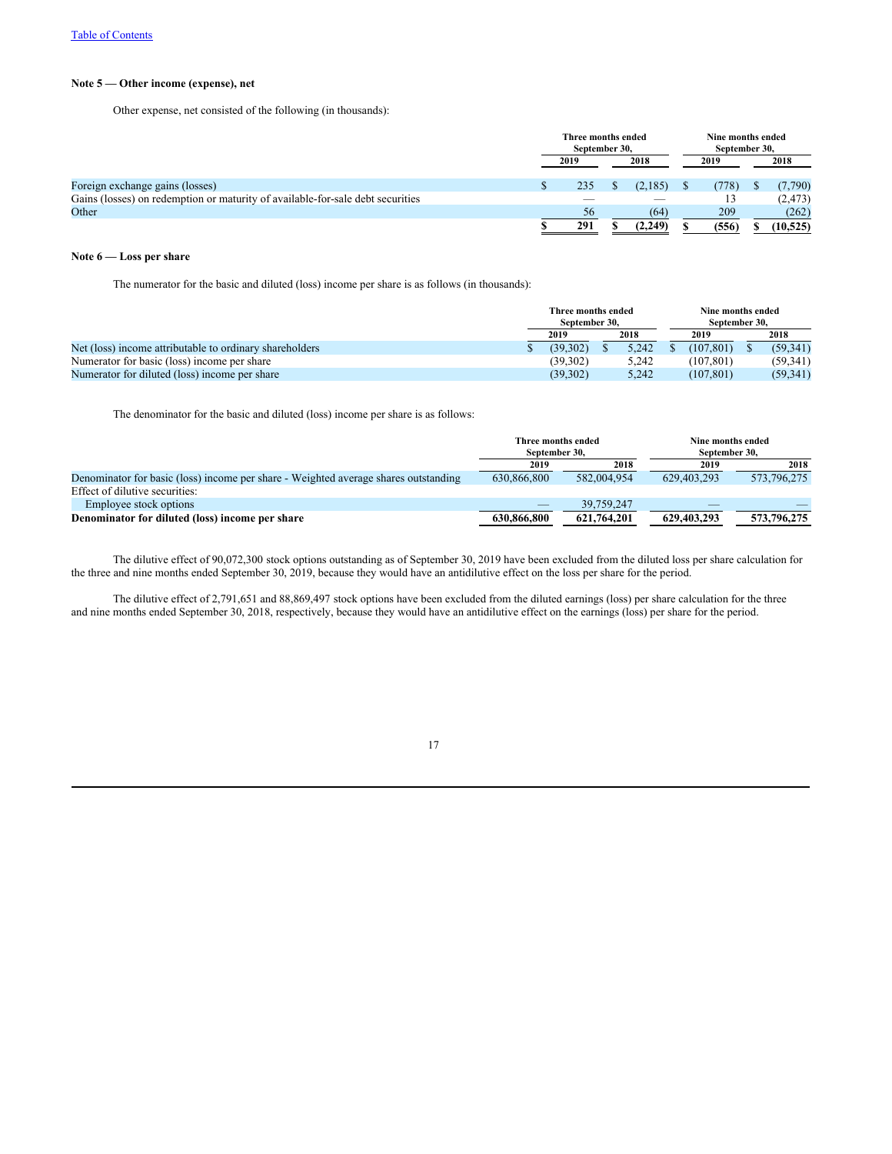## **Note 5 — Other income (expense), net**

Other expense, net consisted of the following (in thousands):

|                                                                                | Three months ended<br>September 30. |     |  |         |      | Nine months ended<br>September 30. |  |           |  |
|--------------------------------------------------------------------------------|-------------------------------------|-----|--|---------|------|------------------------------------|--|-----------|--|
|                                                                                | 2018<br>2019                        |     |  |         | 2019 | 2018                               |  |           |  |
| Foreign exchange gains (losses)                                                |                                     | 235 |  | (2.185) |      | (778)                              |  | (7,790)   |  |
| Gains (losses) on redemption or maturity of available-for-sale debt securities |                                     |     |  |         |      |                                    |  | (2, 473)  |  |
| Other                                                                          |                                     | 56  |  | (64)    |      | 209                                |  | (262)     |  |
|                                                                                |                                     | 291 |  | (2.249) |      | (556)                              |  | (10, 525) |  |

## **Note 6 — Loss per share**

The numerator for the basic and diluted (loss) income per share is as follows (in thousands):

|                                                         |  | Three months ended<br>September 30. |      |       |      | Nine months ended<br>September 30. |           |
|---------------------------------------------------------|--|-------------------------------------|------|-------|------|------------------------------------|-----------|
|                                                         |  | 2019                                | 2018 |       | 2019 |                                    | 2018      |
| Net (loss) income attributable to ordinary shareholders |  | (39.302)                            |      | 5.242 |      | (107, 801)                         | (59, 341) |
| Numerator for basic (loss) income per share             |  | (39.302)                            |      | 5.242 |      | (107.801)                          | (59, 341) |
| Numerator for diluted (loss) income per share           |  | (39.302)                            |      | 5.242 |      | (107, 801)                         | (59, 341) |

The denominator for the basic and diluted (loss) income per share is as follows:

|                                                                                     | Three months ended<br>September 30. |             | Nine months ended<br>September 30. |             |
|-------------------------------------------------------------------------------------|-------------------------------------|-------------|------------------------------------|-------------|
|                                                                                     | 2019                                | 2018        | 2019                               | 2018        |
| Denominator for basic (loss) income per share - Weighted average shares outstanding | 630,866,800                         | 582,004.954 | 629.403.293                        | 573,796,275 |
| Effect of dilutive securities:                                                      |                                     |             |                                    |             |
| Employee stock options                                                              |                                     | 39.759.247  | __                                 |             |
| Denominator for diluted (loss) income per share                                     | 630,866,800                         | 621,764,201 | 629,403,293                        | 573,796,275 |

The dilutive effect of 90,072,300 stock options outstanding as of September 30, 2019 have been excluded from the diluted loss per share calculation for the three and nine months ended September 30, 2019, because they would have an antidilutive effect on the loss per share for the period.

The dilutive effect of 2,791,651 and 88,869,497 stock options have been excluded from the diluted earnings (loss) per share calculation for the three and nine months ended September 30, 2018, respectively, because they would have an antidilutive effect on the earnings (loss) per share for the period.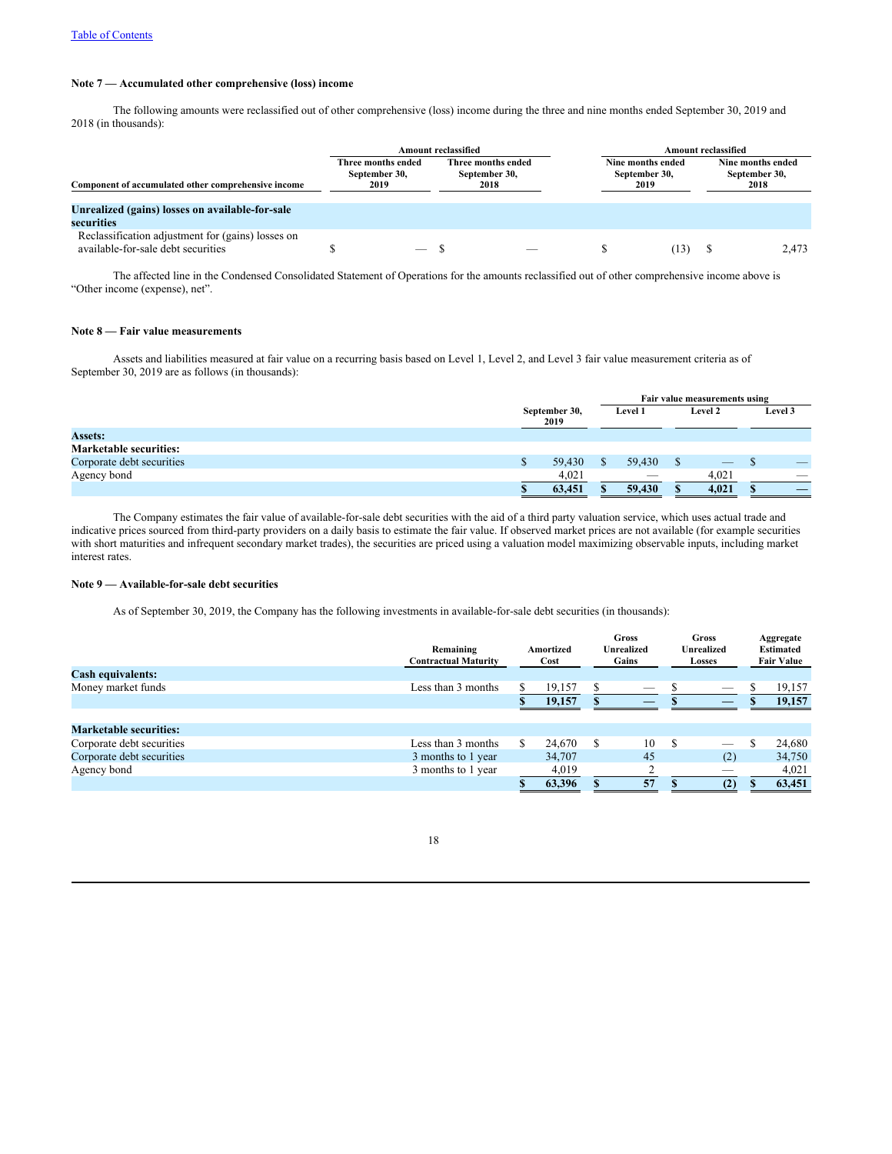## **Note 7 — Accumulated other comprehensive (loss) income**

The following amounts were reclassified out of other comprehensive (loss) income during the three and nine months ended September 30, 2019 and 2018 (in thousands):

|                                                                                         |                                             | <b>Amount reclassified</b>                  |                                            | <b>Amount reclassified</b>                 |
|-----------------------------------------------------------------------------------------|---------------------------------------------|---------------------------------------------|--------------------------------------------|--------------------------------------------|
| Component of accumulated other comprehensive income                                     | Three months ended<br>September 30,<br>2019 | Three months ended<br>September 30,<br>2018 | Nine months ended<br>September 30,<br>2019 | Nine months ended<br>September 30,<br>2018 |
| Unrealized (gains) losses on available-for-sale<br>securities                           |                                             |                                             |                                            |                                            |
| Reclassification adjustment for (gains) losses on<br>available-for-sale debt securities |                                             | _                                           | (13)                                       | 2.473                                      |

The affected line in the Condensed Consolidated Statement of Operations for the amounts reclassified out of other comprehensive income above is "Other income (expense), net".

## **Note 8 — Fair value measurements**

Assets and liabilities measured at fair value on a recurring basis based on Level 1, Level 2, and Level 3 fair value measurement criteria as of September 30, 2019 are as follows (in thousands):

|                               |                       |        |  |                                |                          | Fair value measurements using |                          |  |
|-------------------------------|-----------------------|--------|--|--------------------------------|--------------------------|-------------------------------|--------------------------|--|
|                               | September 30,<br>2019 |        |  | Level 1                        | Level 2                  |                               | Level 3                  |  |
| <b>Assets:</b>                |                       |        |  |                                |                          |                               |                          |  |
| <b>Marketable securities:</b> |                       |        |  |                                |                          |                               |                          |  |
| Corporate debt securities     |                       | 59,430 |  | 59,430                         | $\overline{\phantom{a}}$ |                               | _                        |  |
| Agency bond                   |                       | 4,021  |  | $\overbrace{\hspace{25mm}}^{}$ | 4,021                    |                               | $\overline{\phantom{a}}$ |  |
|                               |                       | 63,451 |  | 59,430                         | 4,021                    |                               |                          |  |

The Company estimates the fair value of available-for-sale debt securities with the aid of a third party valuation service, which uses actual trade and indicative prices sourced from third-party providers on a daily basis to estimate the fair value. If observed market prices are not available (for example securities with short maturities and infrequent secondary market trades), the securities are priced using a valuation model maximizing observable inputs, including market interest rates.

## **Note 9 — Available-for-sale debt securities**

As of September 30, 2019, the Company has the following investments in available-for-sale debt securities (in thousands):

|                               | Remaining<br><b>Contractual Maturity</b> | Amortized<br>Cost |        | <b>Gross</b><br><b>Unrealized</b><br>Gains |    | <b>Gross</b><br><b>Unrealized</b><br>Losses |     | Aggregate<br><b>Estimated</b><br><b>Fair Value</b> |
|-------------------------------|------------------------------------------|-------------------|--------|--------------------------------------------|----|---------------------------------------------|-----|----------------------------------------------------|
| <b>Cash equivalents:</b>      |                                          |                   |        |                                            |    |                                             |     |                                                    |
| Money market funds            | Less than 3 months                       |                   | 19.157 |                                            | _  |                                             |     | 19,157                                             |
|                               |                                          |                   | 19,157 |                                            | _  |                                             |     | 19,157                                             |
|                               |                                          |                   |        |                                            |    |                                             |     |                                                    |
| <b>Marketable securities:</b> |                                          |                   |        |                                            |    |                                             |     |                                                    |
| Corporate debt securities     | Less than 3 months                       |                   | 24,670 |                                            | 10 |                                             |     | 24,680                                             |
| Corporate debt securities     | 3 months to 1 year                       |                   | 34,707 |                                            | 45 |                                             | (2) | 34,750                                             |
| Agency bond                   | 3 months to 1 year                       |                   | 4,019  |                                            |    |                                             |     | 4,021                                              |
|                               |                                          |                   | 63,396 |                                            | 57 |                                             | (2) | 63,451                                             |

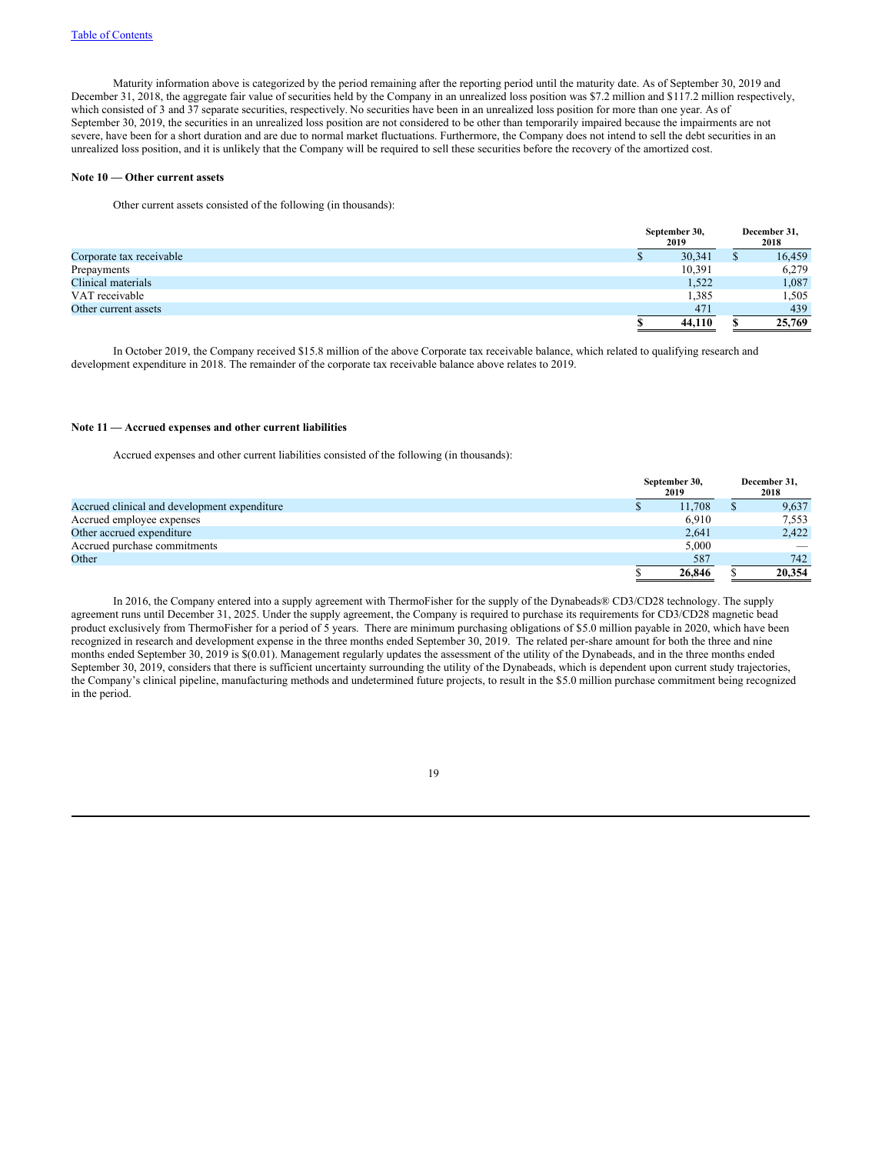Maturity information above is categorized by the period remaining after the reporting period until the maturity date. As of September 30, 2019 and December 31, 2018, the aggregate fair value of securities held by the Company in an unrealized loss position was \$7.2 million and \$117.2 million respectively, which consisted of 3 and 37 separate securities, respectively. No securities have been in an unrealized loss position for more than one year. As of September 30, 2019, the securities in an unrealized loss position are not considered to be other than temporarily impaired because the impairments are not severe, have been for a short duration and are due to normal market fluctuations. Furthermore, the Company does not intend to sell the debt securities in an unrealized loss position, and it is unlikely that the Company will be required to sell these securities before the recovery of the amortized cost.

## **Note 10 — Other current assets**

Other current assets consisted of the following (in thousands):

|                          | September 30,<br>2019 |        |  | December 31,<br>2018 |
|--------------------------|-----------------------|--------|--|----------------------|
| Corporate tax receivable |                       | 30,341 |  | 16,459               |
| Prepayments              |                       | 10,391 |  | 6,279                |
| Clinical materials       |                       | 1,522  |  | 1,087                |
| VAT receivable           |                       | 1,385  |  | 1,505                |
| Other current assets     |                       | 471    |  | 439                  |
|                          | 44.110                |        |  | 25,769               |

In October 2019, the Company received \$15.8 million of the above Corporate tax receivable balance, which related to qualifying research and development expenditure in 2018. The remainder of the corporate tax receivable balance above relates to 2019.

#### **Note 11 — Accrued expenses and other current liabilities**

Accrued expenses and other current liabilities consisted of the following (in thousands):

|                                              | September 30. | December 31, |
|----------------------------------------------|---------------|--------------|
|                                              | 2019          | 2018         |
| Accrued clinical and development expenditure | 11.708        | 9,637        |
| Accrued employee expenses                    | 6.910         | 7,553        |
| Other accrued expenditure                    | 2,641         | 2,422        |
| Accrued purchase commitments                 | 5.000         | -            |
| Other                                        | 587           | 742          |
|                                              | 26,846        | 20,354       |

In 2016, the Company entered into a supply agreement with ThermoFisher for the supply of the Dynabeads® CD3/CD28 technology. The supply agreement runs until December 31, 2025. Under the supply agreement, the Company is required to purchase its requirements for CD3/CD28 magnetic bead product exclusively from ThermoFisher for a period of 5 years. There are minimum purchasing obligations of \$5.0 million payable in 2020, which have been recognized in research and development expense in the three months ended September 30, 2019. The related per-share amount for both the three and nine months ended September 30, 2019 is  $\S(0.01)$ . Management regularly updates the assessment of the utility of the Dynabeads, and in the three months ended September 30, 2019, considers that there is sufficient uncertainty surrounding the utility of the Dynabeads, which is dependent upon current study trajectories, the Company's clinical pipeline, manufacturing methods and undetermined future projects, to result in the \$5.0 million purchase commitment being recognized in the period.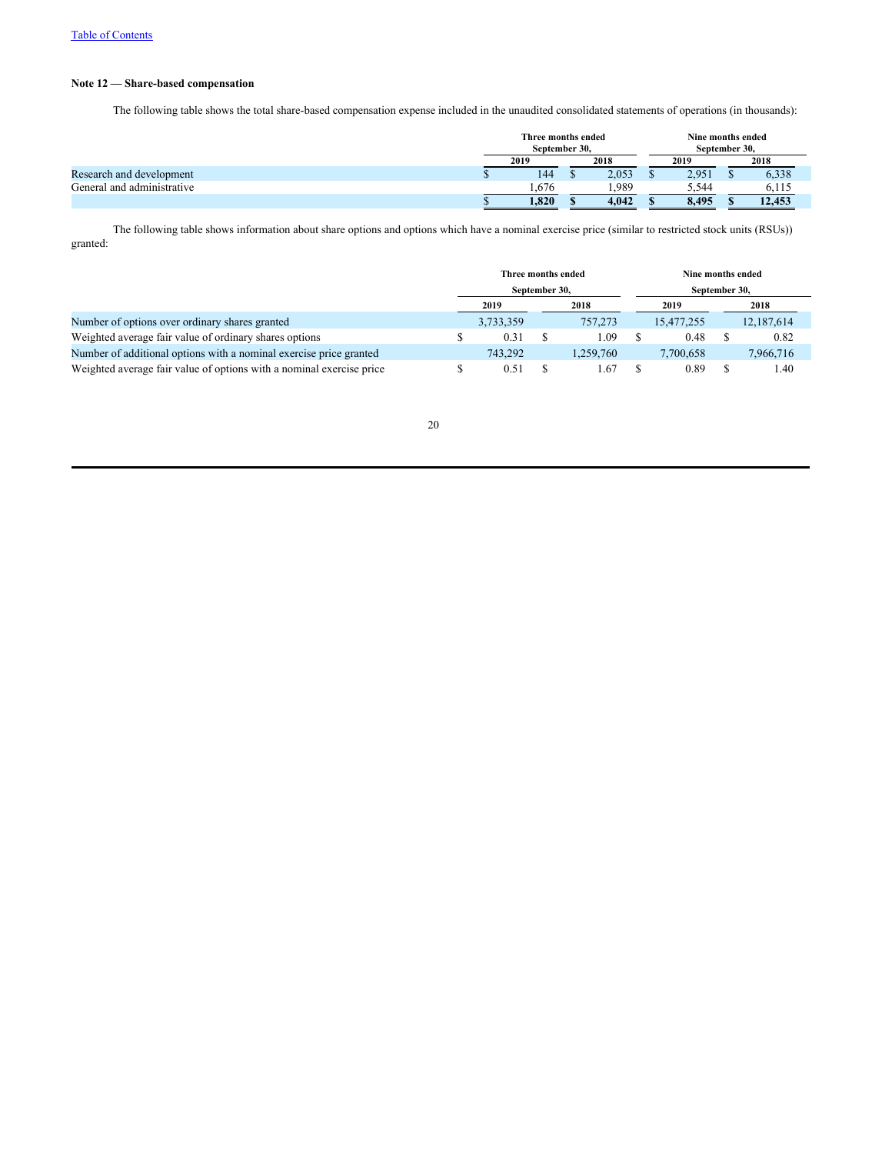## **Note 12 — Share-based compensation**

The following table shows the total share-based compensation expense included in the unaudited consolidated statements of operations (in thousands):

|                            | Three months ended<br>September 30. |  |       | Nine months ended<br>September 30. |  |        |
|----------------------------|-------------------------------------|--|-------|------------------------------------|--|--------|
|                            | 2019<br>2018                        |  |       | 2019                               |  | 2018   |
| Research and development   | 144                                 |  | 2,053 | 2,951                              |  | 6,338  |
| General and administrative | .676                                |  | .989  | 5.544                              |  | 6,115  |
|                            | 1,820                               |  | 4.042 | 8,495                              |  | 12,453 |

The following table shows information about share options and options which have a nominal exercise price (similar to restricted stock units (RSUs)) granted:

|                                                                      | Three months ended |               |           | Nine months ended |  |            |  |  |  |
|----------------------------------------------------------------------|--------------------|---------------|-----------|-------------------|--|------------|--|--|--|
|                                                                      |                    | September 30, |           | September 30.     |  |            |  |  |  |
|                                                                      | 2019<br>2018       |               |           | 2019              |  | 2018       |  |  |  |
| Number of options over ordinary shares granted                       | 3,733,359          |               | 757,273   | 15.477.255        |  | 12,187,614 |  |  |  |
| Weighted average fair value of ordinary shares options               | 0.31               |               | .09       | 0.48              |  | 0.82       |  |  |  |
| Number of additional options with a nominal exercise price granted   | 743.292            |               | 1.259.760 | 7.700.658         |  | 7,966,716  |  |  |  |
| Weighted average fair value of options with a nominal exercise price | 0.51               |               | . .67     | 0.89              |  | 1.40       |  |  |  |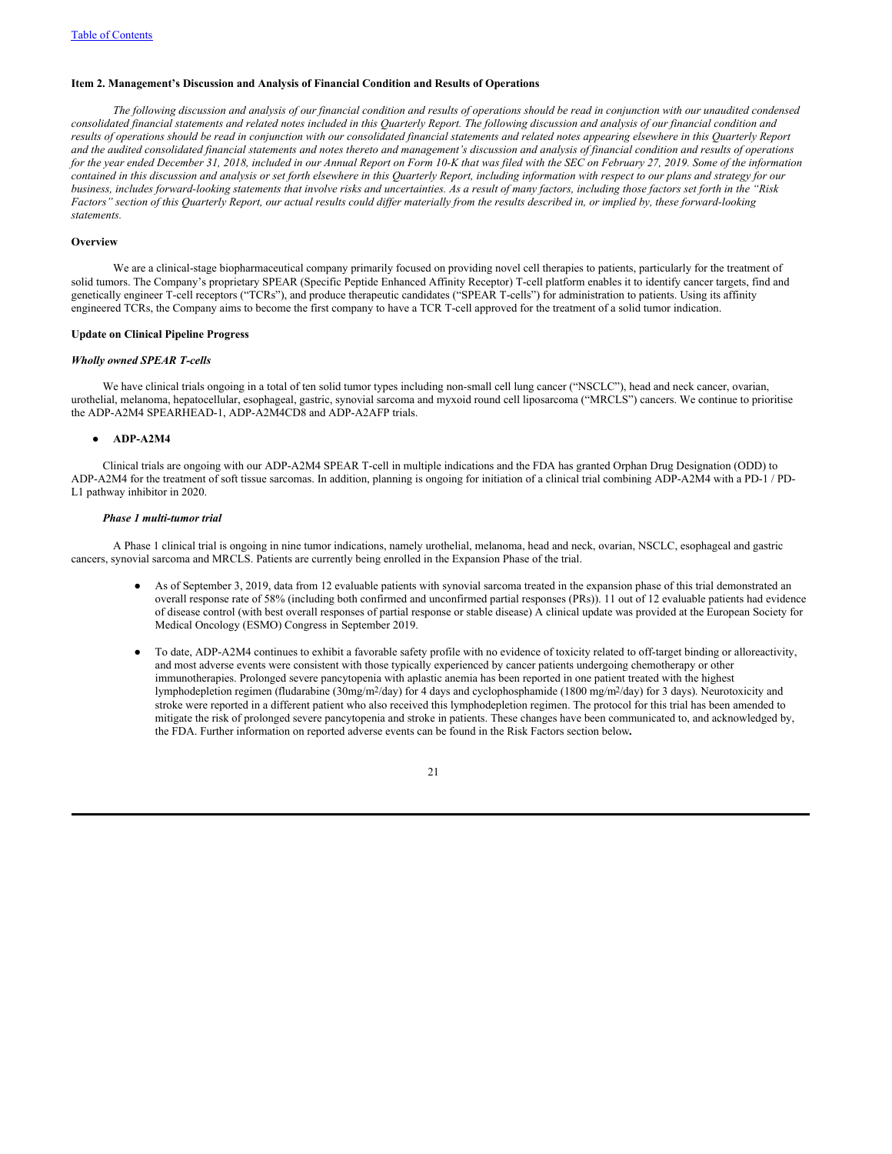### **Item 2. Management's Discussion and Analysis of Financial Condition and Results of Operations**

The following discussion and analysis of our financial condition and results of operations should be read in conjunction with our unaudited condensed consolidated financial statements and related notes included in this Quarterly Report. The following discussion and analysis of our financial condition and results of operations should be read in conjunction with our consolidated financial statements and related notes appearing elsewhere in this Quarterly Report and the audited consolidated financial statements and notes thereto and management's discussion and analysis of financial condition and results of operations for the vear ended December 31, 2018, included in our Annual Report on Form 10-K that was filed with the SEC on February 27, 2019. Some of the information contained in this discussion and analysis or set forth elsewhere in this Quarterly Report, including information with respect to our plans and strategy for our business, includes forward-looking statements that involve risks and uncertainties. As a result of many factors, including those factors set forth in the "Risk Factors" section of this Quarterly Report, our actual results could differ materially from the results described in, or implied by, these forward-looking *statements.*

## **Overview**

We are a clinical-stage biopharmaceutical company primarily focused on providing novel cell therapies to patients, particularly for the treatment of solid tumors. The Company's proprietary SPEAR (Specific Peptide Enhanced Affinity Receptor) T-cell platform enables it to identify cancer targets, find and genetically engineer T-cell receptors ("TCRs"), and produce therapeutic candidates ("SPEAR T-cells") for administration to patients. Using its affinity engineered TCRs, the Company aims to become the first company to have a TCR T-cell approved for the treatment of a solid tumor indication.

## **Update on Clinical Pipeline Progress**

#### *Wholly owned SPEAR T-cells*

We have clinical trials ongoing in a total of ten solid tumor types including non-small cell lung cancer ("NSCLC"), head and neck cancer, ovarian, urothelial, melanoma, hepatocellular, esophageal, gastric, synovial sarcoma and myxoid round cell liposarcoma ("MRCLS") cancers. We continue to prioritise the ADP-A2M4 SPEARHEAD-1, ADP-A2M4CD8 and ADP-A2AFP trials.

## ● **ADP-A2M4**

Clinical trials are ongoing with our ADP-A2M4 SPEAR T-cell in multiple indications and the FDA has granted Orphan Drug Designation (ODD) to ADP-A2M4 for the treatment of soft tissue sarcomas. In addition, planning is ongoing for initiation of a clinical trial combining ADP-A2M4 with a PD-1 / PD-L1 pathway inhibitor in 2020.

## *Phase 1 multi-tumor trial*

A Phase 1 clinical trial is ongoing in nine tumor indications, namely urothelial, melanoma, head and neck, ovarian, NSCLC, esophageal and gastric cancers, synovial sarcoma and MRCLS. Patients are currently being enrolled in the Expansion Phase of the trial.

- As of September 3, 2019, data from 12 evaluable patients with synovial sarcoma treated in the expansion phase of this trial demonstrated an overall response rate of 58% (including both confirmed and unconfirmed partial responses (PRs)). 11 out of 12 evaluable patients had evidence of disease control (with best overall responses of partial response or stable disease) A clinical update was provided at the European Society for Medical Oncology (ESMO) Congress in September 2019.
- To date, ADP-A2M4 continues to exhibit a favorable safety profile with no evidence of toxicity related to off-target binding or alloreactivity, and most adverse events were consistent with those typically experienced by cancer patients undergoing chemotherapy or other immunotherapies. Prolonged severe pancytopenia with aplastic anemia has been reported in one patient treated with the highest lymphodepletion regimen (fludarabine (30mg/m<sup>2</sup>/day) for 4 days and cyclophosphamide (1800 mg/m<sup>2</sup>/day) for 3 days). Neurotoxicity and stroke were reported in a different patient who also received this lymphodepletion regimen. The protocol for this trial has been amended to mitigate the risk of prolonged severe pancytopenia and stroke in patients. These changes have been communicated to, and acknowledged by, the FDA. Further information on reported adverse events can be found in the Risk Factors section below*.*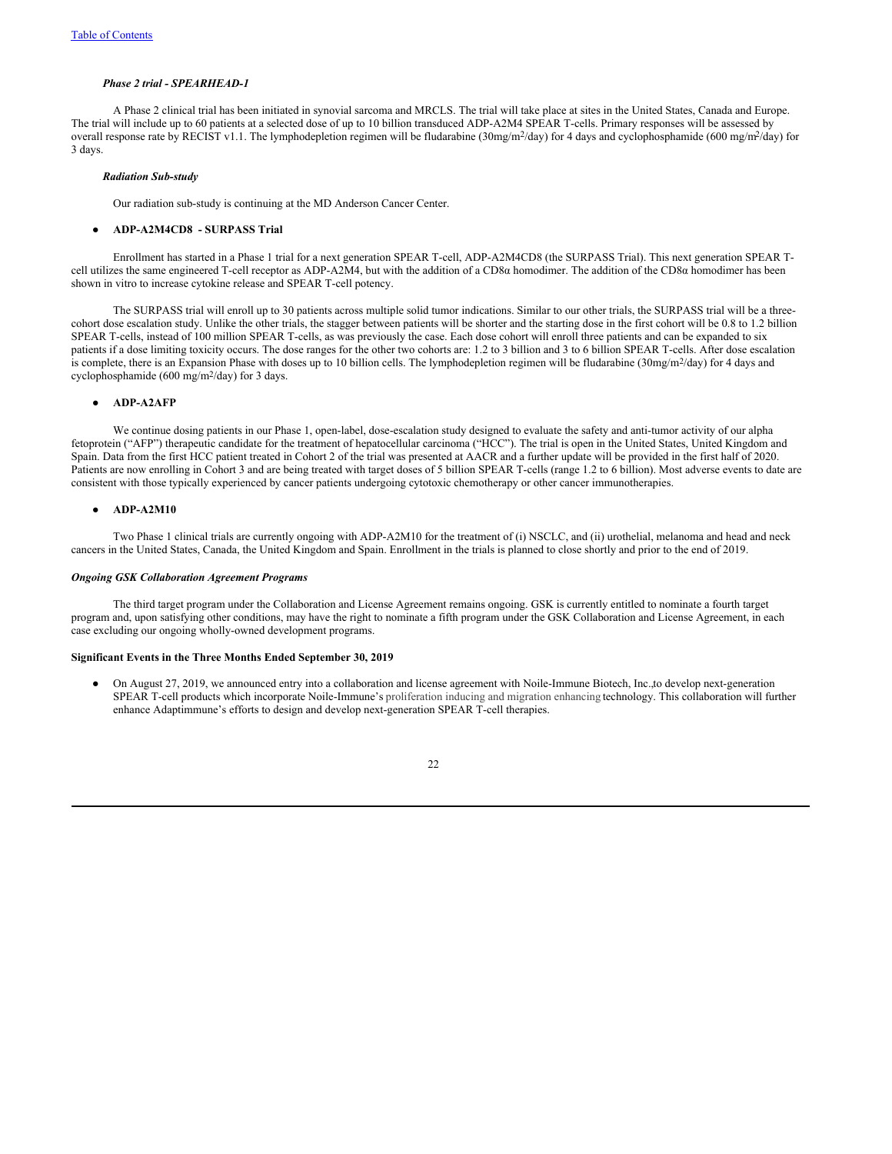#### *Phase 2 trial - SPEARHEAD-1*

A Phase 2 clinical trial has been initiated in synovial sarcoma and MRCLS. The trial will take place at sites in the United States, Canada and Europe. The trial will include up to 60 patients at a selected dose of up to 10 billion transduced ADP-A2M4 SPEAR T-cells. Primary responses will be assessed by overall response rate by RECIST v1.1. The lymphodepletion regimen will be fludarabine (30mg/m<sup>2</sup>/day) for 4 days and cyclophosphamide (600 mg/m<sup>2</sup>/day) for 3 days.

## *Radiation Sub-study*

Our radiation sub-study is continuing at the MD Anderson Cancer Center.

## ● **ADP-A2M4CD8 - SURPASS Trial**

Enrollment has started in a Phase 1 trial for a next generation SPEAR T-cell, ADP-A2M4CD8 (the SURPASS Trial). This next generation SPEAR Tcell utilizes the same engineered T-cell receptor as ADP-A2M4, but with the addition of a CD8α homodimer. The addition of the CD8α homodimer has been shown in vitro to increase cytokine release and SPEAR T-cell potency.

The SURPASS trial will enroll up to 30 patients across multiple solid tumor indications. Similar to our other trials, the SURPASS trial will be a threecohort dose escalation study. Unlike the other trials, the stagger between patients will be shorter and the starting dose in the first cohort will be 0.8 to 1.2 billion SPEAR T-cells, instead of 100 million SPEAR T-cells, as was previously the case. Each dose cohort will enroll three patients and can be expanded to six patients if a dose limiting toxicity occurs. The dose ranges for the other two cohorts are: 1.2 to 3 billion and 3 to 6 billion SPEAR T-cells. After dose escalation is complete, there is an Expansion Phase with doses up to 10 billion cells. The lymphodepletion regimen will be fludarabine (30mg/m<sup>2</sup>/day) for 4 days and cyclophosphamide (600 mg/m2/day) for 3 days.

### ● **ADP-A2AFP**

We continue dosing patients in our Phase 1, open-label, dose-escalation study designed to evaluate the safety and anti-tumor activity of our alpha fetoprotein ("AFP") therapeutic candidate for the treatment of hepatocellular carcinoma ("HCC"). The trial is open in the United States, United Kingdom and Spain. Data from the first HCC patient treated in Cohort 2 of the trial was presented at AACR and a further update will be provided in the first half of 2020. Patients are now enrolling in Cohort 3 and are being treated with target doses of 5 billion SPEAR T-cells (range 1.2 to 6 billion). Most adverse events to date are consistent with those typically experienced by cancer patients undergoing cytotoxic chemotherapy or other cancer immunotherapies.

## ● **ADP-A2M10**

Two Phase 1 clinical trials are currently ongoing with ADP-A2M10 for the treatment of (i) NSCLC, and (ii) urothelial, melanoma and head and neck cancers in the United States, Canada, the United Kingdom and Spain. Enrollment in the trials is planned to close shortly and prior to the end of 2019.

## *Ongoing GSK Collaboration Agreement Programs*

The third target program under the Collaboration and License Agreement remains ongoing. GSK is currently entitled to nominate a fourth target program and, upon satisfying other conditions, may have the right to nominate a fifth program under the GSK Collaboration and License Agreement, in each case excluding our ongoing wholly-owned development programs.

## **Significant Events in the Three Months Ended September 30, 2019**

● On August 27, 2019, we announced entry into a collaboration and license agreement with Noile-Immune Biotech, Inc.,to develop next-generation SPEAR T-cell products which incorporate Noile-Immune's proliferation inducing and migration enhancing technology. This collaboration will further enhance Adaptimmune's efforts to design and develop next-generation SPEAR T-cell therapies.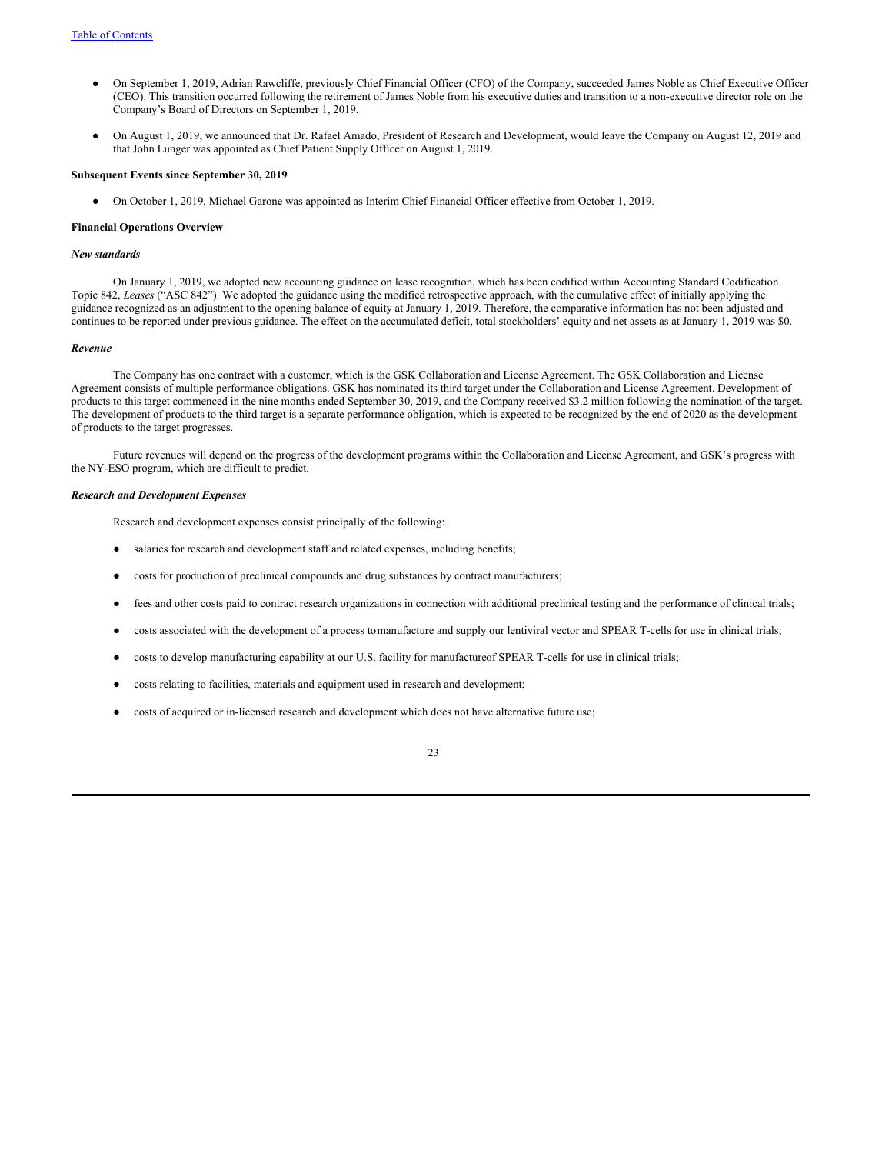- On September 1, 2019, Adrian Rawcliffe, previously Chief Financial Officer (CFO) of the Company, succeeded James Noble as Chief Executive Officer (CEO). This transition occurred following the retirement of James Noble from his executive duties and transition to a non-executive director role on the Company's Board of Directors on September 1, 2019.
- On August 1, 2019, we announced that Dr. Rafael Amado, President of Research and Development, would leave the Company on August 12, 2019 and that John Lunger was appointed as Chief Patient Supply Officer on August 1, 2019.

## **Subsequent Events since September 30, 2019**

● On October 1, 2019, Michael Garone was appointed as Interim Chief Financial Officer effective from October 1, 2019.

#### **Financial Operations Overview**

## *New standards*

On January 1, 2019, we adopted new accounting guidance on lease recognition, which has been codified within Accounting Standard Codification Topic 842, *Leases* ("ASC 842"). We adopted the guidance using the modified retrospective approach, with the cumulative effect of initially applying the guidance recognized as an adjustment to the opening balance of equity at January 1, 2019. Therefore, the comparative information has not been adjusted and continues to be reported under previous guidance. The effect on the accumulated deficit, total stockholders' equity and net assets as at January 1, 2019 was \$0.

#### *Revenue*

The Company has one contract with a customer, which is the GSK Collaboration and License Agreement. The GSK Collaboration and License Agreement consists of multiple performance obligations. GSK has nominated its third target under the Collaboration and License Agreement. Development of products to this target commenced in the nine months ended September 30, 2019, and the Company received \$3.2 million following the nomination of the target. The development of products to the third target is a separate performance obligation, which is expected to be recognized by the end of 2020 as the development of products to the target progresses.

Future revenues will depend on the progress of the development programs within the Collaboration and License Agreement, and GSK's progress with the NY-ESO program, which are difficult to predict.

#### *Research and Development Expenses*

Research and development expenses consist principally of the following:

- salaries for research and development staff and related expenses, including benefits;
- costs for production of preclinical compounds and drug substances by contract manufacturers;
- fees and other costs paid to contract research organizations in connection with additional preclinical testing and the performance of clinical trials;
- costs associated with the development of a process tomanufacture and supply our lentiviral vector and SPEAR T-cells for use in clinical trials;
- costs to develop manufacturing capability at our U.S. facility for manufactureof SPEAR T-cells for use in clinical trials;
- costs relating to facilities, materials and equipment used in research and development;
- costs of acquired or in-licensed research and development which does not have alternative future use;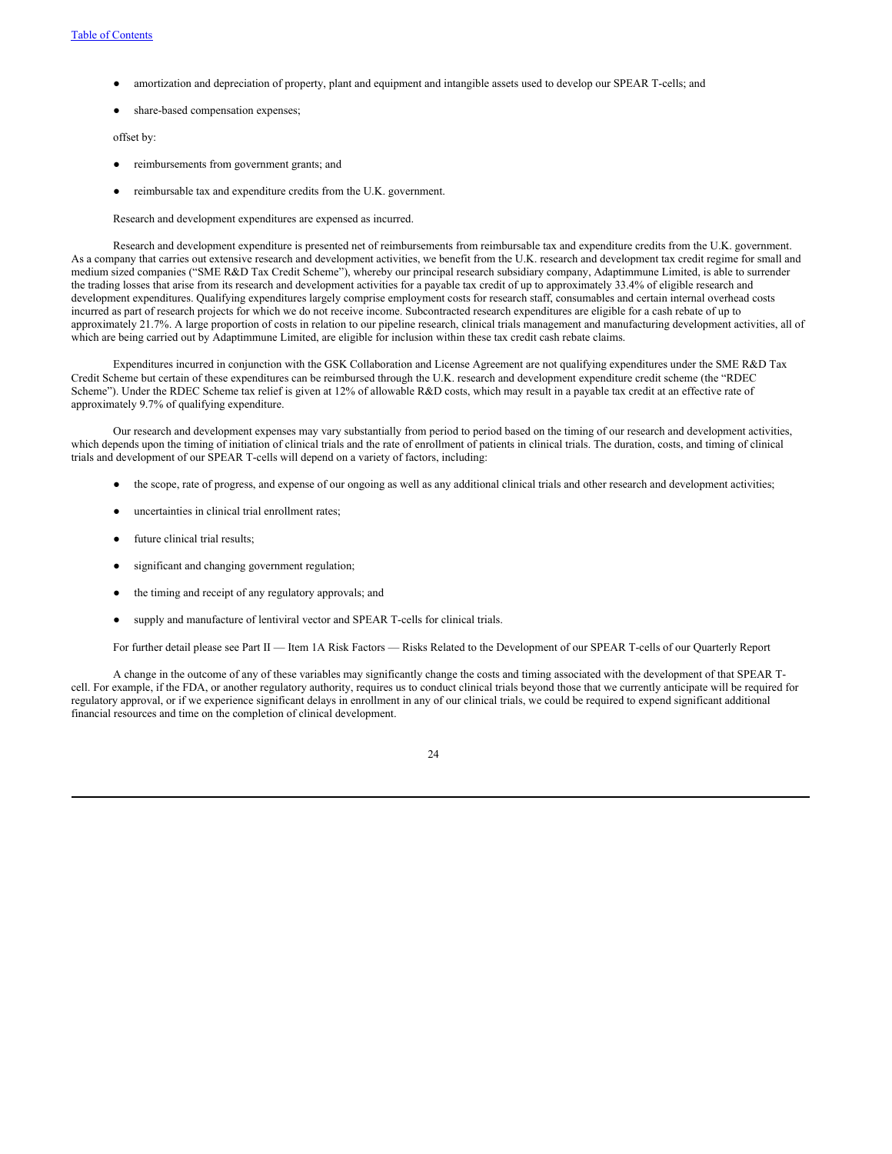- amortization and depreciation of property, plant and equipment and intangible assets used to develop our SPEAR T-cells; and
- share-based compensation expenses;

offset by:

- reimbursements from government grants; and
- reimbursable tax and expenditure credits from the U.K. government.

Research and development expenditures are expensed as incurred.

Research and development expenditure is presented net of reimbursements from reimbursable tax and expenditure credits from the U.K. government. As a company that carries out extensive research and development activities, we benefit from the U.K. research and development tax credit regime for small and medium sized companies ("SME R&D Tax Credit Scheme"), whereby our principal research subsidiary company, Adaptimmune Limited, is able to surrender the trading losses that arise from its research and development activities for a payable tax credit of up to approximately 33.4% of eligible research and development expenditures. Qualifying expenditures largely comprise employment costs for research staff, consumables and certain internal overhead costs incurred as part of research projects for which we do not receive income. Subcontracted research expenditures are eligible for a cash rebate of up to approximately 21.7%. A large proportion of costs in relation to our pipeline research, clinical trials management and manufacturing development activities, all of which are being carried out by Adaptimmune Limited, are eligible for inclusion within these tax credit cash rebate claims.

Expenditures incurred in conjunction with the GSK Collaboration and License Agreement are not qualifying expenditures under the SME R&D Tax Credit Scheme but certain of these expenditures can be reimbursed through the U.K. research and development expenditure credit scheme (the "RDEC Scheme"). Under the RDEC Scheme tax relief is given at 12% of allowable R&D costs, which may result in a payable tax credit at an effective rate of approximately 9.7% of qualifying expenditure.

Our research and development expenses may vary substantially from period to period based on the timing of our research and development activities, which depends upon the timing of initiation of clinical trials and the rate of enrollment of patients in clinical trials. The duration, costs, and timing of clinical trials and development of our SPEAR T-cells will depend on a variety of factors, including:

- the scope, rate of progress, and expense of our ongoing as well as any additional clinical trials and other research and development activities;
- uncertainties in clinical trial enrollment rates;
- future clinical trial results;
- significant and changing government regulation;
- the timing and receipt of any regulatory approvals; and
- supply and manufacture of lentiviral vector and SPEAR T-cells for clinical trials.

For further detail please see Part II — Item 1A Risk Factors — Risks Related to the Development of our SPEAR T-cells of our Quarterly Report

A change in the outcome of any of these variables may significantly change the costs and timing associated with the development of that SPEAR Tcell. For example, if the FDA, or another regulatory authority, requires us to conduct clinical trials beyond those that we currently anticipate will be required for regulatory approval, or if we experience significant delays in enrollment in any of our clinical trials, we could be required to expend significant additional financial resources and time on the completion of clinical development.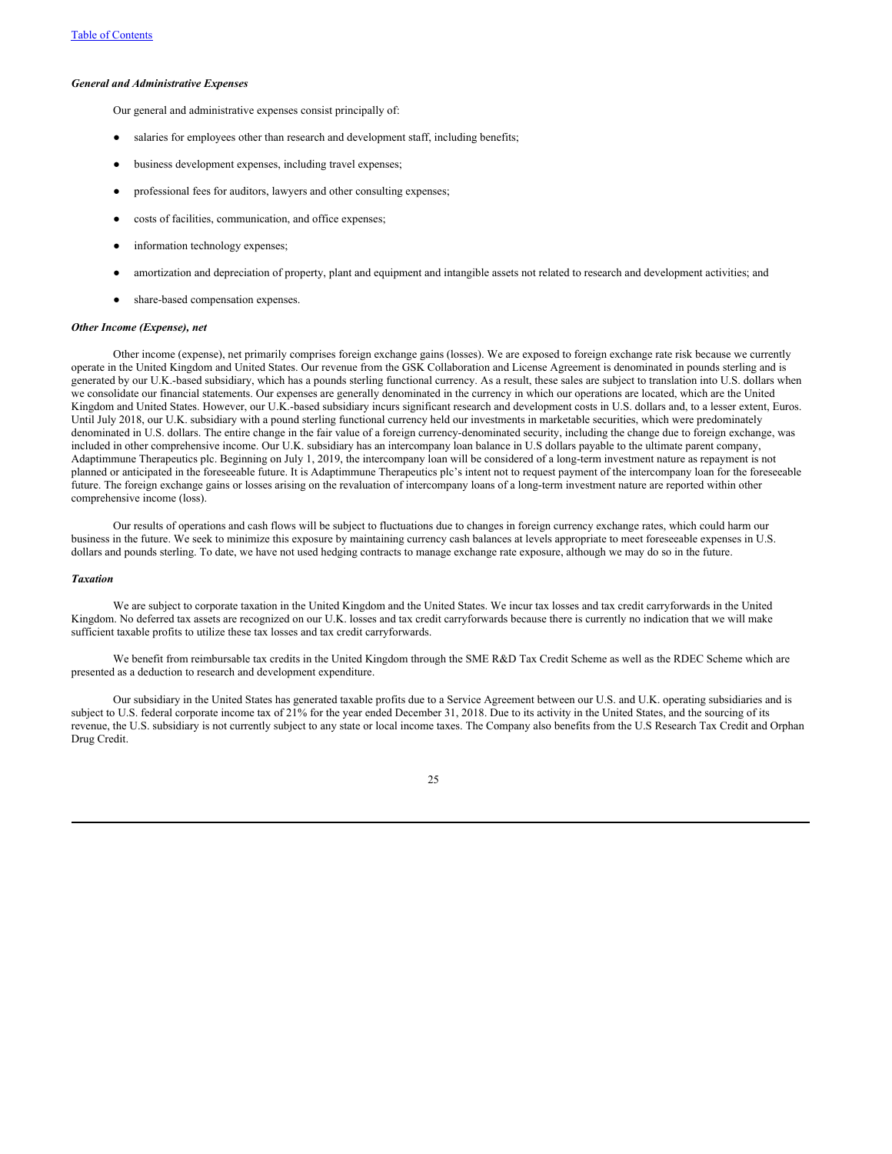#### *General and Administrative Expenses*

Our general and administrative expenses consist principally of:

- salaries for employees other than research and development staff, including benefits;
- business development expenses, including travel expenses;
- professional fees for auditors, lawyers and other consulting expenses;
- costs of facilities, communication, and office expenses;
- information technology expenses;
- amortization and depreciation of property, plant and equipment and intangible assets not related to research and development activities; and
- share-based compensation expenses.

## *Other Income (Expense), net*

Other income (expense), net primarily comprises foreign exchange gains (losses). We are exposed to foreign exchange rate risk because we currently operate in the United Kingdom and United States. Our revenue from the GSK Collaboration and License Agreement is denominated in pounds sterling and is generated by our U.K.-based subsidiary, which has a pounds sterling functional currency. As a result, these sales are subject to translation into U.S. dollars when we consolidate our financial statements. Our expenses are generally denominated in the currency in which our operations are located, which are the United Kingdom and United States. However, our U.K.-based subsidiary incurs significant research and development costs in U.S. dollars and, to a lesser extent, Euros. Until July 2018, our U.K. subsidiary with a pound sterling functional currency held our investments in marketable securities, which were predominately denominated in U.S. dollars. The entire change in the fair value of a foreign currency-denominated security, including the change due to foreign exchange, was included in other comprehensive income. Our U.K. subsidiary has an intercompany loan balance in U.S dollars payable to the ultimate parent company, Adaptimmune Therapeutics plc. Beginning on July 1, 2019, the intercompany loan will be considered of a long-term investment nature as repayment is not planned or anticipated in the foreseeable future. It is Adaptimmune Therapeutics plc's intent not to request payment of the intercompany loan for the foreseeable future. The foreign exchange gains or losses arising on the revaluation of intercompany loans of a long-term investment nature are reported within other comprehensive income (loss).

Our results of operations and cash flows will be subject to fluctuations due to changes in foreign currency exchange rates, which could harm our business in the future. We seek to minimize this exposure by maintaining currency cash balances at levels appropriate to meet foreseeable expenses in U.S. dollars and pounds sterling. To date, we have not used hedging contracts to manage exchange rate exposure, although we may do so in the future.

## *Taxation*

We are subject to corporate taxation in the United Kingdom and the United States. We incur tax losses and tax credit carryforwards in the United Kingdom. No deferred tax assets are recognized on our U.K. losses and tax credit carryforwards because there is currently no indication that we will make sufficient taxable profits to utilize these tax losses and tax credit carryforwards.

We benefit from reimbursable tax credits in the United Kingdom through the SME R&D Tax Credit Scheme as well as the RDEC Scheme which are presented as a deduction to research and development expenditure.

Our subsidiary in the United States has generated taxable profits due to a Service Agreement between our U.S. and U.K. operating subsidiaries and is subject to U.S. federal corporate income tax of 21% for the year ended December 31, 2018. Due to its activity in the United States, and the sourcing of its revenue, the U.S. subsidiary is not currently subject to any state or local income taxes. The Company also benefits from the U.S Research Tax Credit and Orphan Drug Credit.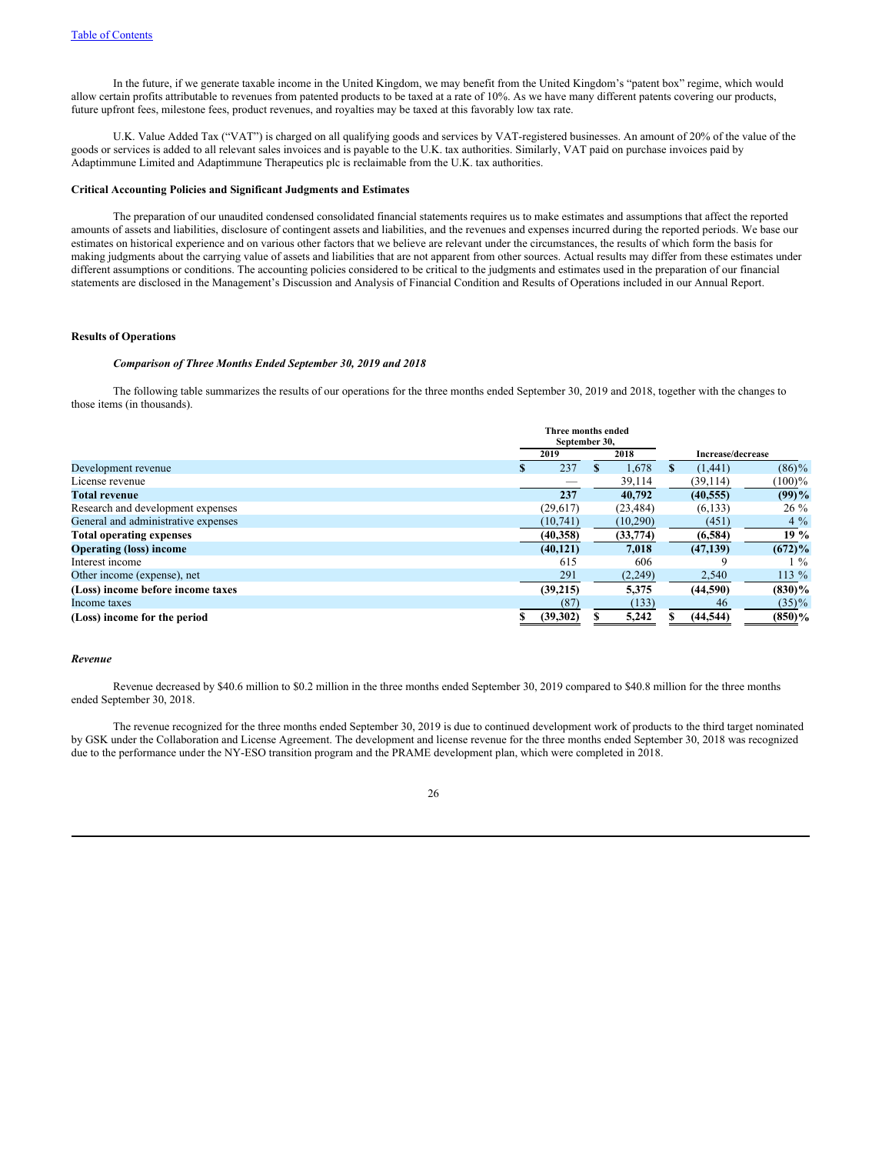In the future, if we generate taxable income in the United Kingdom, we may benefit from the United Kingdom's "patent box" regime, which would allow certain profits attributable to revenues from patented products to be taxed at a rate of 10%. As we have many different patents covering our products, future upfront fees, milestone fees, product revenues, and royalties may be taxed at this favorably low tax rate.

U.K. Value Added Tax ("VAT") is charged on all qualifying goods and services by VAT-registered businesses. An amount of 20% of the value of the goods or services is added to all relevant sales invoices and is payable to the U.K. tax authorities. Similarly, VAT paid on purchase invoices paid by Adaptimmune Limited and Adaptimmune Therapeutics plc is reclaimable from the U.K. tax authorities.

## **Critical Accounting Policies and Significant Judgments and Estimates**

The preparation of our unaudited condensed consolidated financial statements requires us to make estimates and assumptions that affect the reported amounts of assets and liabilities, disclosure of contingent assets and liabilities, and the revenues and expenses incurred during the reported periods. We base our estimates on historical experience and on various other factors that we believe are relevant under the circumstances, the results of which form the basis for making judgments about the carrying value of assets and liabilities that are not apparent from other sources. Actual results may differ from these estimates under different assumptions or conditions. The accounting policies considered to be critical to the judgments and estimates used in the preparation of our financial statements are disclosed in the Management's Discussion and Analysis of Financial Condition and Results of Operations included in our Annual Report.

## **Results of Operations**

#### *Comparison of Three Months Ended September 30, 2019 and 2018*

The following table summarizes the results of our operations for the three months ended September 30, 2019 and 2018, together with the changes to those items (in thousands).

|                                     |              | Three months ended<br>September 30, |  |           |    |                   |               |
|-------------------------------------|--------------|-------------------------------------|--|-----------|----|-------------------|---------------|
|                                     | 2018<br>2019 |                                     |  |           |    | Increase/decrease |               |
| Development revenue                 |              | 237                                 |  | 1.678     | S. | (1.441)           | $(86)\%$      |
| License revenue                     |              |                                     |  | 39,114    |    | (39, 114)         | $(100)\%$     |
| <b>Total revenue</b>                |              | 237                                 |  | 40,792    |    | (40, 555)         | $(99)\%$      |
| Research and development expenses   |              | (29,617)                            |  | (23, 484) |    | (6, 133)          | $26\%$        |
| General and administrative expenses |              | (10, 741)                           |  | (10,290)  |    | (451)             | $4\%$         |
| <b>Total operating expenses</b>     |              | (40,358)                            |  | (33, 774) |    | (6,584)           | $19\%$        |
| <b>Operating (loss) income</b>      |              | (40, 121)                           |  | 7.018     |    | (47, 139)         | $(672)$ %     |
| Interest income                     |              | 615                                 |  | 606       |    |                   | $\frac{0}{0}$ |
| Other income (expense), net         |              | 291                                 |  | (2,249)   |    | 2,540             | 113 $%$       |
| (Loss) income before income taxes   |              | (39,215)                            |  | 5,375     |    | (44,590)          | $(830)\%$     |
| Income taxes                        |              | (87)                                |  | (133)     |    | 46                | $(35)\%$      |
| (Loss) income for the period        |              | (39,302)                            |  | 5,242     |    | (44, 544)         | $(850)\%$     |

#### *Revenue*

Revenue decreased by \$40.6 million to \$0.2 million in the three months ended September 30, 2019 compared to \$40.8 million for the three months ended September 30, 2018.

The revenue recognized for the three months ended September 30, 2019 is due to continued development work of products to the third target nominated by GSK under the Collaboration and License Agreement. The development and license revenue for the three months ended September 30, 2018 was recognized due to the performance under the NY-ESO transition program and the PRAME development plan, which were completed in 2018.

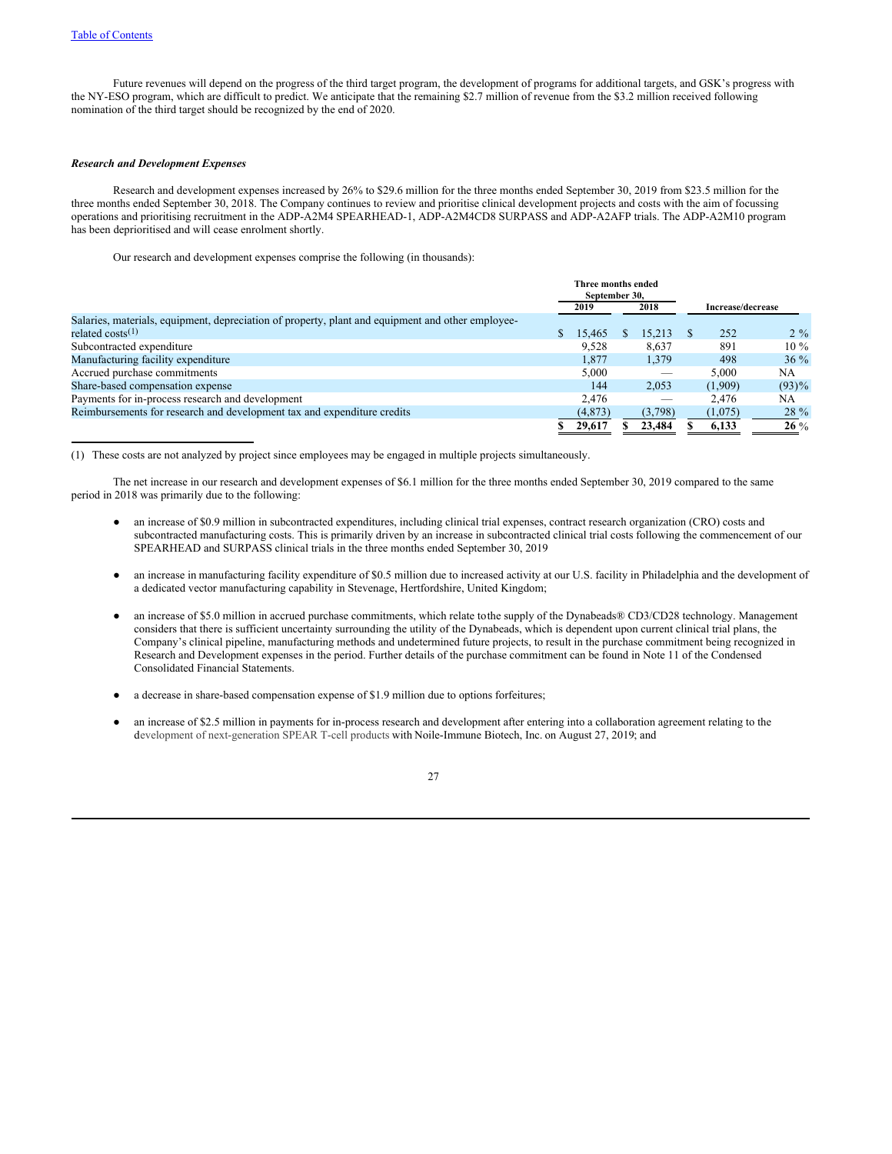Future revenues will depend on the progress of the third target program, the development of programs for additional targets, and GSK's progress with the NY-ESO program, which are difficult to predict. We anticipate that the remaining \$2.7 million of revenue from the \$3.2 million received following nomination of the third target should be recognized by the end of 2020.

#### *Research and Development Expenses*

Research and development expenses increased by 26% to \$29.6 million for the three months ended September 30, 2019 from \$23.5 million for the three months ended September 30, 2018. The Company continues to review and prioritise clinical development projects and costs with the aim of focussing operations and prioritising recruitment in the ADP-A2M4 SPEARHEAD-1, ADP-A2M4CD8 SURPASS and ADP-A2AFP trials. The ADP-A2M10 program has been deprioritised and will cease enrolment shortly.

Our research and development expenses comprise the following (in thousands):

|                                                                                                   |              | Three months ended<br>September 30, |  |                   |  |         |           |
|---------------------------------------------------------------------------------------------------|--------------|-------------------------------------|--|-------------------|--|---------|-----------|
|                                                                                                   | 2018<br>2019 |                                     |  | Increase/decrease |  |         |           |
| Salaries, materials, equipment, depreciation of property, plant and equipment and other employee- |              |                                     |  |                   |  |         |           |
| related $costs^{(1)}$                                                                             |              | 15.465                              |  | 15.213            |  | 252     | $2\%$     |
| Subcontracted expenditure                                                                         |              | 9.528                               |  | 8.637             |  | 891     | $10\%$    |
| Manufacturing facility expenditure                                                                |              | 1.877                               |  | 1,379             |  | 498     | $36\%$    |
| Accrued purchase commitments                                                                      |              | 5.000                               |  | $-$               |  | 5.000   | NA        |
| Share-based compensation expense                                                                  |              | 144                                 |  | 2.053             |  | (1,909) | $(93) \%$ |
| Payments for in-process research and development                                                  |              | 2.476                               |  | $-$               |  | 2.476   | NA        |
| Reimbursements for research and development tax and expenditure credits                           |              | (4,873)                             |  | (3,798)           |  | (1,075) | 28 %      |
|                                                                                                   |              | 29,617                              |  | 23,484            |  | 6,133   | $26\%$    |

(1) These costs are not analyzed by project since employees may be engaged in multiple projects simultaneously.

The net increase in our research and development expenses of \$6.1 million for the three months ended September 30, 2019 compared to the same period in 2018 was primarily due to the following:

- an increase of \$0.9 million in subcontracted expenditures, including clinical trial expenses, contract research organization (CRO) costs and subcontracted manufacturing costs. This is primarily driven by an increase in subcontracted clinical trial costs following the commencement of our SPEARHEAD and SURPASS clinical trials in the three months ended September 30, 2019
- an increase in manufacturing facility expenditure of \$0.5 million due to increased activity at our U.S. facility in Philadelphia and the development of a dedicated vector manufacturing capability in Stevenage, Hertfordshire, United Kingdom;
- an increase of \$5.0 million in accrued purchase commitments, which relate tothe supply of the Dynabeads® CD3/CD28 technology. Management considers that there is sufficient uncertainty surrounding the utility of the Dynabeads, which is dependent upon current clinical trial plans, the Company's clinical pipeline, manufacturing methods and undetermined future projects, to result in the purchase commitment being recognized in Research and Development expenses in the period. Further details of the purchase commitment can be found in Note 11 of the Condensed Consolidated Financial Statements.
- a decrease in share-based compensation expense of \$1.9 million due to options forfeitures;
- an increase of \$2.5 million in payments for in-process research and development after entering into a collaboration agreement relating to the development of next-generation SPEAR T-cell products with Noile-Immune Biotech, Inc. on August 27, 2019; and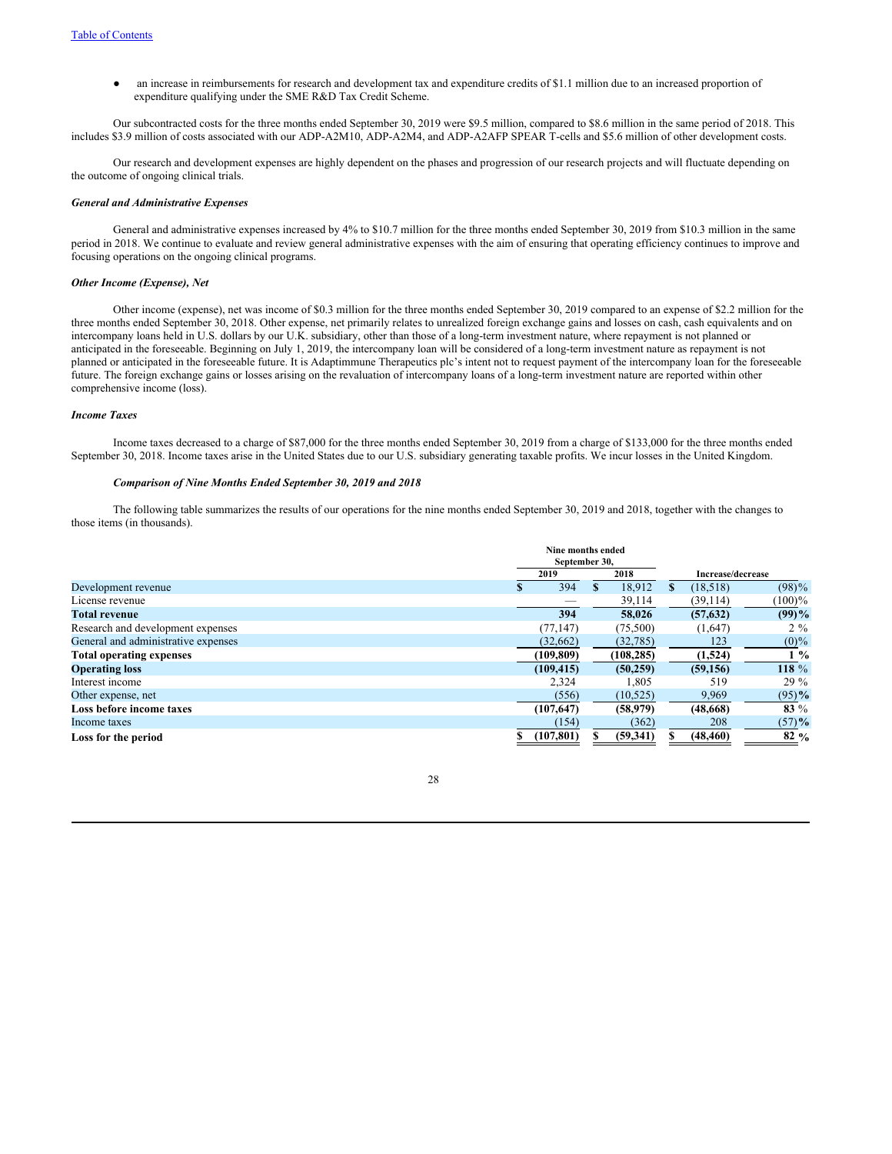● an increase in reimbursements for research and development tax and expenditure credits of \$1.1 million due to an increased proportion of expenditure qualifying under the SME R&D Tax Credit Scheme.

Our subcontracted costs for the three months ended September 30, 2019 were \$9.5 million, compared to \$8.6 million in the same period of 2018. This includes \$3.9 million of costs associated with our ADP-A2M10, ADP-A2M4, and ADP-A2AFP SPEAR T-cells and \$5.6 million of other development costs.

Our research and development expenses are highly dependent on the phases and progression of our research projects and will fluctuate depending on the outcome of ongoing clinical trials.

#### *General and Administrative Expenses*

General and administrative expenses increased by 4% to \$10.7 million for the three months ended September 30, 2019 from \$10.3 million in the same period in 2018. We continue to evaluate and review general administrative expenses with the aim of ensuring that operating efficiency continues to improve and focusing operations on the ongoing clinical programs.

#### *Other Income (Expense), Net*

Other income (expense), net was income of \$0.3 million for the three months ended September 30, 2019 compared to an expense of \$2.2 million for the three months ended September 30, 2018. Other expense, net primarily relates to unrealized foreign exchange gains and losses on cash, cash equivalents and on intercompany loans held in U.S. dollars by our U.K. subsidiary, other than those of a long-term investment nature, where repayment is not planned or anticipated in the foreseeable. Beginning on July 1, 2019, the intercompany loan will be considered of a long-term investment nature as repayment is not planned or anticipated in the foreseeable future. It is Adaptimmune Therapeutics plc's intent not to request payment of the intercompany loan for the foreseeable future. The foreign exchange gains or losses arising on the revaluation of intercompany loans of a long-term investment nature are reported within other comprehensive income (loss).

## *Income Taxes*

Income taxes decreased to a charge of \$87,000 for the three months ended September 30, 2019 from a charge of \$133,000 for the three months ended September 30, 2018. Income taxes arise in the United States due to our U.S. subsidiary generating taxable profits. We incur losses in the United Kingdom.

#### *Comparison of Nine Months Ended September 30, 2019 and 2018*

The following table summarizes the results of our operations for the nine months ended September 30, 2019 and 2018, together with the changes to those items (in thousands).

|                                     | Nine months ended<br>September 30, |      |            |   |                   |           |  |  |
|-------------------------------------|------------------------------------|------|------------|---|-------------------|-----------|--|--|
|                                     | 2019                               | 2018 |            |   | Increase/decrease |           |  |  |
| Development revenue                 | 394                                |      | 18,912     | S | (18, 518)         | $(98)\%$  |  |  |
| License revenue                     |                                    |      | 39,114     |   | (39, 114)         | $(100)\%$ |  |  |
| <b>Total revenue</b>                | 394                                |      | 58,026     |   | (57, 632)         | $(99)\%$  |  |  |
| Research and development expenses   | (77, 147)                          |      | (75,500)   |   | (1,647)           | $2\%$     |  |  |
| General and administrative expenses | (32,662)                           |      | (32, 785)  |   | 123               | $(0)\%$   |  |  |
| <b>Total operating expenses</b>     | (109, 809)                         |      | (108, 285) |   | (1,524)           | $1\%$     |  |  |
| <b>Operating loss</b>               | (109, 415)                         |      | (50, 259)  |   | (59, 156)         | 118 %     |  |  |
| Interest income                     | 2,324                              |      | 1,805      |   | 519               | $29\%$    |  |  |
| Other expense, net                  | (556)                              |      | (10, 525)  |   | 9,969             | $(95) \%$ |  |  |
| Loss before income taxes            | (107, 647)                         |      | (58, 979)  |   | (48, 668)         | 83 %      |  |  |
| Income taxes                        | (154)                              |      | (362)      |   | 208               | $(57) \%$ |  |  |
| Loss for the period                 | (107, 801)                         |      | (59, 341)  |   | (48, 460)         | $82\%$    |  |  |

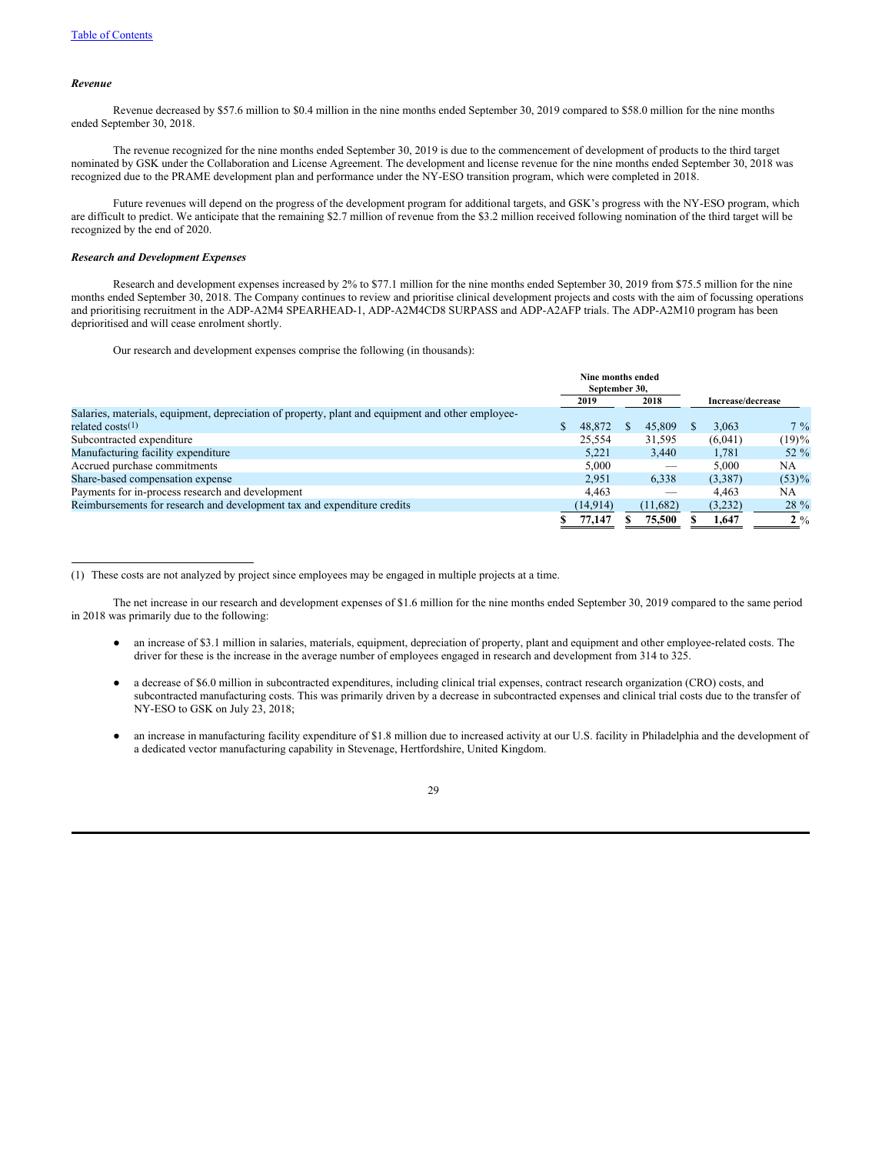#### *Revenue*

Revenue decreased by \$57.6 million to \$0.4 million in the nine months ended September 30, 2019 compared to \$58.0 million for the nine months ended September 30, 2018.

The revenue recognized for the nine months ended September 30, 2019 is due to the commencement of development of products to the third target nominated by GSK under the Collaboration and License Agreement. The development and license revenue for the nine months ended September 30, 2018 was recognized due to the PRAME development plan and performance under the NY-ESO transition program, which were completed in 2018.

Future revenues will depend on the progress of the development program for additional targets, and GSK's progress with the NY-ESO program, which are difficult to predict. We anticipate that the remaining \$2.7 million of revenue from the \$3.2 million received following nomination of the third target will be recognized by the end of 2020.

## *Research and Development Expenses*

Research and development expenses increased by 2% to \$77.1 million for the nine months ended September 30, 2019 from \$75.5 million for the nine months ended September 30, 2018. The Company continues to review and prioritise clinical development projects and costs with the aim of focussing operations and prioritising recruitment in the ADP-A2M4 SPEARHEAD-1, ADP-A2M4CD8 SURPASS and ADP-A2AFP trials. The ADP-A2M10 program has been deprioritised and will cease enrolment shortly.

Our research and development expenses comprise the following (in thousands):

|                                                                                                   | Nine months ended<br>September 30, |      |          |  |                   |          |  |
|---------------------------------------------------------------------------------------------------|------------------------------------|------|----------|--|-------------------|----------|--|
|                                                                                                   | 2019                               | 2018 |          |  | Increase/decrease |          |  |
| Salaries, materials, equipment, depreciation of property, plant and equipment and other employee- |                                    |      |          |  |                   |          |  |
| related $costs^{(1)}$                                                                             | \$<br>48,872                       |      | 45,809   |  | 3.063             | $7\%$    |  |
| Subcontracted expenditure                                                                         | 25.554                             |      | 31.595   |  | (6,041)           | $(19)\%$ |  |
| Manufacturing facility expenditure                                                                | 5.221                              |      | 3.440    |  | 1.781             | 52 $\%$  |  |
| Accrued purchase commitments                                                                      | 5.000                              |      |          |  | 5.000             | NA       |  |
| Share-based compensation expense                                                                  | 2.951                              |      | 6,338    |  | (3,387)           | (53)%    |  |
| Payments for in-process research and development                                                  | 4.463                              |      | __       |  | 4.463             | NA       |  |
| Reimbursements for research and development tax and expenditure credits                           | (14, 914)                          |      | (11,682) |  | (3,232)           | 28 %     |  |
|                                                                                                   | 77,147                             |      | 75,500   |  | 1,647             | $2\%$    |  |

(1) These costs are not analyzed by project since employees may be engaged in multiple projects at a time.

The net increase in our research and development expenses of \$1.6 million for the nine months ended September 30, 2019 compared to the same period in 2018 was primarily due to the following:

- an increase of \$3.1 million in salaries, materials, equipment, depreciation of property, plant and equipment and other employee-related costs. The driver for these is the increase in the average number of employees engaged in research and development from 314 to 325.
- a decrease of \$6.0 million in subcontracted expenditures, including clinical trial expenses, contract research organization (CRO) costs, and subcontracted manufacturing costs. This was primarily driven by a decrease in subcontracted expenses and clinical trial costs due to the transfer of NY-ESO to GSK on July 23, 2018;
- an increase in manufacturing facility expenditure of \$1.8 million due to increased activity at our U.S. facility in Philadelphia and the development of a dedicated vector manufacturing capability in Stevenage, Hertfordshire, United Kingdom.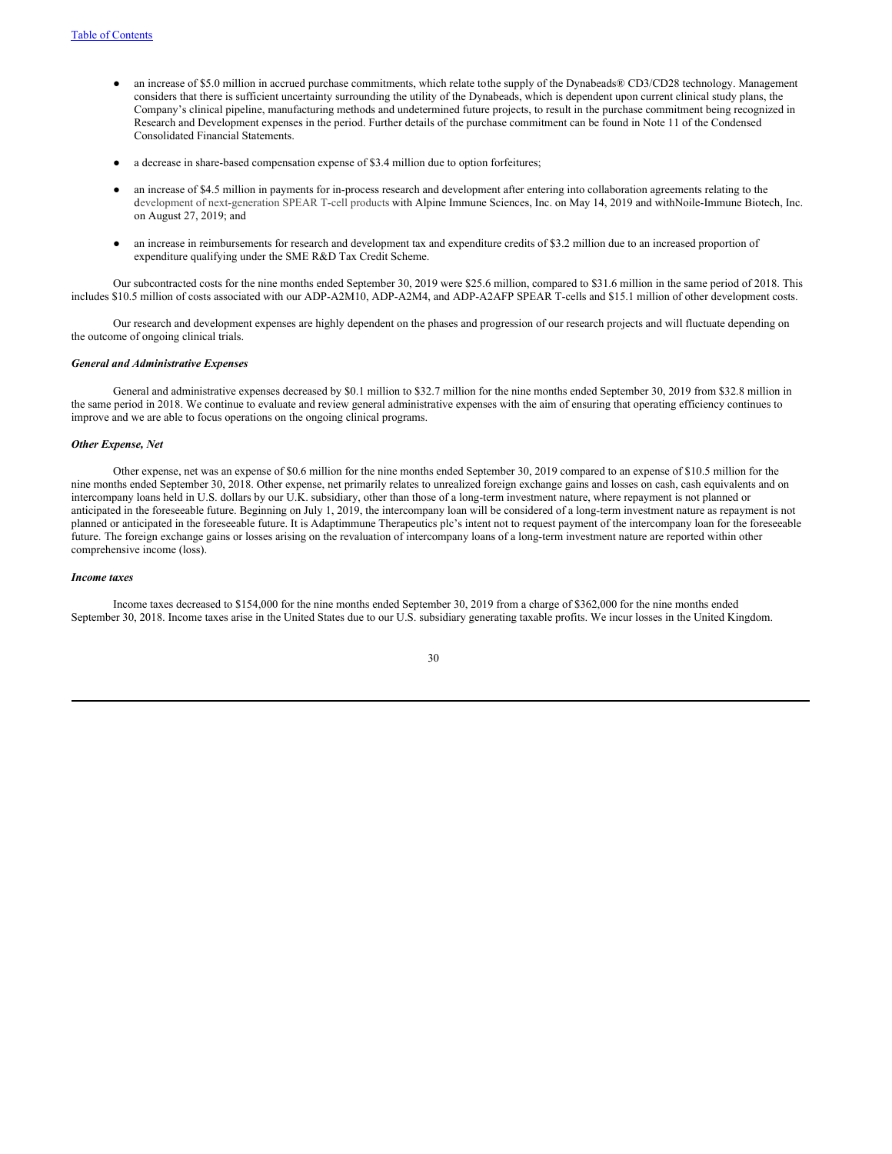- an increase of \$5.0 million in accrued purchase commitments, which relate tothe supply of the Dynabeads® CD3/CD28 technology. Management considers that there is sufficient uncertainty surrounding the utility of the Dynabeads, which is dependent upon current clinical study plans, the Company's clinical pipeline, manufacturing methods and undetermined future projects, to result in the purchase commitment being recognized in Research and Development expenses in the period. Further details of the purchase commitment can be found in Note 11 of the Condensed Consolidated Financial Statements.
- a decrease in share-based compensation expense of \$3.4 million due to option forfeitures;
- an increase of \$4.5 million in payments for in-process research and development after entering into collaboration agreements relating to the development of next-generation SPEAR T-cell products with Alpine Immune Sciences, Inc. on May 14, 2019 and withNoile-Immune Biotech, Inc. on August 27, 2019; and
- an increase in reimbursements for research and development tax and expenditure credits of \$3.2 million due to an increased proportion of expenditure qualifying under the SME R&D Tax Credit Scheme.

Our subcontracted costs for the nine months ended September 30, 2019 were \$25.6 million, compared to \$31.6 million in the same period of 2018. This includes \$10.5 million of costs associated with our ADP-A2M10, ADP-A2M4, and ADP-A2AFP SPEAR T-cells and \$15.1 million of other development costs.

Our research and development expenses are highly dependent on the phases and progression of our research projects and will fluctuate depending on the outcome of ongoing clinical trials.

#### *General and Administrative Expenses*

General and administrative expenses decreased by \$0.1 million to \$32.7 million for the nine months ended September 30, 2019 from \$32.8 million in the same period in 2018. We continue to evaluate and review general administrative expenses with the aim of ensuring that operating efficiency continues to improve and we are able to focus operations on the ongoing clinical programs.

#### *Other Expense, Net*

Other expense, net was an expense of \$0.6 million for the nine months ended September 30, 2019 compared to an expense of \$10.5 million for the nine months ended September 30, 2018. Other expense, net primarily relates to unrealized foreign exchange gains and losses on cash, cash equivalents and on intercompany loans held in U.S. dollars by our U.K. subsidiary, other than those of a long-term investment nature, where repayment is not planned or anticipated in the foreseeable future. Beginning on July 1, 2019, the intercompany loan will be considered of a long-term investment nature as repayment is not planned or anticipated in the foreseeable future. It is Adaptimmune Therapeutics plc's intent not to request payment of the intercompany loan for the foreseeable future. The foreign exchange gains or losses arising on the revaluation of intercompany loans of a long-term investment nature are reported within other comprehensive income (loss).

## *Income taxes*

Income taxes decreased to \$154,000 for the nine months ended September 30, 2019 from a charge of \$362,000 for the nine months ended September 30, 2018. Income taxes arise in the United States due to our U.S. subsidiary generating taxable profits. We incur losses in the United Kingdom.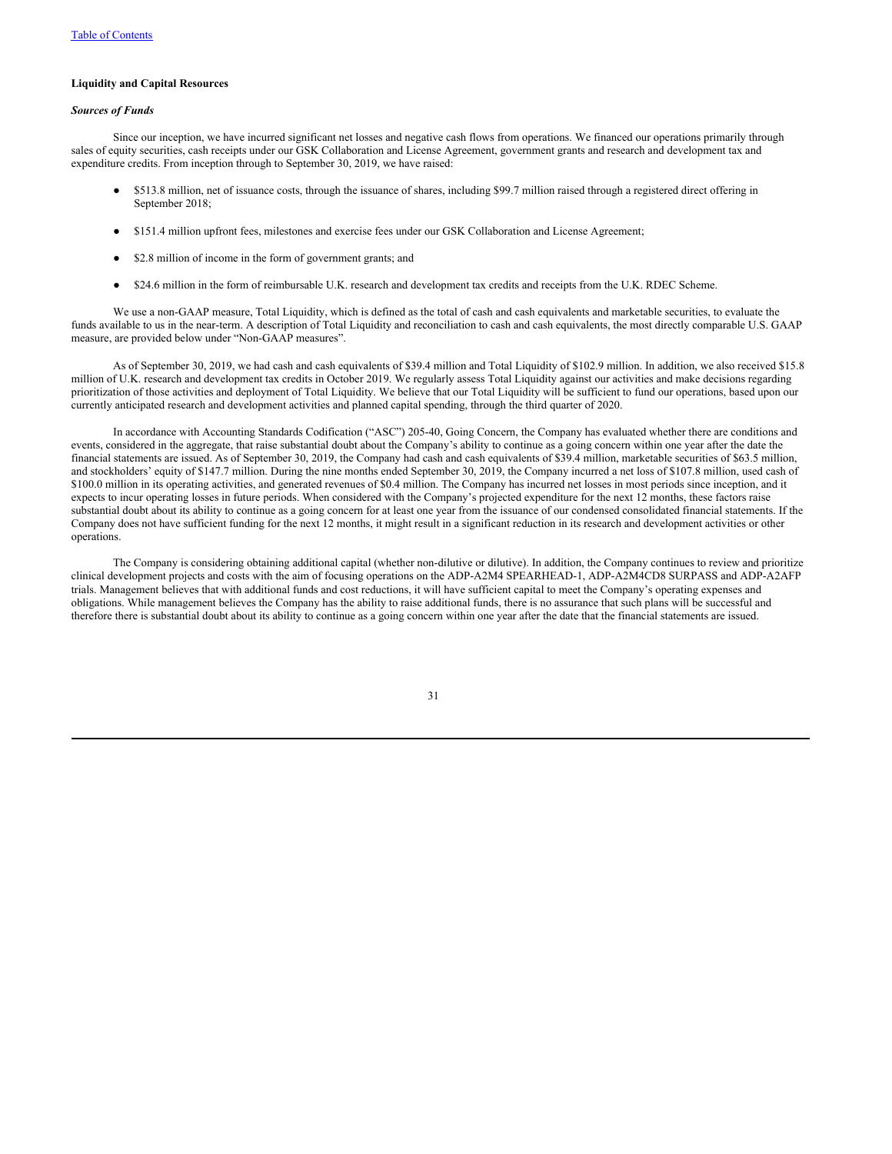#### **Liquidity and Capital Resources**

## *Sources of Funds*

Since our inception, we have incurred significant net losses and negative cash flows from operations. We financed our operations primarily through sales of equity securities, cash receipts under our GSK Collaboration and License Agreement, government grants and research and development tax and expenditure credits. From inception through to September 30, 2019, we have raised:

- \$513.8 million, net of issuance costs, through the issuance of shares, including \$99.7 million raised through a registered direct offering in September 2018;
- \$151.4 million upfront fees, milestones and exercise fees under our GSK Collaboration and License Agreement;
- \$2.8 million of income in the form of government grants; and
- \$24.6 million in the form of reimbursable U.K. research and development tax credits and receipts from the U.K. RDEC Scheme.

We use a non-GAAP measure, Total Liquidity, which is defined as the total of cash and cash equivalents and marketable securities, to evaluate the funds available to us in the near-term. A description of Total Liquidity and reconciliation to cash and cash equivalents, the most directly comparable U.S. GAAP measure, are provided below under "Non-GAAP measures".

As of September 30, 2019, we had cash and cash equivalents of \$39.4 million and Total Liquidity of \$102.9 million. In addition, we also received \$15.8 million of U.K. research and development tax credits in October 2019. We regularly assess Total Liquidity against our activities and make decisions regarding prioritization of those activities and deployment of Total Liquidity. We believe that our Total Liquidity will be sufficient to fund our operations, based upon our currently anticipated research and development activities and planned capital spending, through the third quarter of 2020.

In accordance with Accounting Standards Codification ("ASC") 205-40, Going Concern, the Company has evaluated whether there are conditions and events, considered in the aggregate, that raise substantial doubt about the Company's ability to continue as a going concern within one year after the date the financial statements are issued. As of September 30, 2019, the Company had cash and cash equivalents of \$39.4 million, marketable securities of \$63.5 million, and stockholders' equity of \$147.7 million. During the nine months ended September 30, 2019, the Company incurred a net loss of \$107.8 million, used cash of \$100.0 million in its operating activities, and generated revenues of \$0.4 million. The Company has incurred net losses in most periods since inception, and it expects to incur operating losses in future periods. When considered with the Company's projected expenditure for the next 12 months, these factors raise substantial doubt about its ability to continue as a going concern for at least one year from the issuance of our condensed consolidated financial statements. If the Company does not have sufficient funding for the next 12 months, it might result in a significant reduction in its research and development activities or other operations.

The Company is considering obtaining additional capital (whether non-dilutive or dilutive). In addition, the Company continues to review and prioritize clinical development projects and costs with the aim of focusing operations on the ADP-A2M4 SPEARHEAD-1, ADP-A2M4CD8 SURPASS and ADP-A2AFP trials. Management believes that with additional funds and cost reductions, it will have sufficient capital to meet the Company's operating expenses and obligations. While management believes the Company has the ability to raise additional funds, there is no assurance that such plans will be successful and therefore there is substantial doubt about its ability to continue as a going concern within one year after the date that the financial statements are issued.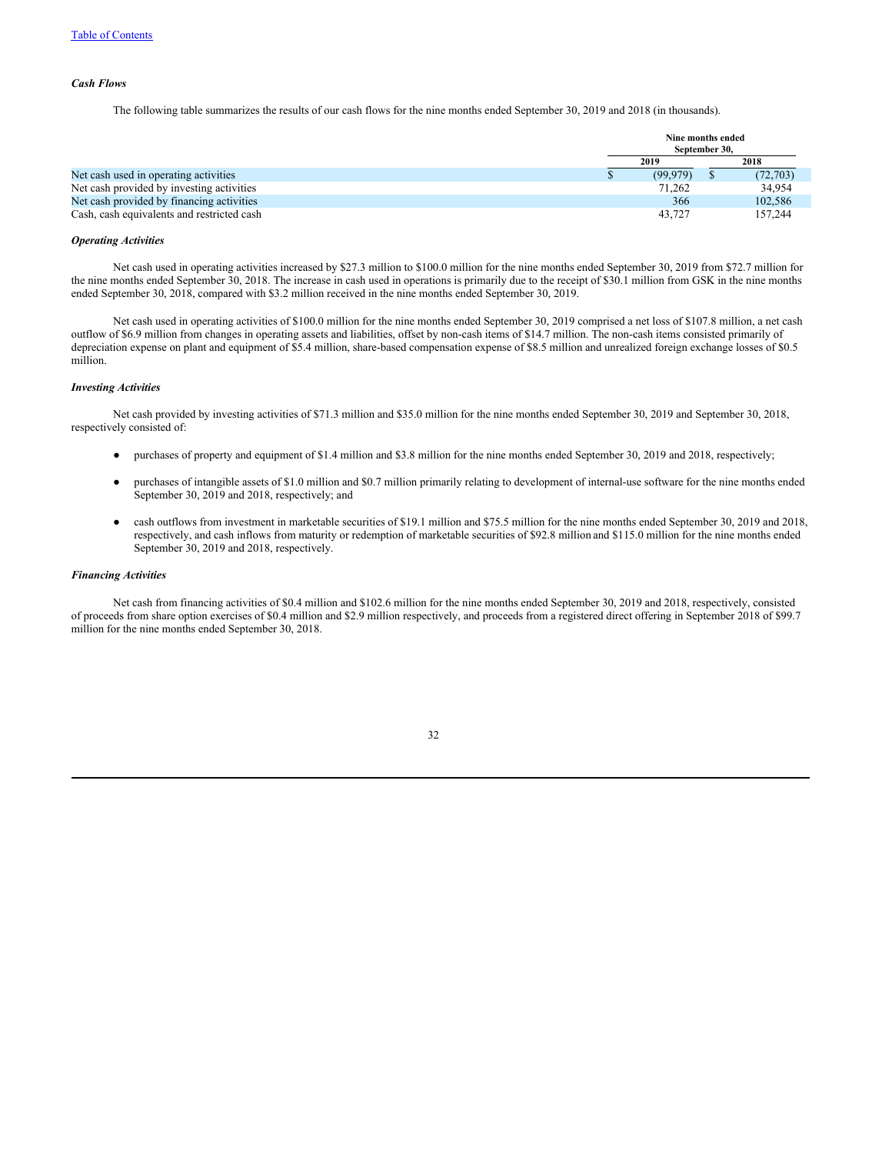#### *Cash Flows*

The following table summarizes the results of our cash flows for the nine months ended September 30, 2019 and 2018 (in thousands).

|                                            | Nine months ended<br>September 30, |      |          |  |
|--------------------------------------------|------------------------------------|------|----------|--|
|                                            | 2019                               | 2018 |          |  |
| Net cash used in operating activities      | (99.979)                           |      | (72,703) |  |
| Net cash provided by investing activities  | 71.262                             |      | 34.954   |  |
| Net cash provided by financing activities  | 366                                |      | 102.586  |  |
| Cash, cash equivalents and restricted cash | 43.727                             |      | 157.244  |  |

## *Operating Activities*

Net cash used in operating activities increased by \$27.3 million to \$100.0 million for the nine months ended September 30, 2019 from \$72.7 million for the nine months ended September 30, 2018. The increase in cash used in operations is primarily due to the receipt of \$30.1 million from GSK in the nine months ended September 30, 2018, compared with \$3.2 million received in the nine months ended September 30, 2019.

Net cash used in operating activities of \$100.0 million for the nine months ended September 30, 2019 comprised a net loss of \$107.8 million, a net cash outflow of \$6.9 million from changes in operating assets and liabilities, offset by non-cash items of \$14.7 million. The non-cash items consisted primarily of depreciation expense on plant and equipment of \$5.4 million, share-based compensation expense of \$8.5 million and unrealized foreign exchange losses of \$0.5 million.

#### *Investing Activities*

Net cash provided by investing activities of \$71.3 million and \$35.0 million for the nine months ended September 30, 2019 and September 30, 2018, respectively consisted of:

- purchases of property and equipment of \$1.4 million and \$3.8 million for the nine months ended September 30, 2019 and 2018, respectively;
- purchases of intangible assets of \$1.0 million and \$0.7 million primarily relating to development of internal-use software for the nine months ended September 30, 2019 and 2018, respectively; and
- cash outflows from investment in marketable securities of \$19.1 million and \$75.5 million for the nine months ended September 30, 2019 and 2018, respectively, and cash inflows from maturity or redemption of marketable securities of \$92.8 million and \$115.0 million for the nine months ended September 30, 2019 and 2018, respectively.

#### *Financing Activities*

Net cash from financing activities of \$0.4 million and \$102.6 million for the nine months ended September 30, 2019 and 2018, respectively, consisted of proceeds from share option exercises of \$0.4 million and \$2.9 million respectively, and proceeds from a registered direct offering in September 2018 of \$99.7 million for the nine months ended September 30, 2018.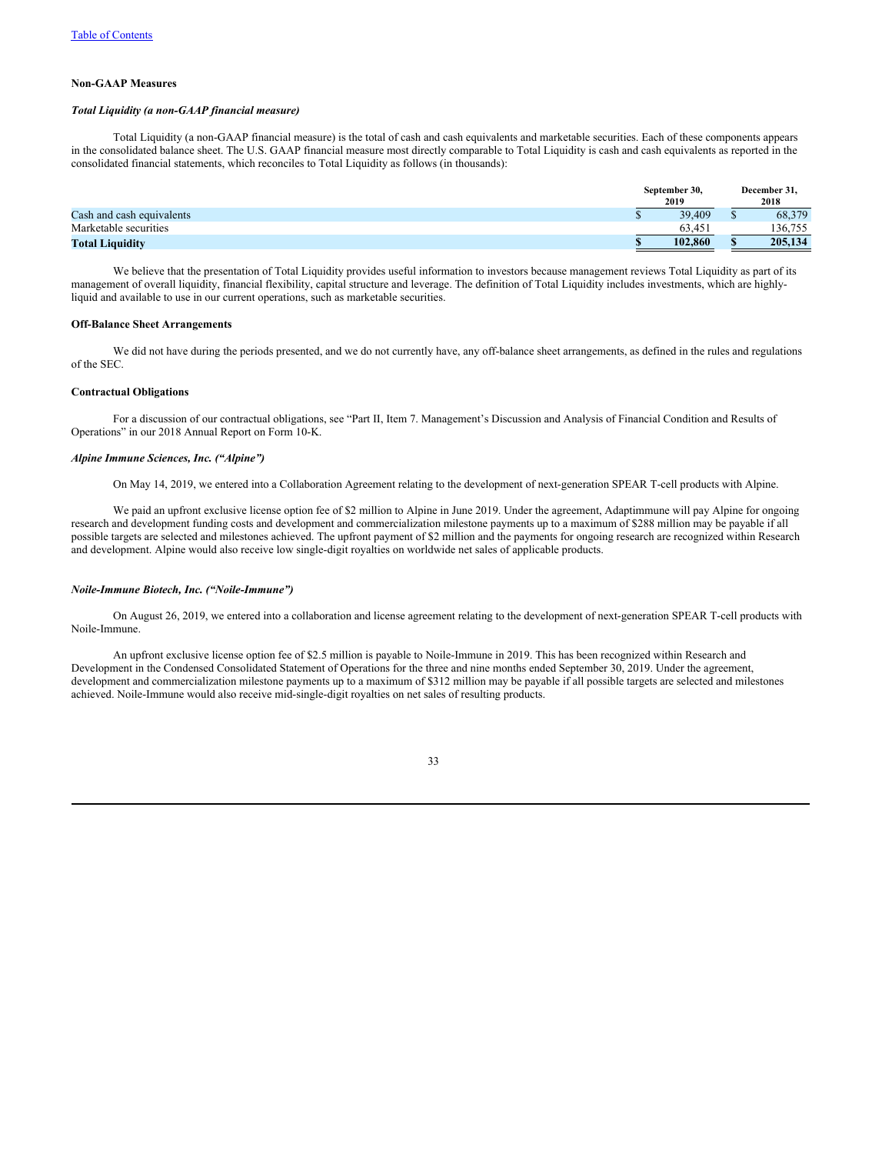#### **Non-GAAP Measures**

## *Total Liquidity (a non-GAAP financial measure)*

Total Liquidity (a non-GAAP financial measure) is the total of cash and cash equivalents and marketable securities. Each of these components appears in the consolidated balance sheet. The U.S. GAAP financial measure most directly comparable to Total Liquidity is cash and cash equivalents as reported in the consolidated financial statements, which reconciles to Total Liquidity as follows (in thousands):

|                           | September 30,<br>2019 |         |  | December 31.<br>2018 |  |  |
|---------------------------|-----------------------|---------|--|----------------------|--|--|
| Cash and cash equivalents |                       | 39,409  |  | 68,379               |  |  |
| Marketable securities     |                       | 63.451  |  | 136.755              |  |  |
| <b>Total Liquidity</b>    |                       | 102.860 |  | 205,134              |  |  |

We believe that the presentation of Total Liquidity provides useful information to investors because management reviews Total Liquidity as part of its management of overall liquidity, financial flexibility, capital structure and leverage. The definition of Total Liquidity includes investments, which are highlyliquid and available to use in our current operations, such as marketable securities.

#### **Off-Balance Sheet Arrangements**

We did not have during the periods presented, and we do not currently have, any off-balance sheet arrangements, as defined in the rules and regulations of the SEC.

## **Contractual Obligations**

For a discussion of our contractual obligations, see "Part II, Item 7. Management's Discussion and Analysis of Financial Condition and Results of Operations" in our 2018 Annual Report on Form 10-K.

#### *Alpine Immune Sciences, Inc. ("Alpine")*

On May 14, 2019, we entered into a Collaboration Agreement relating to the development of next-generation SPEAR T-cell products with Alpine.

We paid an upfront exclusive license option fee of \$2 million to Alpine in June 2019. Under the agreement, Adaptimmune will pay Alpine for ongoing research and development funding costs and development and commercialization milestone payments up to a maximum of \$288 million may be payable if all possible targets are selected and milestones achieved. The upfront payment of \$2 million and the payments for ongoing research are recognized within Research and development. Alpine would also receive low single-digit royalties on worldwide net sales of applicable products.

#### *Noile-Immune Biotech, Inc. ("Noile-Immune")*

On August 26, 2019, we entered into a collaboration and license agreement relating to the development of next-generation SPEAR T-cell products with Noile-Immune.

An upfront exclusive license option fee of \$2.5 million is payable to Noile-Immune in 2019. This has been recognized within Research and Development in the Condensed Consolidated Statement of Operations for the three and nine months ended September 30, 2019. Under the agreement, development and commercialization milestone payments up to a maximum of \$312 million may be payable if all possible targets are selected and milestones achieved. Noile-Immune would also receive mid-single-digit royalties on net sales of resulting products.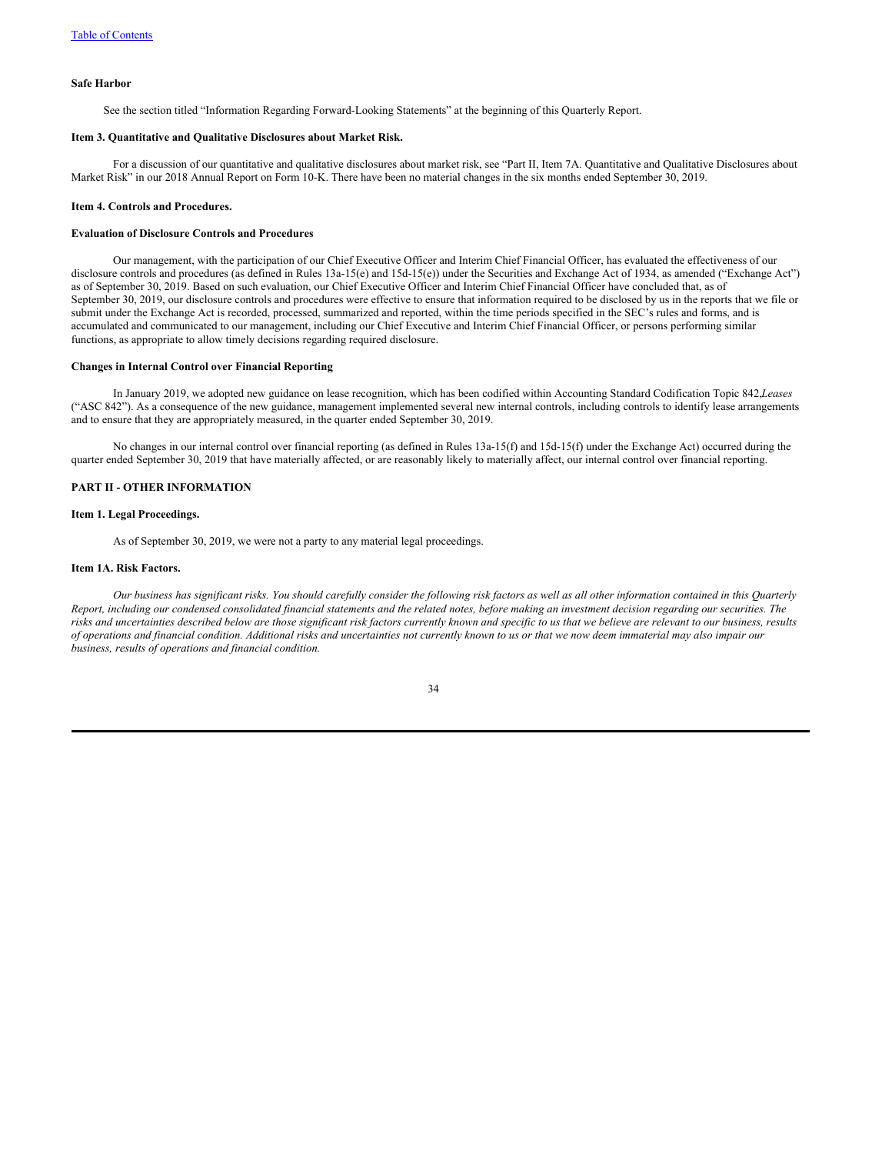#### **Safe Harbor**

See the section titled "Information Regarding Forward-Looking Statements" at the beginning of this Quarterly Report.

#### **Item 3. Quantitative and Qualitative Disclosures about Market Risk.**

For a discussion of our quantitative and qualitative disclosures about market risk, see "Part II, Item 7A. Quantitative and Qualitative Disclosures about Market Risk" in our 2018 Annual Report on Form 10-K. There have been no material changes in the six months ended September 30, 2019.

#### **Item 4. Controls and Procedures.**

#### **Evaluation of Disclosure Controls and Procedures**

Our management, with the participation of our Chief Executive Officer and Interim Chief Financial Officer, has evaluated the effectiveness of our disclosure controls and procedures (as defined in Rules 13a-15(e) and 15d-15(e)) under the Securities and Exchange Act of 1934, as amended ("Exchange Act") as of September 30, 2019. Based on such evaluation, our Chief Executive Officer and Interim Chief Financial Officer have concluded that, as of September 30, 2019, our disclosure controls and procedures were effective to ensure that information required to be disclosed by us in the reports that we file or submit under the Exchange Act is recorded, processed, summarized and reported, within the time periods specified in the SEC's rules and forms, and is accumulated and communicated to our management, including our Chief Executive and Interim Chief Financial Officer, or persons performing similar functions, as appropriate to allow timely decisions regarding required disclosure.

## **Changes in Internal Control over Financial Reporting**

In January 2019, we adopted new guidance on lease recognition, which has been codified within Accounting Standard Codification Topic 842,*Leases* ("ASC 842"). As a consequence of the new guidance, management implemented several new internal controls, including controls to identify lease arrangements and to ensure that they are appropriately measured, in the quarter ended September 30, 2019.

No changes in our internal control over financial reporting (as defined in Rules 13a-15(f) and 15d-15(f) under the Exchange Act) occurred during the quarter ended September 30, 2019 that have materially affected, or are reasonably likely to materially affect, our internal control over financial reporting.

## **PART II - OTHER INFORMATION**

#### **Item 1. Legal Proceedings.**

As of September 30, 2019, we were not a party to any material legal proceedings.

## **Item 1A. Risk Factors.**

Our business has significant risks. You should carefully consider the following risk factors as well as all other information contained in this Quarterly Report, including our condensed consolidated financial statements and the related notes, before making an investment decision regarding our securities. The risks and uncertainties described below are those significant risk factors currently known and specific to us that we believe are relevant to our business, results of operations and financial condition. Additional risks and uncertainties not currently known to us or that we now deem immaterial may also impair our *business, results of operations and financial condition.*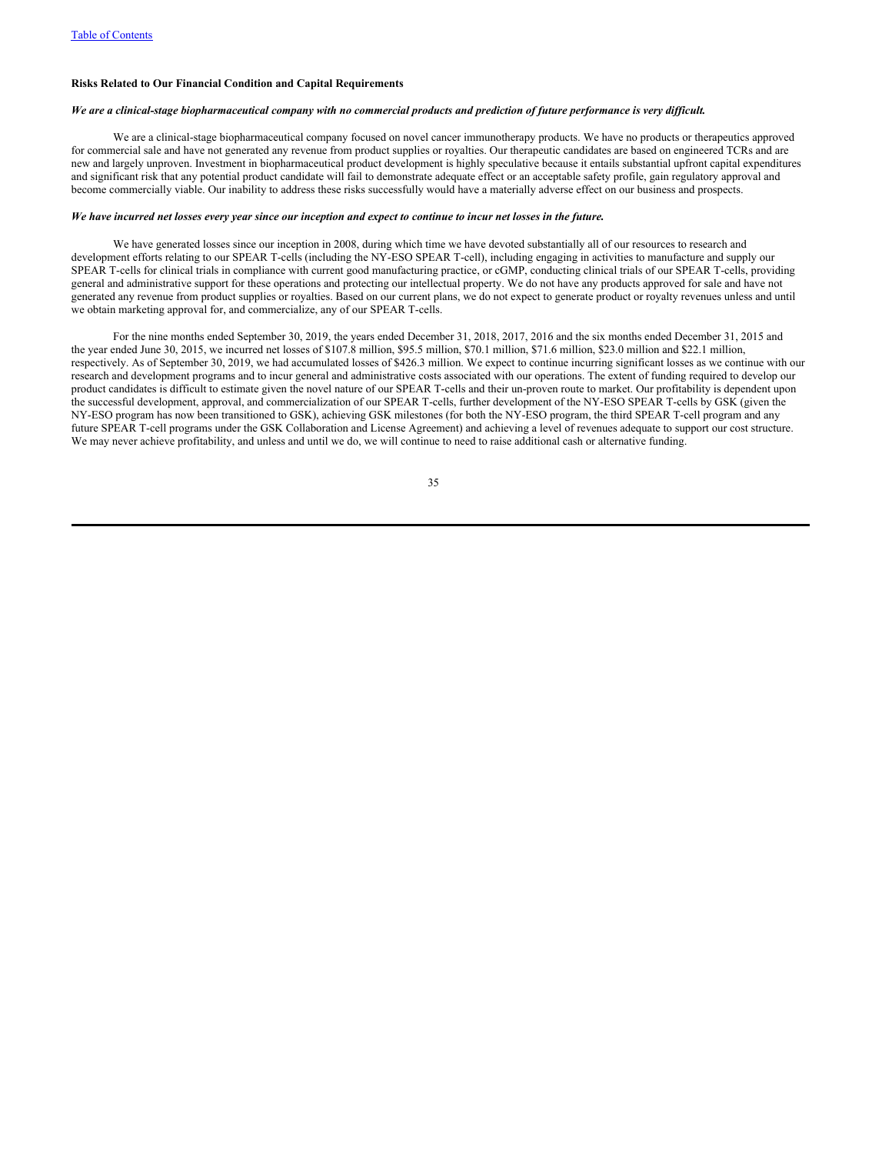#### **Risks Related to Our Financial Condition and Capital Requirements**

## We are a clinical-stage biopharmaceutical company with no commercial products and prediction of future performance is very difficult.

We are a clinical-stage biopharmaceutical company focused on novel cancer immunotherapy products. We have no products or therapeutics approved for commercial sale and have not generated any revenue from product supplies or royalties. Our therapeutic candidates are based on engineered TCRs and are new and largely unproven. Investment in biopharmaceutical product development is highly speculative because it entails substantial upfront capital expenditures and significant risk that any potential product candidate will fail to demonstrate adequate effect or an acceptable safety profile, gain regulatory approval and become commercially viable. Our inability to address these risks successfully would have a materially adverse effect on our business and prospects.

#### We have incurred net losses every year since our inception and expect to continue to incur net losses in the future.

We have generated losses since our inception in 2008, during which time we have devoted substantially all of our resources to research and development efforts relating to our SPEAR T-cells (including the NY-ESO SPEAR T-cell), including engaging in activities to manufacture and supply our SPEAR T-cells for clinical trials in compliance with current good manufacturing practice, or cGMP, conducting clinical trials of our SPEAR T-cells, providing general and administrative support for these operations and protecting our intellectual property. We do not have any products approved for sale and have not generated any revenue from product supplies or royalties. Based on our current plans, we do not expect to generate product or royalty revenues unless and until we obtain marketing approval for, and commercialize, any of our SPEAR T-cells.

For the nine months ended September 30, 2019, the years ended December 31, 2018, 2017, 2016 and the six months ended December 31, 2015 and the year ended June 30, 2015, we incurred net losses of \$107.8 million, \$95.5 million, \$70.1 million, \$71.6 million, \$23.0 million and \$22.1 million, respectively. As of September 30, 2019, we had accumulated losses of \$426.3 million. We expect to continue incurring significant losses as we continue with our research and development programs and to incur general and administrative costs associated with our operations. The extent of funding required to develop our product candidates is difficult to estimate given the novel nature of our SPEAR T-cells and their un-proven route to market. Our profitability is dependent upon the successful development, approval, and commercialization of our SPEAR T-cells, further development of the NY-ESO SPEAR T-cells by GSK (given the NY-ESO program has now been transitioned to GSK), achieving GSK milestones (for both the NY-ESO program, the third SPEAR T-cell program and any future SPEAR T-cell programs under the GSK Collaboration and License Agreement) and achieving a level of revenues adequate to support our cost structure. We may never achieve profitability, and unless and until we do, we will continue to need to raise additional cash or alternative funding.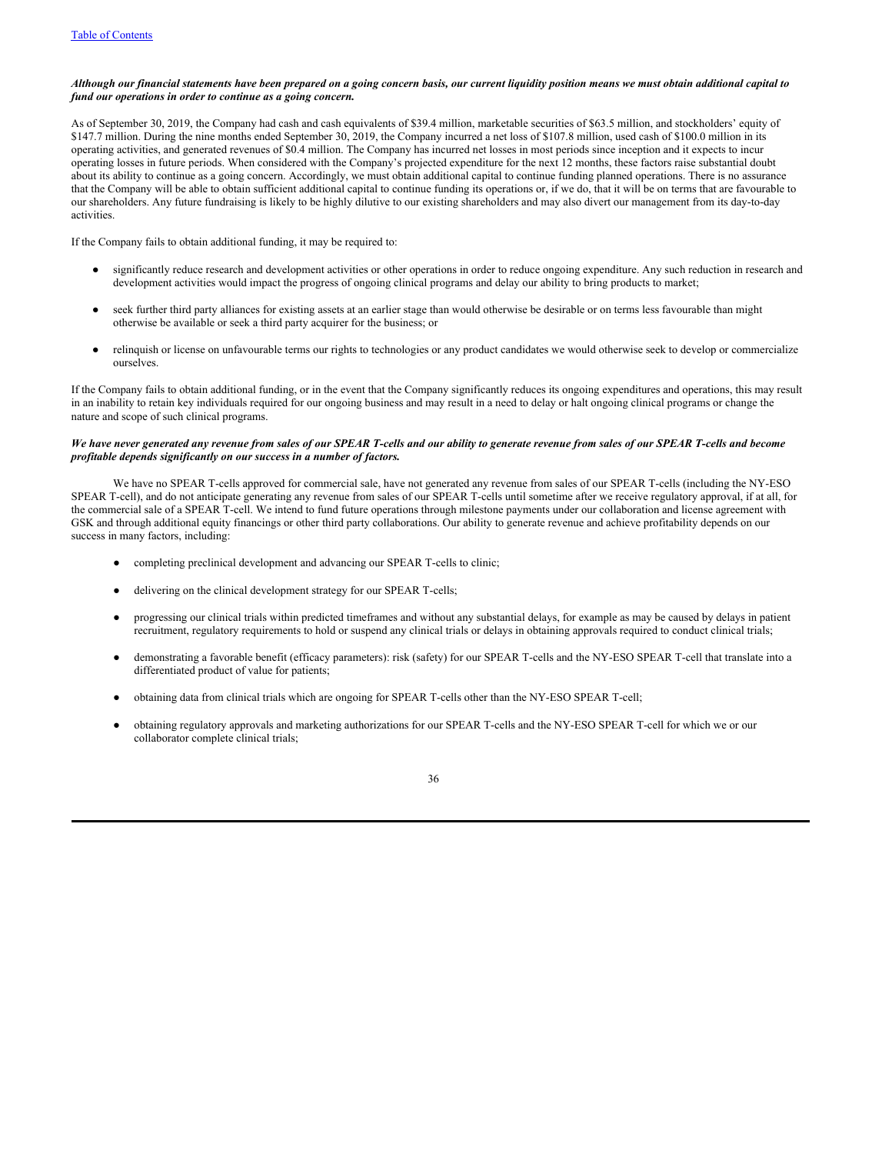## Although our financial statements have been prepared on a going concern basis, our current liquidity position means we must obtain additional capital to *fund our operations in order to continue as a going concern.*

As of September 30, 2019, the Company had cash and cash equivalents of \$39.4 million, marketable securities of \$63.5 million, and stockholders' equity of \$147.7 million. During the nine months ended September 30, 2019, the Company incurred a net loss of \$107.8 million, used cash of \$100.0 million in its operating activities, and generated revenues of \$0.4 million. The Company has incurred net losses in most periods since inception and it expects to incur operating losses in future periods. When considered with the Company's projected expenditure for the next 12 months, these factors raise substantial doubt about its ability to continue as a going concern. Accordingly, we must obtain additional capital to continue funding planned operations. There is no assurance that the Company will be able to obtain sufficient additional capital to continue funding its operations or, if we do, that it will be on terms that are favourable to our shareholders. Any future fundraising is likely to be highly dilutive to our existing shareholders and may also divert our management from its day-to-day activities.

If the Company fails to obtain additional funding, it may be required to:

- significantly reduce research and development activities or other operations in order to reduce ongoing expenditure. Any such reduction in research and development activities would impact the progress of ongoing clinical programs and delay our ability to bring products to market;
- seek further third party alliances for existing assets at an earlier stage than would otherwise be desirable or on terms less favourable than might otherwise be available or seek a third party acquirer for the business; or
- relinquish or license on unfavourable terms our rights to technologies or any product candidates we would otherwise seek to develop or commercialize ourselves.

If the Company fails to obtain additional funding, or in the event that the Company significantly reduces its ongoing expenditures and operations, this may result in an inability to retain key individuals required for our ongoing business and may result in a need to delay or halt ongoing clinical programs or change the nature and scope of such clinical programs.

## We have never generated any revenue from sales of our SPEAR T-cells and our ability to generate revenue from sales of our SPEAR T-cells and become *profitable depends significantly on our success in a number of factors.*

We have no SPEAR T-cells approved for commercial sale, have not generated any revenue from sales of our SPEAR T-cells (including the NY-ESO SPEAR T-cell), and do not anticipate generating any revenue from sales of our SPEAR T-cells until sometime after we receive regulatory approval, if at all, for the commercial sale of a SPEAR T-cell. We intend to fund future operations through milestone payments under our collaboration and license agreement with GSK and through additional equity financings or other third party collaborations. Our ability to generate revenue and achieve profitability depends on our success in many factors, including:

- completing preclinical development and advancing our SPEAR T-cells to clinic;
- delivering on the clinical development strategy for our SPEAR T-cells;
- progressing our clinical trials within predicted timeframes and without any substantial delays, for example as may be caused by delays in patient recruitment, regulatory requirements to hold or suspend any clinical trials or delays in obtaining approvals required to conduct clinical trials;
- demonstrating a favorable benefit (efficacy parameters): risk (safety) for our SPEAR T-cells and the NY-ESO SPEAR T-cell that translate into a differentiated product of value for patients;
- obtaining data from clinical trials which are ongoing for SPEAR T-cells other than the NY-ESO SPEAR T-cell;
- obtaining regulatory approvals and marketing authorizations for our SPEAR T-cells and the NY-ESO SPEAR T-cell for which we or our collaborator complete clinical trials;

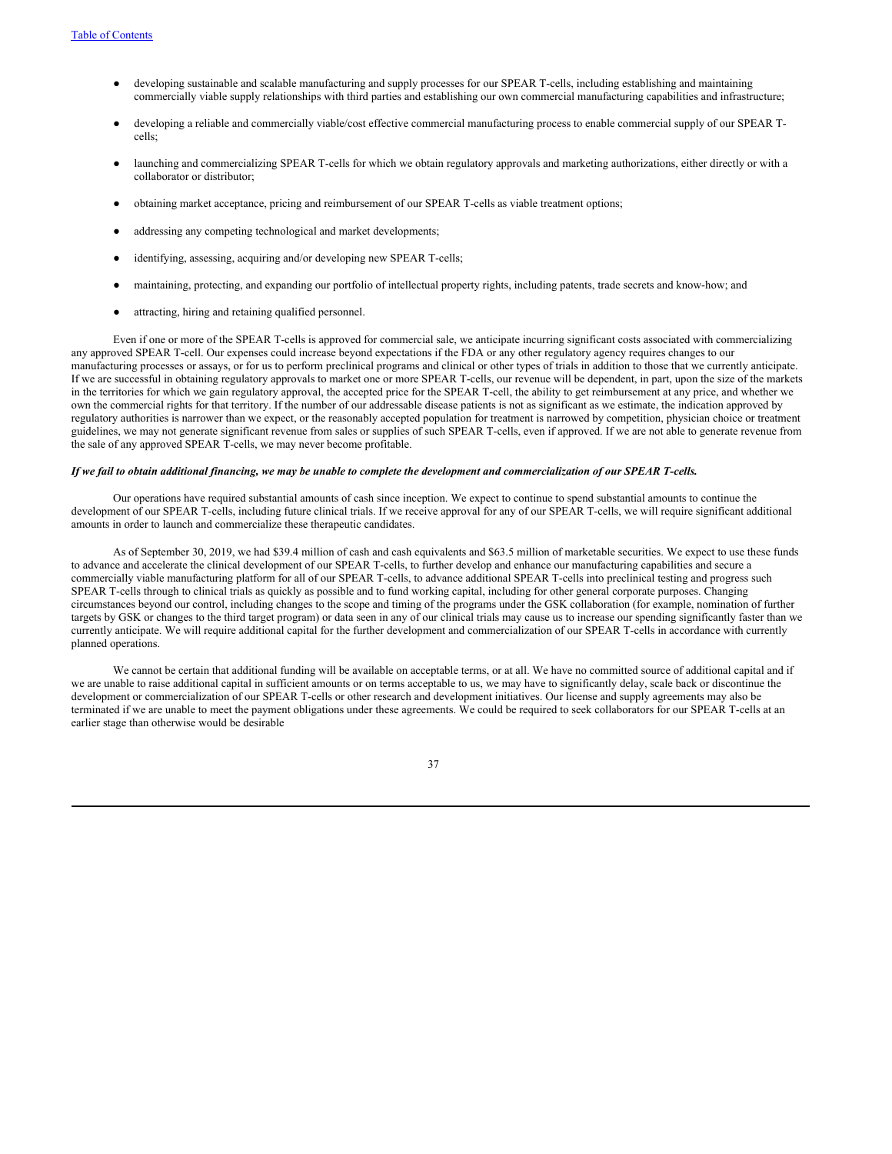- developing sustainable and scalable manufacturing and supply processes for our SPEAR T-cells, including establishing and maintaining commercially viable supply relationships with third parties and establishing our own commercial manufacturing capabilities and infrastructure;
- developing a reliable and commercially viable/cost effective commercial manufacturing process to enable commercial supply of our SPEAR Tcells;
- launching and commercializing SPEAR T-cells for which we obtain regulatory approvals and marketing authorizations, either directly or with a collaborator or distributor;
- obtaining market acceptance, pricing and reimbursement of our SPEAR T-cells as viable treatment options;
- addressing any competing technological and market developments;
- identifying, assessing, acquiring and/or developing new SPEAR T-cells;
- maintaining, protecting, and expanding our portfolio of intellectual property rights, including patents, trade secrets and know-how; and
- attracting, hiring and retaining qualified personnel.

Even if one or more of the SPEAR T-cells is approved for commercial sale, we anticipate incurring significant costs associated with commercializing any approved SPEAR T-cell. Our expenses could increase beyond expectations if the FDA or any other regulatory agency requires changes to our manufacturing processes or assays, or for us to perform preclinical programs and clinical or other types of trials in addition to those that we currently anticipate. If we are successful in obtaining regulatory approvals to market one or more SPEAR T-cells, our revenue will be dependent, in part, upon the size of the markets in the territories for which we gain regulatory approval, the accepted price for the SPEAR T-cell, the ability to get reimbursement at any price, and whether we own the commercial rights for that territory. If the number of our addressable disease patients is not as significant as we estimate, the indication approved by regulatory authorities is narrower than we expect, or the reasonably accepted population for treatment is narrowed by competition, physician choice or treatment guidelines, we may not generate significant revenue from sales or supplies of such SPEAR T-cells, even if approved. If we are not able to generate revenue from the sale of any approved SPEAR T-cells, we may never become profitable.

#### If we fail to obtain additional financing, we may be unable to complete the development and commercialization of our SPEAR T-cells.

Our operations have required substantial amounts of cash since inception. We expect to continue to spend substantial amounts to continue the development of our SPEAR T-cells, including future clinical trials. If we receive approval for any of our SPEAR T-cells, we will require significant additional amounts in order to launch and commercialize these therapeutic candidates.

As of September 30, 2019, we had \$39.4 million of cash and cash equivalents and \$63.5 million of marketable securities. We expect to use these funds to advance and accelerate the clinical development of our SPEAR T-cells, to further develop and enhance our manufacturing capabilities and secure a commercially viable manufacturing platform for all of our SPEAR T-cells, to advance additional SPEAR T-cells into preclinical testing and progress such SPEAR T-cells through to clinical trials as quickly as possible and to fund working capital, including for other general corporate purposes. Changing circumstances beyond our control, including changes to the scope and timing of the programs under the GSK collaboration (for example, nomination of further targets by GSK or changes to the third target program) or data seen in any of our clinical trials may cause us to increase our spending significantly faster than we currently anticipate. We will require additional capital for the further development and commercialization of our SPEAR T-cells in accordance with currently planned operations.

We cannot be certain that additional funding will be available on acceptable terms, or at all. We have no committed source of additional capital and if we are unable to raise additional capital in sufficient amounts or on terms acceptable to us, we may have to significantly delay, scale back or discontinue the development or commercialization of our SPEAR T-cells or other research and development initiatives. Our license and supply agreements may also be terminated if we are unable to meet the payment obligations under these agreements. We could be required to seek collaborators for our SPEAR T-cells at an earlier stage than otherwise would be desirable

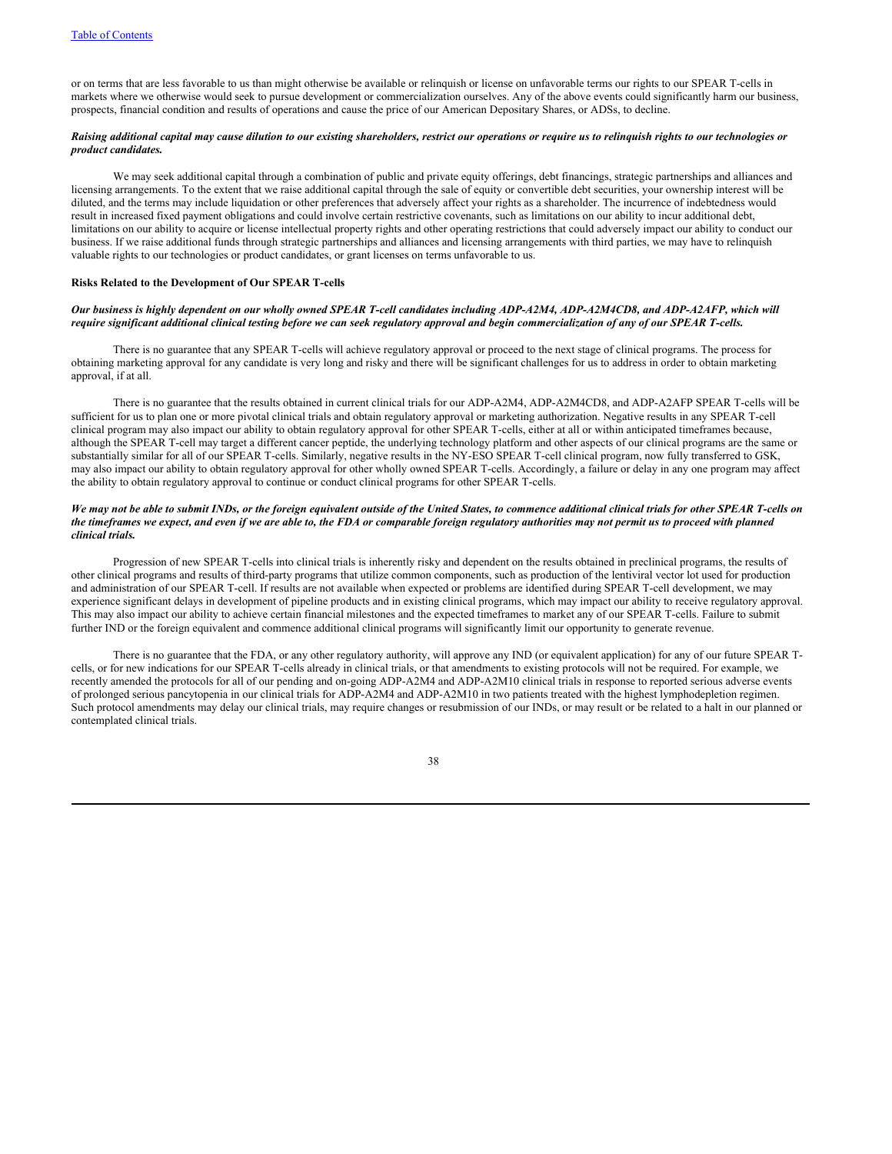or on terms that are less favorable to us than might otherwise be available or relinquish or license on unfavorable terms our rights to our SPEAR T-cells in markets where we otherwise would seek to pursue development or commercialization ourselves. Any of the above events could significantly harm our business, prospects, financial condition and results of operations and cause the price of our American Depositary Shares, or ADSs, to decline.

## Raising additional capital may cause dilution to our existing shareholders, restrict our operations or require us to relinquish rights to our technologies or *product candidates.*

We may seek additional capital through a combination of public and private equity offerings, debt financings, strategic partnerships and alliances and licensing arrangements. To the extent that we raise additional capital through the sale of equity or convertible debt securities, your ownership interest will be diluted, and the terms may include liquidation or other preferences that adversely affect your rights as a shareholder. The incurrence of indebtedness would result in increased fixed payment obligations and could involve certain restrictive covenants, such as limitations on our ability to incur additional debt, limitations on our ability to acquire or license intellectual property rights and other operating restrictions that could adversely impact our ability to conduct our business. If we raise additional funds through strategic partnerships and alliances and licensing arrangements with third parties, we may have to relinquish valuable rights to our technologies or product candidates, or grant licenses on terms unfavorable to us.

#### **Risks Related to the Development of Our SPEAR T-cells**

# Our business is highly dependent on our wholly owned SPEAR T-cell candidates including ADP-A2M4, ADP-A2M4CD8, and ADP-A2AFP, which will require significant additional clinical testing before we can seek regulatory approval and begin commercialization of any of our SPEAR T-cells.

There is no guarantee that any SPEAR T-cells will achieve regulatory approval or proceed to the next stage of clinical programs. The process for obtaining marketing approval for any candidate is very long and risky and there will be significant challenges for us to address in order to obtain marketing approval, if at all.

There is no guarantee that the results obtained in current clinical trials for our ADP-A2M4, ADP-A2M4CD8, and ADP-A2AFP SPEAR T-cells will be sufficient for us to plan one or more pivotal clinical trials and obtain regulatory approval or marketing authorization. Negative results in any SPEAR T-cell clinical program may also impact our ability to obtain regulatory approval for other SPEAR T-cells, either at all or within anticipated timeframes because, although the SPEAR T-cell may target a different cancer peptide, the underlying technology platform and other aspects of our clinical programs are the same or substantially similar for all of our SPEAR T-cells. Similarly, negative results in the NY-ESO SPEAR T-cell clinical program, now fully transferred to GSK, may also impact our ability to obtain regulatory approval for other wholly owned SPEAR T-cells. Accordingly, a failure or delay in any one program may affect the ability to obtain regulatory approval to continue or conduct clinical programs for other SPEAR T-cells.

#### We may not be able to submit INDs, or the foreign equivalent outside of the United States, to commence additional clinical trials for other SPEAR T-cells on the timeframes we expect, and even if we are able to, the FDA or comparable foreign regulatory authorities may not permit us to proceed with planned *clinical trials.*

Progression of new SPEAR T-cells into clinical trials is inherently risky and dependent on the results obtained in preclinical programs, the results of other clinical programs and results of third-party programs that utilize common components, such as production of the lentiviral vector lot used for production and administration of our SPEAR T-cell. If results are not available when expected or problems are identified during SPEAR T-cell development, we may experience significant delays in development of pipeline products and in existing clinical programs, which may impact our ability to receive regulatory approval. This may also impact our ability to achieve certain financial milestones and the expected timeframes to market any of our SPEAR T-cells. Failure to submit further IND or the foreign equivalent and commence additional clinical programs will significantly limit our opportunity to generate revenue.

There is no guarantee that the FDA, or any other regulatory authority, will approve any IND (or equivalent application) for any of our future SPEAR Tcells, or for new indications for our SPEAR T-cells already in clinical trials, or that amendments to existing protocols will not be required. For example, we recently amended the protocols for all of our pending and on-going ADP-A2M4 and ADP-A2M10 clinical trials in response to reported serious adverse events of prolonged serious pancytopenia in our clinical trials for ADP-A2M4 and ADP-A2M10 in two patients treated with the highest lymphodepletion regimen. Such protocol amendments may delay our clinical trials, may require changes or resubmission of our INDs, or may result or be related to a halt in our planned or contemplated clinical trials.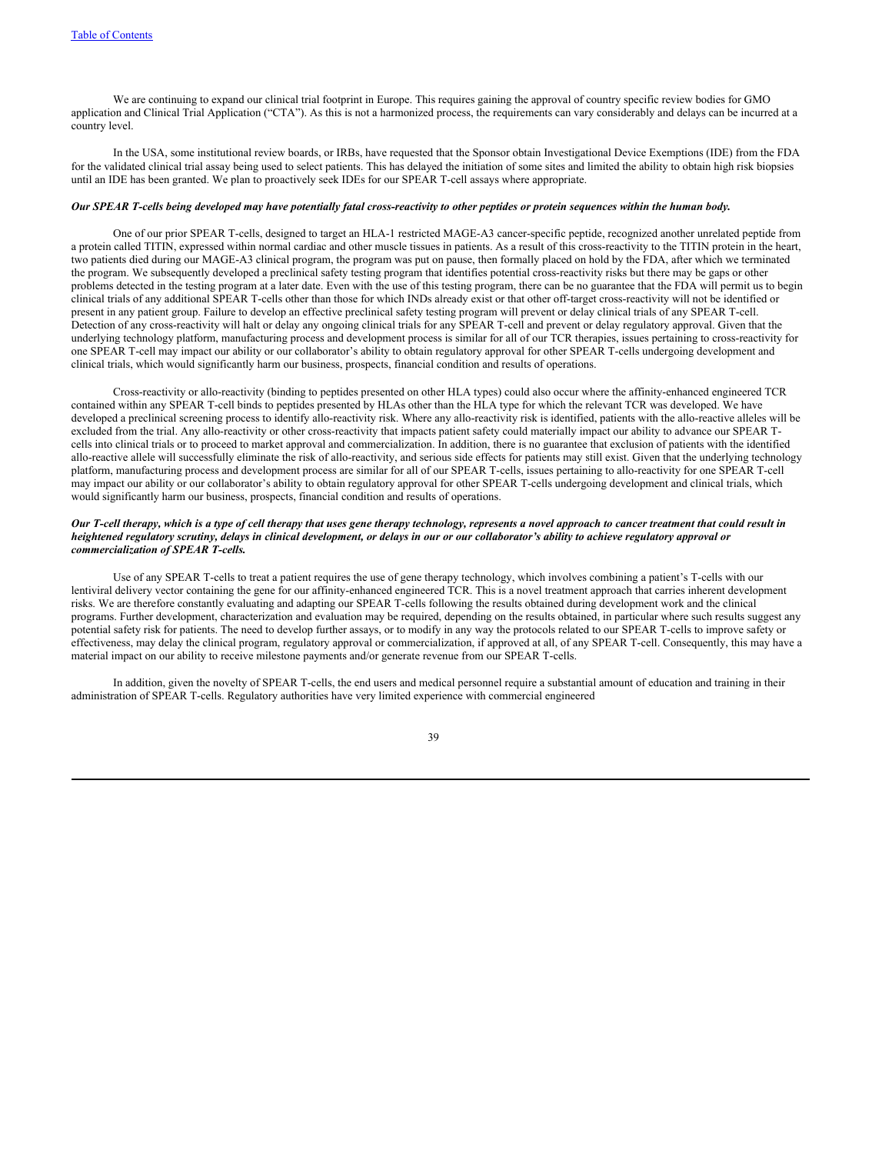We are continuing to expand our clinical trial footprint in Europe. This requires gaining the approval of country specific review bodies for GMO application and Clinical Trial Application ("CTA"). As this is not a harmonized process, the requirements can vary considerably and delays can be incurred at a country level.

In the USA, some institutional review boards, or IRBs, have requested that the Sponsor obtain Investigational Device Exemptions (IDE) from the FDA for the validated clinical trial assay being used to select patients. This has delayed the initiation of some sites and limited the ability to obtain high risk biopsies until an IDE has been granted. We plan to proactively seek IDEs for our SPEAR T-cell assays where appropriate.

# Our SPEAR T-cells being developed may have potentially fatal cross-reactivity to other peptides or protein sequences within the human body.

One of our prior SPEAR T-cells, designed to target an HLA-1 restricted MAGE-A3 cancer-specific peptide, recognized another unrelated peptide from a protein called TITIN, expressed within normal cardiac and other muscle tissues in patients. As a result of this cross-reactivity to the TITIN protein in the heart, two patients died during our MAGE-A3 clinical program, the program was put on pause, then formally placed on hold by the FDA, after which we terminated the program. We subsequently developed a preclinical safety testing program that identifies potential cross-reactivity risks but there may be gaps or other problems detected in the testing program at a later date. Even with the use of this testing program, there can be no guarantee that the FDA will permit us to begin clinical trials of any additional SPEAR T-cells other than those for which INDs already exist or that other off-target cross-reactivity will not be identified or present in any patient group. Failure to develop an effective preclinical safety testing program will prevent or delay clinical trials of any SPEAR T-cell. Detection of any cross-reactivity will halt or delay any ongoing clinical trials for any SPEAR T-cell and prevent or delay regulatory approval. Given that the underlying technology platform, manufacturing process and development process is similar for all of our TCR therapies, issues pertaining to cross-reactivity for one SPEAR T-cell may impact our ability or our collaborator's ability to obtain regulatory approval for other SPEAR T-cells undergoing development and clinical trials, which would significantly harm our business, prospects, financial condition and results of operations.

Cross-reactivity or allo-reactivity (binding to peptides presented on other HLA types) could also occur where the affinity-enhanced engineered TCR contained within any SPEAR T-cell binds to peptides presented by HLAs other than the HLA type for which the relevant TCR was developed. We have developed a preclinical screening process to identify allo-reactivity risk. Where any allo-reactivity risk is identified, patients with the allo-reactive alleles will be excluded from the trial. Any allo-reactivity or other cross-reactivity that impacts patient safety could materially impact our ability to advance our SPEAR Tcells into clinical trials or to proceed to market approval and commercialization. In addition, there is no guarantee that exclusion of patients with the identified allo-reactive allele will successfully eliminate the risk of allo-reactivity, and serious side effects for patients may still exist. Given that the underlying technology platform, manufacturing process and development process are similar for all of our SPEAR T-cells, issues pertaining to allo-reactivity for one SPEAR T-cell may impact our ability or our collaborator's ability to obtain regulatory approval for other SPEAR T-cells undergoing development and clinical trials, which would significantly harm our business, prospects, financial condition and results of operations.

### Our T-cell therapy, which is a type of cell therapy that uses gene therapy technology, represents a novel approach to cancer treatment that could result in heightened regulatory scrutiny, delays in clinical development, or delays in our or our collaborator's ability to achieve regulatory approval or *commercialization of SPEAR T-cells.*

Use of any SPEAR T-cells to treat a patient requires the use of gene therapy technology, which involves combining a patient's T-cells with our lentiviral delivery vector containing the gene for our affinity-enhanced engineered TCR. This is a novel treatment approach that carries inherent development risks. We are therefore constantly evaluating and adapting our SPEAR T-cells following the results obtained during development work and the clinical programs. Further development, characterization and evaluation may be required, depending on the results obtained, in particular where such results suggest any potential safety risk for patients. The need to develop further assays, or to modify in any way the protocols related to our SPEAR T-cells to improve safety or effectiveness, may delay the clinical program, regulatory approval or commercialization, if approved at all, of any SPEAR T-cell. Consequently, this may have a material impact on our ability to receive milestone payments and/or generate revenue from our SPEAR T-cells.

In addition, given the novelty of SPEAR T-cells, the end users and medical personnel require a substantial amount of education and training in their administration of SPEAR T-cells. Regulatory authorities have very limited experience with commercial engineered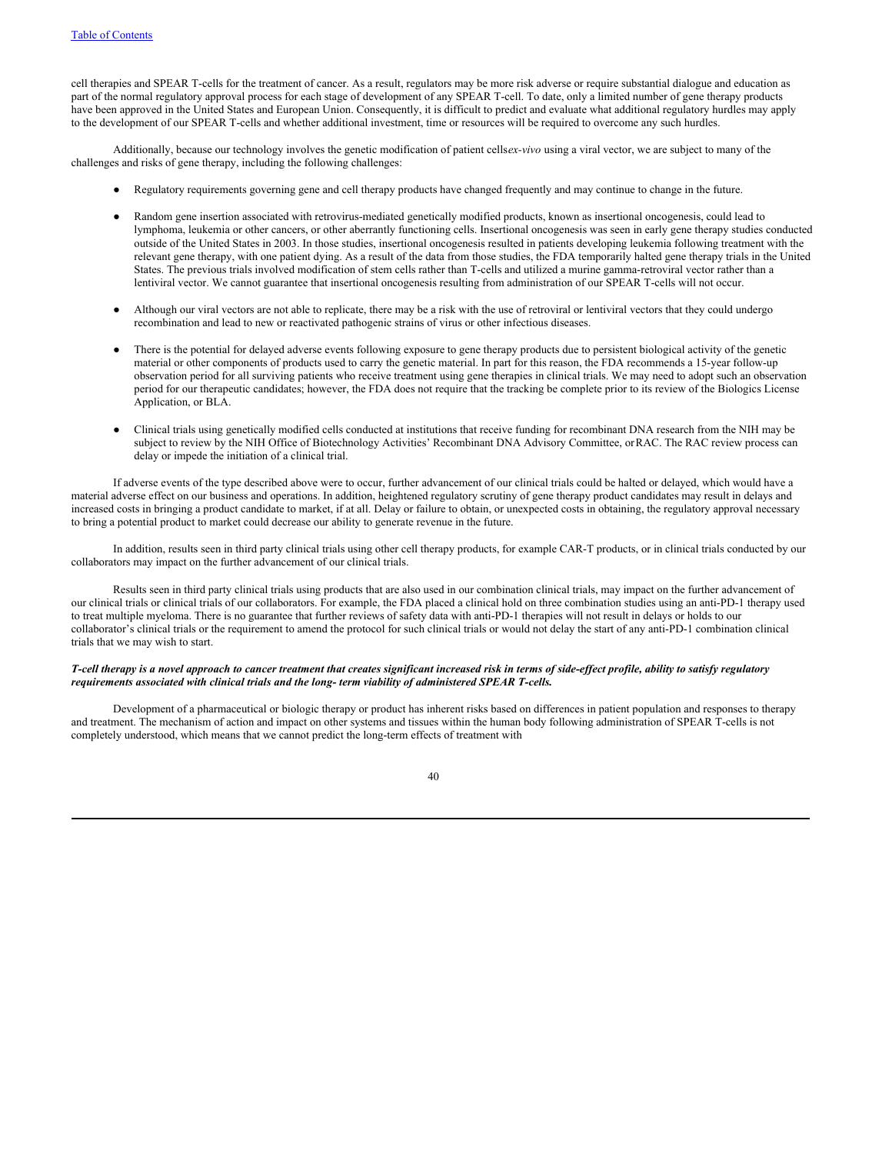cell therapies and SPEAR T-cells for the treatment of cancer. As a result, regulators may be more risk adverse or require substantial dialogue and education as part of the normal regulatory approval process for each stage of development of any SPEAR T-cell. To date, only a limited number of gene therapy products have been approved in the United States and European Union. Consequently, it is difficult to predict and evaluate what additional regulatory hurdles may apply to the development of our SPEAR T-cells and whether additional investment, time or resources will be required to overcome any such hurdles.

Additionally, because our technology involves the genetic modification of patient cells*ex-vivo* using a viral vector, we are subject to many of the challenges and risks of gene therapy, including the following challenges:

- Regulatory requirements governing gene and cell therapy products have changed frequently and may continue to change in the future.
- Random gene insertion associated with retrovirus-mediated genetically modified products, known as insertional oncogenesis, could lead to lymphoma, leukemia or other cancers, or other aberrantly functioning cells. Insertional oncogenesis was seen in early gene therapy studies conducted outside of the United States in 2003. In those studies, insertional oncogenesis resulted in patients developing leukemia following treatment with the relevant gene therapy, with one patient dying. As a result of the data from those studies, the FDA temporarily halted gene therapy trials in the United States. The previous trials involved modification of stem cells rather than T-cells and utilized a murine gamma-retroviral vector rather than a lentiviral vector. We cannot guarantee that insertional oncogenesis resulting from administration of our SPEAR T-cells will not occur.
- Although our viral vectors are not able to replicate, there may be a risk with the use of retroviral or lentiviral vectors that they could undergo recombination and lead to new or reactivated pathogenic strains of virus or other infectious diseases.
- There is the potential for delayed adverse events following exposure to gene therapy products due to persistent biological activity of the genetic material or other components of products used to carry the genetic material. In part for this reason, the FDA recommends a 15-year follow-up observation period for all surviving patients who receive treatment using gene therapies in clinical trials. We may need to adopt such an observation period for our therapeutic candidates; however, the FDA does not require that the tracking be complete prior to its review of the Biologics License Application, or BLA.
- Clinical trials using genetically modified cells conducted at institutions that receive funding for recombinant DNA research from the NIH may be subject to review by the NIH Office of Biotechnology Activities' Recombinant DNA Advisory Committee, orRAC. The RAC review process can delay or impede the initiation of a clinical trial.

If adverse events of the type described above were to occur, further advancement of our clinical trials could be halted or delayed, which would have a material adverse effect on our business and operations. In addition, heightened regulatory scrutiny of gene therapy product candidates may result in delays and increased costs in bringing a product candidate to market, if at all. Delay or failure to obtain, or unexpected costs in obtaining, the regulatory approval necessary to bring a potential product to market could decrease our ability to generate revenue in the future.

In addition, results seen in third party clinical trials using other cell therapy products, for example CAR-T products, or in clinical trials conducted by our collaborators may impact on the further advancement of our clinical trials.

Results seen in third party clinical trials using products that are also used in our combination clinical trials, may impact on the further advancement of our clinical trials or clinical trials of our collaborators. For example, the FDA placed a clinical hold on three combination studies using an anti-PD-1 therapy used to treat multiple myeloma. There is no guarantee that further reviews of safety data with anti-PD-1 therapies will not result in delays or holds to our collaborator's clinical trials or the requirement to amend the protocol for such clinical trials or would not delay the start of any anti-PD-1 combination clinical trials that we may wish to start.

# T-cell therapy is a novel approach to cancer treatment that creates significant increased risk in terms of side-effect profile, ability to satisfy regulatory *requirements associated with clinical trials and the long- term viability of administered SPEAR T-cells.*

Development of a pharmaceutical or biologic therapy or product has inherent risks based on differences in patient population and responses to therapy and treatment. The mechanism of action and impact on other systems and tissues within the human body following administration of SPEAR T-cells is not completely understood, which means that we cannot predict the long-term effects of treatment with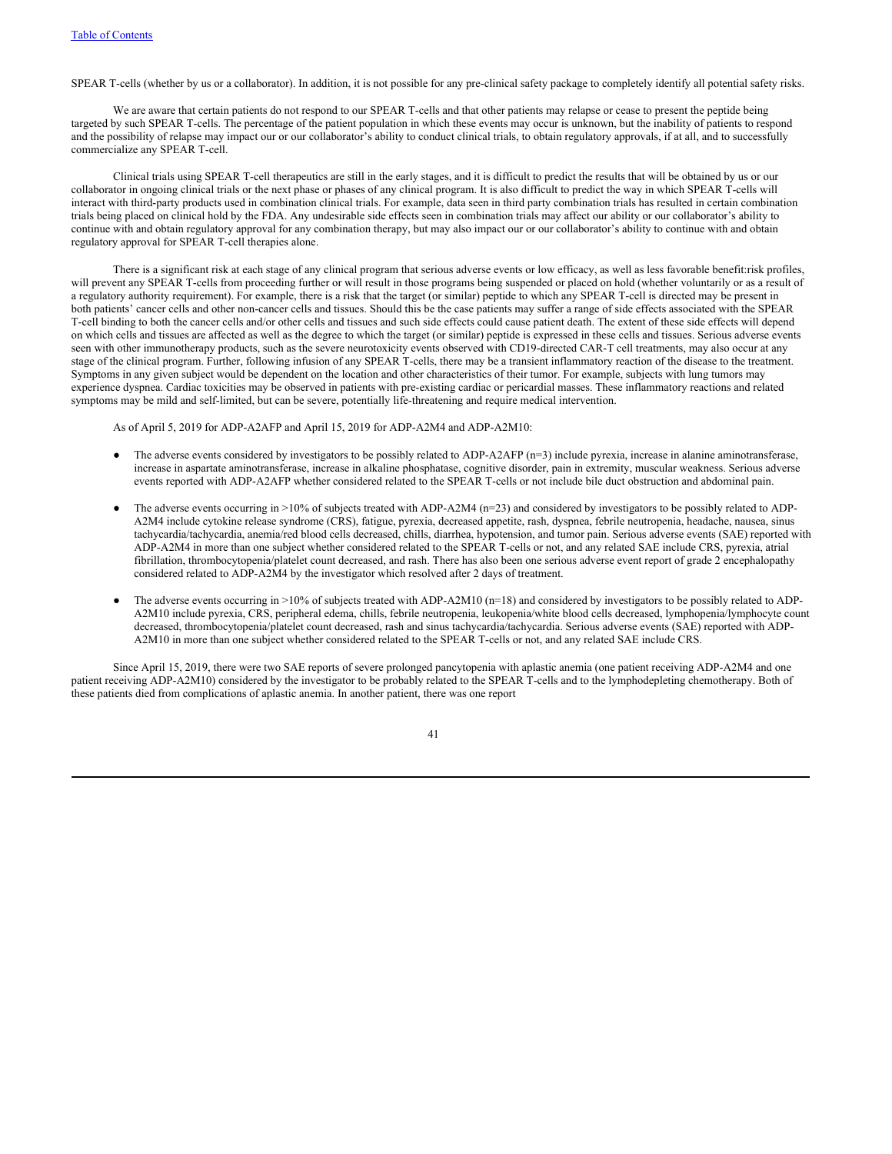SPEAR T-cells (whether by us or a collaborator). In addition, it is not possible for any pre-clinical safety package to completely identify all potential safety risks.

We are aware that certain patients do not respond to our SPEAR T-cells and that other patients may relapse or cease to present the peptide being targeted by such SPEAR T-cells. The percentage of the patient population in which these events may occur is unknown, but the inability of patients to respond and the possibility of relapse may impact our or our collaborator's ability to conduct clinical trials, to obtain regulatory approvals, if at all, and to successfully commercialize any SPEAR T-cell.

Clinical trials using SPEAR T-cell therapeutics are still in the early stages, and it is difficult to predict the results that will be obtained by us or our collaborator in ongoing clinical trials or the next phase or phases of any clinical program. It is also difficult to predict the way in which SPEAR T-cells will interact with third-party products used in combination clinical trials. For example, data seen in third party combination trials has resulted in certain combination trials being placed on clinical hold by the FDA. Any undesirable side effects seen in combination trials may affect our ability or our collaborator's ability to continue with and obtain regulatory approval for any combination therapy, but may also impact our or our collaborator's ability to continue with and obtain regulatory approval for SPEAR T-cell therapies alone.

There is a significant risk at each stage of any clinical program that serious adverse events or low efficacy, as well as less favorable benefit:risk profiles, will prevent any SPEAR T-cells from proceeding further or will result in those programs being suspended or placed on hold (whether voluntarily or as a result of a regulatory authority requirement). For example, there is a risk that the target (or similar) peptide to which any SPEAR T-cell is directed may be present in both patients' cancer cells and other non-cancer cells and tissues. Should this be the case patients may suffer a range of side effects associated with the SPEAR T-cell binding to both the cancer cells and/or other cells and tissues and such side effects could cause patient death. The extent of these side effects will depend on which cells and tissues are affected as well as the degree to which the target (or similar) peptide is expressed in these cells and tissues. Serious adverse events seen with other immunotherapy products, such as the severe neurotoxicity events observed with CD19-directed CAR-T cell treatments, may also occur at any stage of the clinical program. Further, following infusion of any SPEAR T-cells, there may be a transient inflammatory reaction of the disease to the treatment. Symptoms in any given subject would be dependent on the location and other characteristics of their tumor. For example, subjects with lung tumors may experience dyspnea. Cardiac toxicities may be observed in patients with pre-existing cardiac or pericardial masses. These inflammatory reactions and related symptoms may be mild and self-limited, but can be severe, potentially life-threatening and require medical intervention.

As of April 5, 2019 for ADP-A2AFP and April 15, 2019 for ADP-A2M4 and ADP-A2M10:

- The adverse events considered by investigators to be possibly related to ADP-A2AFP (n=3) include pyrexia, increase in alanine aminotransferase, increase in aspartate aminotransferase, increase in alkaline phosphatase, cognitive disorder, pain in extremity, muscular weakness. Serious adverse events reported with ADP-A2AFP whether considered related to the SPEAR T-cells or not include bile duct obstruction and abdominal pain.
- The adverse events occurring in  $>10\%$  of subjects treated with ADP-A2M4 (n=23) and considered by investigators to be possibly related to ADP-A2M4 include cytokine release syndrome (CRS), fatigue, pyrexia, decreased appetite, rash, dyspnea, febrile neutropenia, headache, nausea, sinus tachycardia/tachycardia, anemia/red blood cells decreased, chills, diarrhea, hypotension, and tumor pain. Serious adverse events (SAE) reported with ADP-A2M4 in more than one subject whether considered related to the SPEAR T-cells or not, and any related SAE include CRS, pyrexia, atrial fibrillation, thrombocytopenia/platelet count decreased, and rash. There has also been one serious adverse event report of grade 2 encephalopathy considered related to ADP-A2M4 by the investigator which resolved after 2 days of treatment.
- The adverse events occurring in >10% of subjects treated with ADP-A2M10 ( $n=18$ ) and considered by investigators to be possibly related to ADP-A2M10 include pyrexia, CRS, peripheral edema, chills, febrile neutropenia, leukopenia/white blood cells decreased, lymphopenia/lymphocyte count decreased, thrombocytopenia/platelet count decreased, rash and sinus tachycardia/tachycardia. Serious adverse events (SAE) reported with ADP-A2M10 in more than one subject whether considered related to the SPEAR T-cells or not, and any related SAE include CRS.

Since April 15, 2019, there were two SAE reports of severe prolonged pancytopenia with aplastic anemia (one patient receiving ADP-A2M4 and one patient receiving ADP-A2M10) considered by the investigator to be probably related to the SPEAR T-cells and to the lymphodepleting chemotherapy. Both of these patients died from complications of aplastic anemia. In another patient, there was one report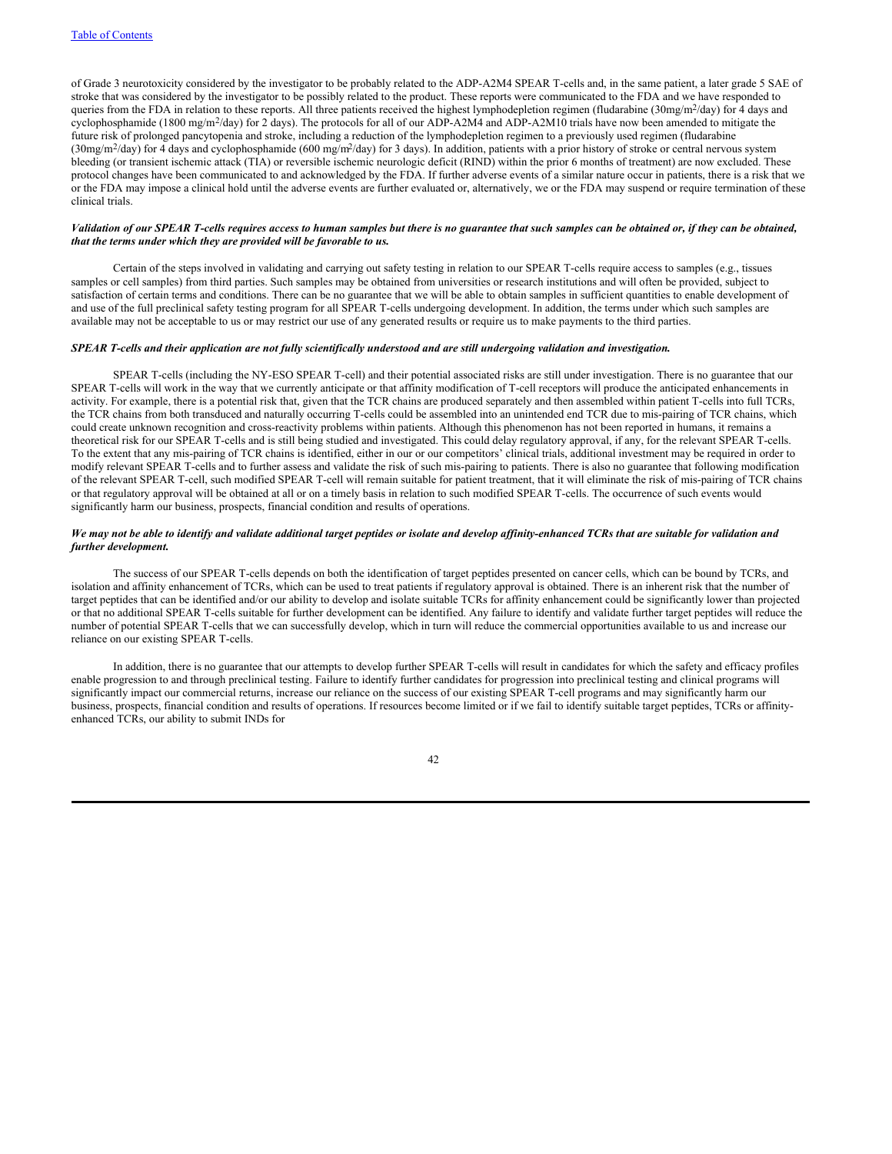of Grade 3 neurotoxicity considered by the investigator to be probably related to the ADP-A2M4 SPEAR T-cells and, in the same patient, a later grade 5 SAE of stroke that was considered by the investigator to be possibly related to the product. These reports were communicated to the FDA and we have responded to queries from the FDA in relation to these reports. All three patients received the highest lymphodepletion regimen (fludarabine (30mg/m<sup>2</sup>/day) for 4 days and cyclophosphamide (1800 mg/m<sup>2</sup>/day) for 2 days). The protocols for all of our ADP-A2M4 and ADP-A2M10 trials have now been amended to mitigate the future risk of prolonged pancytopenia and stroke, including a reduction of the lymphodepletion regimen to a previously used regimen (fludarabine (30mg/m2/day) for 4 days and cyclophosphamide (600 mg/m2/day) for 3 days). In addition, patients with a prior history of stroke or central nervous system bleeding (or transient ischemic attack (TIA) or reversible ischemic neurologic deficit (RIND) within the prior 6 months of treatment) are now excluded. These protocol changes have been communicated to and acknowledged by the FDA. If further adverse events of a similar nature occur in patients, there is a risk that we or the FDA may impose a clinical hold until the adverse events are further evaluated or, alternatively, we or the FDA may suspend or require termination of these clinical trials.

#### Validation of our SPEAR T-cells requires access to human samples but there is no guarantee that such samples can be obtained or, if they can be obtained, *that the terms under which they are provided will be favorable to us.*

Certain of the steps involved in validating and carrying out safety testing in relation to our SPEAR T-cells require access to samples (e.g., tissues samples or cell samples) from third parties. Such samples may be obtained from universities or research institutions and will often be provided, subject to satisfaction of certain terms and conditions. There can be no guarantee that we will be able to obtain samples in sufficient quantities to enable development of and use of the full preclinical safety testing program for all SPEAR T-cells undergoing development. In addition, the terms under which such samples are available may not be acceptable to us or may restrict our use of any generated results or require us to make payments to the third parties.

#### SPEAR T-cells and their application are not fully scientifically understood and are still undergoing validation and investigation.

SPEAR T-cells (including the NY-ESO SPEAR T-cell) and their potential associated risks are still under investigation. There is no guarantee that our SPEAR T-cells will work in the way that we currently anticipate or that affinity modification of T-cell receptors will produce the anticipated enhancements in activity. For example, there is a potential risk that, given that the TCR chains are produced separately and then assembled within patient T-cells into full TCRs, the TCR chains from both transduced and naturally occurring T-cells could be assembled into an unintended end TCR due to mis-pairing of TCR chains, which could create unknown recognition and cross-reactivity problems within patients. Although this phenomenon has not been reported in humans, it remains a theoretical risk for our SPEAR T-cells and is still being studied and investigated. This could delay regulatory approval, if any, for the relevant SPEAR T-cells. To the extent that any mis-pairing of TCR chains is identified, either in our or our competitors' clinical trials, additional investment may be required in order to modify relevant SPEAR T-cells and to further assess and validate the risk of such mis-pairing to patients. There is also no guarantee that following modification of the relevant SPEAR T-cell, such modified SPEAR T-cell will remain suitable for patient treatment, that it will eliminate the risk of mis-pairing of TCR chains or that regulatory approval will be obtained at all or on a timely basis in relation to such modified SPEAR T-cells. The occurrence of such events would significantly harm our business, prospects, financial condition and results of operations.

# We may not be able to identify and validate additional target peptides or isolate and develop affinity-enhanced TCRs that are suitable for validation and *further development.*

The success of our SPEAR T-cells depends on both the identification of target peptides presented on cancer cells, which can be bound by TCRs, and isolation and affinity enhancement of TCRs, which can be used to treat patients if regulatory approval is obtained. There is an inherent risk that the number of target peptides that can be identified and/or our ability to develop and isolate suitable TCRs for affinity enhancement could be significantly lower than projected or that no additional SPEAR T-cells suitable for further development can be identified. Any failure to identify and validate further target peptides will reduce the number of potential SPEAR T-cells that we can successfully develop, which in turn will reduce the commercial opportunities available to us and increase our reliance on our existing SPEAR T-cells.

In addition, there is no guarantee that our attempts to develop further SPEAR T-cells will result in candidates for which the safety and efficacy profiles enable progression to and through preclinical testing. Failure to identify further candidates for progression into preclinical testing and clinical programs will significantly impact our commercial returns, increase our reliance on the success of our existing SPEAR T-cell programs and may significantly harm our business, prospects, financial condition and results of operations. If resources become limited or if we fail to identify suitable target peptides, TCRs or affinityenhanced TCRs, our ability to submit INDs for

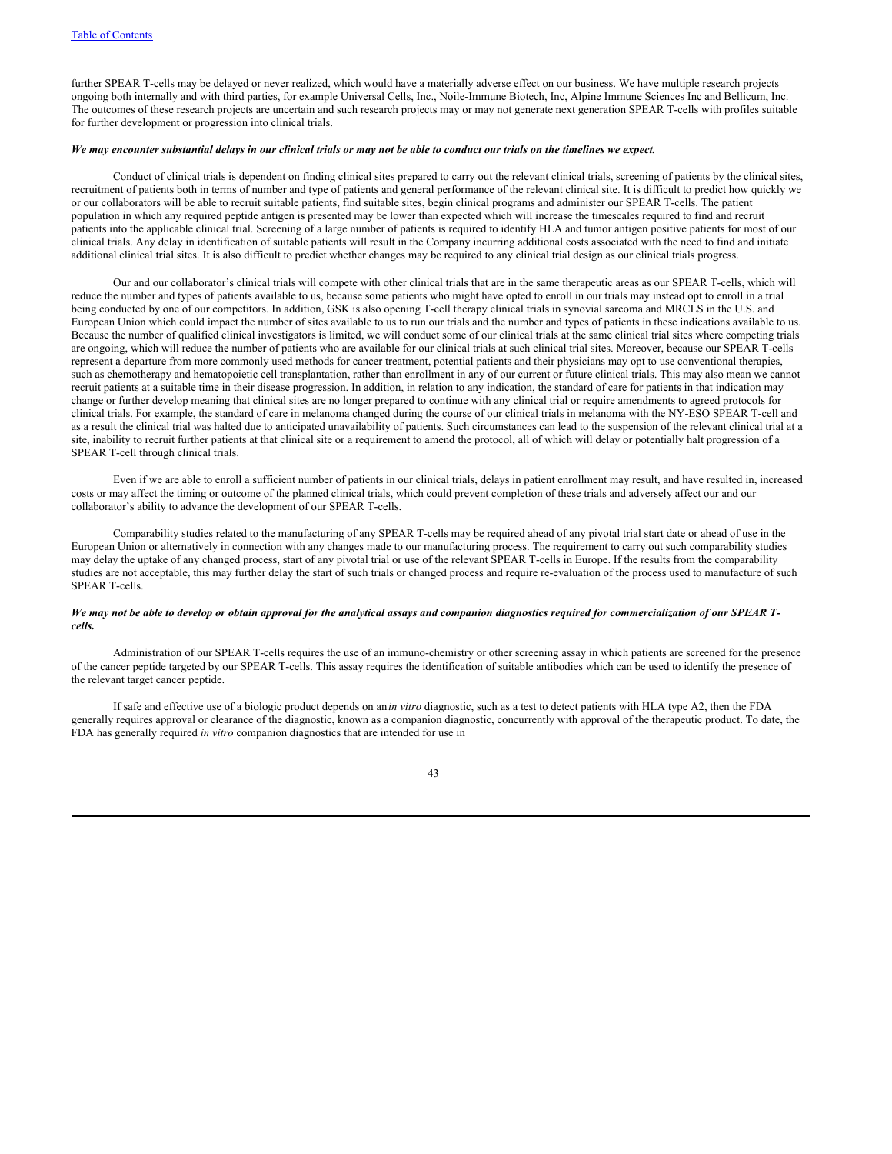further SPEAR T-cells may be delayed or never realized, which would have a materially adverse effect on our business. We have multiple research projects ongoing both internally and with third parties, for example Universal Cells, Inc., Noile-Immune Biotech, Inc, Alpine Immune Sciences Inc and Bellicum, Inc. The outcomes of these research projects are uncertain and such research projects may or may not generate next generation SPEAR T-cells with profiles suitable for further development or progression into clinical trials.

# We may encounter substantial delays in our clinical trials or may not be able to conduct our trials on the timelines we expect.

Conduct of clinical trials is dependent on finding clinical sites prepared to carry out the relevant clinical trials, screening of patients by the clinical sites, recruitment of patients both in terms of number and type of patients and general performance of the relevant clinical site. It is difficult to predict how quickly we or our collaborators will be able to recruit suitable patients, find suitable sites, begin clinical programs and administer our SPEAR T-cells. The patient population in which any required peptide antigen is presented may be lower than expected which will increase the timescales required to find and recruit patients into the applicable clinical trial. Screening of a large number of patients is required to identify HLA and tumor antigen positive patients for most of our clinical trials. Any delay in identification of suitable patients will result in the Company incurring additional costs associated with the need to find and initiate additional clinical trial sites. It is also difficult to predict whether changes may be required to any clinical trial design as our clinical trials progress.

Our and our collaborator's clinical trials will compete with other clinical trials that are in the same therapeutic areas as our SPEAR T-cells, which will reduce the number and types of patients available to us, because some patients who might have opted to enroll in our trials may instead opt to enroll in a trial being conducted by one of our competitors. In addition, GSK is also opening T-cell therapy clinical trials in synovial sarcoma and MRCLS in the U.S. and European Union which could impact the number of sites available to us to run our trials and the number and types of patients in these indications available to us. Because the number of qualified clinical investigators is limited, we will conduct some of our clinical trials at the same clinical trial sites where competing trials are ongoing, which will reduce the number of patients who are available for our clinical trials at such clinical trial sites. Moreover, because our SPEAR T-cells represent a departure from more commonly used methods for cancer treatment, potential patients and their physicians may opt to use conventional therapies, such as chemotherapy and hematopoietic cell transplantation, rather than enrollment in any of our current or future clinical trials. This may also mean we cannot recruit patients at a suitable time in their disease progression. In addition, in relation to any indication, the standard of care for patients in that indication may change or further develop meaning that clinical sites are no longer prepared to continue with any clinical trial or require amendments to agreed protocols for clinical trials. For example, the standard of care in melanoma changed during the course of our clinical trials in melanoma with the NY-ESO SPEAR T-cell and as a result the clinical trial was halted due to anticipated unavailability of patients. Such circumstances can lead to the suspension of the relevant clinical trial at a site, inability to recruit further patients at that clinical site or a requirement to amend the protocol, all of which will delay or potentially halt progression of a SPEAR T-cell through clinical trials.

Even if we are able to enroll a sufficient number of patients in our clinical trials, delays in patient enrollment may result, and have resulted in, increased costs or may affect the timing or outcome of the planned clinical trials, which could prevent completion of these trials and adversely affect our and our collaborator's ability to advance the development of our SPEAR T-cells.

Comparability studies related to the manufacturing of any SPEAR T-cells may be required ahead of any pivotal trial start date or ahead of use in the European Union or alternatively in connection with any changes made to our manufacturing process. The requirement to carry out such comparability studies may delay the uptake of any changed process, start of any pivotal trial or use of the relevant SPEAR T-cells in Europe. If the results from the comparability studies are not acceptable, this may further delay the start of such trials or changed process and require re-evaluation of the process used to manufacture of such SPEAR T-cells.

# We may not be able to develop or obtain approval for the analytical assays and companion diagnostics required for commercialization of our SPEAR T*cells.*

Administration of our SPEAR T-cells requires the use of an immuno-chemistry or other screening assay in which patients are screened for the presence of the cancer peptide targeted by our SPEAR T-cells. This assay requires the identification of suitable antibodies which can be used to identify the presence of the relevant target cancer peptide.

If safe and effective use of a biologic product depends on an*in vitro* diagnostic, such as a test to detect patients with HLA type A2, then the FDA generally requires approval or clearance of the diagnostic, known as a companion diagnostic, concurrently with approval of the therapeutic product. To date, the FDA has generally required *in vitro* companion diagnostics that are intended for use in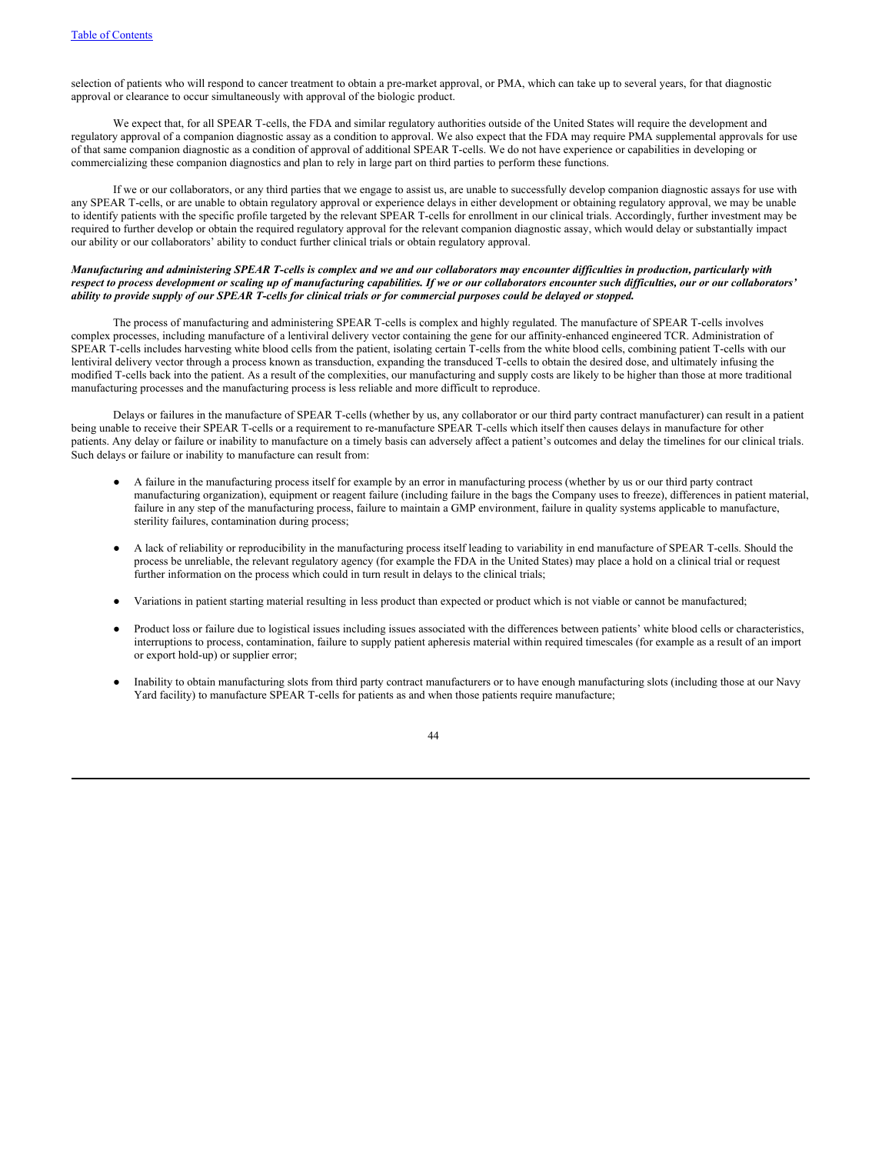selection of patients who will respond to cancer treatment to obtain a pre-market approval, or PMA, which can take up to several years, for that diagnostic approval or clearance to occur simultaneously with approval of the biologic product.

We expect that, for all SPEAR T-cells, the FDA and similar regulatory authorities outside of the United States will require the development and regulatory approval of a companion diagnostic assay as a condition to approval. We also expect that the FDA may require PMA supplemental approvals for use of that same companion diagnostic as a condition of approval of additional SPEAR T-cells. We do not have experience or capabilities in developing or commercializing these companion diagnostics and plan to rely in large part on third parties to perform these functions.

If we or our collaborators, or any third parties that we engage to assist us, are unable to successfully develop companion diagnostic assays for use with any SPEAR T-cells, or are unable to obtain regulatory approval or experience delays in either development or obtaining regulatory approval, we may be unable to identify patients with the specific profile targeted by the relevant SPEAR T-cells for enrollment in our clinical trials. Accordingly, further investment may be required to further develop or obtain the required regulatory approval for the relevant companion diagnostic assay, which would delay or substantially impact our ability or our collaborators' ability to conduct further clinical trials or obtain regulatory approval.

## Manufacturing and administering SPEAR T-cells is complex and we and our collaborators may encounter difficulties in production, particularly with respect to process development or scaling up of manufacturing capabilities. If we or our collaborators encounter such difficulties, our or our collaborators' ability to provide supply of our SPEAR T-cells for clinical trials or for commercial purposes could be delayed or stopped.

The process of manufacturing and administering SPEAR T-cells is complex and highly regulated. The manufacture of SPEAR T-cells involves complex processes, including manufacture of a lentiviral delivery vector containing the gene for our affinity-enhanced engineered TCR. Administration of SPEAR T-cells includes harvesting white blood cells from the patient, isolating certain T-cells from the white blood cells, combining patient T-cells with our lentiviral delivery vector through a process known as transduction, expanding the transduced T-cells to obtain the desired dose, and ultimately infusing the modified T-cells back into the patient. As a result of the complexities, our manufacturing and supply costs are likely to be higher than those at more traditional manufacturing processes and the manufacturing process is less reliable and more difficult to reproduce.

Delays or failures in the manufacture of SPEAR T-cells (whether by us, any collaborator or our third party contract manufacturer) can result in a patient being unable to receive their SPEAR T-cells or a requirement to re-manufacture SPEAR T-cells which itself then causes delays in manufacture for other patients. Any delay or failure or inability to manufacture on a timely basis can adversely affect a patient's outcomes and delay the timelines for our clinical trials. Such delays or failure or inability to manufacture can result from:

- A failure in the manufacturing process itself for example by an error in manufacturing process (whether by us or our third party contract manufacturing organization), equipment or reagent failure (including failure in the bags the Company uses to freeze), differences in patient material, failure in any step of the manufacturing process, failure to maintain a GMP environment, failure in quality systems applicable to manufacture, sterility failures, contamination during process;
- A lack of reliability or reproducibility in the manufacturing process itself leading to variability in end manufacture of SPEAR T-cells. Should the process be unreliable, the relevant regulatory agency (for example the FDA in the United States) may place a hold on a clinical trial or request further information on the process which could in turn result in delays to the clinical trials;
- Variations in patient starting material resulting in less product than expected or product which is not viable or cannot be manufactured;
- Product loss or failure due to logistical issues including issues associated with the differences between patients' white blood cells or characteristics, interruptions to process, contamination, failure to supply patient apheresis material within required timescales (for example as a result of an import or export hold-up) or supplier error;
- Inability to obtain manufacturing slots from third party contract manufacturers or to have enough manufacturing slots (including those at our Navy Yard facility) to manufacture SPEAR T-cells for patients as and when those patients require manufacture;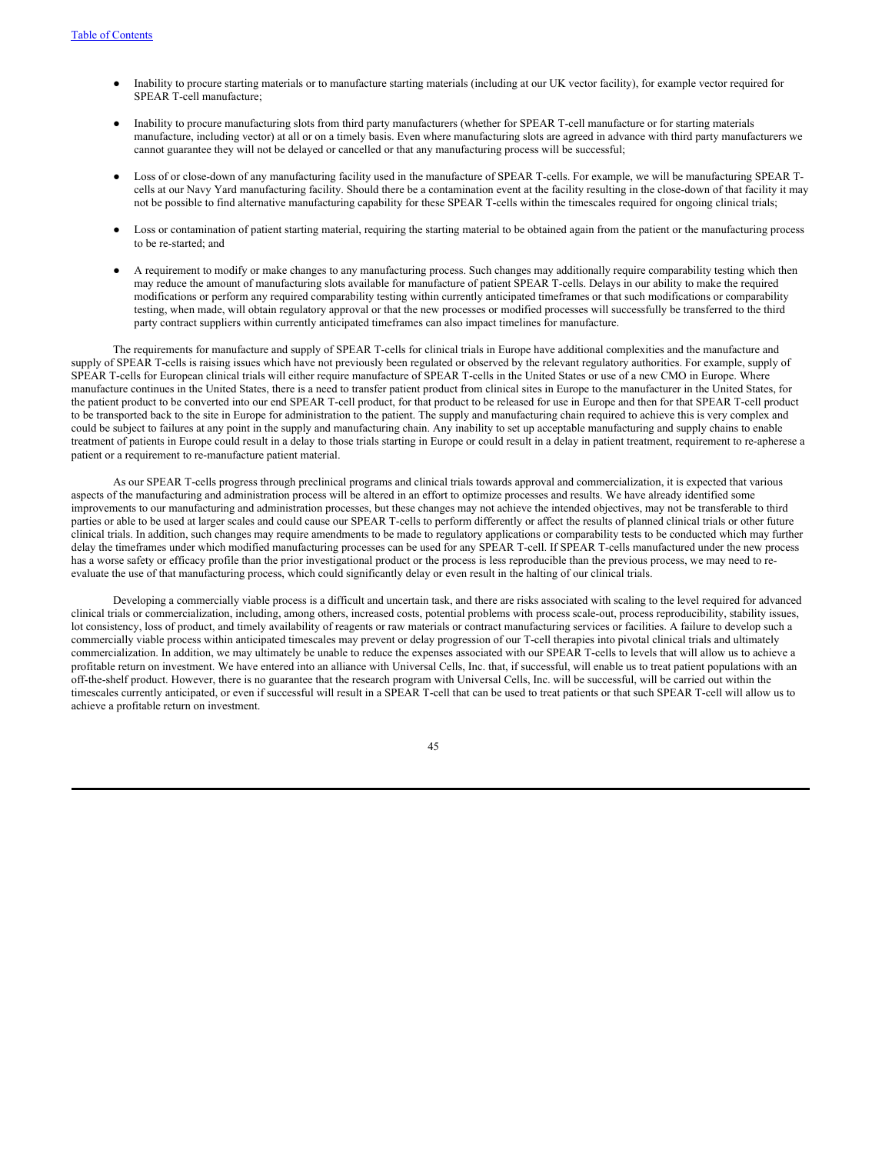- Inability to procure starting materials or to manufacture starting materials (including at our UK vector facility), for example vector required for SPEAR T-cell manufacture;
- Inability to procure manufacturing slots from third party manufacturers (whether for SPEAR T-cell manufacture or for starting materials manufacture, including vector) at all or on a timely basis. Even where manufacturing slots are agreed in advance with third party manufacturers we cannot guarantee they will not be delayed or cancelled or that any manufacturing process will be successful;
- Loss of or close-down of any manufacturing facility used in the manufacture of SPEAR T-cells. For example, we will be manufacturing SPEAR Tcells at our Navy Yard manufacturing facility. Should there be a contamination event at the facility resulting in the close-down of that facility it may not be possible to find alternative manufacturing capability for these SPEAR T-cells within the timescales required for ongoing clinical trials;
- Loss or contamination of patient starting material, requiring the starting material to be obtained again from the patient or the manufacturing process to be re-started; and
- A requirement to modify or make changes to any manufacturing process. Such changes may additionally require comparability testing which then may reduce the amount of manufacturing slots available for manufacture of patient SPEAR T-cells. Delays in our ability to make the required modifications or perform any required comparability testing within currently anticipated timeframes or that such modifications or comparability testing, when made, will obtain regulatory approval or that the new processes or modified processes will successfully be transferred to the third party contract suppliers within currently anticipated timeframes can also impact timelines for manufacture.

The requirements for manufacture and supply of SPEAR T-cells for clinical trials in Europe have additional complexities and the manufacture and supply of SPEAR T-cells is raising issues which have not previously been regulated or observed by the relevant regulatory authorities. For example, supply of SPEAR T-cells for European clinical trials will either require manufacture of SPEAR T-cells in the United States or use of a new CMO in Europe. Where manufacture continues in the United States, there is a need to transfer patient product from clinical sites in Europe to the manufacturer in the United States, for the patient product to be converted into our end SPEAR T-cell product, for that product to be released for use in Europe and then for that SPEAR T-cell product to be transported back to the site in Europe for administration to the patient. The supply and manufacturing chain required to achieve this is very complex and could be subject to failures at any point in the supply and manufacturing chain. Any inability to set up acceptable manufacturing and supply chains to enable treatment of patients in Europe could result in a delay to those trials starting in Europe or could result in a delay in patient treatment, requirement to re-apherese a patient or a requirement to re-manufacture patient material.

As our SPEAR T-cells progress through preclinical programs and clinical trials towards approval and commercialization, it is expected that various aspects of the manufacturing and administration process will be altered in an effort to optimize processes and results. We have already identified some improvements to our manufacturing and administration processes, but these changes may not achieve the intended objectives, may not be transferable to third parties or able to be used at larger scales and could cause our SPEAR T-cells to perform differently or affect the results of planned clinical trials or other future clinical trials. In addition, such changes may require amendments to be made to regulatory applications or comparability tests to be conducted which may further delay the timeframes under which modified manufacturing processes can be used for any SPEAR T-cell. If SPEAR T-cells manufactured under the new process has a worse safety or efficacy profile than the prior investigational product or the process is less reproducible than the previous process, we may need to reevaluate the use of that manufacturing process, which could significantly delay or even result in the halting of our clinical trials.

Developing a commercially viable process is a difficult and uncertain task, and there are risks associated with scaling to the level required for advanced clinical trials or commercialization, including, among others, increased costs, potential problems with process scale-out, process reproducibility, stability issues, lot consistency, loss of product, and timely availability of reagents or raw materials or contract manufacturing services or facilities. A failure to develop such a commercially viable process within anticipated timescales may prevent or delay progression of our T-cell therapies into pivotal clinical trials and ultimately commercialization. In addition, we may ultimately be unable to reduce the expenses associated with our SPEAR T-cells to levels that will allow us to achieve a profitable return on investment. We have entered into an alliance with Universal Cells, Inc. that, if successful, will enable us to treat patient populations with an off-the-shelf product. However, there is no guarantee that the research program with Universal Cells, Inc. will be successful, will be carried out within the timescales currently anticipated, or even if successful will result in a SPEAR T-cell that can be used to treat patients or that such SPEAR T-cell will allow us to achieve a profitable return on investment.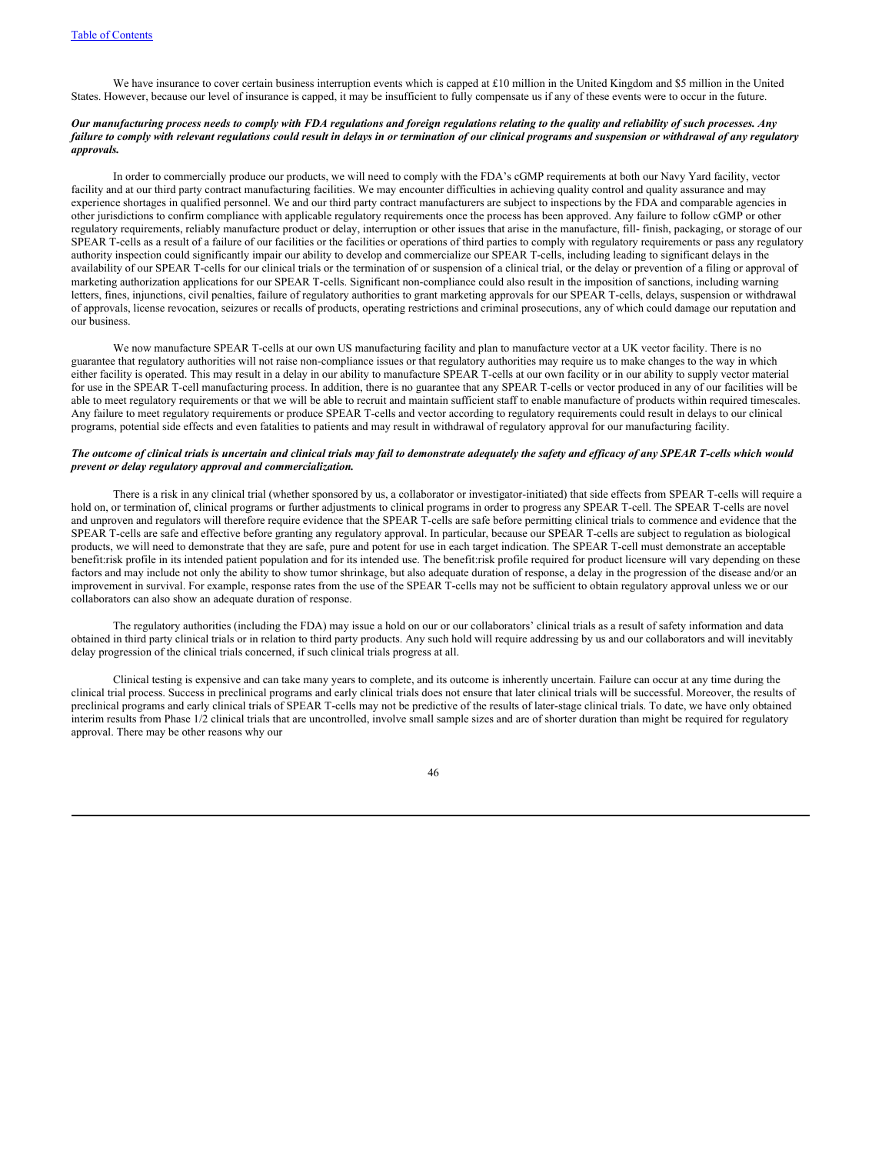We have insurance to cover certain business interruption events which is capped at £10 million in the United Kingdom and \$5 million in the United States. However, because our level of insurance is capped, it may be insufficient to fully compensate us if any of these events were to occur in the future.

# Our manufacturing process needs to comply with FDA regulations and foreign regulations relating to the quality and reliability of such processes. Any failure to comply with relevant regulations could result in delays in or termination of our clinical programs and suspension or withdrawal of any regulatory *approvals.*

In order to commercially produce our products, we will need to comply with the FDA's cGMP requirements at both our Navy Yard facility, vector facility and at our third party contract manufacturing facilities. We may encounter difficulties in achieving quality control and quality assurance and may experience shortages in qualified personnel. We and our third party contract manufacturers are subject to inspections by the FDA and comparable agencies in other jurisdictions to confirm compliance with applicable regulatory requirements once the process has been approved. Any failure to follow cGMP or other regulatory requirements, reliably manufacture product or delay, interruption or other issues that arise in the manufacture, fill- finish, packaging, or storage of our SPEAR T-cells as a result of a failure of our facilities or the facilities or operations of third parties to comply with regulatory requirements or pass any regulatory authority inspection could significantly impair our ability to develop and commercialize our SPEAR T-cells, including leading to significant delays in the availability of our SPEAR T-cells for our clinical trials or the termination of or suspension of a clinical trial, or the delay or prevention of a filing or approval of marketing authorization applications for our SPEAR T-cells. Significant non-compliance could also result in the imposition of sanctions, including warning letters, fines, injunctions, civil penalties, failure of regulatory authorities to grant marketing approvals for our SPEAR T-cells, delays, suspension or withdrawal of approvals, license revocation, seizures or recalls of products, operating restrictions and criminal prosecutions, any of which could damage our reputation and our business.

We now manufacture SPEAR T-cells at our own US manufacturing facility and plan to manufacture vector at a UK vector facility. There is no guarantee that regulatory authorities will not raise non-compliance issues or that regulatory authorities may require us to make changes to the way in which either facility is operated. This may result in a delay in our ability to manufacture SPEAR T-cells at our own facility or in our ability to supply vector material for use in the SPEAR T-cell manufacturing process. In addition, there is no guarantee that any SPEAR T-cells or vector produced in any of our facilities will be able to meet regulatory requirements or that we will be able to recruit and maintain sufficient staff to enable manufacture of products within required timescales. Any failure to meet regulatory requirements or produce SPEAR T-cells and vector according to regulatory requirements could result in delays to our clinical programs, potential side effects and even fatalities to patients and may result in withdrawal of regulatory approval for our manufacturing facility.

# The outcome of clinical trials is uncertain and clinical trials may fail to demonstrate adequately the safety and efficacy of any SPEAR T-cells which would *prevent or delay regulatory approval and commercialization.*

There is a risk in any clinical trial (whether sponsored by us, a collaborator or investigator-initiated) that side effects from SPEAR T-cells will require a hold on, or termination of, clinical programs or further adjustments to clinical programs in order to progress any SPEAR T-cell. The SPEAR T-cells are novel and unproven and regulators will therefore require evidence that the SPEAR T-cells are safe before permitting clinical trials to commence and evidence that the SPEAR T-cells are safe and effective before granting any regulatory approval. In particular, because our SPEAR T-cells are subject to regulation as biological products, we will need to demonstrate that they are safe, pure and potent for use in each target indication. The SPEAR T-cell must demonstrate an acceptable benefit:risk profile in its intended patient population and for its intended use. The benefit:risk profile required for product licensure will vary depending on these factors and may include not only the ability to show tumor shrinkage, but also adequate duration of response, a delay in the progression of the disease and/or an improvement in survival. For example, response rates from the use of the SPEAR T-cells may not be sufficient to obtain regulatory approval unless we or our collaborators can also show an adequate duration of response.

The regulatory authorities (including the FDA) may issue a hold on our or our collaborators' clinical trials as a result of safety information and data obtained in third party clinical trials or in relation to third party products. Any such hold will require addressing by us and our collaborators and will inevitably delay progression of the clinical trials concerned, if such clinical trials progress at all.

Clinical testing is expensive and can take many years to complete, and its outcome is inherently uncertain. Failure can occur at any time during the clinical trial process. Success in preclinical programs and early clinical trials does not ensure that later clinical trials will be successful. Moreover, the results of preclinical programs and early clinical trials of SPEAR T-cells may not be predictive of the results of later-stage clinical trials. To date, we have only obtained interim results from Phase 1/2 clinical trials that are uncontrolled, involve small sample sizes and are of shorter duration than might be required for regulatory approval. There may be other reasons why our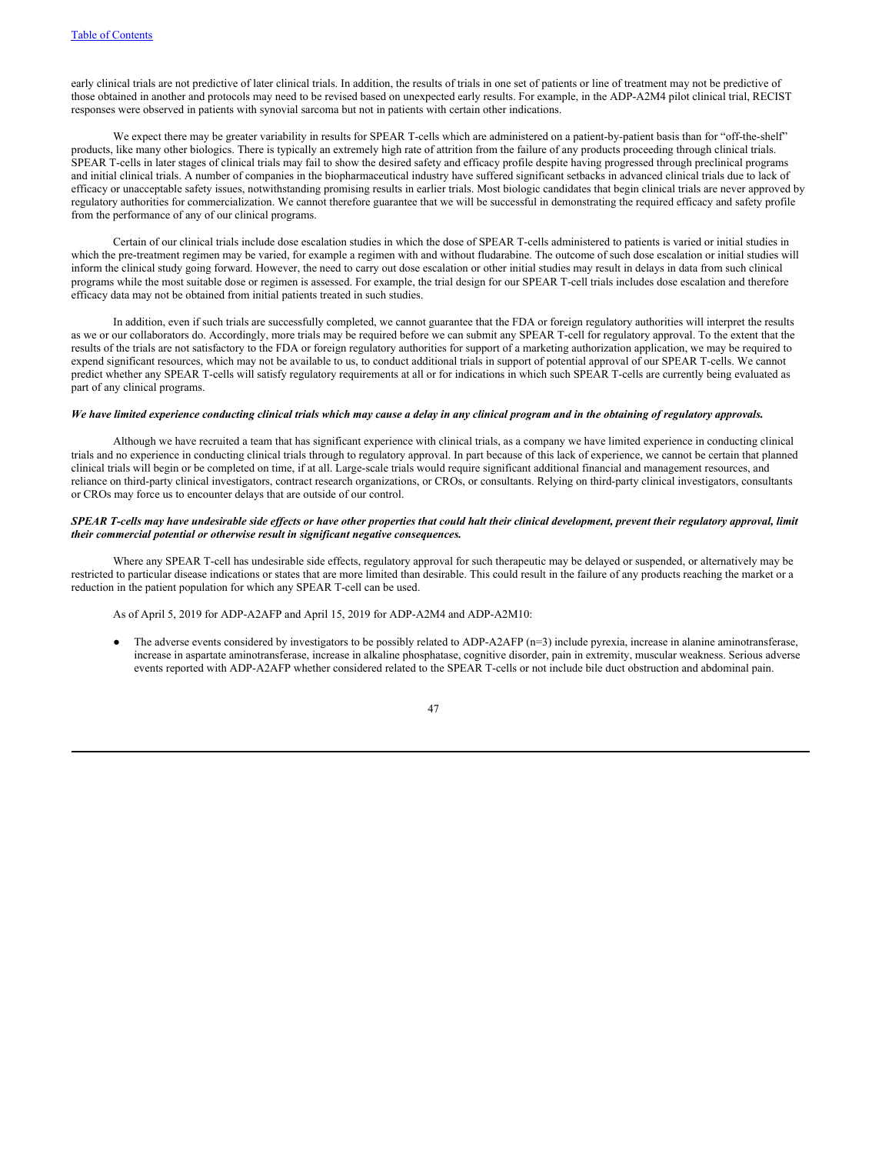early clinical trials are not predictive of later clinical trials. In addition, the results of trials in one set of patients or line of treatment may not be predictive of those obtained in another and protocols may need to be revised based on unexpected early results. For example, in the ADP-A2M4 pilot clinical trial, RECIST responses were observed in patients with synovial sarcoma but not in patients with certain other indications.

We expect there may be greater variability in results for SPEAR T-cells which are administered on a patient-by-patient basis than for "off-the-shelf" products, like many other biologics. There is typically an extremely high rate of attrition from the failure of any products proceeding through clinical trials. SPEAR T-cells in later stages of clinical trials may fail to show the desired safety and efficacy profile despite having progressed through preclinical programs and initial clinical trials. A number of companies in the biopharmaceutical industry have suffered significant setbacks in advanced clinical trials due to lack of efficacy or unacceptable safety issues, notwithstanding promising results in earlier trials. Most biologic candidates that begin clinical trials are never approved by regulatory authorities for commercialization. We cannot therefore guarantee that we will be successful in demonstrating the required efficacy and safety profile from the performance of any of our clinical programs.

Certain of our clinical trials include dose escalation studies in which the dose of SPEAR T-cells administered to patients is varied or initial studies in which the pre-treatment regimen may be varied, for example a regimen with and without fludarabine. The outcome of such dose escalation or initial studies will inform the clinical study going forward. However, the need to carry out dose escalation or other initial studies may result in delays in data from such clinical programs while the most suitable dose or regimen is assessed. For example, the trial design for our SPEAR T-cell trials includes dose escalation and therefore efficacy data may not be obtained from initial patients treated in such studies.

In addition, even if such trials are successfully completed, we cannot guarantee that the FDA or foreign regulatory authorities will interpret the results as we or our collaborators do. Accordingly, more trials may be required before we can submit any SPEAR T-cell for regulatory approval. To the extent that the results of the trials are not satisfactory to the FDA or foreign regulatory authorities for support of a marketing authorization application, we may be required to expend significant resources, which may not be available to us, to conduct additional trials in support of potential approval of our SPEAR T-cells. We cannot predict whether any SPEAR T-cells will satisfy regulatory requirements at all or for indications in which such SPEAR T-cells are currently being evaluated as part of any clinical programs.

# We have limited experience conducting clinical trials which may cause a delay in any clinical program and in the obtaining of regulatory approvals.

Although we have recruited a team that has significant experience with clinical trials, as a company we have limited experience in conducting clinical trials and no experience in conducting clinical trials through to regulatory approval. In part because of this lack of experience, we cannot be certain that planned clinical trials will begin or be completed on time, if at all. Large-scale trials would require significant additional financial and management resources, and reliance on third-party clinical investigators, contract research organizations, or CROs, or consultants. Relying on third-party clinical investigators, consultants or CROs may force us to encounter delays that are outside of our control.

## SPEAR T-cells may have undesirable side effects or have other properties that could halt their clinical development, prevent their regulatory approval, limit *their commercial potential or otherwise result in significant negative consequences.*

Where any SPEAR T-cell has undesirable side effects, regulatory approval for such therapeutic may be delayed or suspended, or alternatively may be restricted to particular disease indications or states that are more limited than desirable. This could result in the failure of any products reaching the market or a reduction in the patient population for which any SPEAR T-cell can be used.

As of April 5, 2019 for ADP-A2AFP and April 15, 2019 for ADP-A2M4 and ADP-A2M10:

The adverse events considered by investigators to be possibly related to ADP-A2AFP (n=3) include pyrexia, increase in alanine aminotransferase, increase in aspartate aminotransferase, increase in alkaline phosphatase, cognitive disorder, pain in extremity, muscular weakness. Serious adverse events reported with ADP-A2AFP whether considered related to the SPEAR T-cells or not include bile duct obstruction and abdominal pain.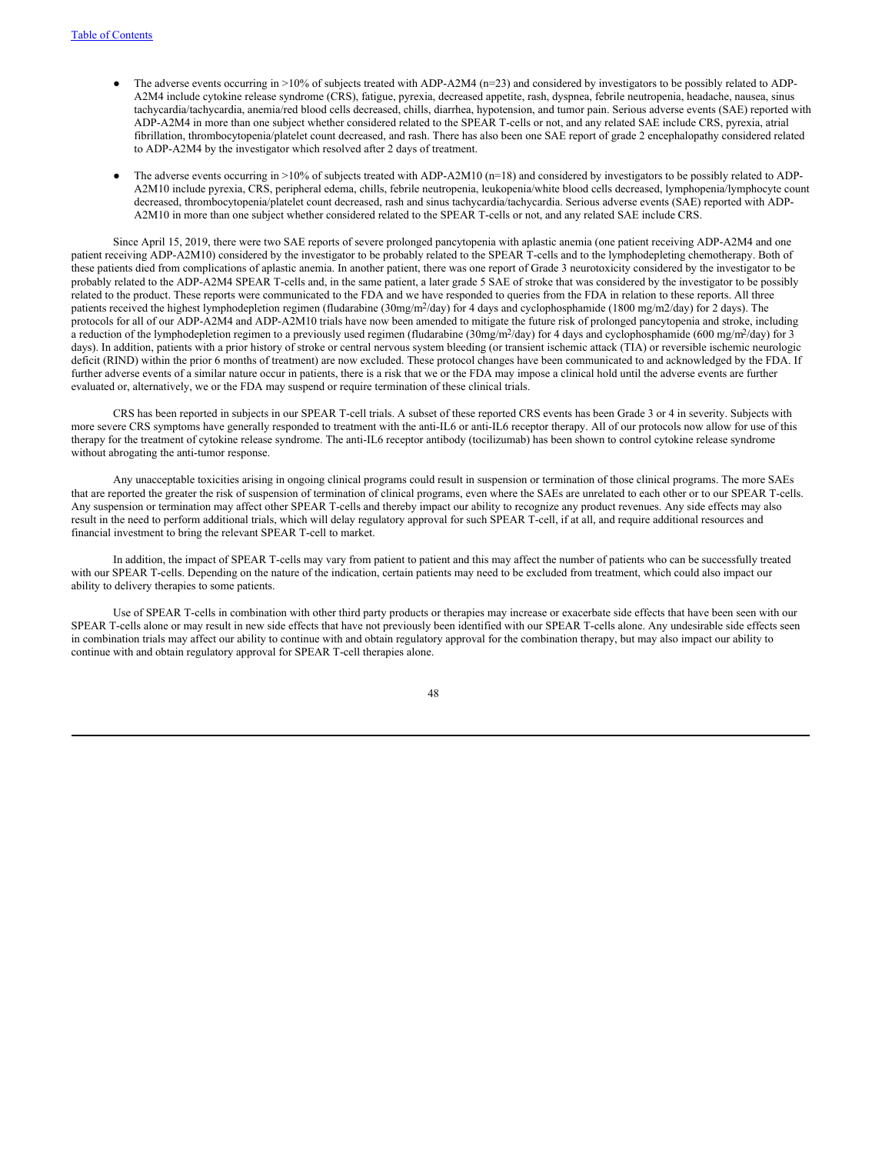- The adverse events occurring in >10% of subjects treated with ADP-A2M4 (n=23) and considered by investigators to be possibly related to ADP-A2M4 include cytokine release syndrome (CRS), fatigue, pyrexia, decreased appetite, rash, dyspnea, febrile neutropenia, headache, nausea, sinus tachycardia/tachycardia, anemia/red blood cells decreased, chills, diarrhea, hypotension, and tumor pain. Serious adverse events (SAE) reported with ADP-A2M4 in more than one subject whether considered related to the SPEAR T-cells or not, and any related SAE include CRS, pyrexia, atrial fibrillation, thrombocytopenia/platelet count decreased, and rash. There has also been one SAE report of grade 2 encephalopathy considered related to ADP-A2M4 by the investigator which resolved after 2 days of treatment.
- The adverse events occurring in >10% of subjects treated with ADP-A2M10 (n=18) and considered by investigators to be possibly related to ADP-A2M10 include pyrexia, CRS, peripheral edema, chills, febrile neutropenia, leukopenia/white blood cells decreased, lymphopenia/lymphocyte count decreased, thrombocytopenia/platelet count decreased, rash and sinus tachycardia/tachycardia. Serious adverse events (SAE) reported with ADP-A2M10 in more than one subject whether considered related to the SPEAR T-cells or not, and any related SAE include CRS.

Since April 15, 2019, there were two SAE reports of severe prolonged pancytopenia with aplastic anemia (one patient receiving ADP-A2M4 and one patient receiving ADP-A2M10) considered by the investigator to be probably related to the SPEAR T-cells and to the lymphodepleting chemotherapy. Both of these patients died from complications of aplastic anemia. In another patient, there was one report of Grade 3 neurotoxicity considered by the investigator to be probably related to the ADP-A2M4 SPEAR T-cells and, in the same patient, a later grade 5 SAE of stroke that was considered by the investigator to be possibly related to the product. These reports were communicated to the FDA and we have responded to queries from the FDA in relation to these reports. All three patients received the highest lymphodepletion regimen (fludarabine (30mg/m2/day) for 4 days and cyclophosphamide (1800 mg/m2/day) for 2 days). The protocols for all of our ADP-A2M4 and ADP-A2M10 trials have now been amended to mitigate the future risk of prolonged pancytopenia and stroke, including a reduction of the lymphodepletion regimen to a previously used regimen (fludarabine (30mg/m2/day) for 4 days and cyclophosphamide (600 mg/m2/day) for 3 days). In addition, patients with a prior history of stroke or central nervous system bleeding (or transient ischemic attack (TIA) or reversible ischemic neurologic deficit (RIND) within the prior 6 months of treatment) are now excluded. These protocol changes have been communicated to and acknowledged by the FDA. If further adverse events of a similar nature occur in patients, there is a risk that we or the FDA may impose a clinical hold until the adverse events are further evaluated or, alternatively, we or the FDA may suspend or require termination of these clinical trials.

CRS has been reported in subjects in our SPEAR T-cell trials. A subset of these reported CRS events has been Grade 3 or 4 in severity. Subjects with more severe CRS symptoms have generally responded to treatment with the anti-IL6 or anti-IL6 receptor therapy. All of our protocols now allow for use of this therapy for the treatment of cytokine release syndrome. The anti-IL6 receptor antibody (tocilizumab) has been shown to control cytokine release syndrome without abrogating the anti-tumor response.

Any unacceptable toxicities arising in ongoing clinical programs could result in suspension or termination of those clinical programs. The more SAEs that are reported the greater the risk of suspension of termination of clinical programs, even where the SAEs are unrelated to each other or to our SPEAR T-cells. Any suspension or termination may affect other SPEAR T-cells and thereby impact our ability to recognize any product revenues. Any side effects may also result in the need to perform additional trials, which will delay regulatory approval for such SPEAR T-cell, if at all, and require additional resources and financial investment to bring the relevant SPEAR T-cell to market.

In addition, the impact of SPEAR T-cells may vary from patient to patient and this may affect the number of patients who can be successfully treated with our SPEAR T-cells. Depending on the nature of the indication, certain patients may need to be excluded from treatment, which could also impact our ability to delivery therapies to some patients.

Use of SPEAR T-cells in combination with other third party products or therapies may increase or exacerbate side effects that have been seen with our SPEAR T-cells alone or may result in new side effects that have not previously been identified with our SPEAR T-cells alone. Any undesirable side effects seen in combination trials may affect our ability to continue with and obtain regulatory approval for the combination therapy, but may also impact our ability to continue with and obtain regulatory approval for SPEAR T-cell therapies alone.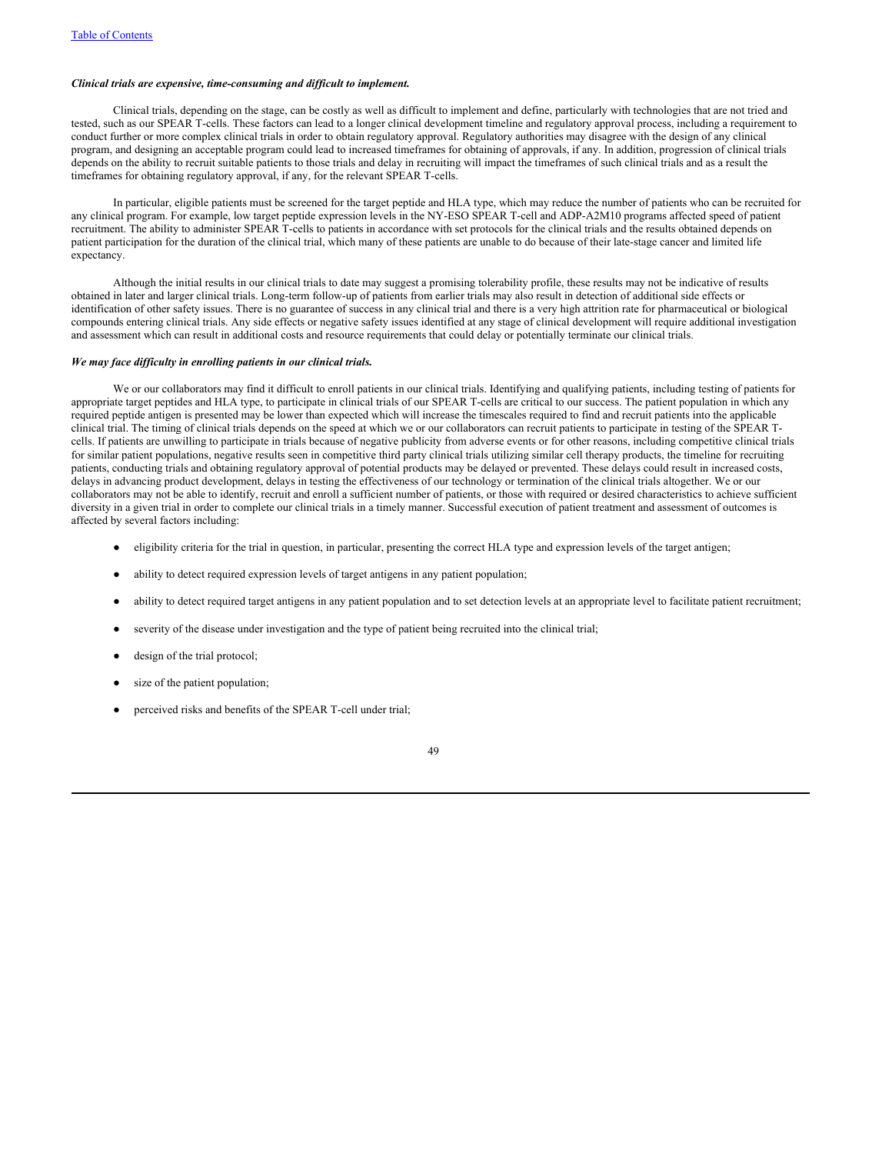# *Clinical trials are expensive, time-consuming and dif icult to implement.*

Clinical trials, depending on the stage, can be costly as well as difficult to implement and define, particularly with technologies that are not tried and tested, such as our SPEAR T-cells. These factors can lead to a longer clinical development timeline and regulatory approval process, including a requirement to conduct further or more complex clinical trials in order to obtain regulatory approval. Regulatory authorities may disagree with the design of any clinical program, and designing an acceptable program could lead to increased timeframes for obtaining of approvals, if any. In addition, progression of clinical trials depends on the ability to recruit suitable patients to those trials and delay in recruiting will impact the timeframes of such clinical trials and as a result the timeframes for obtaining regulatory approval, if any, for the relevant SPEAR T-cells.

In particular, eligible patients must be screened for the target peptide and HLA type, which may reduce the number of patients who can be recruited for any clinical program. For example, low target peptide expression levels in the NY-ESO SPEAR T-cell and ADP-A2M10 programs affected speed of patient recruitment. The ability to administer SPEAR T-cells to patients in accordance with set protocols for the clinical trials and the results obtained depends on patient participation for the duration of the clinical trial, which many of these patients are unable to do because of their late-stage cancer and limited life expectancy.

Although the initial results in our clinical trials to date may suggest a promising tolerability profile, these results may not be indicative of results obtained in later and larger clinical trials. Long-term follow-up of patients from earlier trials may also result in detection of additional side effects or identification of other safety issues. There is no guarantee of success in any clinical trial and there is a very high attrition rate for pharmaceutical or biological compounds entering clinical trials. Any side effects or negative safety issues identified at any stage of clinical development will require additional investigation and assessment which can result in additional costs and resource requirements that could delay or potentially terminate our clinical trials.

# *We may face dif iculty in enrolling patients in our clinical trials.*

We or our collaborators may find it difficult to enroll patients in our clinical trials. Identifying and qualifying patients, including testing of patients for appropriate target peptides and HLA type, to participate in clinical trials of our SPEAR T-cells are critical to our success. The patient population in which any required peptide antigen is presented may be lower than expected which will increase the timescales required to find and recruit patients into the applicable clinical trial. The timing of clinical trials depends on the speed at which we or our collaborators can recruit patients to participate in testing of the SPEAR Tcells. If patients are unwilling to participate in trials because of negative publicity from adverse events or for other reasons, including competitive clinical trials for similar patient populations, negative results seen in competitive third party clinical trials utilizing similar cell therapy products, the timeline for recruiting patients, conducting trials and obtaining regulatory approval of potential products may be delayed or prevented. These delays could result in increased costs, delays in advancing product development, delays in testing the effectiveness of our technology or termination of the clinical trials altogether. We or our collaborators may not be able to identify, recruit and enroll a sufficient number of patients, or those with required or desired characteristics to achieve sufficient diversity in a given trial in order to complete our clinical trials in a timely manner. Successful execution of patient treatment and assessment of outcomes is affected by several factors including:

- eligibility criteria for the trial in question, in particular, presenting the correct HLA type and expression levels of the target antigen;
- ability to detect required expression levels of target antigens in any patient population;
- ability to detect required target antigens in any patient population and to set detection levels at an appropriate level to facilitate patient recruitment;
- severity of the disease under investigation and the type of patient being recruited into the clinical trial;
- design of the trial protocol;
- size of the patient population;
- perceived risks and benefits of the SPEAR T-cell under trial;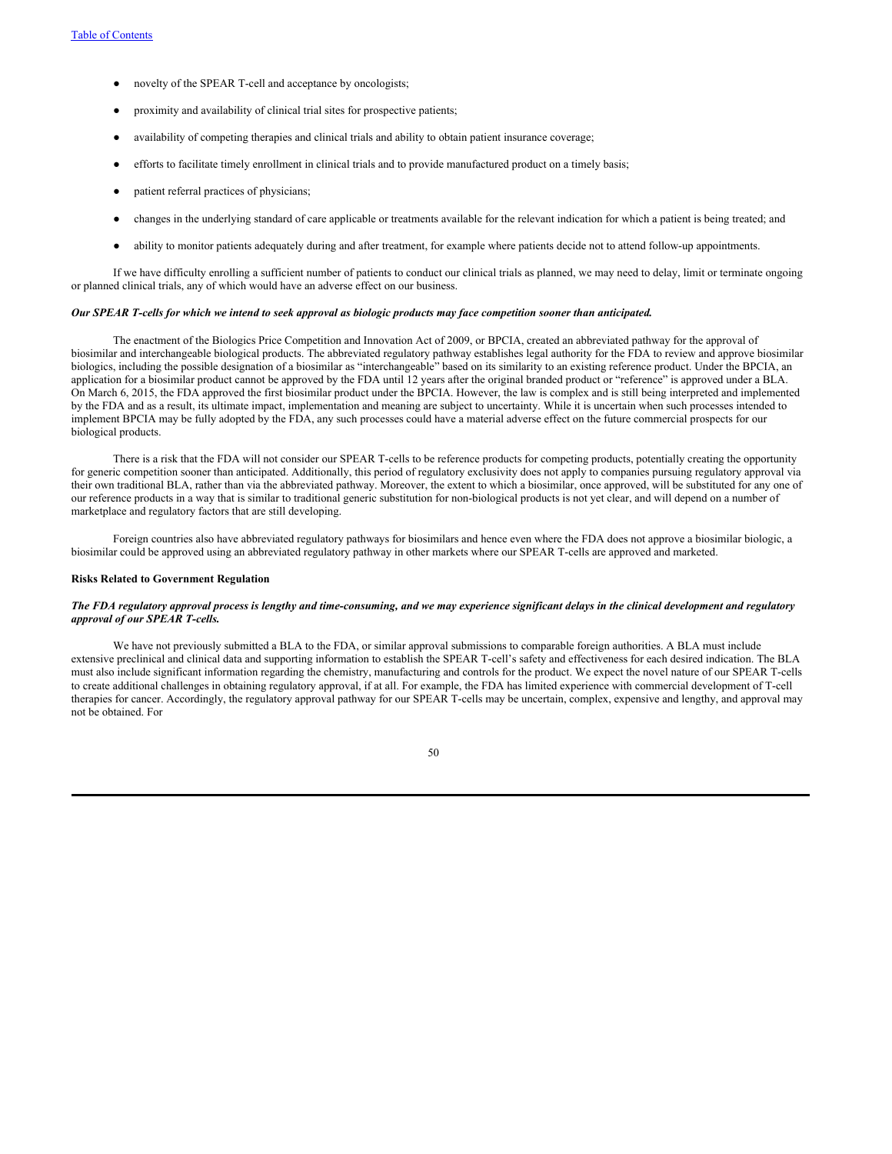- novelty of the SPEAR T-cell and acceptance by oncologists;
- proximity and availability of clinical trial sites for prospective patients;
- availability of competing therapies and clinical trials and ability to obtain patient insurance coverage;
- efforts to facilitate timely enrollment in clinical trials and to provide manufactured product on a timely basis;
- patient referral practices of physicians;
- changes in the underlying standard of care applicable or treatments available for the relevant indication for which a patient is being treated; and
- ability to monitor patients adequately during and after treatment, for example where patients decide not to attend follow-up appointments.

If we have difficulty enrolling a sufficient number of patients to conduct our clinical trials as planned, we may need to delay, limit or terminate ongoing or planned clinical trials, any of which would have an adverse effect on our business.

#### Our SPEAR T-cells for which we intend to seek approval as biologic products may face competition sooner than anticipated.

The enactment of the Biologics Price Competition and Innovation Act of 2009, or BPCIA, created an abbreviated pathway for the approval of biosimilar and interchangeable biological products. The abbreviated regulatory pathway establishes legal authority for the FDA to review and approve biosimilar biologics, including the possible designation of a biosimilar as "interchangeable" based on its similarity to an existing reference product. Under the BPCIA, an application for a biosimilar product cannot be approved by the FDA until 12 years after the original branded product or "reference" is approved under a BLA. On March 6, 2015, the FDA approved the first biosimilar product under the BPCIA. However, the law is complex and is still being interpreted and implemented by the FDA and as a result, its ultimate impact, implementation and meaning are subject to uncertainty. While it is uncertain when such processes intended to implement BPCIA may be fully adopted by the FDA, any such processes could have a material adverse effect on the future commercial prospects for our biological products.

There is a risk that the FDA will not consider our SPEAR T-cells to be reference products for competing products, potentially creating the opportunity for generic competition sooner than anticipated. Additionally, this period of regulatory exclusivity does not apply to companies pursuing regulatory approval via their own traditional BLA, rather than via the abbreviated pathway. Moreover, the extent to which a biosimilar, once approved, will be substituted for any one of our reference products in a way that is similar to traditional generic substitution for non-biological products is not yet clear, and will depend on a number of marketplace and regulatory factors that are still developing.

Foreign countries also have abbreviated regulatory pathways for biosimilars and hence even where the FDA does not approve a biosimilar biologic, a biosimilar could be approved using an abbreviated regulatory pathway in other markets where our SPEAR T-cells are approved and marketed.

### **Risks Related to Government Regulation**

# The FDA regulatory approval process is lengthy and time-consuming, and we may experience significant delays in the clinical development and regulatory *approval of our SPEAR T-cells.*

We have not previously submitted a BLA to the FDA, or similar approval submissions to comparable foreign authorities. A BLA must include extensive preclinical and clinical data and supporting information to establish the SPEAR T-cell's safety and effectiveness for each desired indication. The BLA must also include significant information regarding the chemistry, manufacturing and controls for the product. We expect the novel nature of our SPEAR T-cells to create additional challenges in obtaining regulatory approval, if at all. For example, the FDA has limited experience with commercial development of T-cell therapies for cancer. Accordingly, the regulatory approval pathway for our SPEAR T-cells may be uncertain, complex, expensive and lengthy, and approval may not be obtained. For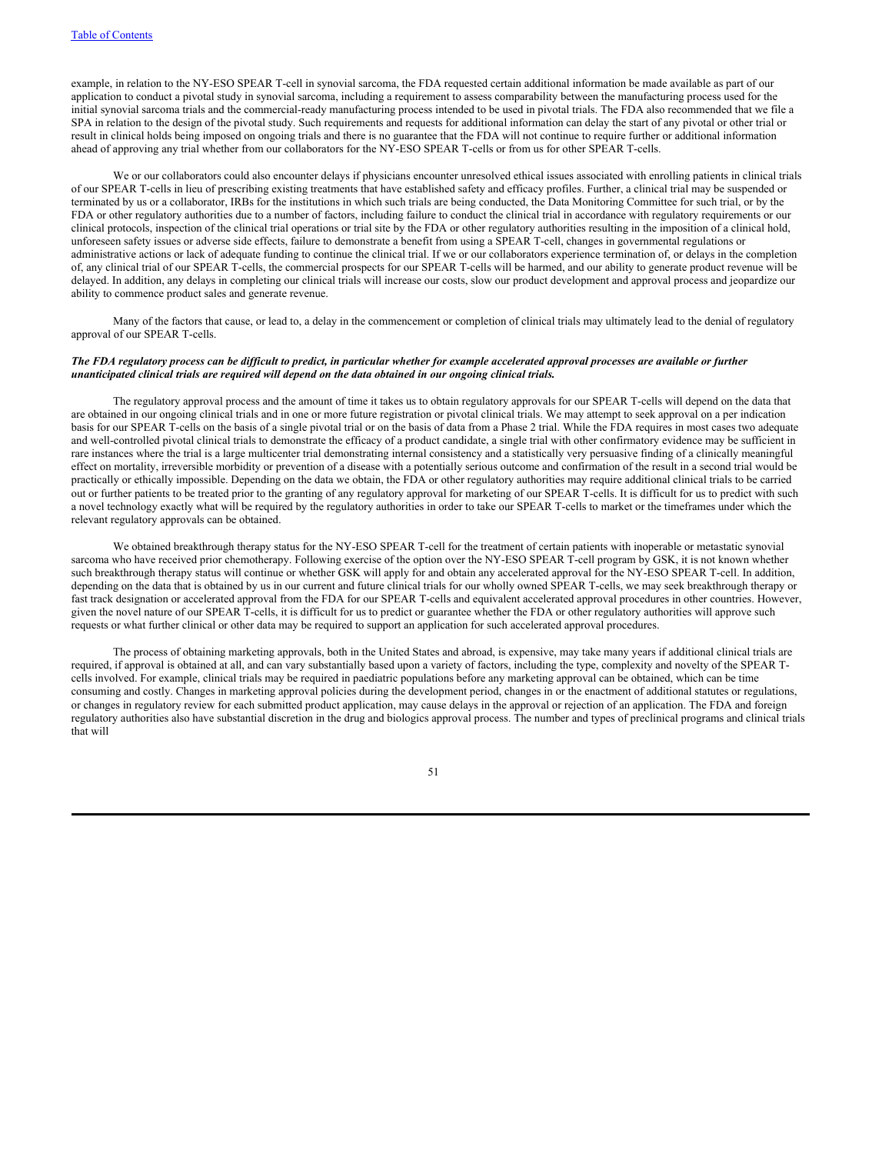example, in relation to the NY-ESO SPEAR T-cell in synovial sarcoma, the FDA requested certain additional information be made available as part of our application to conduct a pivotal study in synovial sarcoma, including a requirement to assess comparability between the manufacturing process used for the initial synovial sarcoma trials and the commercial-ready manufacturing process intended to be used in pivotal trials. The FDA also recommended that we file a SPA in relation to the design of the pivotal study. Such requirements and requests for additional information can delay the start of any pivotal or other trial or result in clinical holds being imposed on ongoing trials and there is no guarantee that the FDA will not continue to require further or additional information ahead of approving any trial whether from our collaborators for the NY-ESO SPEAR T-cells or from us for other SPEAR T-cells.

We or our collaborators could also encounter delays if physicians encounter unresolved ethical issues associated with enrolling patients in clinical trials of our SPEAR T-cells in lieu of prescribing existing treatments that have established safety and efficacy profiles. Further, a clinical trial may be suspended or terminated by us or a collaborator, IRBs for the institutions in which such trials are being conducted, the Data Monitoring Committee for such trial, or by the FDA or other regulatory authorities due to a number of factors, including failure to conduct the clinical trial in accordance with regulatory requirements or our clinical protocols, inspection of the clinical trial operations or trial site by the FDA or other regulatory authorities resulting in the imposition of a clinical hold, unforeseen safety issues or adverse side effects, failure to demonstrate a benefit from using a SPEAR T-cell, changes in governmental regulations or administrative actions or lack of adequate funding to continue the clinical trial. If we or our collaborators experience termination of, or delays in the completion of, any clinical trial of our SPEAR T-cells, the commercial prospects for our SPEAR T-cells will be harmed, and our ability to generate product revenue will be delayed. In addition, any delays in completing our clinical trials will increase our costs, slow our product development and approval process and jeopardize our ability to commence product sales and generate revenue.

Many of the factors that cause, or lead to, a delay in the commencement or completion of clinical trials may ultimately lead to the denial of regulatory approval of our SPEAR T-cells.

# The FDA regulatory process can be difficult to predict, in particular whether for example accelerated approval processes are available or further *unanticipated clinical trials are required will depend on the data obtained in our ongoing clinical trials.*

The regulatory approval process and the amount of time it takes us to obtain regulatory approvals for our SPEAR T-cells will depend on the data that are obtained in our ongoing clinical trials and in one or more future registration or pivotal clinical trials. We may attempt to seek approval on a per indication basis for our SPEAR T-cells on the basis of a single pivotal trial or on the basis of data from a Phase 2 trial. While the FDA requires in most cases two adequate and well-controlled pivotal clinical trials to demonstrate the efficacy of a product candidate, a single trial with other confirmatory evidence may be sufficient in rare instances where the trial is a large multicenter trial demonstrating internal consistency and a statistically very persuasive finding of a clinically meaningful effect on mortality, irreversible morbidity or prevention of a disease with a potentially serious outcome and confirmation of the result in a second trial would be practically or ethically impossible. Depending on the data we obtain, the FDA or other regulatory authorities may require additional clinical trials to be carried out or further patients to be treated prior to the granting of any regulatory approval for marketing of our SPEAR T-cells. It is difficult for us to predict with such a novel technology exactly what will be required by the regulatory authorities in order to take our SPEAR T-cells to market or the timeframes under which the relevant regulatory approvals can be obtained.

We obtained breakthrough therapy status for the NY-ESO SPEAR T-cell for the treatment of certain patients with inoperable or metastatic synovial sarcoma who have received prior chemotherapy. Following exercise of the option over the NY-ESO SPEAR T-cell program by GSK, it is not known whether such breakthrough therapy status will continue or whether GSK will apply for and obtain any accelerated approval for the NY-ESO SPEAR T-cell. In addition, depending on the data that is obtained by us in our current and future clinical trials for our wholly owned SPEAR T-cells, we may seek breakthrough therapy or fast track designation or accelerated approval from the FDA for our SPEAR T-cells and equivalent accelerated approval procedures in other countries. However, given the novel nature of our SPEAR T-cells, it is difficult for us to predict or guarantee whether the FDA or other regulatory authorities will approve such requests or what further clinical or other data may be required to support an application for such accelerated approval procedures.

The process of obtaining marketing approvals, both in the United States and abroad, is expensive, may take many years if additional clinical trials are required, if approval is obtained at all, and can vary substantially based upon a variety of factors, including the type, complexity and novelty of the SPEAR Tcells involved. For example, clinical trials may be required in paediatric populations before any marketing approval can be obtained, which can be time consuming and costly. Changes in marketing approval policies during the development period, changes in or the enactment of additional statutes or regulations, or changes in regulatory review for each submitted product application, may cause delays in the approval or rejection of an application. The FDA and foreign regulatory authorities also have substantial discretion in the drug and biologics approval process. The number and types of preclinical programs and clinical trials that will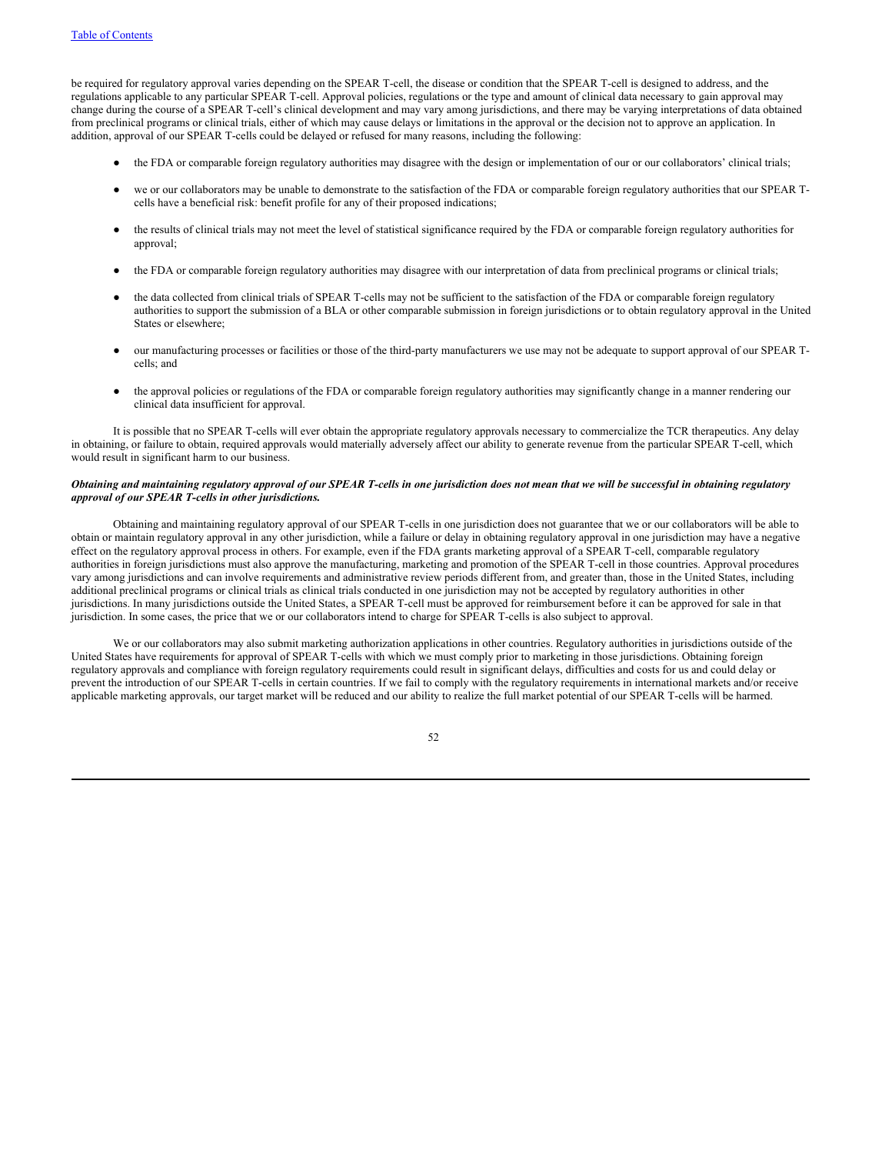be required for regulatory approval varies depending on the SPEAR T-cell, the disease or condition that the SPEAR T-cell is designed to address, and the regulations applicable to any particular SPEAR T-cell. Approval policies, regulations or the type and amount of clinical data necessary to gain approval may change during the course of a SPEAR T-cell's clinical development and may vary among jurisdictions, and there may be varying interpretations of data obtained from preclinical programs or clinical trials, either of which may cause delays or limitations in the approval or the decision not to approve an application. In addition, approval of our SPEAR T-cells could be delayed or refused for many reasons, including the following:

- the FDA or comparable foreign regulatory authorities may disagree with the design or implementation of our or our collaborators' clinical trials;
- we or our collaborators may be unable to demonstrate to the satisfaction of the FDA or comparable foreign regulatory authorities that our SPEAR Tcells have a beneficial risk: benefit profile for any of their proposed indications;
- the results of clinical trials may not meet the level of statistical significance required by the FDA or comparable foreign regulatory authorities for approval;
- the FDA or comparable foreign regulatory authorities may disagree with our interpretation of data from preclinical programs or clinical trials;
- the data collected from clinical trials of SPEAR T-cells may not be sufficient to the satisfaction of the FDA or comparable foreign regulatory authorities to support the submission of a BLA or other comparable submission in foreign jurisdictions or to obtain regulatory approval in the United States or elsewhere;
- our manufacturing processes or facilities or those of the third-party manufacturers we use may not be adequate to support approval of our SPEAR Tcells; and
- the approval policies or regulations of the FDA or comparable foreign regulatory authorities may significantly change in a manner rendering our clinical data insufficient for approval.

It is possible that no SPEAR T-cells will ever obtain the appropriate regulatory approvals necessary to commercialize the TCR therapeutics. Any delay in obtaining, or failure to obtain, required approvals would materially adversely affect our ability to generate revenue from the particular SPEAR T-cell, which would result in significant harm to our business.

## Obtaining and maintaining regulatory approval of our SPEAR T-cells in one jurisdiction does not mean that we will be successful in obtaining regulatory *approval of our SPEAR T-cells in other jurisdictions.*

Obtaining and maintaining regulatory approval of our SPEAR T-cells in one jurisdiction does not guarantee that we or our collaborators will be able to obtain or maintain regulatory approval in any other jurisdiction, while a failure or delay in obtaining regulatory approval in one jurisdiction may have a negative effect on the regulatory approval process in others. For example, even if the FDA grants marketing approval of a SPEAR T-cell, comparable regulatory authorities in foreign jurisdictions must also approve the manufacturing, marketing and promotion of the SPEAR T-cell in those countries. Approval procedures vary among jurisdictions and can involve requirements and administrative review periods different from, and greater than, those in the United States, including additional preclinical programs or clinical trials as clinical trials conducted in one jurisdiction may not be accepted by regulatory authorities in other jurisdictions. In many jurisdictions outside the United States, a SPEAR T-cell must be approved for reimbursement before it can be approved for sale in that jurisdiction. In some cases, the price that we or our collaborators intend to charge for SPEAR T-cells is also subject to approval.

We or our collaborators may also submit marketing authorization applications in other countries. Regulatory authorities in jurisdictions outside of the United States have requirements for approval of SPEAR T-cells with which we must comply prior to marketing in those jurisdictions. Obtaining foreign regulatory approvals and compliance with foreign regulatory requirements could result in significant delays, difficulties and costs for us and could delay or prevent the introduction of our SPEAR T-cells in certain countries. If we fail to comply with the regulatory requirements in international markets and/or receive applicable marketing approvals, our target market will be reduced and our ability to realize the full market potential of our SPEAR T-cells will be harmed.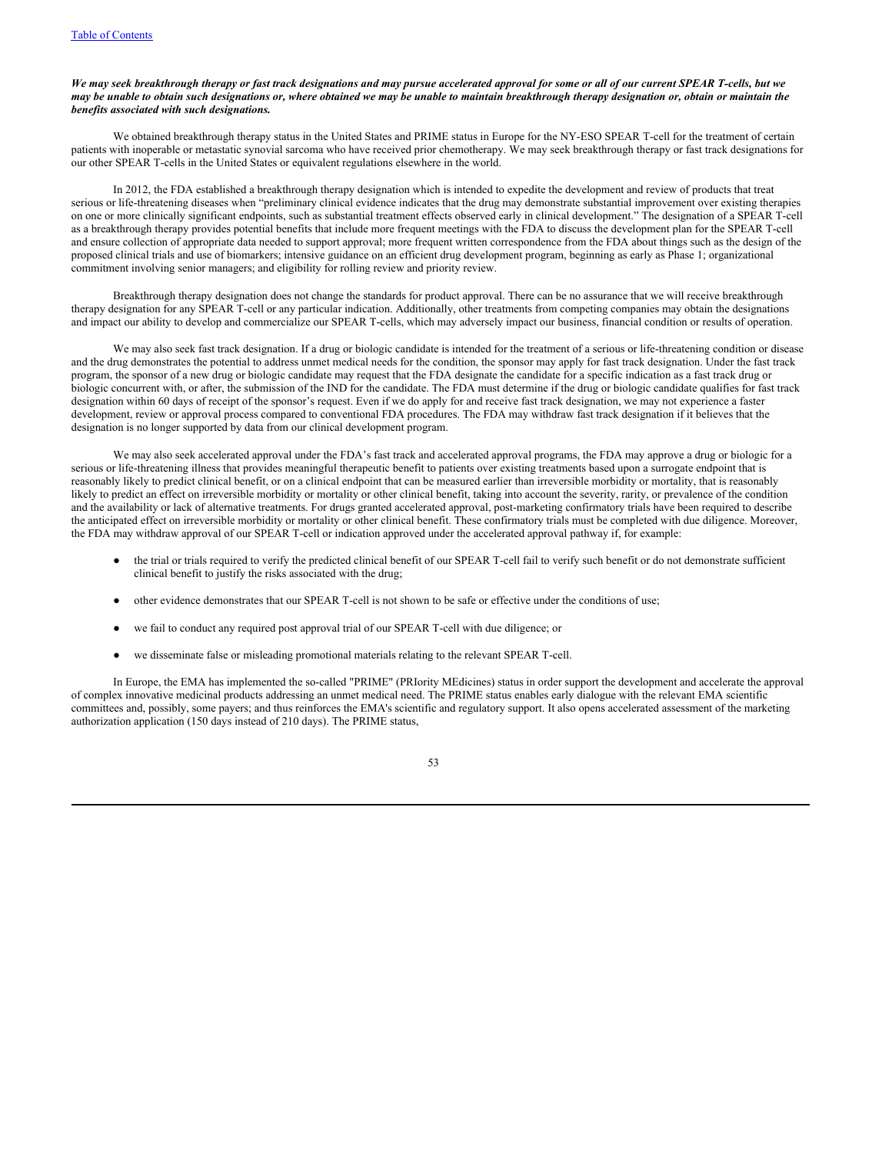## We may seek breakthrough therapy or fast track designations and may pursue accelerated approval for some or all of our current SPEAR T-cells, but we may be unable to obtain such designations or, where obtained we may be unable to maintain breakthrough therapy designation or, obtain or maintain the *benefits associated with such designations.*

We obtained breakthrough therapy status in the United States and PRIME status in Europe for the NY-ESO SPEAR T-cell for the treatment of certain patients with inoperable or metastatic synovial sarcoma who have received prior chemotherapy. We may seek breakthrough therapy or fast track designations for our other SPEAR T-cells in the United States or equivalent regulations elsewhere in the world.

In 2012, the FDA established a breakthrough therapy designation which is intended to expedite the development and review of products that treat serious or life-threatening diseases when "preliminary clinical evidence indicates that the drug may demonstrate substantial improvement over existing therapies on one or more clinically significant endpoints, such as substantial treatment effects observed early in clinical development." The designation of a SPEAR T-cell as a breakthrough therapy provides potential benefits that include more frequent meetings with the FDA to discuss the development plan for the SPEAR T-cell and ensure collection of appropriate data needed to support approval; more frequent written correspondence from the FDA about things such as the design of the proposed clinical trials and use of biomarkers; intensive guidance on an efficient drug development program, beginning as early as Phase 1; organizational commitment involving senior managers; and eligibility for rolling review and priority review.

Breakthrough therapy designation does not change the standards for product approval. There can be no assurance that we will receive breakthrough therapy designation for any SPEAR T-cell or any particular indication. Additionally, other treatments from competing companies may obtain the designations and impact our ability to develop and commercialize our SPEAR T-cells, which may adversely impact our business, financial condition or results of operation.

We may also seek fast track designation. If a drug or biologic candidate is intended for the treatment of a serious or life-threatening condition or disease and the drug demonstrates the potential to address unmet medical needs for the condition, the sponsor may apply for fast track designation. Under the fast track program, the sponsor of a new drug or biologic candidate may request that the FDA designate the candidate for a specific indication as a fast track drug or biologic concurrent with, or after, the submission of the IND for the candidate. The FDA must determine if the drug or biologic candidate qualifies for fast track designation within 60 days of receipt of the sponsor's request. Even if we do apply for and receive fast track designation, we may not experience a faster development, review or approval process compared to conventional FDA procedures. The FDA may withdraw fast track designation if it believes that the designation is no longer supported by data from our clinical development program.

We may also seek accelerated approval under the FDA's fast track and accelerated approval programs, the FDA may approve a drug or biologic for a serious or life-threatening illness that provides meaningful therapeutic benefit to patients over existing treatments based upon a surrogate endpoint that is reasonably likely to predict clinical benefit, or on a clinical endpoint that can be measured earlier than irreversible morbidity or mortality, that is reasonably likely to predict an effect on irreversible morbidity or mortality or other clinical benefit, taking into account the severity, rarity, or prevalence of the condition and the availability or lack of alternative treatments. For drugs granted accelerated approval, post-marketing confirmatory trials have been required to describe the anticipated effect on irreversible morbidity or mortality or other clinical benefit. These confirmatory trials must be completed with due diligence. Moreover, the FDA may withdraw approval of our SPEAR T-cell or indication approved under the accelerated approval pathway if, for example:

- the trial or trials required to verify the predicted clinical benefit of our SPEAR T-cell fail to verify such benefit or do not demonstrate sufficient clinical benefit to justify the risks associated with the drug;
- other evidence demonstrates that our SPEAR T-cell is not shown to be safe or effective under the conditions of use;
- we fail to conduct any required post approval trial of our SPEAR T-cell with due diligence; or
- we disseminate false or misleading promotional materials relating to the relevant SPEAR T-cell.

In Europe, the EMA has implemented the so-called "PRIME" (PRIority MEdicines) status in order support the development and accelerate the approval of complex innovative medicinal products addressing an unmet medical need. The PRIME status enables early dialogue with the relevant EMA scientific committees and, possibly, some payers; and thus reinforces the EMA's scientific and regulatory support. It also opens accelerated assessment of the marketing authorization application (150 days instead of 210 days). The PRIME status,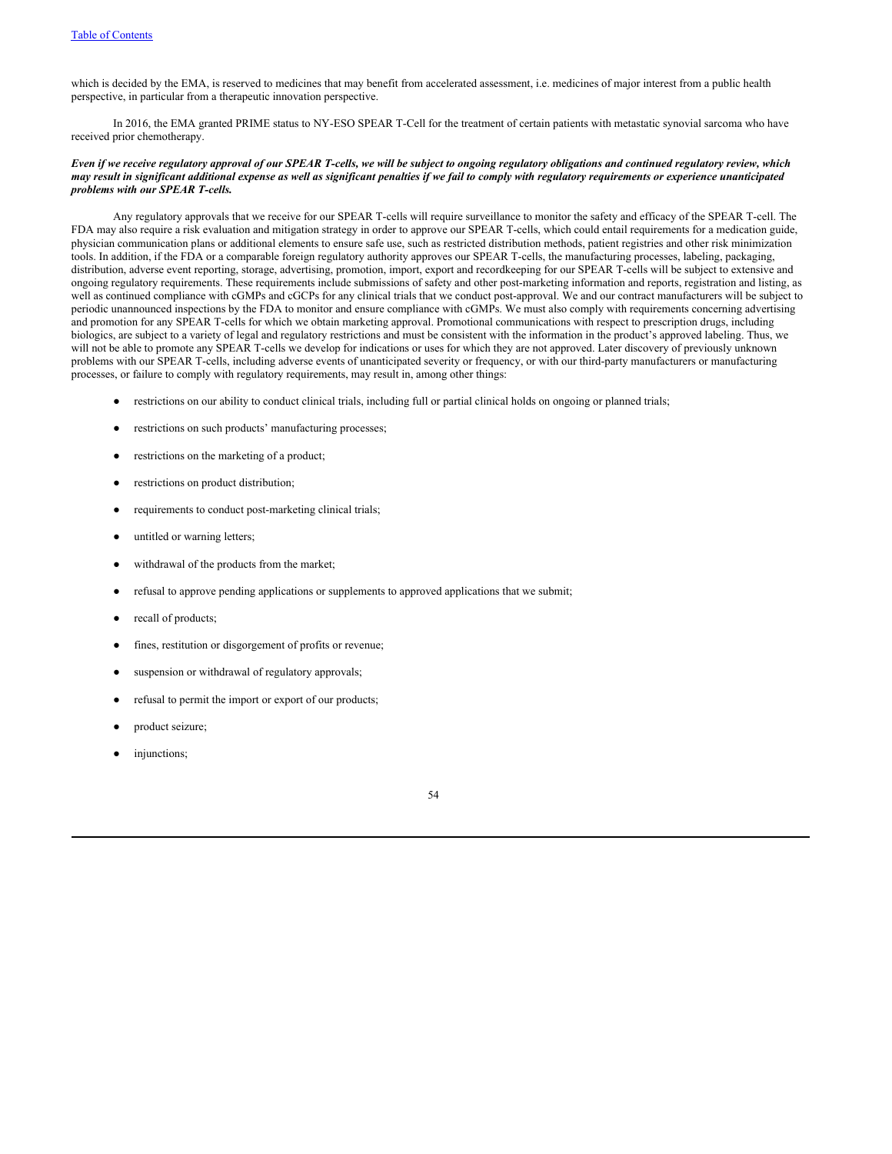which is decided by the EMA, is reserved to medicines that may benefit from accelerated assessment, i.e. medicines of major interest from a public health perspective, in particular from a therapeutic innovation perspective.

In 2016, the EMA granted PRIME status to NY-ESO SPEAR T-Cell for the treatment of certain patients with metastatic synovial sarcoma who have received prior chemotherapy.

# Even if we receive regulatory approval of our SPEAR T-cells, we will be subject to ongoing regulatory obligations and continued regulatory review, which may result in significant additional expense as well as significant penalties if we fail to comply with regulatory requirements or experience unanticipated *problems with our SPEAR T-cells.*

Any regulatory approvals that we receive for our SPEAR T-cells will require surveillance to monitor the safety and efficacy of the SPEAR T-cell. The FDA may also require a risk evaluation and mitigation strategy in order to approve our SPEAR T-cells, which could entail requirements for a medication guide, physician communication plans or additional elements to ensure safe use, such as restricted distribution methods, patient registries and other risk minimization tools. In addition, if the FDA or a comparable foreign regulatory authority approves our SPEAR T-cells, the manufacturing processes, labeling, packaging, distribution, adverse event reporting, storage, advertising, promotion, import, export and recordkeeping for our SPEAR T-cells will be subject to extensive and ongoing regulatory requirements. These requirements include submissions of safety and other post-marketing information and reports, registration and listing, as well as continued compliance with cGMPs and cGCPs for any clinical trials that we conduct post-approval. We and our contract manufacturers will be subject to periodic unannounced inspections by the FDA to monitor and ensure compliance with cGMPs. We must also comply with requirements concerning advertising and promotion for any SPEAR T-cells for which we obtain marketing approval. Promotional communications with respect to prescription drugs, including biologics, are subject to a variety of legal and regulatory restrictions and must be consistent with the information in the product's approved labeling. Thus, we will not be able to promote any SPEAR T-cells we develop for indications or uses for which they are not approved. Later discovery of previously unknown problems with our SPEAR T-cells, including adverse events of unanticipated severity or frequency, or with our third-party manufacturers or manufacturing processes, or failure to comply with regulatory requirements, may result in, among other things:

- restrictions on our ability to conduct clinical trials, including full or partial clinical holds on ongoing or planned trials;
- restrictions on such products' manufacturing processes;
- restrictions on the marketing of a product;
- restrictions on product distribution;
- requirements to conduct post-marketing clinical trials;
- untitled or warning letters;
- withdrawal of the products from the market;
- refusal to approve pending applications or supplements to approved applications that we submit;
- recall of products;
- fines, restitution or disgorgement of profits or revenue;
- suspension or withdrawal of regulatory approvals;
- refusal to permit the import or export of our products;
- product seizure;
- injunctions;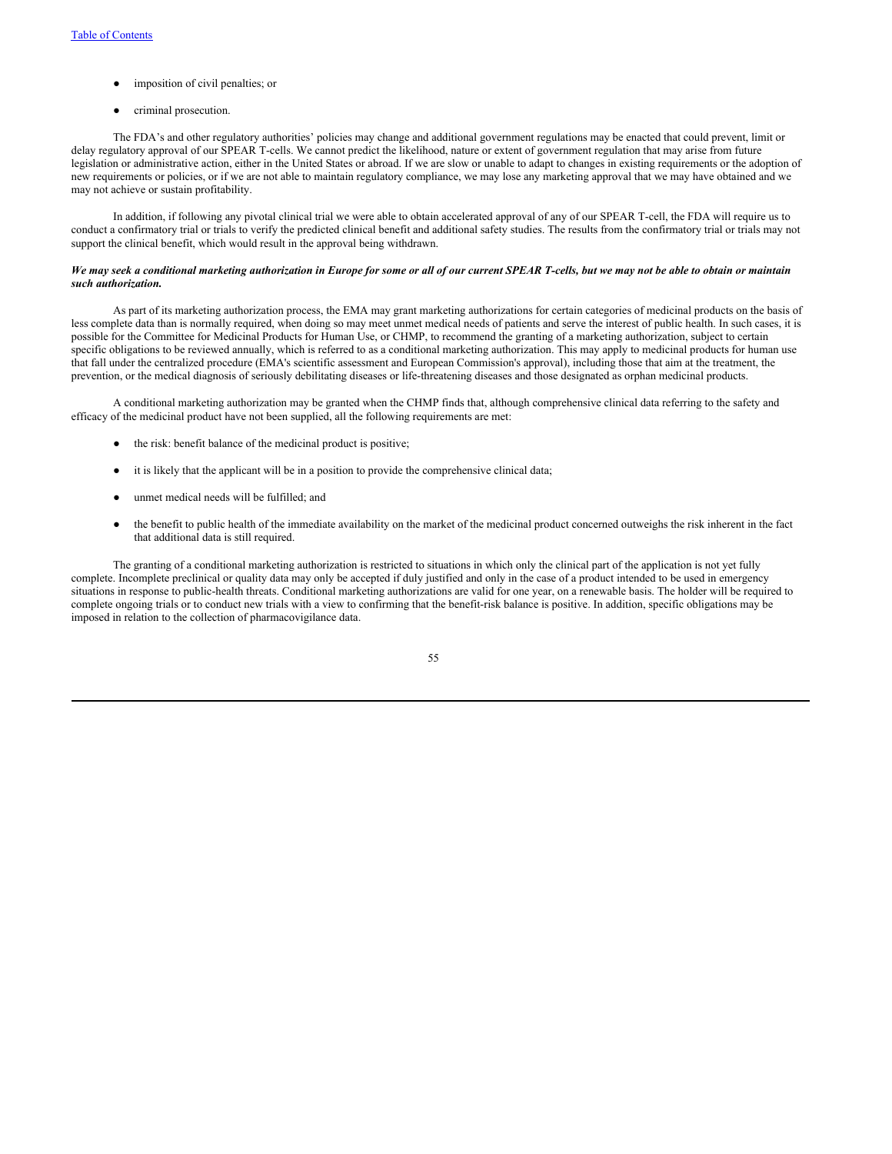- imposition of civil penalties; or
- criminal prosecution.

The FDA's and other regulatory authorities' policies may change and additional government regulations may be enacted that could prevent, limit or delay regulatory approval of our SPEAR T-cells. We cannot predict the likelihood, nature or extent of government regulation that may arise from future legislation or administrative action, either in the United States or abroad. If we are slow or unable to adapt to changes in existing requirements or the adoption of new requirements or policies, or if we are not able to maintain regulatory compliance, we may lose any marketing approval that we may have obtained and we may not achieve or sustain profitability.

In addition, if following any pivotal clinical trial we were able to obtain accelerated approval of any of our SPEAR T-cell, the FDA will require us to conduct a confirmatory trial or trials to verify the predicted clinical benefit and additional safety studies. The results from the confirmatory trial or trials may not support the clinical benefit, which would result in the approval being withdrawn.

# We may seek a conditional marketing authorization in Europe for some or all of our current SPEAR T-cells, but we may not be able to obtain or maintain *such authorization.*

As part of its marketing authorization process, the EMA may grant marketing authorizations for certain categories of medicinal products on the basis of less complete data than is normally required, when doing so may meet unmet medical needs of patients and serve the interest of public health. In such cases, it is possible for the Committee for Medicinal Products for Human Use, or CHMP, to recommend the granting of a marketing authorization, subject to certain specific obligations to be reviewed annually, which is referred to as a conditional marketing authorization. This may apply to medicinal products for human use that fall under the centralized procedure (EMA's scientific assessment and European Commission's approval), including those that aim at the treatment, the prevention, or the medical diagnosis of seriously debilitating diseases or life-threatening diseases and those designated as orphan medicinal products.

A conditional marketing authorization may be granted when the CHMP finds that, although comprehensive clinical data referring to the safety and efficacy of the medicinal product have not been supplied, all the following requirements are met:

- the risk: benefit balance of the medicinal product is positive;
- it is likely that the applicant will be in a position to provide the comprehensive clinical data;
- unmet medical needs will be fulfilled; and
- the benefit to public health of the immediate availability on the market of the medicinal product concerned outweighs the risk inherent in the fact that additional data is still required.

The granting of a conditional marketing authorization is restricted to situations in which only the clinical part of the application is not yet fully complete. Incomplete preclinical or quality data may only be accepted if duly justified and only in the case of a product intended to be used in emergency situations in response to public-health threats. Conditional marketing authorizations are valid for one year, on a renewable basis. The holder will be required to complete ongoing trials or to conduct new trials with a view to confirming that the benefit-risk balance is positive. In addition, specific obligations may be imposed in relation to the collection of pharmacovigilance data.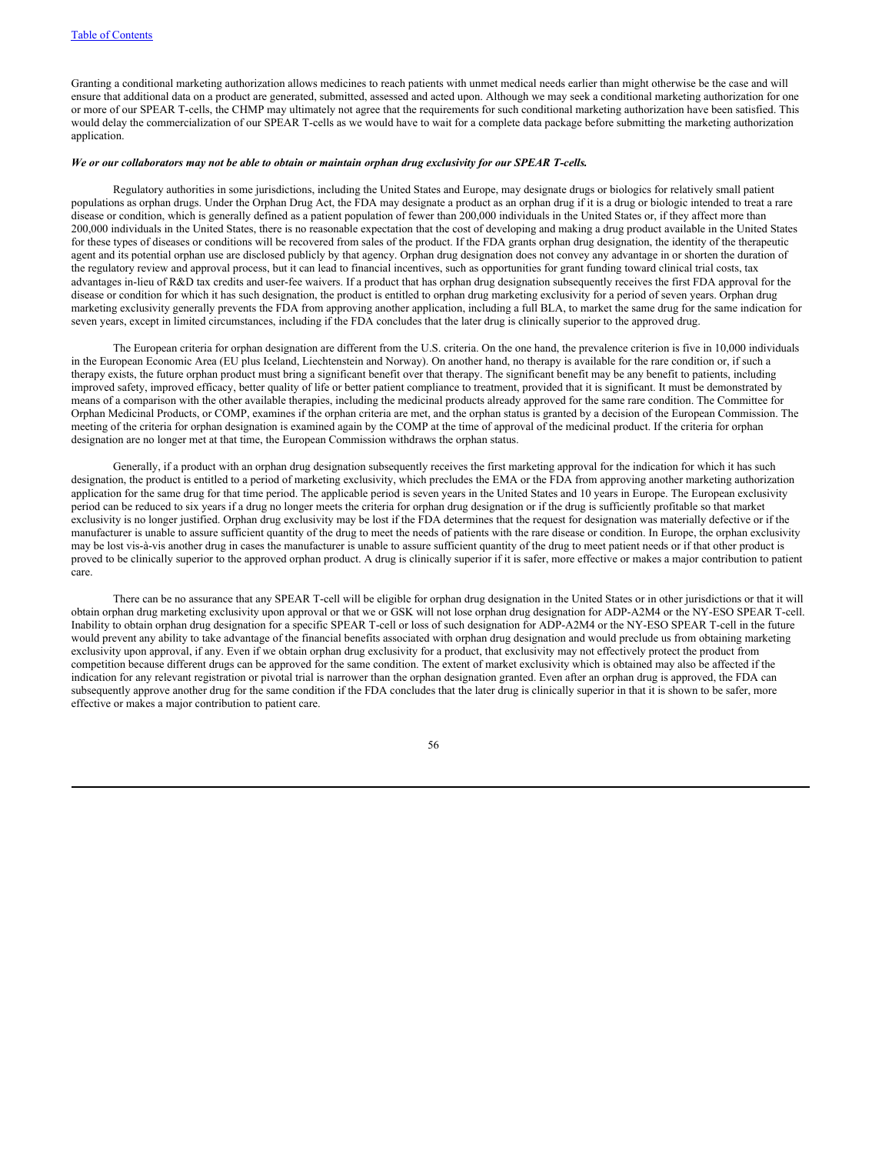Granting a conditional marketing authorization allows medicines to reach patients with unmet medical needs earlier than might otherwise be the case and will ensure that additional data on a product are generated, submitted, assessed and acted upon. Although we may seek a conditional marketing authorization for one or more of our SPEAR T-cells, the CHMP may ultimately not agree that the requirements for such conditional marketing authorization have been satisfied. This would delay the commercialization of our SPEAR T-cells as we would have to wait for a complete data package before submitting the marketing authorization application.

## We or our collaborators may not be able to obtain or maintain orphan drug exclusivity for our SPEAR T-cells.

Regulatory authorities in some jurisdictions, including the United States and Europe, may designate drugs or biologics for relatively small patient populations as orphan drugs. Under the Orphan Drug Act, the FDA may designate a product as an orphan drug if it is a drug or biologic intended to treat a rare disease or condition, which is generally defined as a patient population of fewer than 200,000 individuals in the United States or, if they affect more than 200,000 individuals in the United States, there is no reasonable expectation that the cost of developing and making a drug product available in the United States for these types of diseases or conditions will be recovered from sales of the product. If the FDA grants orphan drug designation, the identity of the therapeutic agent and its potential orphan use are disclosed publicly by that agency. Orphan drug designation does not convey any advantage in or shorten the duration of the regulatory review and approval process, but it can lead to financial incentives, such as opportunities for grant funding toward clinical trial costs, tax advantages in-lieu of R&D tax credits and user-fee waivers. If a product that has orphan drug designation subsequently receives the first FDA approval for the disease or condition for which it has such designation, the product is entitled to orphan drug marketing exclusivity for a period of seven years. Orphan drug marketing exclusivity generally prevents the FDA from approving another application, including a full BLA, to market the same drug for the same indication for seven years, except in limited circumstances, including if the FDA concludes that the later drug is clinically superior to the approved drug.

The European criteria for orphan designation are different from the U.S. criteria. On the one hand, the prevalence criterion is five in 10,000 individuals in the European Economic Area (EU plus Iceland, Liechtenstein and Norway). On another hand, no therapy is available for the rare condition or, if such a therapy exists, the future orphan product must bring a significant benefit over that therapy. The significant benefit may be any benefit to patients, including improved safety, improved efficacy, better quality of life or better patient compliance to treatment, provided that it is significant. It must be demonstrated by means of a comparison with the other available therapies, including the medicinal products already approved for the same rare condition. The Committee for Orphan Medicinal Products, or COMP, examines if the orphan criteria are met, and the orphan status is granted by a decision of the European Commission. The meeting of the criteria for orphan designation is examined again by the COMP at the time of approval of the medicinal product. If the criteria for orphan designation are no longer met at that time, the European Commission withdraws the orphan status.

Generally, if a product with an orphan drug designation subsequently receives the first marketing approval for the indication for which it has such designation, the product is entitled to a period of marketing exclusivity, which precludes the EMA or the FDA from approving another marketing authorization application for the same drug for that time period. The applicable period is seven years in the United States and 10 years in Europe. The European exclusivity period can be reduced to six years if a drug no longer meets the criteria for orphan drug designation or if the drug is sufficiently profitable so that market exclusivity is no longer justified. Orphan drug exclusivity may be lost if the FDA determines that the request for designation was materially defective or if the manufacturer is unable to assure sufficient quantity of the drug to meet the needs of patients with the rare disease or condition. In Europe, the orphan exclusivity may be lost vis-à-vis another drug in cases the manufacturer is unable to assure sufficient quantity of the drug to meet patient needs or if that other product is proved to be clinically superior to the approved orphan product. A drug is clinically superior if it is safer, more effective or makes a major contribution to patient care.

There can be no assurance that any SPEAR T-cell will be eligible for orphan drug designation in the United States or in other jurisdictions or that it will obtain orphan drug marketing exclusivity upon approval or that we or GSK will not lose orphan drug designation for ADP-A2M4 or the NY-ESO SPEAR T-cell. Inability to obtain orphan drug designation for a specific SPEAR T-cell or loss of such designation for ADP-A2M4 or the NY-ESO SPEAR T-cell in the future would prevent any ability to take advantage of the financial benefits associated with orphan drug designation and would preclude us from obtaining marketing exclusivity upon approval, if any. Even if we obtain orphan drug exclusivity for a product, that exclusivity may not effectively protect the product from competition because different drugs can be approved for the same condition. The extent of market exclusivity which is obtained may also be affected if the indication for any relevant registration or pivotal trial is narrower than the orphan designation granted. Even after an orphan drug is approved, the FDA can subsequently approve another drug for the same condition if the FDA concludes that the later drug is clinically superior in that it is shown to be safer, more effective or makes a major contribution to patient care.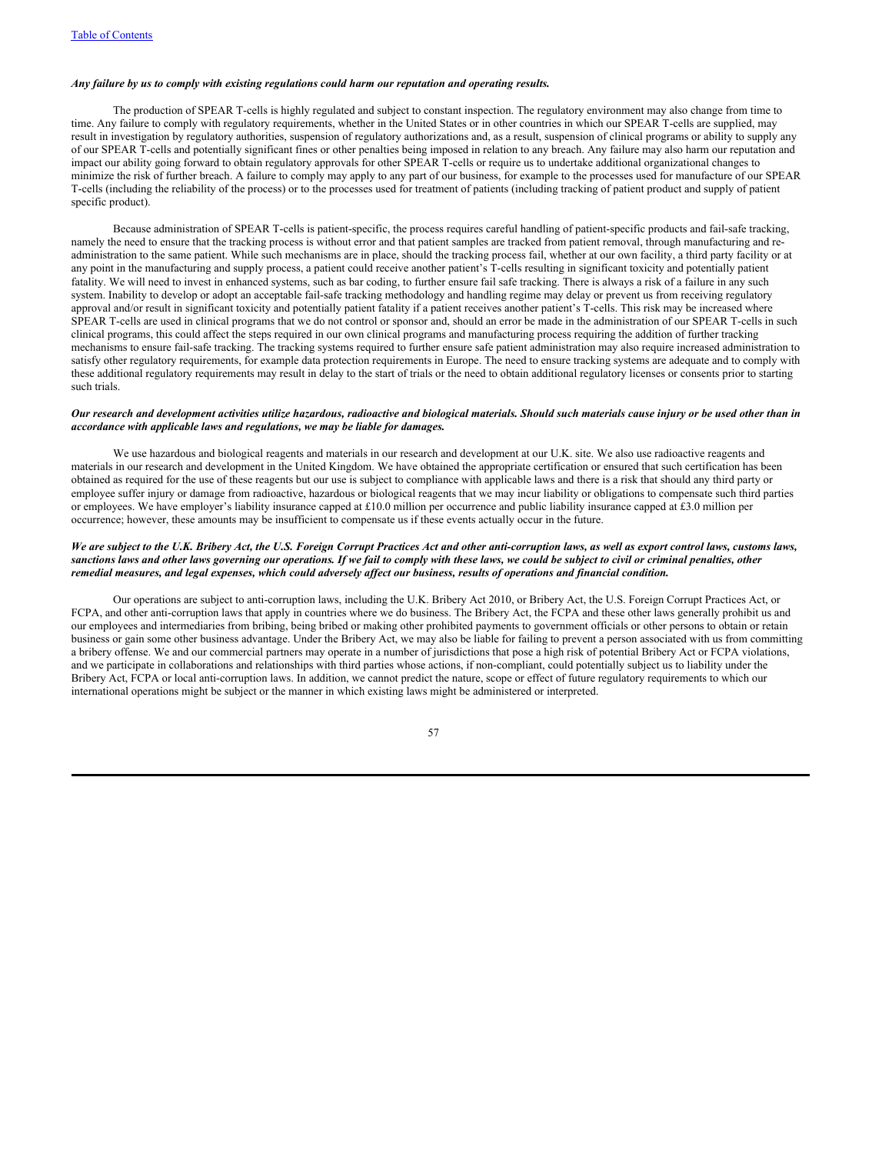#### *Any failure by us to comply with existing regulations could harm our reputation and operating results.*

The production of SPEAR T-cells is highly regulated and subject to constant inspection. The regulatory environment may also change from time to time. Any failure to comply with regulatory requirements, whether in the United States or in other countries in which our SPEAR T-cells are supplied, may result in investigation by regulatory authorities, suspension of regulatory authorizations and, as a result, suspension of clinical programs or ability to supply any of our SPEAR T-cells and potentially significant fines or other penalties being imposed in relation to any breach. Any failure may also harm our reputation and impact our ability going forward to obtain regulatory approvals for other SPEAR T-cells or require us to undertake additional organizational changes to minimize the risk of further breach. A failure to comply may apply to any part of our business, for example to the processes used for manufacture of our SPEAR T-cells (including the reliability of the process) or to the processes used for treatment of patients (including tracking of patient product and supply of patient specific product).

Because administration of SPEAR T-cells is patient-specific, the process requires careful handling of patient-specific products and fail-safe tracking, namely the need to ensure that the tracking process is without error and that patient samples are tracked from patient removal, through manufacturing and readministration to the same patient. While such mechanisms are in place, should the tracking process fail, whether at our own facility, a third party facility or at any point in the manufacturing and supply process, a patient could receive another patient's T-cells resulting in significant toxicity and potentially patient fatality. We will need to invest in enhanced systems, such as bar coding, to further ensure fail safe tracking. There is always a risk of a failure in any such system. Inability to develop or adopt an acceptable fail-safe tracking methodology and handling regime may delay or prevent us from receiving regulatory approval and/or result in significant toxicity and potentially patient fatality if a patient receives another patient's T-cells. This risk may be increased where SPEAR T-cells are used in clinical programs that we do not control or sponsor and, should an error be made in the administration of our SPEAR T-cells in such clinical programs, this could affect the steps required in our own clinical programs and manufacturing process requiring the addition of further tracking mechanisms to ensure fail-safe tracking. The tracking systems required to further ensure safe patient administration may also require increased administration to satisfy other regulatory requirements, for example data protection requirements in Europe. The need to ensure tracking systems are adequate and to comply with these additional regulatory requirements may result in delay to the start of trials or the need to obtain additional regulatory licenses or consents prior to starting such trials.

#### Our research and development activities utilize hazardous, radioactive and biological materials. Should such materials cause injury or be used other than in *accordance with applicable laws and regulations, we may be liable for damages.*

We use hazardous and biological reagents and materials in our research and development at our U.K. site. We also use radioactive reagents and materials in our research and development in the United Kingdom. We have obtained the appropriate certification or ensured that such certification has been obtained as required for the use of these reagents but our use is subject to compliance with applicable laws and there is a risk that should any third party or employee suffer injury or damage from radioactive, hazardous or biological reagents that we may incur liability or obligations to compensate such third parties or employees. We have employer's liability insurance capped at £10.0 million per occurrence and public liability insurance capped at £3.0 million per occurrence; however, these amounts may be insufficient to compensate us if these events actually occur in the future.

# We are subject to the U.K. Bribery Act, the U.S. Foreign Corrupt Practices Act and other anti-corruption laws, as well as export control laws, customs laws, sanctions laws and other laws governing our operations. If we fail to comply with these laws, we could be subject to civil or criminal penalties, other remedial measures, and legal expenses, which could adversely affect our business, results of operations and financial condition.

Our operations are subject to anti-corruption laws, including the U.K. Bribery Act 2010, or Bribery Act, the U.S. Foreign Corrupt Practices Act, or FCPA, and other anti-corruption laws that apply in countries where we do business. The Bribery Act, the FCPA and these other laws generally prohibit us and our employees and intermediaries from bribing, being bribed or making other prohibited payments to government officials or other persons to obtain or retain business or gain some other business advantage. Under the Bribery Act, we may also be liable for failing to prevent a person associated with us from committing a bribery offense. We and our commercial partners may operate in a number of jurisdictions that pose a high risk of potential Bribery Act or FCPA violations, and we participate in collaborations and relationships with third parties whose actions, if non-compliant, could potentially subject us to liability under the Bribery Act, FCPA or local anti-corruption laws. In addition, we cannot predict the nature, scope or effect of future regulatory requirements to which our international operations might be subject or the manner in which existing laws might be administered or interpreted.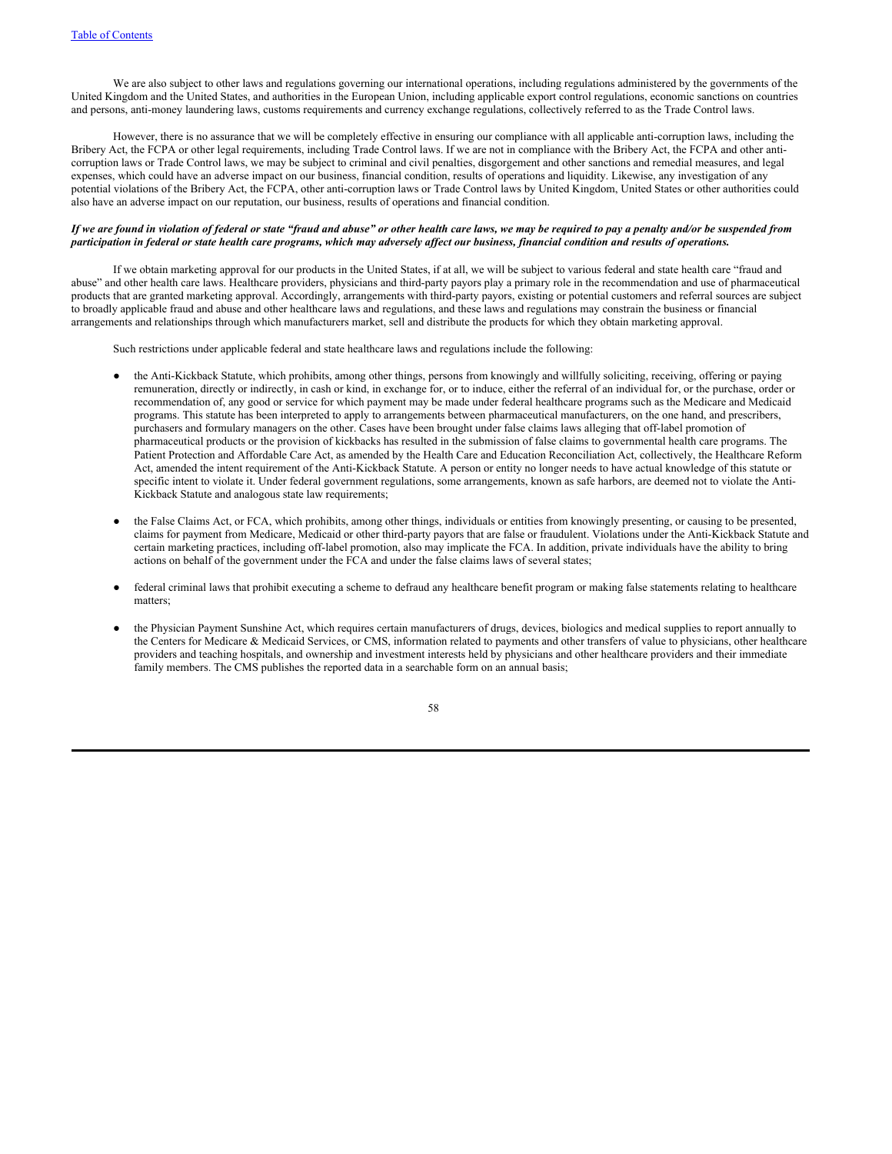We are also subject to other laws and regulations governing our international operations, including regulations administered by the governments of the United Kingdom and the United States, and authorities in the European Union, including applicable export control regulations, economic sanctions on countries and persons, anti-money laundering laws, customs requirements and currency exchange regulations, collectively referred to as the Trade Control laws.

However, there is no assurance that we will be completely effective in ensuring our compliance with all applicable anti-corruption laws, including the Bribery Act, the FCPA or other legal requirements, including Trade Control laws. If we are not in compliance with the Bribery Act, the FCPA and other anticorruption laws or Trade Control laws, we may be subject to criminal and civil penalties, disgorgement and other sanctions and remedial measures, and legal expenses, which could have an adverse impact on our business, financial condition, results of operations and liquidity. Likewise, any investigation of any potential violations of the Bribery Act, the FCPA, other anti-corruption laws or Trade Control laws by United Kingdom, United States or other authorities could also have an adverse impact on our reputation, our business, results of operations and financial condition.

## If we are found in violation of federal or state "fraud and abuse" or other health care laws, we may be required to pay a penalty and/or be suspended from participation in federal or state health care programs, which may adversely affect our business, financial condition and results of operations.

If we obtain marketing approval for our products in the United States, if at all, we will be subject to various federal and state health care "fraud and abuse" and other health care laws. Healthcare providers, physicians and third-party payors play a primary role in the recommendation and use of pharmaceutical products that are granted marketing approval. Accordingly, arrangements with third-party payors, existing or potential customers and referral sources are subject to broadly applicable fraud and abuse and other healthcare laws and regulations, and these laws and regulations may constrain the business or financial arrangements and relationships through which manufacturers market, sell and distribute the products for which they obtain marketing approval.

Such restrictions under applicable federal and state healthcare laws and regulations include the following:

- the Anti-Kickback Statute, which prohibits, among other things, persons from knowingly and willfully soliciting, receiving, offering or paying remuneration, directly or indirectly, in cash or kind, in exchange for, or to induce, either the referral of an individual for, or the purchase, order or recommendation of, any good or service for which payment may be made under federal healthcare programs such as the Medicare and Medicaid programs. This statute has been interpreted to apply to arrangements between pharmaceutical manufacturers, on the one hand, and prescribers, purchasers and formulary managers on the other. Cases have been brought under false claims laws alleging that off-label promotion of pharmaceutical products or the provision of kickbacks has resulted in the submission of false claims to governmental health care programs. The Patient Protection and Affordable Care Act, as amended by the Health Care and Education Reconciliation Act, collectively, the Healthcare Reform Act, amended the intent requirement of the Anti-Kickback Statute. A person or entity no longer needs to have actual knowledge of this statute or specific intent to violate it. Under federal government regulations, some arrangements, known as safe harbors, are deemed not to violate the Anti-Kickback Statute and analogous state law requirements;
- the False Claims Act, or FCA, which prohibits, among other things, individuals or entities from knowingly presenting, or causing to be presented, claims for payment from Medicare, Medicaid or other third-party payors that are false or fraudulent. Violations under the Anti-Kickback Statute and certain marketing practices, including off-label promotion, also may implicate the FCA. In addition, private individuals have the ability to bring actions on behalf of the government under the FCA and under the false claims laws of several states;
- federal criminal laws that prohibit executing a scheme to defraud any healthcare benefit program or making false statements relating to healthcare matters;
- the Physician Payment Sunshine Act, which requires certain manufacturers of drugs, devices, biologics and medical supplies to report annually to the Centers for Medicare & Medicaid Services, or CMS, information related to payments and other transfers of value to physicians, other healthcare providers and teaching hospitals, and ownership and investment interests held by physicians and other healthcare providers and their immediate family members. The CMS publishes the reported data in a searchable form on an annual basis;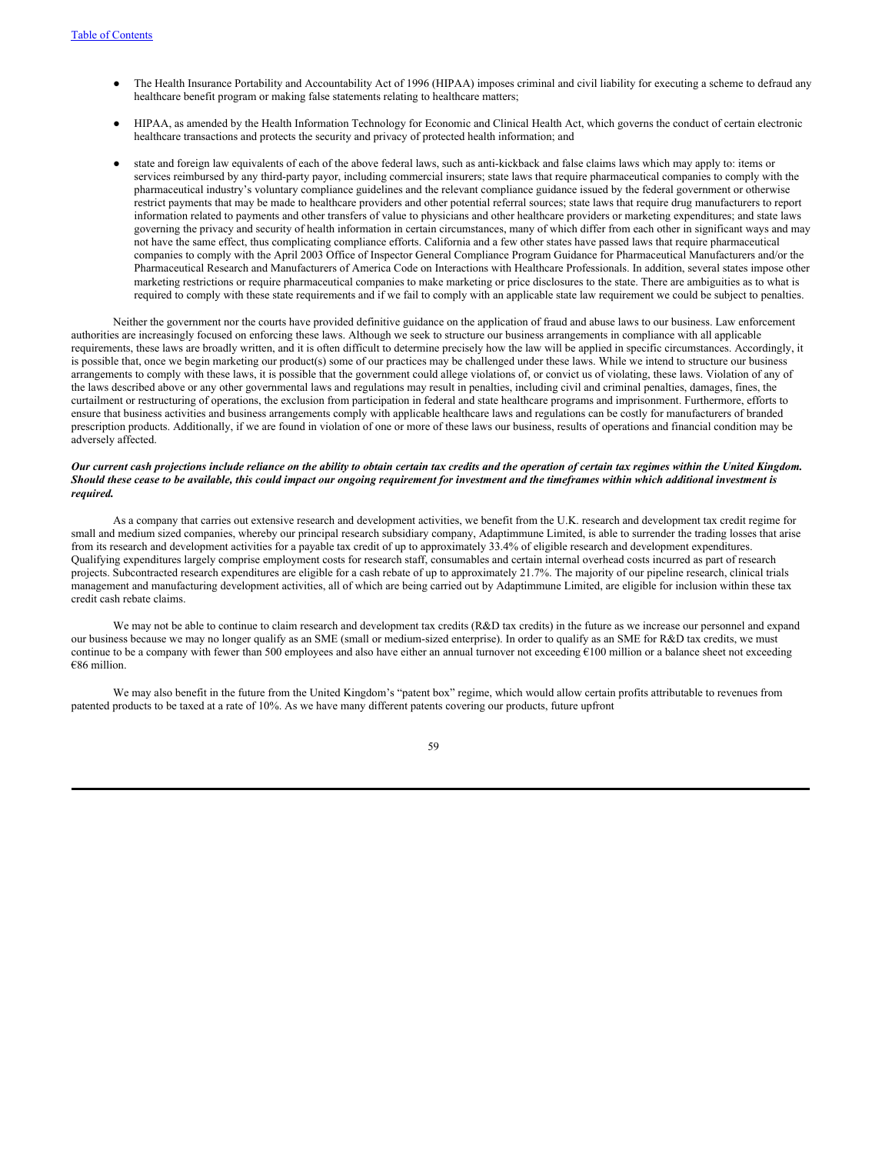- The Health Insurance Portability and Accountability Act of 1996 (HIPAA) imposes criminal and civil liability for executing a scheme to defraud any healthcare benefit program or making false statements relating to healthcare matters;
- HIPAA, as amended by the Health Information Technology for Economic and Clinical Health Act, which governs the conduct of certain electronic healthcare transactions and protects the security and privacy of protected health information; and
- state and foreign law equivalents of each of the above federal laws, such as anti-kickback and false claims laws which may apply to: items or services reimbursed by any third-party payor, including commercial insurers; state laws that require pharmaceutical companies to comply with the pharmaceutical industry's voluntary compliance guidelines and the relevant compliance guidance issued by the federal government or otherwise restrict payments that may be made to healthcare providers and other potential referral sources; state laws that require drug manufacturers to report information related to payments and other transfers of value to physicians and other healthcare providers or marketing expenditures; and state laws governing the privacy and security of health information in certain circumstances, many of which differ from each other in significant ways and may not have the same effect, thus complicating compliance efforts. California and a few other states have passed laws that require pharmaceutical companies to comply with the April 2003 Office of Inspector General Compliance Program Guidance for Pharmaceutical Manufacturers and/or the Pharmaceutical Research and Manufacturers of America Code on Interactions with Healthcare Professionals. In addition, several states impose other marketing restrictions or require pharmaceutical companies to make marketing or price disclosures to the state. There are ambiguities as to what is required to comply with these state requirements and if we fail to comply with an applicable state law requirement we could be subject to penalties.

Neither the government nor the courts have provided definitive guidance on the application of fraud and abuse laws to our business. Law enforcement authorities are increasingly focused on enforcing these laws. Although we seek to structure our business arrangements in compliance with all applicable requirements, these laws are broadly written, and it is often difficult to determine precisely how the law will be applied in specific circumstances. Accordingly, it is possible that, once we begin marketing our product(s) some of our practices may be challenged under these laws. While we intend to structure our business arrangements to comply with these laws, it is possible that the government could allege violations of, or convict us of violating, these laws. Violation of any of the laws described above or any other governmental laws and regulations may result in penalties, including civil and criminal penalties, damages, fines, the curtailment or restructuring of operations, the exclusion from participation in federal and state healthcare programs and imprisonment. Furthermore, efforts to ensure that business activities and business arrangements comply with applicable healthcare laws and regulations can be costly for manufacturers of branded prescription products. Additionally, if we are found in violation of one or more of these laws our business, results of operations and financial condition may be adversely affected.

#### Our current cash projections include reliance on the ability to obtain certain tax credits and the operation of certain tax regimes within the United Kingdom. Should these cease to be available, this could impact our ongoing requirement for investment and the timeframes within which additional investment is *required.*

As a company that carries out extensive research and development activities, we benefit from the U.K. research and development tax credit regime for small and medium sized companies, whereby our principal research subsidiary company, Adaptimmune Limited, is able to surrender the trading losses that arise from its research and development activities for a payable tax credit of up to approximately 33.4% of eligible research and development expenditures. Qualifying expenditures largely comprise employment costs for research staff, consumables and certain internal overhead costs incurred as part of research projects. Subcontracted research expenditures are eligible for a cash rebate of up to approximately 21.7%. The majority of our pipeline research, clinical trials management and manufacturing development activities, all of which are being carried out by Adaptimmune Limited, are eligible for inclusion within these tax credit cash rebate claims.

We may not be able to continue to claim research and development tax credits (R&D tax credits) in the future as we increase our personnel and expand our business because we may no longer qualify as an SME (small or medium-sized enterprise). In order to qualify as an SME for R&D tax credits, we must continue to be a company with fewer than 500 employees and also have either an annual turnover not exceeding  $6100$  million or a balance sheet not exceeding €86 million.

We may also benefit in the future from the United Kingdom's "patent box" regime, which would allow certain profits attributable to revenues from patented products to be taxed at a rate of 10%. As we have many different patents covering our products, future upfront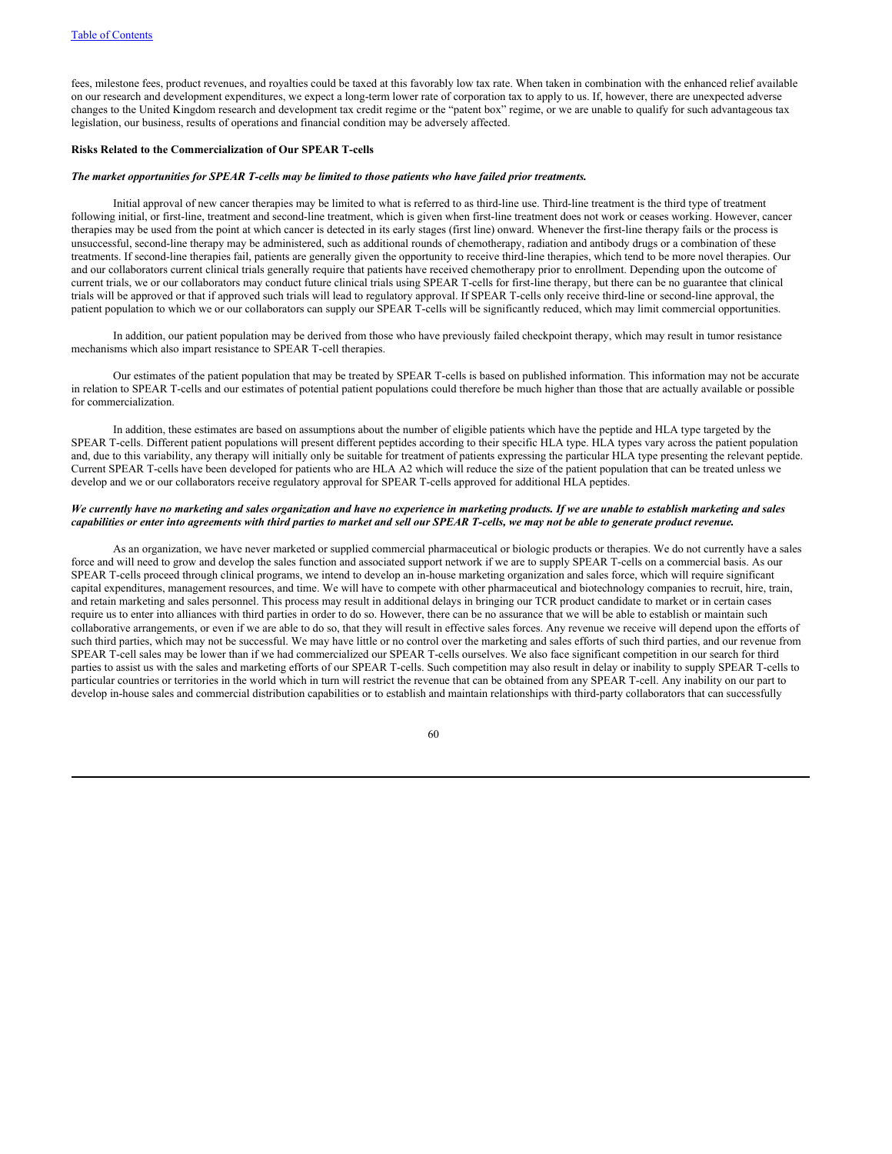fees, milestone fees, product revenues, and royalties could be taxed at this favorably low tax rate. When taken in combination with the enhanced relief available on our research and development expenditures, we expect a long-term lower rate of corporation tax to apply to us. If, however, there are unexpected adverse changes to the United Kingdom research and development tax credit regime or the "patent box" regime, or we are unable to qualify for such advantageous tax legislation, our business, results of operations and financial condition may be adversely affected.

#### **Risks Related to the Commercialization of Our SPEAR T-cells**

# The market opportunities for SPEAR T-cells may be limited to those patients who have failed prior treatments.

Initial approval of new cancer therapies may be limited to what is referred to as third-line use. Third-line treatment is the third type of treatment following initial, or first-line, treatment and second-line treatment, which is given when first-line treatment does not work or ceases working. However, cancer therapies may be used from the point at which cancer is detected in its early stages (first line) onward. Whenever the first-line therapy fails or the process is unsuccessful, second-line therapy may be administered, such as additional rounds of chemotherapy, radiation and antibody drugs or a combination of these treatments. If second-line therapies fail, patients are generally given the opportunity to receive third-line therapies, which tend to be more novel therapies. Our and our collaborators current clinical trials generally require that patients have received chemotherapy prior to enrollment. Depending upon the outcome of current trials, we or our collaborators may conduct future clinical trials using SPEAR T-cells for first-line therapy, but there can be no guarantee that clinical trials will be approved or that if approved such trials will lead to regulatory approval. If SPEAR T-cells only receive third-line or second-line approval, the patient population to which we or our collaborators can supply our SPEAR T-cells will be significantly reduced, which may limit commercial opportunities.

In addition, our patient population may be derived from those who have previously failed checkpoint therapy, which may result in tumor resistance mechanisms which also impart resistance to SPEAR T-cell therapies.

Our estimates of the patient population that may be treated by SPEAR T-cells is based on published information. This information may not be accurate in relation to SPEAR T-cells and our estimates of potential patient populations could therefore be much higher than those that are actually available or possible for commercialization.

In addition, these estimates are based on assumptions about the number of eligible patients which have the peptide and HLA type targeted by the SPEAR T-cells. Different patient populations will present different peptides according to their specific HLA type. HLA types vary across the patient population and, due to this variability, any therapy will initially only be suitable for treatment of patients expressing the particular HLA type presenting the relevant peptide. Current SPEAR T-cells have been developed for patients who are HLA A2 which will reduce the size of the patient population that can be treated unless we develop and we or our collaborators receive regulatory approval for SPEAR T-cells approved for additional HLA peptides.

#### We currently have no marketing and sales organization and have no experience in marketing products. If we are unable to establish marketing and sales capabilities or enter into agreements with third parties to market and sell our SPEAR T-cells, we may not be able to generate product revenue.

As an organization, we have never marketed or supplied commercial pharmaceutical or biologic products or therapies. We do not currently have a sales force and will need to grow and develop the sales function and associated support network if we are to supply SPEAR T-cells on a commercial basis. As our SPEAR T-cells proceed through clinical programs, we intend to develop an in-house marketing organization and sales force, which will require significant capital expenditures, management resources, and time. We will have to compete with other pharmaceutical and biotechnology companies to recruit, hire, train, and retain marketing and sales personnel. This process may result in additional delays in bringing our TCR product candidate to market or in certain cases require us to enter into alliances with third parties in order to do so. However, there can be no assurance that we will be able to establish or maintain such collaborative arrangements, or even if we are able to do so, that they will result in effective sales forces. Any revenue we receive will depend upon the efforts of such third parties, which may not be successful. We may have little or no control over the marketing and sales efforts of such third parties, and our revenue from SPEAR T-cell sales may be lower than if we had commercialized our SPEAR T-cells ourselves. We also face significant competition in our search for third parties to assist us with the sales and marketing efforts of our SPEAR T-cells. Such competition may also result in delay or inability to supply SPEAR T-cells to particular countries or territories in the world which in turn will restrict the revenue that can be obtained from any SPEAR T-cell. Any inability on our part to develop in-house sales and commercial distribution capabilities or to establish and maintain relationships with third-party collaborators that can successfully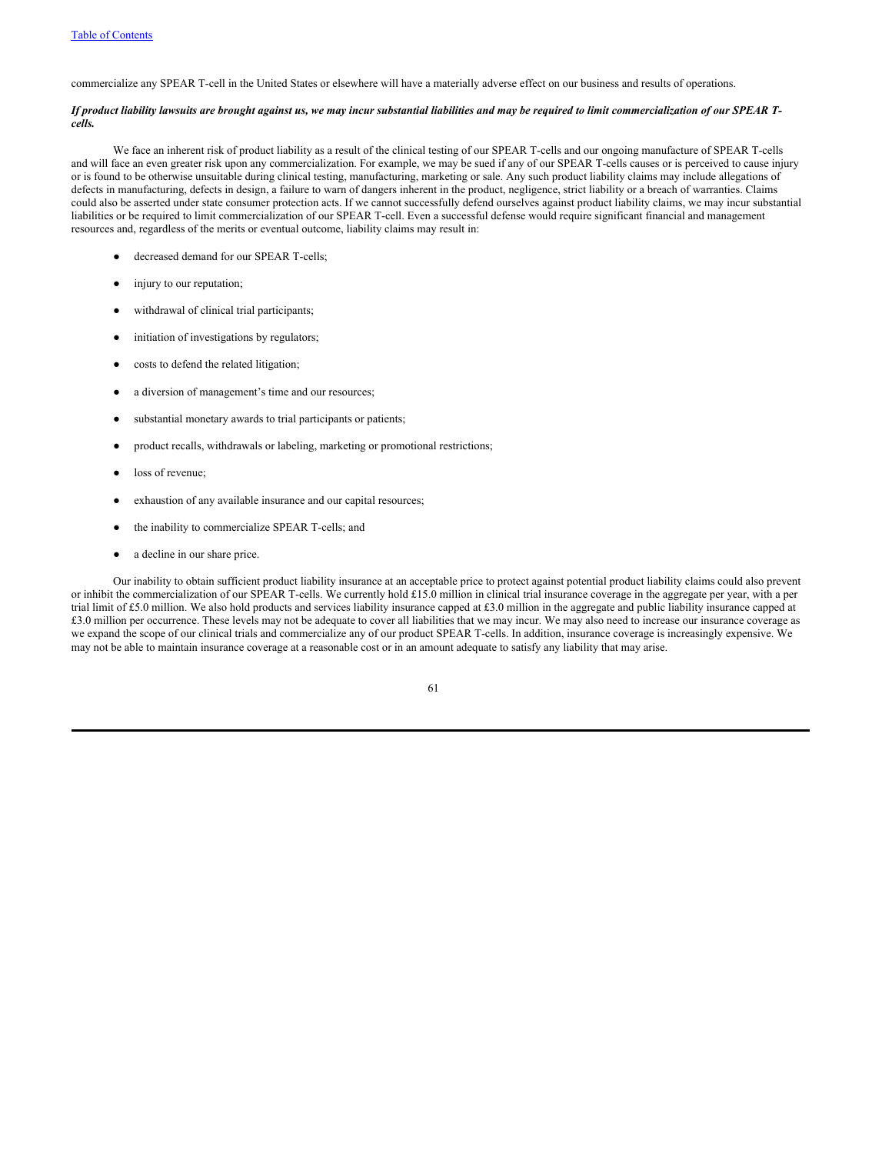commercialize any SPEAR T-cell in the United States or elsewhere will have a materially adverse effect on our business and results of operations.

## If product liability lawsuits are brought against us, we may incur substantial liabilities and may be required to limit commercialization of our SPEAR T*cells.*

We face an inherent risk of product liability as a result of the clinical testing of our SPEAR T-cells and our ongoing manufacture of SPEAR T-cells and will face an even greater risk upon any commercialization. For example, we may be sued if any of our SPEAR T-cells causes or is perceived to cause injury or is found to be otherwise unsuitable during clinical testing, manufacturing, marketing or sale. Any such product liability claims may include allegations of defects in manufacturing, defects in design, a failure to warn of dangers inherent in the product, negligence, strict liability or a breach of warranties. Claims could also be asserted under state consumer protection acts. If we cannot successfully defend ourselves against product liability claims, we may incur substantial liabilities or be required to limit commercialization of our SPEAR T-cell. Even a successful defense would require significant financial and management resources and, regardless of the merits or eventual outcome, liability claims may result in:

- decreased demand for our SPEAR T-cells;
- injury to our reputation;
- withdrawal of clinical trial participants;
- initiation of investigations by regulators;
- costs to defend the related litigation;
- a diversion of management's time and our resources;
- substantial monetary awards to trial participants or patients;
- product recalls, withdrawals or labeling, marketing or promotional restrictions;
- loss of revenue;
- exhaustion of any available insurance and our capital resources;
- the inability to commercialize SPEAR T-cells; and
- a decline in our share price.

Our inability to obtain sufficient product liability insurance at an acceptable price to protect against potential product liability claims could also prevent or inhibit the commercialization of our SPEAR T-cells. We currently hold £15.0 million in clinical trial insurance coverage in the aggregate per year, with a per trial limit of £5.0 million. We also hold products and services liability insurance capped at £3.0 million in the aggregate and public liability insurance capped at £3.0 million per occurrence. These levels may not be adequate to cover all liabilities that we may incur. We may also need to increase our insurance coverage as we expand the scope of our clinical trials and commercialize any of our product SPEAR T-cells. In addition, insurance coverage is increasingly expensive. We may not be able to maintain insurance coverage at a reasonable cost or in an amount adequate to satisfy any liability that may arise.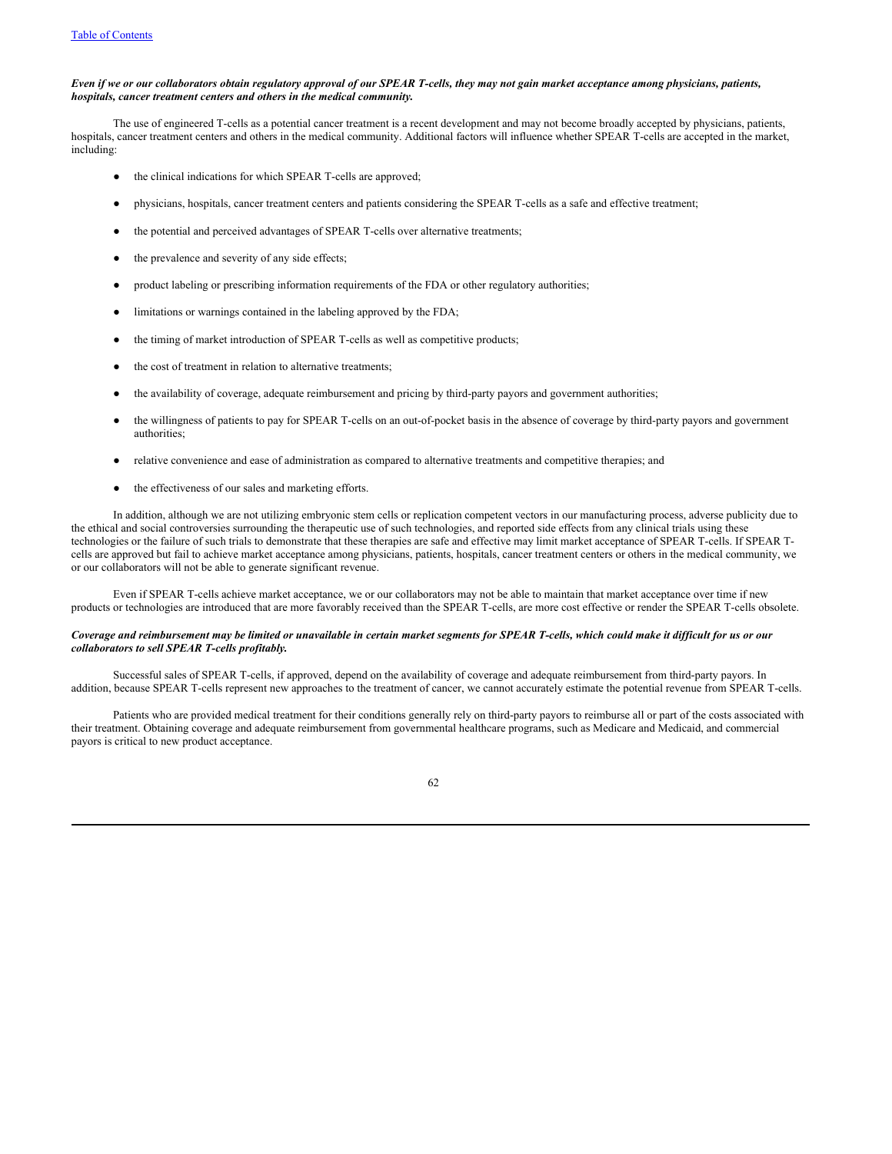# Even if we or our collaborators obtain regulatory approval of our SPEAR T-cells, they may not gain market acceptance among physicians, patients, *hospitals, cancer treatment centers and others in the medical community.*

The use of engineered T-cells as a potential cancer treatment is a recent development and may not become broadly accepted by physicians, patients, hospitals, cancer treatment centers and others in the medical community. Additional factors will influence whether SPEAR T-cells are accepted in the market, including:

- the clinical indications for which SPEAR T-cells are approved;
- physicians, hospitals, cancer treatment centers and patients considering the SPEAR T-cells as a safe and effective treatment;
- the potential and perceived advantages of SPEAR T-cells over alternative treatments;
- the prevalence and severity of any side effects;
- product labeling or prescribing information requirements of the FDA or other regulatory authorities;
- limitations or warnings contained in the labeling approved by the FDA;
- the timing of market introduction of SPEAR T-cells as well as competitive products;
- the cost of treatment in relation to alternative treatments;
- the availability of coverage, adequate reimbursement and pricing by third-party payors and government authorities;
- the willingness of patients to pay for SPEAR T-cells on an out-of-pocket basis in the absence of coverage by third-party payors and government authorities;
- relative convenience and ease of administration as compared to alternative treatments and competitive therapies; and
- the effectiveness of our sales and marketing efforts.

In addition, although we are not utilizing embryonic stem cells or replication competent vectors in our manufacturing process, adverse publicity due to the ethical and social controversies surrounding the therapeutic use of such technologies, and reported side effects from any clinical trials using these technologies or the failure of such trials to demonstrate that these therapies are safe and effective may limit market acceptance of SPEAR T-cells. If SPEAR Tcells are approved but fail to achieve market acceptance among physicians, patients, hospitals, cancer treatment centers or others in the medical community, we or our collaborators will not be able to generate significant revenue.

Even if SPEAR T-cells achieve market acceptance, we or our collaborators may not be able to maintain that market acceptance over time if new products or technologies are introduced that are more favorably received than the SPEAR T-cells, are more cost effective or render the SPEAR T-cells obsolete.

# Coverage and reimbursement may be limited or unavailable in certain market segments for SPEAR T-cells, which could make it difficult for us or our *collaborators to sell SPEAR T-cells profitably.*

Successful sales of SPEAR T-cells, if approved, depend on the availability of coverage and adequate reimbursement from third-party payors. In addition, because SPEAR T-cells represent new approaches to the treatment of cancer, we cannot accurately estimate the potential revenue from SPEAR T-cells.

Patients who are provided medical treatment for their conditions generally rely on third-party payors to reimburse all or part of the costs associated with their treatment. Obtaining coverage and adequate reimbursement from governmental healthcare programs, such as Medicare and Medicaid, and commercial payors is critical to new product acceptance.

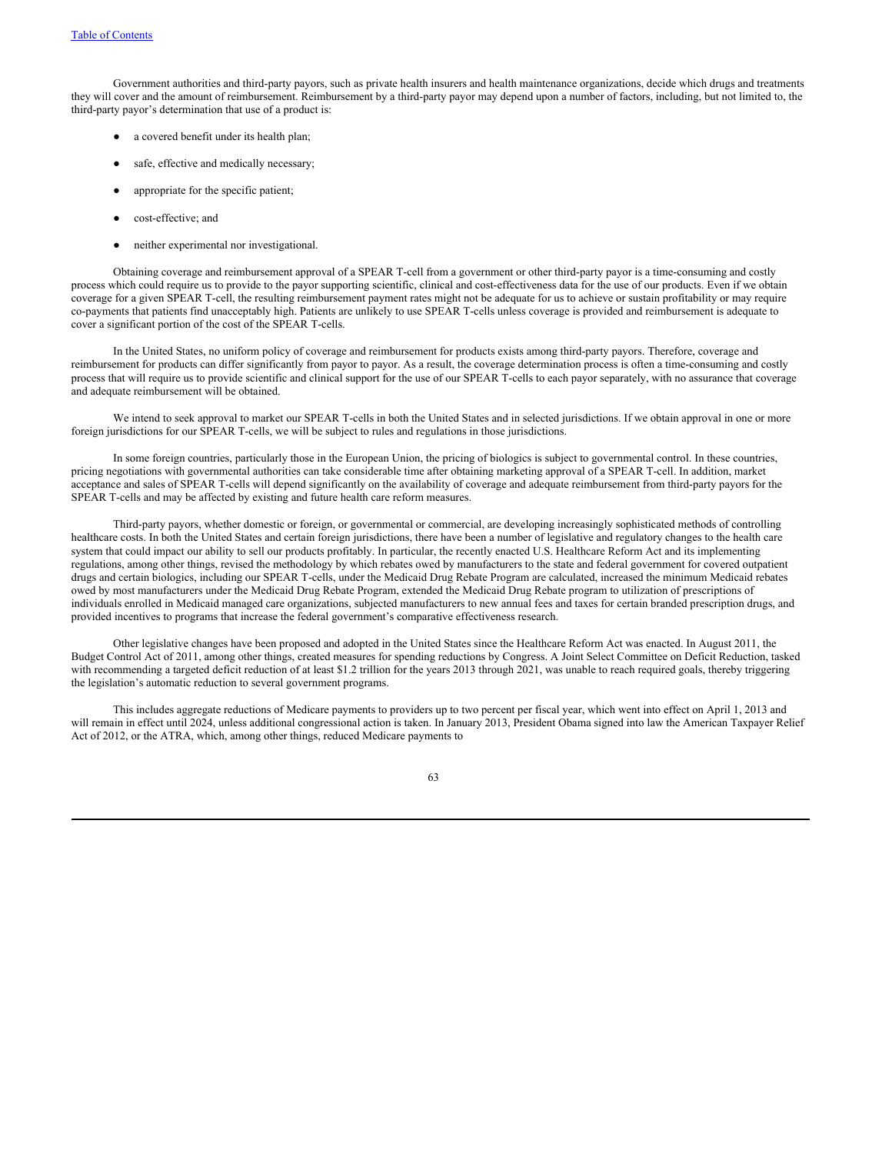Government authorities and third-party payors, such as private health insurers and health maintenance organizations, decide which drugs and treatments they will cover and the amount of reimbursement. Reimbursement by a third-party payor may depend upon a number of factors, including, but not limited to, the third-party payor's determination that use of a product is:

- a covered benefit under its health plan;
- safe, effective and medically necessary;
- appropriate for the specific patient;
- cost-effective; and
- neither experimental nor investigational.

Obtaining coverage and reimbursement approval of a SPEAR T-cell from a government or other third-party payor is a time-consuming and costly process which could require us to provide to the payor supporting scientific, clinical and cost-effectiveness data for the use of our products. Even if we obtain coverage for a given SPEAR T-cell, the resulting reimbursement payment rates might not be adequate for us to achieve or sustain profitability or may require co-payments that patients find unacceptably high. Patients are unlikely to use SPEAR T-cells unless coverage is provided and reimbursement is adequate to cover a significant portion of the cost of the SPEAR T-cells.

In the United States, no uniform policy of coverage and reimbursement for products exists among third-party payors. Therefore, coverage and reimbursement for products can differ significantly from payor to payor. As a result, the coverage determination process is often a time-consuming and costly process that will require us to provide scientific and clinical support for the use of our SPEAR T-cells to each payor separately, with no assurance that coverage and adequate reimbursement will be obtained.

We intend to seek approval to market our SPEAR T-cells in both the United States and in selected jurisdictions. If we obtain approval in one or more foreign jurisdictions for our SPEAR T-cells, we will be subject to rules and regulations in those jurisdictions.

In some foreign countries, particularly those in the European Union, the pricing of biologics is subject to governmental control. In these countries, pricing negotiations with governmental authorities can take considerable time after obtaining marketing approval of a SPEAR T-cell. In addition, market acceptance and sales of SPEAR T-cells will depend significantly on the availability of coverage and adequate reimbursement from third-party payors for the SPEAR T-cells and may be affected by existing and future health care reform measures.

Third-party payors, whether domestic or foreign, or governmental or commercial, are developing increasingly sophisticated methods of controlling healthcare costs. In both the United States and certain foreign jurisdictions, there have been a number of legislative and regulatory changes to the health care system that could impact our ability to sell our products profitably. In particular, the recently enacted U.S. Healthcare Reform Act and its implementing regulations, among other things, revised the methodology by which rebates owed by manufacturers to the state and federal government for covered outpatient drugs and certain biologics, including our SPEAR T-cells, under the Medicaid Drug Rebate Program are calculated, increased the minimum Medicaid rebates owed by most manufacturers under the Medicaid Drug Rebate Program, extended the Medicaid Drug Rebate program to utilization of prescriptions of individuals enrolled in Medicaid managed care organizations, subjected manufacturers to new annual fees and taxes for certain branded prescription drugs, and provided incentives to programs that increase the federal government's comparative effectiveness research.

Other legislative changes have been proposed and adopted in the United States since the Healthcare Reform Act was enacted. In August 2011, the Budget Control Act of 2011, among other things, created measures for spending reductions by Congress. A Joint Select Committee on Deficit Reduction, tasked with recommending a targeted deficit reduction of at least \$1.2 trillion for the years 2013 through 2021, was unable to reach required goals, thereby triggering the legislation's automatic reduction to several government programs.

This includes aggregate reductions of Medicare payments to providers up to two percent per fiscal year, which went into effect on April 1, 2013 and will remain in effect until 2024, unless additional congressional action is taken. In January 2013, President Obama signed into law the American Taxpayer Relief Act of 2012, or the ATRA, which, among other things, reduced Medicare payments to

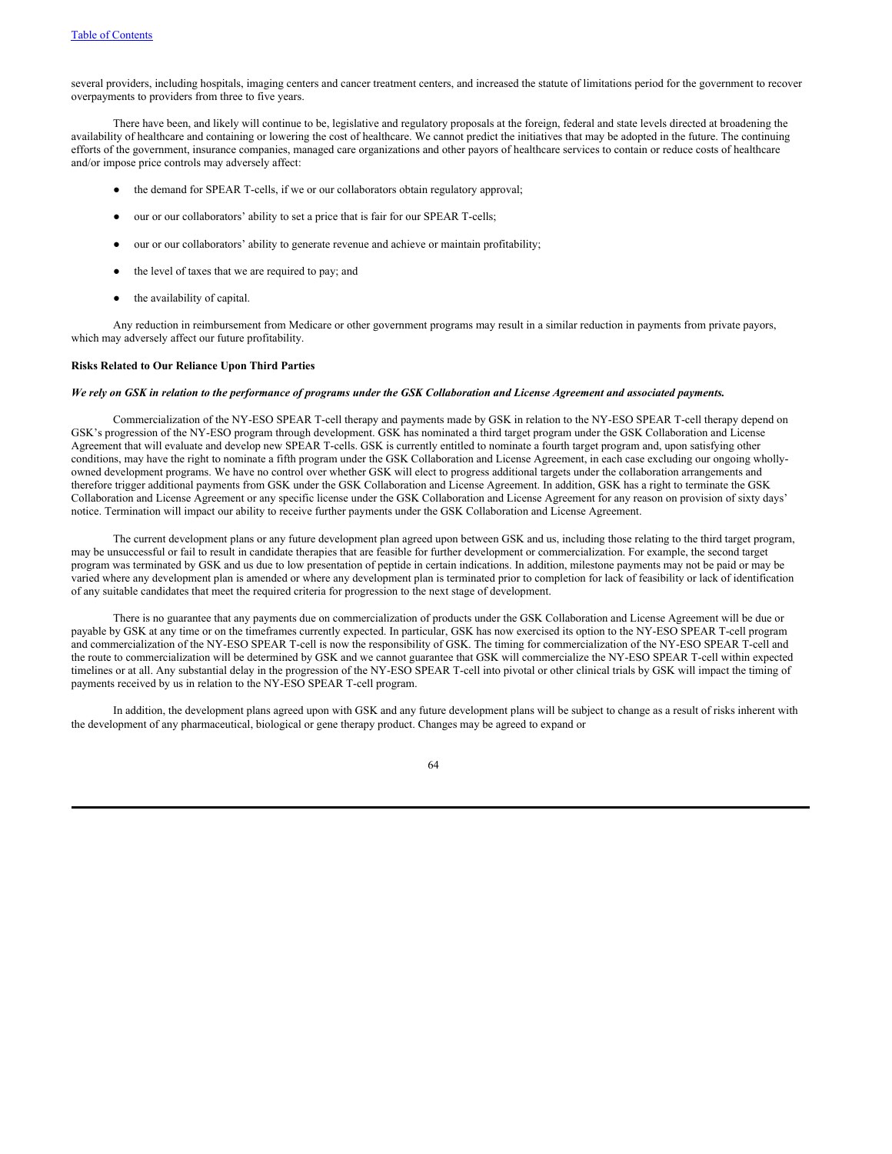several providers, including hospitals, imaging centers and cancer treatment centers, and increased the statute of limitations period for the government to recover overpayments to providers from three to five years.

There have been, and likely will continue to be, legislative and regulatory proposals at the foreign, federal and state levels directed at broadening the availability of healthcare and containing or lowering the cost of healthcare. We cannot predict the initiatives that may be adopted in the future. The continuing efforts of the government, insurance companies, managed care organizations and other payors of healthcare services to contain or reduce costs of healthcare and/or impose price controls may adversely affect:

- the demand for SPEAR T-cells, if we or our collaborators obtain regulatory approval;
- our or our collaborators' ability to set a price that is fair for our SPEAR T-cells;
- our or our collaborators' ability to generate revenue and achieve or maintain profitability;
- the level of taxes that we are required to pay; and
- the availability of capital.

Any reduction in reimbursement from Medicare or other government programs may result in a similar reduction in payments from private payors, which may adversely affect our future profitability.

#### **Risks Related to Our Reliance Upon Third Parties**

# We rely on GSK in relation to the performance of programs under the GSK Collaboration and License Agreement and associated payments.

Commercialization of the NY-ESO SPEAR T-cell therapy and payments made by GSK in relation to the NY-ESO SPEAR T-cell therapy depend on GSK's progression of the NY-ESO program through development. GSK has nominated a third target program under the GSK Collaboration and License Agreement that will evaluate and develop new SPEAR T-cells. GSK is currently entitled to nominate a fourth target program and, upon satisfying other conditions, may have the right to nominate a fifth program under the GSK Collaboration and License Agreement, in each case excluding our ongoing whollyowned development programs. We have no control over whether GSK will elect to progress additional targets under the collaboration arrangements and therefore trigger additional payments from GSK under the GSK Collaboration and License Agreement. In addition, GSK has a right to terminate the GSK Collaboration and License Agreement or any specific license under the GSK Collaboration and License Agreement for any reason on provision of sixty days' notice. Termination will impact our ability to receive further payments under the GSK Collaboration and License Agreement.

The current development plans or any future development plan agreed upon between GSK and us, including those relating to the third target program, may be unsuccessful or fail to result in candidate therapies that are feasible for further development or commercialization. For example, the second target program was terminated by GSK and us due to low presentation of peptide in certain indications. In addition, milestone payments may not be paid or may be varied where any development plan is amended or where any development plan is terminated prior to completion for lack of feasibility or lack of identification of any suitable candidates that meet the required criteria for progression to the next stage of development.

There is no guarantee that any payments due on commercialization of products under the GSK Collaboration and License Agreement will be due or payable by GSK at any time or on the timeframes currently expected. In particular, GSK has now exercised its option to the NY-ESO SPEAR T-cell program and commercialization of the NY-ESO SPEAR T-cell is now the responsibility of GSK. The timing for commercialization of the NY-ESO SPEAR T-cell and the route to commercialization will be determined by GSK and we cannot guarantee that GSK will commercialize the NY-ESO SPEAR T-cell within expected timelines or at all. Any substantial delay in the progression of the NY-ESO SPEAR T-cell into pivotal or other clinical trials by GSK will impact the timing of payments received by us in relation to the NY-ESO SPEAR T-cell program.

In addition, the development plans agreed upon with GSK and any future development plans will be subject to change as a result of risks inherent with the development of any pharmaceutical, biological or gene therapy product. Changes may be agreed to expand or

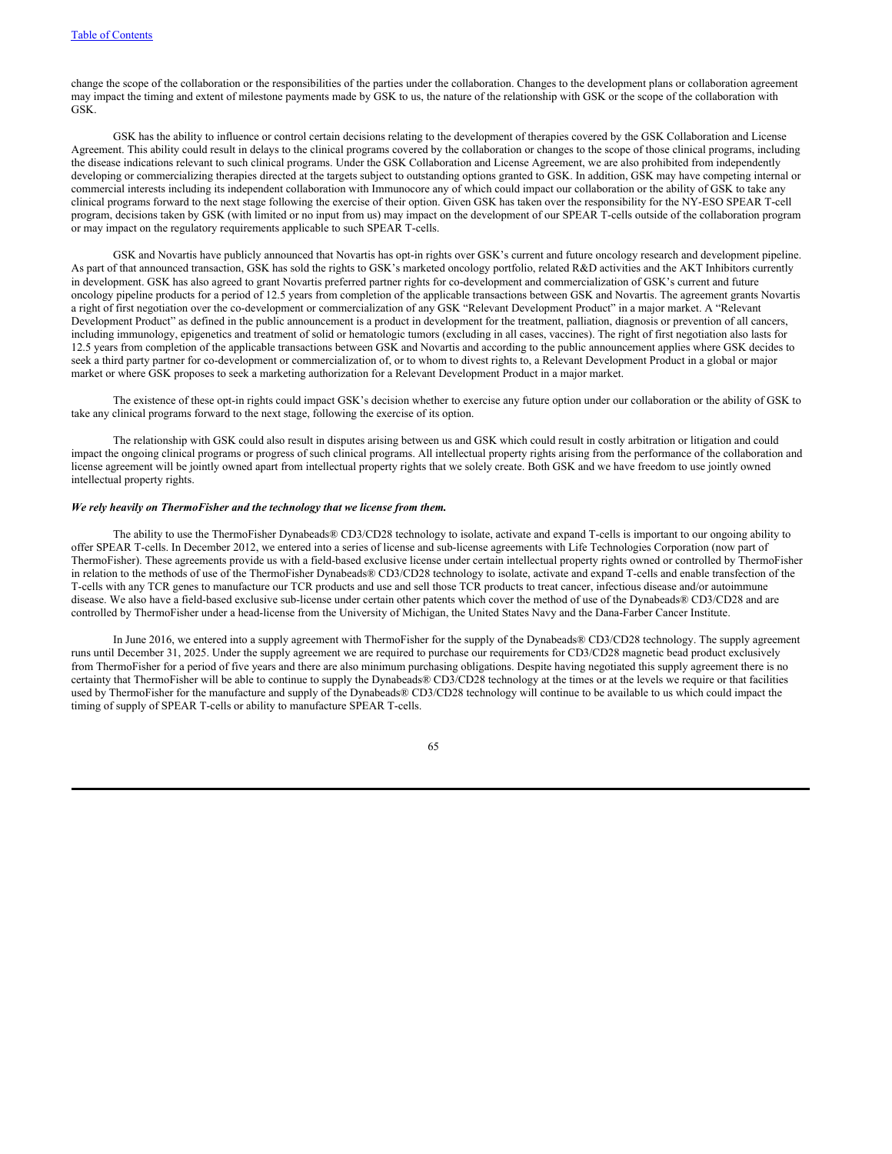change the scope of the collaboration or the responsibilities of the parties under the collaboration. Changes to the development plans or collaboration agreement may impact the timing and extent of milestone payments made by GSK to us, the nature of the relationship with GSK or the scope of the collaboration with GSK.

GSK has the ability to influence or control certain decisions relating to the development of therapies covered by the GSK Collaboration and License Agreement. This ability could result in delays to the clinical programs covered by the collaboration or changes to the scope of those clinical programs, including the disease indications relevant to such clinical programs. Under the GSK Collaboration and License Agreement, we are also prohibited from independently developing or commercializing therapies directed at the targets subject to outstanding options granted to GSK. In addition, GSK may have competing internal or commercial interests including its independent collaboration with Immunocore any of which could impact our collaboration or the ability of GSK to take any clinical programs forward to the next stage following the exercise of their option. Given GSK has taken over the responsibility for the NY-ESO SPEAR T-cell program, decisions taken by GSK (with limited or no input from us) may impact on the development of our SPEAR T-cells outside of the collaboration program or may impact on the regulatory requirements applicable to such SPEAR T-cells.

GSK and Novartis have publicly announced that Novartis has opt-in rights over GSK's current and future oncology research and development pipeline. As part of that announced transaction, GSK has sold the rights to GSK's marketed oncology portfolio, related R&D activities and the AKT Inhibitors currently in development. GSK has also agreed to grant Novartis preferred partner rights for co-development and commercialization of GSK's current and future oncology pipeline products for a period of 12.5 years from completion of the applicable transactions between GSK and Novartis. The agreement grants Novartis a right of first negotiation over the co-development or commercialization of any GSK "Relevant Development Product" in a major market. A "Relevant Development Product" as defined in the public announcement is a product in development for the treatment, palliation, diagnosis or prevention of all cancers, including immunology, epigenetics and treatment of solid or hematologic tumors (excluding in all cases, vaccines). The right of first negotiation also lasts for 12.5 years from completion of the applicable transactions between GSK and Novartis and according to the public announcement applies where GSK decides to seek a third party partner for co-development or commercialization of, or to whom to divest rights to, a Relevant Development Product in a global or major market or where GSK proposes to seek a marketing authorization for a Relevant Development Product in a major market.

The existence of these opt-in rights could impact GSK's decision whether to exercise any future option under our collaboration or the ability of GSK to take any clinical programs forward to the next stage, following the exercise of its option.

The relationship with GSK could also result in disputes arising between us and GSK which could result in costly arbitration or litigation and could impact the ongoing clinical programs or progress of such clinical programs. All intellectual property rights arising from the performance of the collaboration and license agreement will be jointly owned apart from intellectual property rights that we solely create. Both GSK and we have freedom to use jointly owned intellectual property rights.

#### *We rely heavily on ThermoFisher and the technology that we license from them.*

The ability to use the ThermoFisher Dynabeads® CD3/CD28 technology to isolate, activate and expand T-cells is important to our ongoing ability to offer SPEAR T-cells. In December 2012, we entered into a series of license and sub-license agreements with Life Technologies Corporation (now part of ThermoFisher). These agreements provide us with a field-based exclusive license under certain intellectual property rights owned or controlled by ThermoFisher in relation to the methods of use of the ThermoFisher Dynabeads® CD3/CD28 technology to isolate, activate and expand T-cells and enable transfection of the T-cells with any TCR genes to manufacture our TCR products and use and sell those TCR products to treat cancer, infectious disease and/or autoimmune disease. We also have a field-based exclusive sub-license under certain other patents which cover the method of use of the Dynabeads® CD3/CD28 and are controlled by ThermoFisher under a head-license from the University of Michigan, the United States Navy and the Dana-Farber Cancer Institute.

In June 2016, we entered into a supply agreement with ThermoFisher for the supply of the Dynabeads® CD3/CD28 technology. The supply agreement runs until December 31, 2025. Under the supply agreement we are required to purchase our requirements for CD3/CD28 magnetic bead product exclusively from ThermoFisher for a period of five years and there are also minimum purchasing obligations. Despite having negotiated this supply agreement there is no certainty that ThermoFisher will be able to continue to supply the Dynabeads® CD3/CD28 technology at the times or at the levels we require or that facilities used by ThermoFisher for the manufacture and supply of the Dynabeads® CD3/CD28 technology will continue to be available to us which could impact the timing of supply of SPEAR T-cells or ability to manufacture SPEAR T-cells.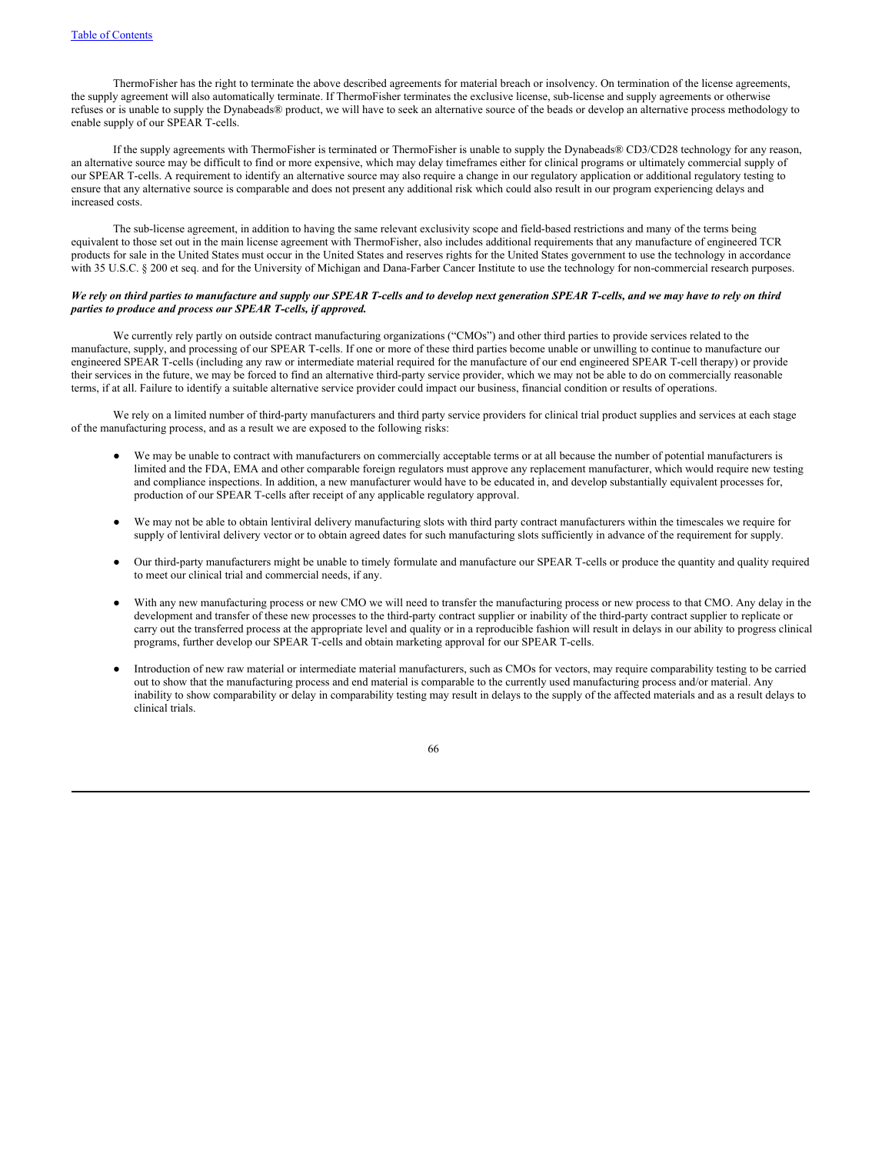ThermoFisher has the right to terminate the above described agreements for material breach or insolvency. On termination of the license agreements, the supply agreement will also automatically terminate. If ThermoFisher terminates the exclusive license, sub-license and supply agreements or otherwise refuses or is unable to supply the Dynabeads® product, we will have to seek an alternative source of the beads or develop an alternative process methodology to enable supply of our SPEAR T-cells.

If the supply agreements with ThermoFisher is terminated or ThermoFisher is unable to supply the Dynabeads® CD3/CD28 technology for any reason, an alternative source may be difficult to find or more expensive, which may delay timeframes either for clinical programs or ultimately commercial supply of our SPEAR T-cells. A requirement to identify an alternative source may also require a change in our regulatory application or additional regulatory testing to ensure that any alternative source is comparable and does not present any additional risk which could also result in our program experiencing delays and increased costs.

The sub-license agreement, in addition to having the same relevant exclusivity scope and field-based restrictions and many of the terms being equivalent to those set out in the main license agreement with ThermoFisher, also includes additional requirements that any manufacture of engineered TCR products for sale in the United States must occur in the United States and reserves rights for the United States government to use the technology in accordance with 35 U.S.C. § 200 et seq. and for the University of Michigan and Dana-Farber Cancer Institute to use the technology for non-commercial research purposes.

# We rely on third parties to manufacture and supply our SPEAR T-cells and to develop next generation SPEAR T-cells, and we may have to rely on third *parties to produce and process our SPEAR T-cells, if approved.*

We currently rely partly on outside contract manufacturing organizations ("CMOs") and other third parties to provide services related to the manufacture, supply, and processing of our SPEAR T-cells. If one or more of these third parties become unable or unwilling to continue to manufacture our engineered SPEAR T-cells (including any raw or intermediate material required for the manufacture of our end engineered SPEAR T-cell therapy) or provide their services in the future, we may be forced to find an alternative third-party service provider, which we may not be able to do on commercially reasonable terms, if at all. Failure to identify a suitable alternative service provider could impact our business, financial condition or results of operations.

We rely on a limited number of third-party manufacturers and third party service providers for clinical trial product supplies and services at each stage of the manufacturing process, and as a result we are exposed to the following risks:

- We may be unable to contract with manufacturers on commercially acceptable terms or at all because the number of potential manufacturers is limited and the FDA, EMA and other comparable foreign regulators must approve any replacement manufacturer, which would require new testing and compliance inspections. In addition, a new manufacturer would have to be educated in, and develop substantially equivalent processes for, production of our SPEAR T-cells after receipt of any applicable regulatory approval.
- We may not be able to obtain lentiviral delivery manufacturing slots with third party contract manufacturers within the timescales we require for supply of lentiviral delivery vector or to obtain agreed dates for such manufacturing slots sufficiently in advance of the requirement for supply.
- Our third-party manufacturers might be unable to timely formulate and manufacture our SPEAR T-cells or produce the quantity and quality required to meet our clinical trial and commercial needs, if any.
- With any new manufacturing process or new CMO we will need to transfer the manufacturing process or new process to that CMO. Any delay in the development and transfer of these new processes to the third-party contract supplier or inability of the third-party contract supplier to replicate or carry out the transferred process at the appropriate level and quality or in a reproducible fashion will result in delays in our ability to progress clinical programs, further develop our SPEAR T-cells and obtain marketing approval for our SPEAR T-cells.
- Introduction of new raw material or intermediate material manufacturers, such as CMOs for vectors, may require comparability testing to be carried out to show that the manufacturing process and end material is comparable to the currently used manufacturing process and/or material. Any inability to show comparability or delay in comparability testing may result in delays to the supply of the affected materials and as a result delays to clinical trials.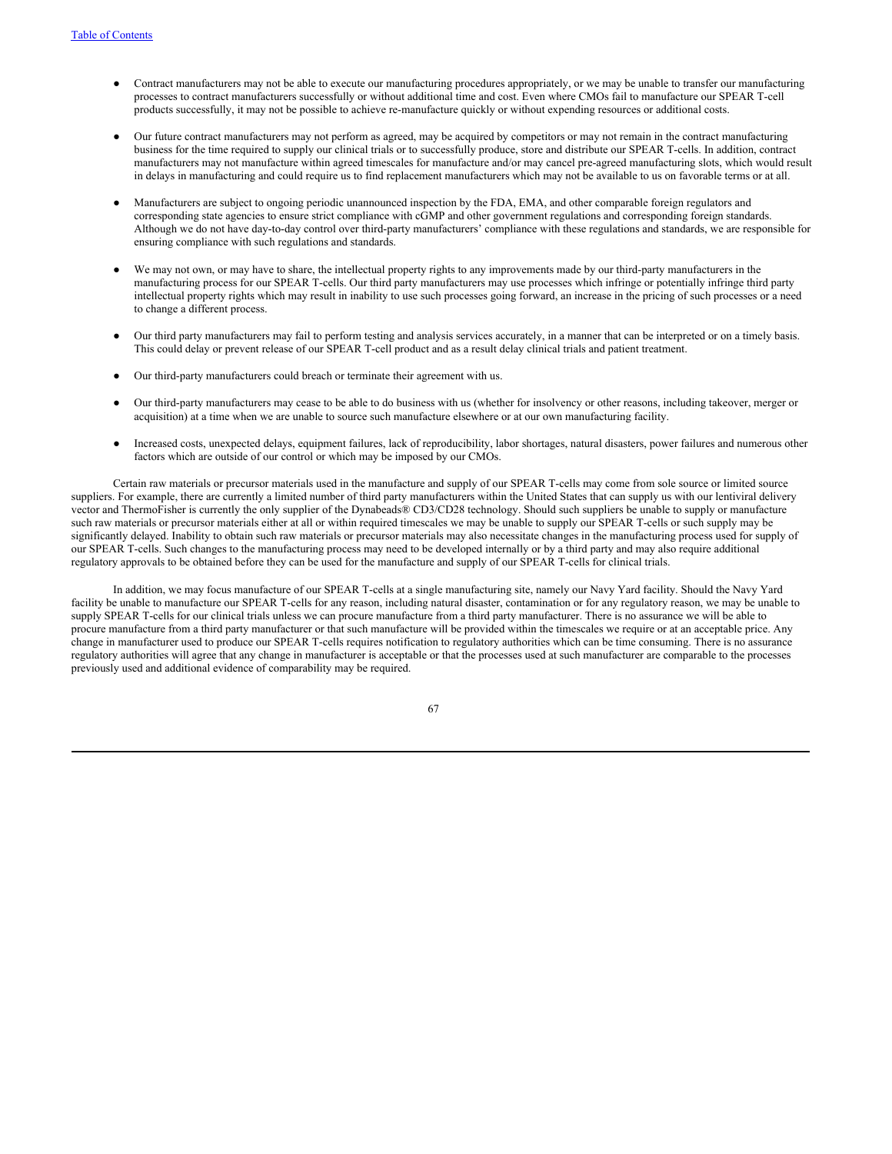- Contract manufacturers may not be able to execute our manufacturing procedures appropriately, or we may be unable to transfer our manufacturing processes to contract manufacturers successfully or without additional time and cost. Even where CMOs fail to manufacture our SPEAR T-cell products successfully, it may not be possible to achieve re-manufacture quickly or without expending resources or additional costs.
- Our future contract manufacturers may not perform as agreed, may be acquired by competitors or may not remain in the contract manufacturing business for the time required to supply our clinical trials or to successfully produce, store and distribute our SPEAR T-cells. In addition, contract manufacturers may not manufacture within agreed timescales for manufacture and/or may cancel pre-agreed manufacturing slots, which would result in delays in manufacturing and could require us to find replacement manufacturers which may not be available to us on favorable terms or at all.
- Manufacturers are subject to ongoing periodic unannounced inspection by the FDA, EMA, and other comparable foreign regulators and corresponding state agencies to ensure strict compliance with cGMP and other government regulations and corresponding foreign standards. Although we do not have day-to-day control over third-party manufacturers' compliance with these regulations and standards, we are responsible for ensuring compliance with such regulations and standards.
- We may not own, or may have to share, the intellectual property rights to any improvements made by our third-party manufacturers in the manufacturing process for our SPEAR T-cells. Our third party manufacturers may use processes which infringe or potentially infringe third party intellectual property rights which may result in inability to use such processes going forward, an increase in the pricing of such processes or a need to change a different process.
- Our third party manufacturers may fail to perform testing and analysis services accurately, in a manner that can be interpreted or on a timely basis. This could delay or prevent release of our SPEAR T-cell product and as a result delay clinical trials and patient treatment.
- Our third-party manufacturers could breach or terminate their agreement with us.
- Our third-party manufacturers may cease to be able to do business with us (whether for insolvency or other reasons, including takeover, merger or acquisition) at a time when we are unable to source such manufacture elsewhere or at our own manufacturing facility.
- Increased costs, unexpected delays, equipment failures, lack of reproducibility, labor shortages, natural disasters, power failures and numerous other factors which are outside of our control or which may be imposed by our CMOs.

Certain raw materials or precursor materials used in the manufacture and supply of our SPEAR T-cells may come from sole source or limited source suppliers. For example, there are currently a limited number of third party manufacturers within the United States that can supply us with our lentiviral delivery vector and ThermoFisher is currently the only supplier of the Dynabeads® CD3/CD28 technology. Should such suppliers be unable to supply or manufacture such raw materials or precursor materials either at all or within required timescales we may be unable to supply our SPEAR T-cells or such supply may be significantly delayed. Inability to obtain such raw materials or precursor materials may also necessitate changes in the manufacturing process used for supply of our SPEAR T-cells. Such changes to the manufacturing process may need to be developed internally or by a third party and may also require additional regulatory approvals to be obtained before they can be used for the manufacture and supply of our SPEAR T-cells for clinical trials.

In addition, we may focus manufacture of our SPEAR T-cells at a single manufacturing site, namely our Navy Yard facility. Should the Navy Yard facility be unable to manufacture our SPEAR T-cells for any reason, including natural disaster, contamination or for any regulatory reason, we may be unable to supply SPEAR T-cells for our clinical trials unless we can procure manufacture from a third party manufacturer. There is no assurance we will be able to procure manufacture from a third party manufacturer or that such manufacture will be provided within the timescales we require or at an acceptable price. Any change in manufacturer used to produce our SPEAR T-cells requires notification to regulatory authorities which can be time consuming. There is no assurance regulatory authorities will agree that any change in manufacturer is acceptable or that the processes used at such manufacturer are comparable to the processes previously used and additional evidence of comparability may be required.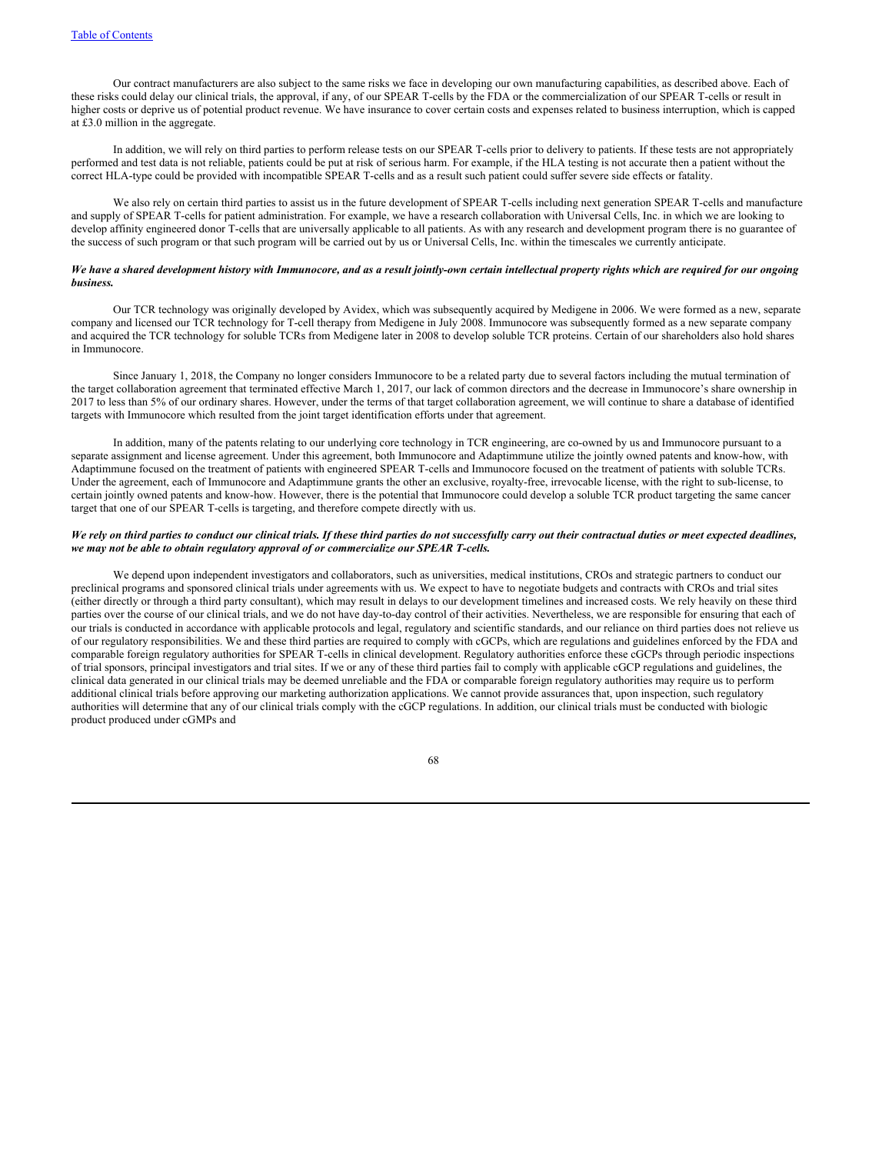Our contract manufacturers are also subject to the same risks we face in developing our own manufacturing capabilities, as described above. Each of these risks could delay our clinical trials, the approval, if any, of our SPEAR T-cells by the FDA or the commercialization of our SPEAR T-cells or result in higher costs or deprive us of potential product revenue. We have insurance to cover certain costs and expenses related to business interruption, which is capped at £3.0 million in the aggregate.

In addition, we will rely on third parties to perform release tests on our SPEAR T-cells prior to delivery to patients. If these tests are not appropriately performed and test data is not reliable, patients could be put at risk of serious harm. For example, if the HLA testing is not accurate then a patient without the correct HLA-type could be provided with incompatible SPEAR T-cells and as a result such patient could suffer severe side effects or fatality.

We also rely on certain third parties to assist us in the future development of SPEAR T-cells including next generation SPEAR T-cells and manufacture and supply of SPEAR T-cells for patient administration. For example, we have a research collaboration with Universal Cells, Inc. in which we are looking to develop affinity engineered donor T-cells that are universally applicable to all patients. As with any research and development program there is no guarantee of the success of such program or that such program will be carried out by us or Universal Cells, Inc. within the timescales we currently anticipate.

### We have a shared development history with Immunocore, and as a result jointly-own certain intellectual property rights which are required for our ongoing *business.*

Our TCR technology was originally developed by Avidex, which was subsequently acquired by Medigene in 2006. We were formed as a new, separate company and licensed our TCR technology for T-cell therapy from Medigene in July 2008. Immunocore was subsequently formed as a new separate company and acquired the TCR technology for soluble TCRs from Medigene later in 2008 to develop soluble TCR proteins. Certain of our shareholders also hold shares in Immunocore.

Since January 1, 2018, the Company no longer considers Immunocore to be a related party due to several factors including the mutual termination of the target collaboration agreement that terminated effective March 1, 2017, our lack of common directors and the decrease in Immunocore's share ownership in 2017 to less than 5% of our ordinary shares. However, under the terms of that target collaboration agreement, we will continue to share a database of identified targets with Immunocore which resulted from the joint target identification efforts under that agreement.

In addition, many of the patents relating to our underlying core technology in TCR engineering, are co-owned by us and Immunocore pursuant to a separate assignment and license agreement. Under this agreement, both Immunocore and Adaptimmune utilize the jointly owned patents and know-how, with Adaptimmune focused on the treatment of patients with engineered SPEAR T-cells and Immunocore focused on the treatment of patients with soluble TCRs. Under the agreement, each of Immunocore and Adaptimmune grants the other an exclusive, royalty-free, irrevocable license, with the right to sub-license, to certain jointly owned patents and know-how. However, there is the potential that Immunocore could develop a soluble TCR product targeting the same cancer target that one of our SPEAR T-cells is targeting, and therefore compete directly with us.

# We rely on third parties to conduct our clinical trials. If these third parties do not successfully carry out their contractual duties or meet expected deadlines, *we may not be able to obtain regulatory approval of or commercialize our SPEAR T-cells.*

We depend upon independent investigators and collaborators, such as universities, medical institutions, CROs and strategic partners to conduct our preclinical programs and sponsored clinical trials under agreements with us. We expect to have to negotiate budgets and contracts with CROs and trial sites (either directly or through a third party consultant), which may result in delays to our development timelines and increased costs. We rely heavily on these third parties over the course of our clinical trials, and we do not have day-to-day control of their activities. Nevertheless, we are responsible for ensuring that each of our trials is conducted in accordance with applicable protocols and legal, regulatory and scientific standards, and our reliance on third parties does not relieve us of our regulatory responsibilities. We and these third parties are required to comply with cGCPs, which are regulations and guidelines enforced by the FDA and comparable foreign regulatory authorities for SPEAR T-cells in clinical development. Regulatory authorities enforce these cGCPs through periodic inspections of trial sponsors, principal investigators and trial sites. If we or any of these third parties fail to comply with applicable cGCP regulations and guidelines, the clinical data generated in our clinical trials may be deemed unreliable and the FDA or comparable foreign regulatory authorities may require us to perform additional clinical trials before approving our marketing authorization applications. We cannot provide assurances that, upon inspection, such regulatory authorities will determine that any of our clinical trials comply with the cGCP regulations. In addition, our clinical trials must be conducted with biologic product produced under cGMPs and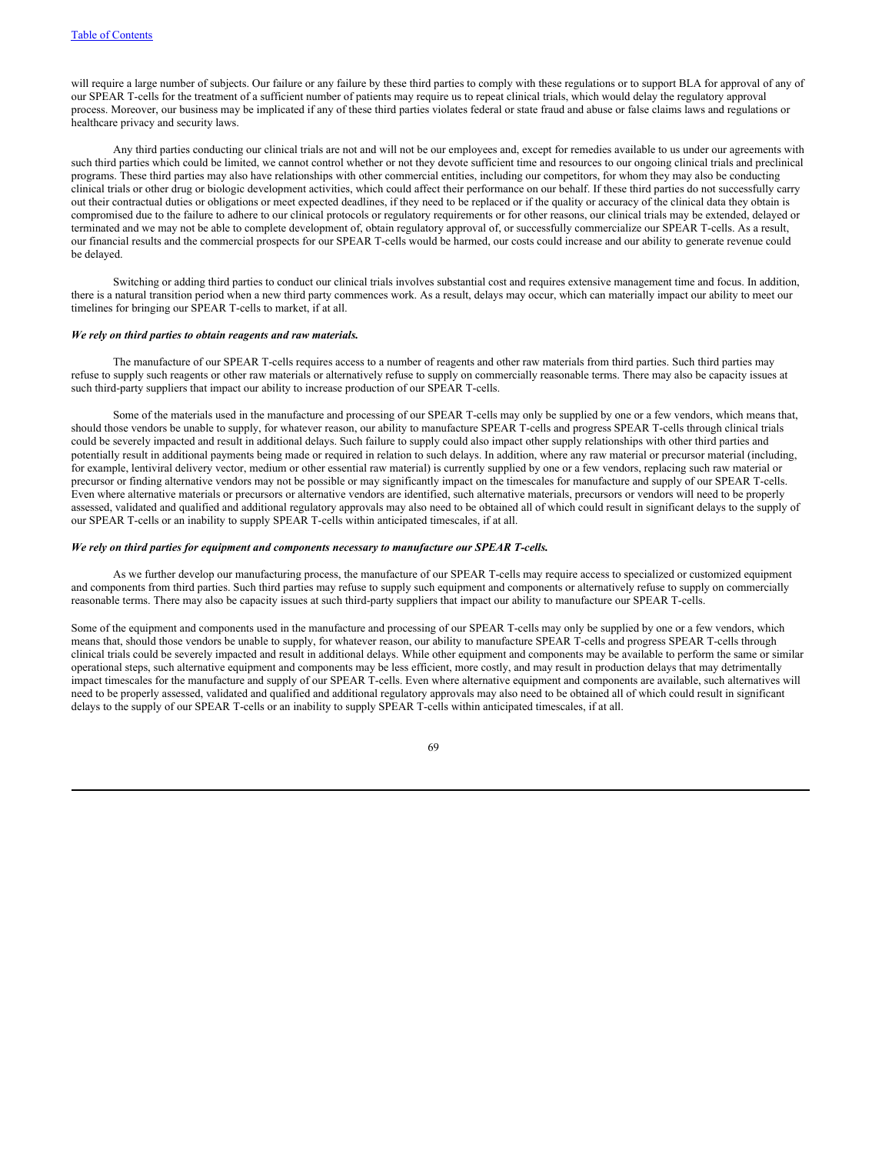will require a large number of subjects. Our failure or any failure by these third parties to comply with these regulations or to support BLA for approval of any of our SPEAR T-cells for the treatment of a sufficient number of patients may require us to repeat clinical trials, which would delay the regulatory approval process. Moreover, our business may be implicated if any of these third parties violates federal or state fraud and abuse or false claims laws and regulations or healthcare privacy and security laws.

Any third parties conducting our clinical trials are not and will not be our employees and, except for remedies available to us under our agreements with such third parties which could be limited, we cannot control whether or not they devote sufficient time and resources to our ongoing clinical trials and preclinical programs. These third parties may also have relationships with other commercial entities, including our competitors, for whom they may also be conducting clinical trials or other drug or biologic development activities, which could affect their performance on our behalf. If these third parties do not successfully carry out their contractual duties or obligations or meet expected deadlines, if they need to be replaced or if the quality or accuracy of the clinical data they obtain is compromised due to the failure to adhere to our clinical protocols or regulatory requirements or for other reasons, our clinical trials may be extended, delayed or terminated and we may not be able to complete development of, obtain regulatory approval of, or successfully commercialize our SPEAR T-cells. As a result, our financial results and the commercial prospects for our SPEAR T-cells would be harmed, our costs could increase and our ability to generate revenue could be delayed.

Switching or adding third parties to conduct our clinical trials involves substantial cost and requires extensive management time and focus. In addition, there is a natural transition period when a new third party commences work. As a result, delays may occur, which can materially impact our ability to meet our timelines for bringing our SPEAR T-cells to market, if at all.

# *We rely on third parties to obtain reagents and raw materials.*

The manufacture of our SPEAR T-cells requires access to a number of reagents and other raw materials from third parties. Such third parties may refuse to supply such reagents or other raw materials or alternatively refuse to supply on commercially reasonable terms. There may also be capacity issues at such third-party suppliers that impact our ability to increase production of our SPEAR T-cells.

Some of the materials used in the manufacture and processing of our SPEAR T-cells may only be supplied by one or a few vendors, which means that, should those vendors be unable to supply, for whatever reason, our ability to manufacture SPEAR T-cells and progress SPEAR T-cells through clinical trials could be severely impacted and result in additional delays. Such failure to supply could also impact other supply relationships with other third parties and potentially result in additional payments being made or required in relation to such delays. In addition, where any raw material or precursor material (including, for example, lentiviral delivery vector, medium or other essential raw material) is currently supplied by one or a few vendors, replacing such raw material or precursor or finding alternative vendors may not be possible or may significantly impact on the timescales for manufacture and supply of our SPEAR T-cells. Even where alternative materials or precursors or alternative vendors are identified, such alternative materials, precursors or vendors will need to be properly assessed, validated and qualified and additional regulatory approvals may also need to be obtained all of which could result in significant delays to the supply of our SPEAR T-cells or an inability to supply SPEAR T-cells within anticipated timescales, if at all.

# *We rely on third parties for equipment and components necessary to manufacture our SPEAR T-cells.*

As we further develop our manufacturing process, the manufacture of our SPEAR T-cells may require access to specialized or customized equipment and components from third parties. Such third parties may refuse to supply such equipment and components or alternatively refuse to supply on commercially reasonable terms. There may also be capacity issues at such third-party suppliers that impact our ability to manufacture our SPEAR T-cells.

Some of the equipment and components used in the manufacture and processing of our SPEAR T-cells may only be supplied by one or a few vendors, which means that, should those vendors be unable to supply, for whatever reason, our ability to manufacture SPEAR T-cells and progress SPEAR T-cells through clinical trials could be severely impacted and result in additional delays. While other equipment and components may be available to perform the same or similar operational steps, such alternative equipment and components may be less efficient, more costly, and may result in production delays that may detrimentally impact timescales for the manufacture and supply of our SPEAR T-cells. Even where alternative equipment and components are available, such alternatives will need to be properly assessed, validated and qualified and additional regulatory approvals may also need to be obtained all of which could result in significant delays to the supply of our SPEAR T-cells or an inability to supply SPEAR T-cells within anticipated timescales, if at all.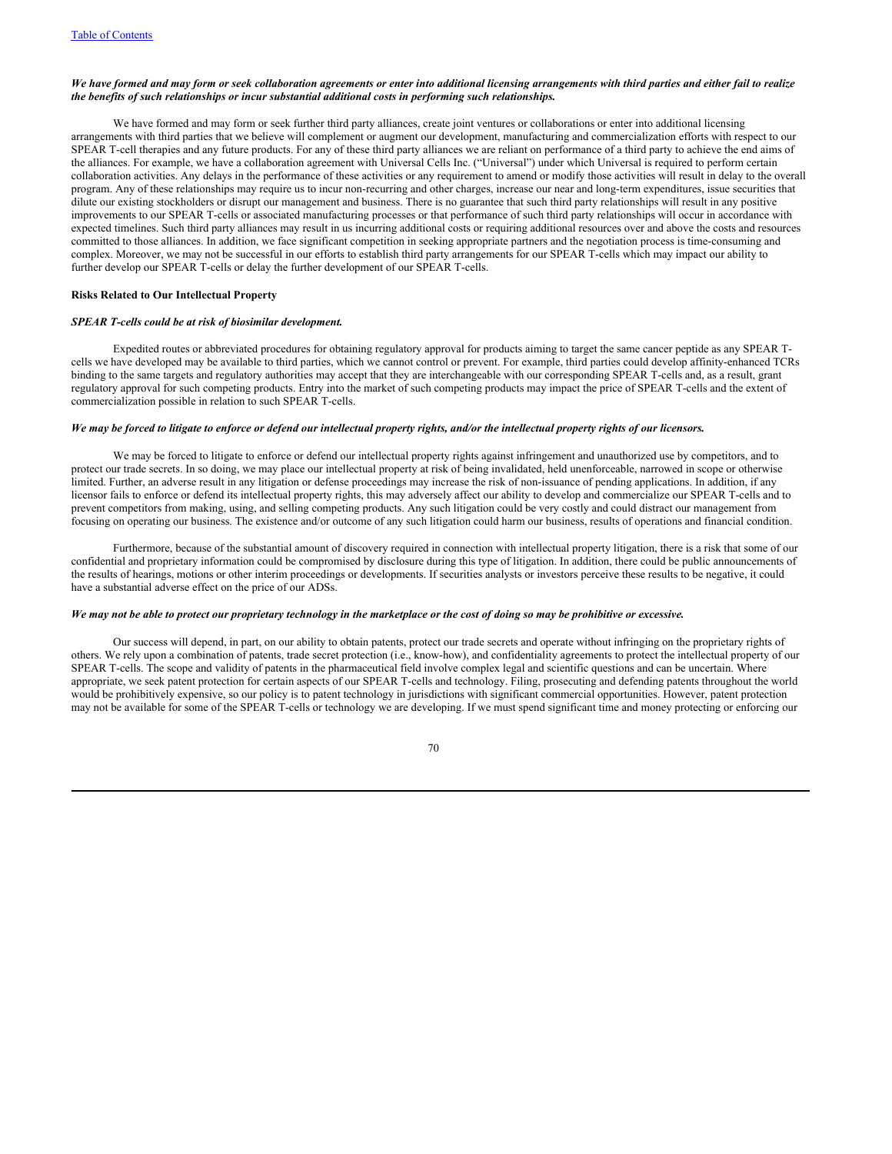## We have formed and may form or seek collaboration agreements or enter into additional licensing arrangements with third parties and either fail to realize *the benefits of such relationships or incur substantial additional costs in performing such relationships.*

We have formed and may form or seek further third party alliances, create joint ventures or collaborations or enter into additional licensing arrangements with third parties that we believe will complement or augment our development, manufacturing and commercialization efforts with respect to our SPEAR T-cell therapies and any future products. For any of these third party alliances we are reliant on performance of a third party to achieve the end aims of the alliances. For example, we have a collaboration agreement with Universal Cells Inc. ("Universal") under which Universal is required to perform certain collaboration activities. Any delays in the performance of these activities or any requirement to amend or modify those activities will result in delay to the overall program. Any of these relationships may require us to incur non-recurring and other charges, increase our near and long-term expenditures, issue securities that dilute our existing stockholders or disrupt our management and business. There is no guarantee that such third party relationships will result in any positive improvements to our SPEAR T-cells or associated manufacturing processes or that performance of such third party relationships will occur in accordance with expected timelines. Such third party alliances may result in us incurring additional costs or requiring additional resources over and above the costs and resources committed to those alliances. In addition, we face significant competition in seeking appropriate partners and the negotiation process is time-consuming and complex. Moreover, we may not be successful in our efforts to establish third party arrangements for our SPEAR T-cells which may impact our ability to further develop our SPEAR T-cells or delay the further development of our SPEAR T-cells.

## **Risks Related to Our Intellectual Property**

#### *SPEAR T-cells could be at risk of biosimilar development.*

Expedited routes or abbreviated procedures for obtaining regulatory approval for products aiming to target the same cancer peptide as any SPEAR Tcells we have developed may be available to third parties, which we cannot control or prevent. For example, third parties could develop affinity-enhanced TCRs binding to the same targets and regulatory authorities may accept that they are interchangeable with our corresponding SPEAR T-cells and, as a result, grant regulatory approval for such competing products. Entry into the market of such competing products may impact the price of SPEAR T-cells and the extent of commercialization possible in relation to such SPEAR T-cells.

#### We may be forced to litigate to enforce or defend our intellectual property rights, and/or the intellectual property rights of our licensors.

We may be forced to litigate to enforce or defend our intellectual property rights against infringement and unauthorized use by competitors, and to protect our trade secrets. In so doing, we may place our intellectual property at risk of being invalidated, held unenforceable, narrowed in scope or otherwise limited. Further, an adverse result in any litigation or defense proceedings may increase the risk of non-issuance of pending applications. In addition, if any licensor fails to enforce or defend its intellectual property rights, this may adversely affect our ability to develop and commercialize our SPEAR T-cells and to prevent competitors from making, using, and selling competing products. Any such litigation could be very costly and could distract our management from focusing on operating our business. The existence and/or outcome of any such litigation could harm our business, results of operations and financial condition.

Furthermore, because of the substantial amount of discovery required in connection with intellectual property litigation, there is a risk that some of our confidential and proprietary information could be compromised by disclosure during this type of litigation. In addition, there could be public announcements of the results of hearings, motions or other interim proceedings or developments. If securities analysts or investors perceive these results to be negative, it could have a substantial adverse effect on the price of our ADSs.

# We may not be able to protect our proprietary technology in the marketplace or the cost of doing so may be prohibitive or excessive.

Our success will depend, in part, on our ability to obtain patents, protect our trade secrets and operate without infringing on the proprietary rights of others. We rely upon a combination of patents, trade secret protection (i.e., know-how), and confidentiality agreements to protect the intellectual property of our SPEAR T-cells. The scope and validity of patents in the pharmaceutical field involve complex legal and scientific questions and can be uncertain. Where appropriate, we seek patent protection for certain aspects of our SPEAR T-cells and technology. Filing, prosecuting and defending patents throughout the world would be prohibitively expensive, so our policy is to patent technology in jurisdictions with significant commercial opportunities. However, patent protection may not be available for some of the SPEAR T-cells or technology we are developing. If we must spend significant time and money protecting or enforcing our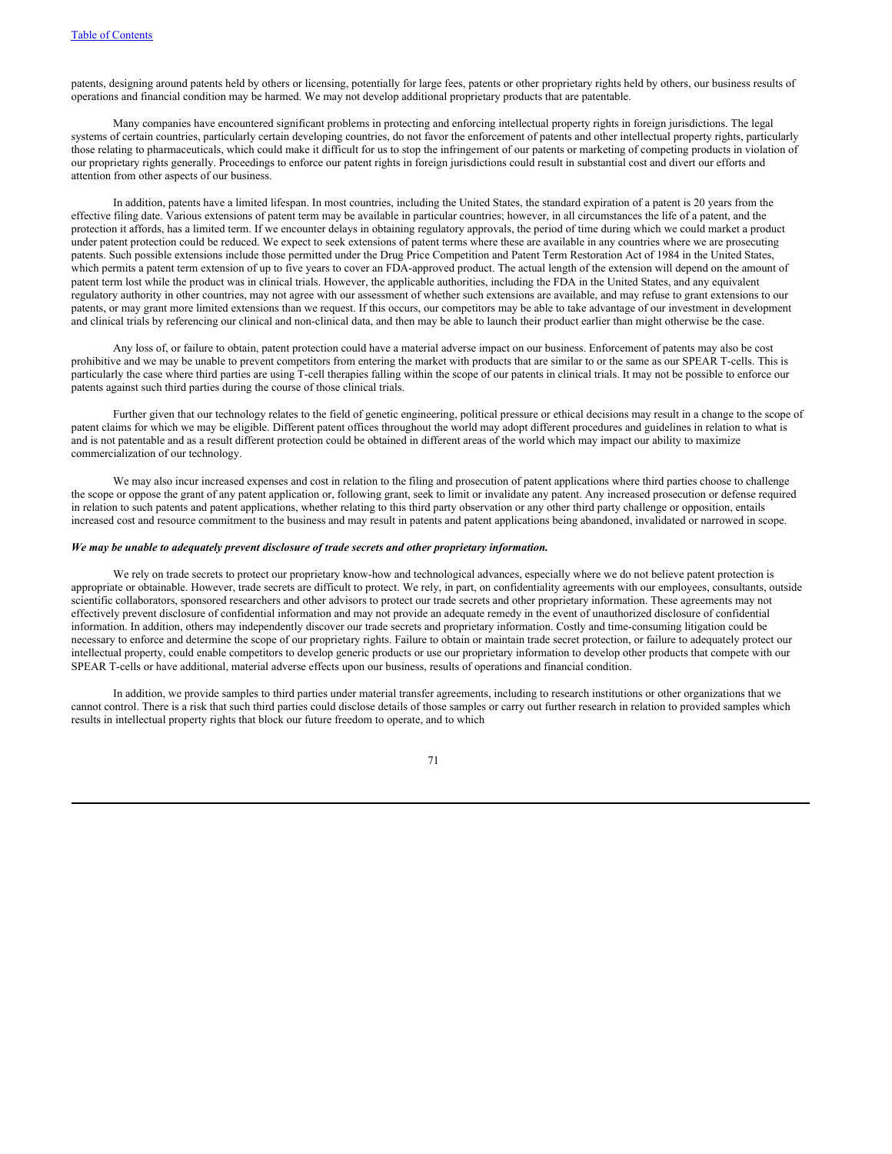patents, designing around patents held by others or licensing, potentially for large fees, patents or other proprietary rights held by others, our business results of operations and financial condition may be harmed. We may not develop additional proprietary products that are patentable.

Many companies have encountered significant problems in protecting and enforcing intellectual property rights in foreign jurisdictions. The legal systems of certain countries, particularly certain developing countries, do not favor the enforcement of patents and other intellectual property rights, particularly those relating to pharmaceuticals, which could make it difficult for us to stop the infringement of our patents or marketing of competing products in violation of our proprietary rights generally. Proceedings to enforce our patent rights in foreign jurisdictions could result in substantial cost and divert our efforts and attention from other aspects of our business.

In addition, patents have a limited lifespan. In most countries, including the United States, the standard expiration of a patent is 20 years from the effective filing date. Various extensions of patent term may be available in particular countries; however, in all circumstances the life of a patent, and the protection it affords, has a limited term. If we encounter delays in obtaining regulatory approvals, the period of time during which we could market a product under patent protection could be reduced. We expect to seek extensions of patent terms where these are available in any countries where we are prosecuting patents. Such possible extensions include those permitted under the Drug Price Competition and Patent Term Restoration Act of 1984 in the United States, which permits a patent term extension of up to five years to cover an FDA-approved product. The actual length of the extension will depend on the amount of patent term lost while the product was in clinical trials. However, the applicable authorities, including the FDA in the United States, and any equivalent regulatory authority in other countries, may not agree with our assessment of whether such extensions are available, and may refuse to grant extensions to our patents, or may grant more limited extensions than we request. If this occurs, our competitors may be able to take advantage of our investment in development and clinical trials by referencing our clinical and non-clinical data, and then may be able to launch their product earlier than might otherwise be the case.

Any loss of, or failure to obtain, patent protection could have a material adverse impact on our business. Enforcement of patents may also be cost prohibitive and we may be unable to prevent competitors from entering the market with products that are similar to or the same as our SPEAR T-cells. This is particularly the case where third parties are using T-cell therapies falling within the scope of our patents in clinical trials. It may not be possible to enforce our patents against such third parties during the course of those clinical trials.

Further given that our technology relates to the field of genetic engineering, political pressure or ethical decisions may result in a change to the scope of patent claims for which we may be eligible. Different patent offices throughout the world may adopt different procedures and guidelines in relation to what is and is not patentable and as a result different protection could be obtained in different areas of the world which may impact our ability to maximize commercialization of our technology.

We may also incur increased expenses and cost in relation to the filing and prosecution of patent applications where third parties choose to challenge the scope or oppose the grant of any patent application or, following grant, seek to limit or invalidate any patent. Any increased prosecution or defense required in relation to such patents and patent applications, whether relating to this third party observation or any other third party challenge or opposition, entails increased cost and resource commitment to the business and may result in patents and patent applications being abandoned, invalidated or narrowed in scope.

# *We may be unable to adequately prevent disclosure of trade secrets and other proprietary information.*

We rely on trade secrets to protect our proprietary know-how and technological advances, especially where we do not believe patent protection is appropriate or obtainable. However, trade secrets are difficult to protect. We rely, in part, on confidentiality agreements with our employees, consultants, outside scientific collaborators, sponsored researchers and other advisors to protect our trade secrets and other proprietary information. These agreements may not effectively prevent disclosure of confidential information and may not provide an adequate remedy in the event of unauthorized disclosure of confidential information. In addition, others may independently discover our trade secrets and proprietary information. Costly and time-consuming litigation could be necessary to enforce and determine the scope of our proprietary rights. Failure to obtain or maintain trade secret protection, or failure to adequately protect our intellectual property, could enable competitors to develop generic products or use our proprietary information to develop other products that compete with our SPEAR T-cells or have additional, material adverse effects upon our business, results of operations and financial condition.

In addition, we provide samples to third parties under material transfer agreements, including to research institutions or other organizations that we cannot control. There is a risk that such third parties could disclose details of those samples or carry out further research in relation to provided samples which results in intellectual property rights that block our future freedom to operate, and to which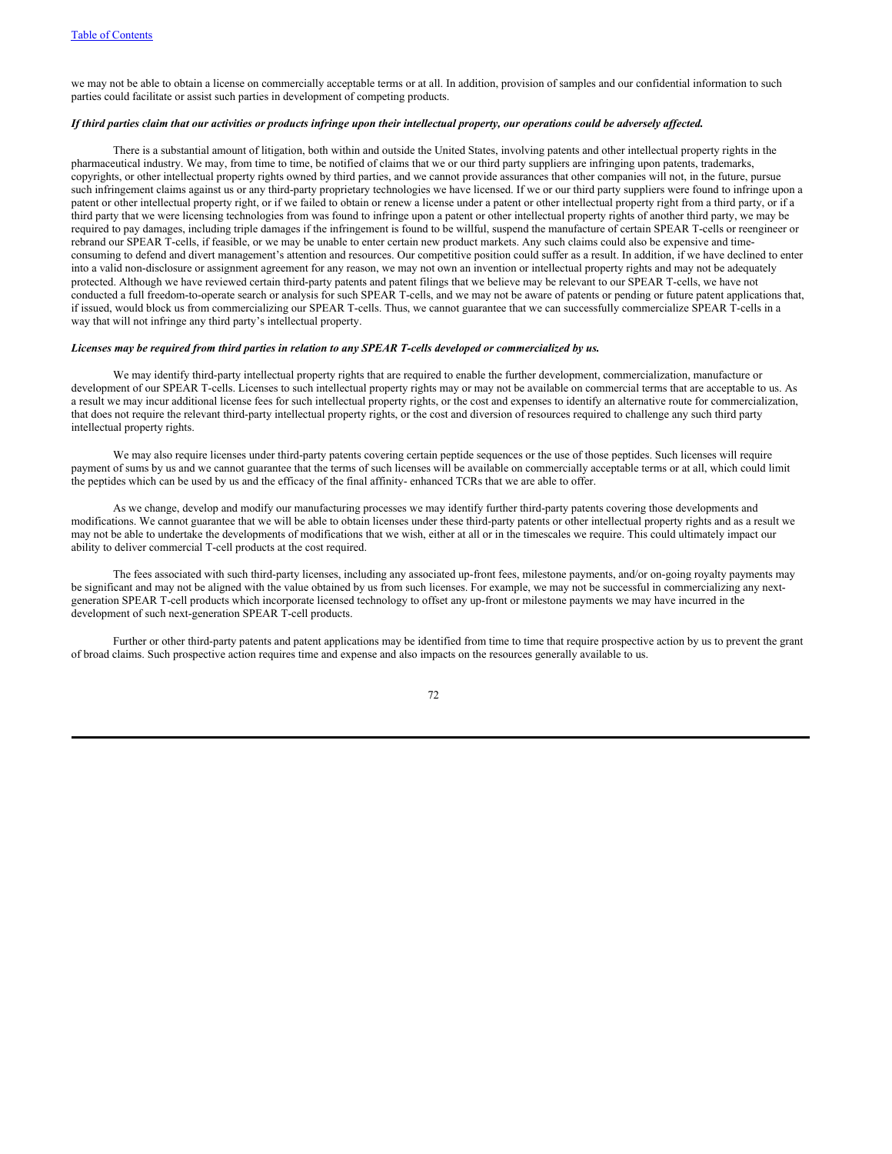we may not be able to obtain a license on commercially acceptable terms or at all. In addition, provision of samples and our confidential information to such parties could facilitate or assist such parties in development of competing products.

# If third parties claim that our activities or products infringe upon their intellectual property, our operations could be adversely affected.

There is a substantial amount of litigation, both within and outside the United States, involving patents and other intellectual property rights in the pharmaceutical industry. We may, from time to time, be notified of claims that we or our third party suppliers are infringing upon patents, trademarks, copyrights, or other intellectual property rights owned by third parties, and we cannot provide assurances that other companies will not, in the future, pursue such infringement claims against us or any third-party proprietary technologies we have licensed. If we or our third party suppliers were found to infringe upon a patent or other intellectual property right, or if we failed to obtain or renew a license under a patent or other intellectual property right from a third party, or if a third party that we were licensing technologies from was found to infringe upon a patent or other intellectual property rights of another third party, we may be required to pay damages, including triple damages if the infringement is found to be willful, suspend the manufacture of certain SPEAR T-cells or reengineer or rebrand our SPEAR T-cells, if feasible, or we may be unable to enter certain new product markets. Any such claims could also be expensive and timeconsuming to defend and divert management's attention and resources. Our competitive position could suffer as a result. In addition, if we have declined to enter into a valid non-disclosure or assignment agreement for any reason, we may not own an invention or intellectual property rights and may not be adequately protected. Although we have reviewed certain third-party patents and patent filings that we believe may be relevant to our SPEAR T-cells, we have not conducted a full freedom-to-operate search or analysis for such SPEAR T-cells, and we may not be aware of patents or pending or future patent applications that, if issued, would block us from commercializing our SPEAR T-cells. Thus, we cannot guarantee that we can successfully commercialize SPEAR T-cells in a way that will not infringe any third party's intellectual property.

## Licenses may be required from third parties in relation to any SPEAR T-cells developed or commercialized by us.

We may identify third-party intellectual property rights that are required to enable the further development, commercialization, manufacture or development of our SPEAR T-cells. Licenses to such intellectual property rights may or may not be available on commercial terms that are acceptable to us. As a result we may incur additional license fees for such intellectual property rights, or the cost and expenses to identify an alternative route for commercialization, that does not require the relevant third-party intellectual property rights, or the cost and diversion of resources required to challenge any such third party intellectual property rights.

We may also require licenses under third-party patents covering certain peptide sequences or the use of those peptides. Such licenses will require payment of sums by us and we cannot guarantee that the terms of such licenses will be available on commercially acceptable terms or at all, which could limit the peptides which can be used by us and the efficacy of the final affinity- enhanced TCRs that we are able to offer.

As we change, develop and modify our manufacturing processes we may identify further third-party patents covering those developments and modifications. We cannot guarantee that we will be able to obtain licenses under these third-party patents or other intellectual property rights and as a result we may not be able to undertake the developments of modifications that we wish, either at all or in the timescales we require. This could ultimately impact our ability to deliver commercial T-cell products at the cost required.

The fees associated with such third-party licenses, including any associated up-front fees, milestone payments, and/or on-going royalty payments may be significant and may not be aligned with the value obtained by us from such licenses. For example, we may not be successful in commercializing any nextgeneration SPEAR T-cell products which incorporate licensed technology to offset any up-front or milestone payments we may have incurred in the development of such next-generation SPEAR T-cell products.

Further or other third-party patents and patent applications may be identified from time to time that require prospective action by us to prevent the grant of broad claims. Such prospective action requires time and expense and also impacts on the resources generally available to us.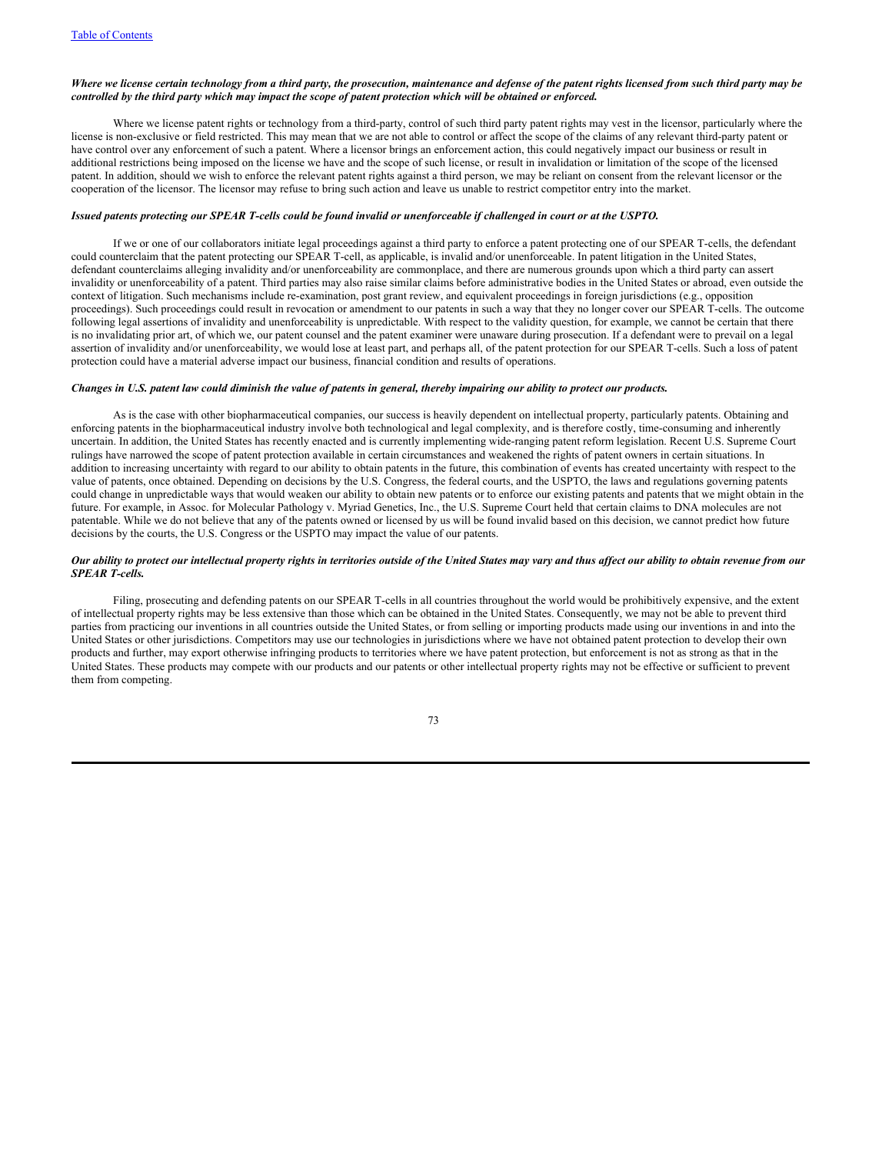### Where we license certain technology from a third party, the prosecution, maintenance and defense of the patent rights licensed from such third party may be controlled by the third party which may impact the scope of patent protection which will be obtained or enforced.

Where we license patent rights or technology from a third-party, control of such third party patent rights may vest in the licensor, particularly where the license is non-exclusive or field restricted. This may mean that we are not able to control or affect the scope of the claims of any relevant third-party patent or have control over any enforcement of such a patent. Where a licensor brings an enforcement action, this could negatively impact our business or result in additional restrictions being imposed on the license we have and the scope of such license, or result in invalidation or limitation of the scope of the licensed patent. In addition, should we wish to enforce the relevant patent rights against a third person, we may be reliant on consent from the relevant licensor or the cooperation of the licensor. The licensor may refuse to bring such action and leave us unable to restrict competitor entry into the market.

## Issued patents protecting our SPEAR T-cells could be found invalid or unenforceable if challenged in court or at the USPTO.

If we or one of our collaborators initiate legal proceedings against a third party to enforce a patent protecting one of our SPEAR T-cells, the defendant could counterclaim that the patent protecting our SPEAR T-cell, as applicable, is invalid and/or unenforceable. In patent litigation in the United States, defendant counterclaims alleging invalidity and/or unenforceability are commonplace, and there are numerous grounds upon which a third party can assert invalidity or unenforceability of a patent. Third parties may also raise similar claims before administrative bodies in the United States or abroad, even outside the context of litigation. Such mechanisms include re-examination, post grant review, and equivalent proceedings in foreign jurisdictions (e.g., opposition proceedings). Such proceedings could result in revocation or amendment to our patents in such a way that they no longer cover our SPEAR T-cells. The outcome following legal assertions of invalidity and unenforceability is unpredictable. With respect to the validity question, for example, we cannot be certain that there is no invalidating prior art, of which we, our patent counsel and the patent examiner were unaware during prosecution. If a defendant were to prevail on a legal assertion of invalidity and/or unenforceability, we would lose at least part, and perhaps all, of the patent protection for our SPEAR T-cells. Such a loss of patent protection could have a material adverse impact our business, financial condition and results of operations.

#### Changes in U.S. patent law could diminish the value of patents in general, thereby impairing our ability to protect our products.

As is the case with other biopharmaceutical companies, our success is heavily dependent on intellectual property, particularly patents. Obtaining and enforcing patents in the biopharmaceutical industry involve both technological and legal complexity, and is therefore costly, time-consuming and inherently uncertain. In addition, the United States has recently enacted and is currently implementing wide-ranging patent reform legislation. Recent U.S. Supreme Court rulings have narrowed the scope of patent protection available in certain circumstances and weakened the rights of patent owners in certain situations. In addition to increasing uncertainty with regard to our ability to obtain patents in the future, this combination of events has created uncertainty with respect to the value of patents, once obtained. Depending on decisions by the U.S. Congress, the federal courts, and the USPTO, the laws and regulations governing patents could change in unpredictable ways that would weaken our ability to obtain new patents or to enforce our existing patents and patents that we might obtain in the future. For example, in Assoc. for Molecular Pathology v. Myriad Genetics, Inc., the U.S. Supreme Court held that certain claims to DNA molecules are not patentable. While we do not believe that any of the patents owned or licensed by us will be found invalid based on this decision, we cannot predict how future decisions by the courts, the U.S. Congress or the USPTO may impact the value of our patents.

#### Our ability to protect our intellectual property rights in territories outside of the United States may vary and thus affect our ability to obtain revenue from our *SPEAR T-cells.*

Filing, prosecuting and defending patents on our SPEAR T-cells in all countries throughout the world would be prohibitively expensive, and the extent of intellectual property rights may be less extensive than those which can be obtained in the United States. Consequently, we may not be able to prevent third parties from practicing our inventions in all countries outside the United States, or from selling or importing products made using our inventions in and into the United States or other jurisdictions. Competitors may use our technologies in jurisdictions where we have not obtained patent protection to develop their own products and further, may export otherwise infringing products to territories where we have patent protection, but enforcement is not as strong as that in the United States. These products may compete with our products and our patents or other intellectual property rights may not be effective or sufficient to prevent them from competing.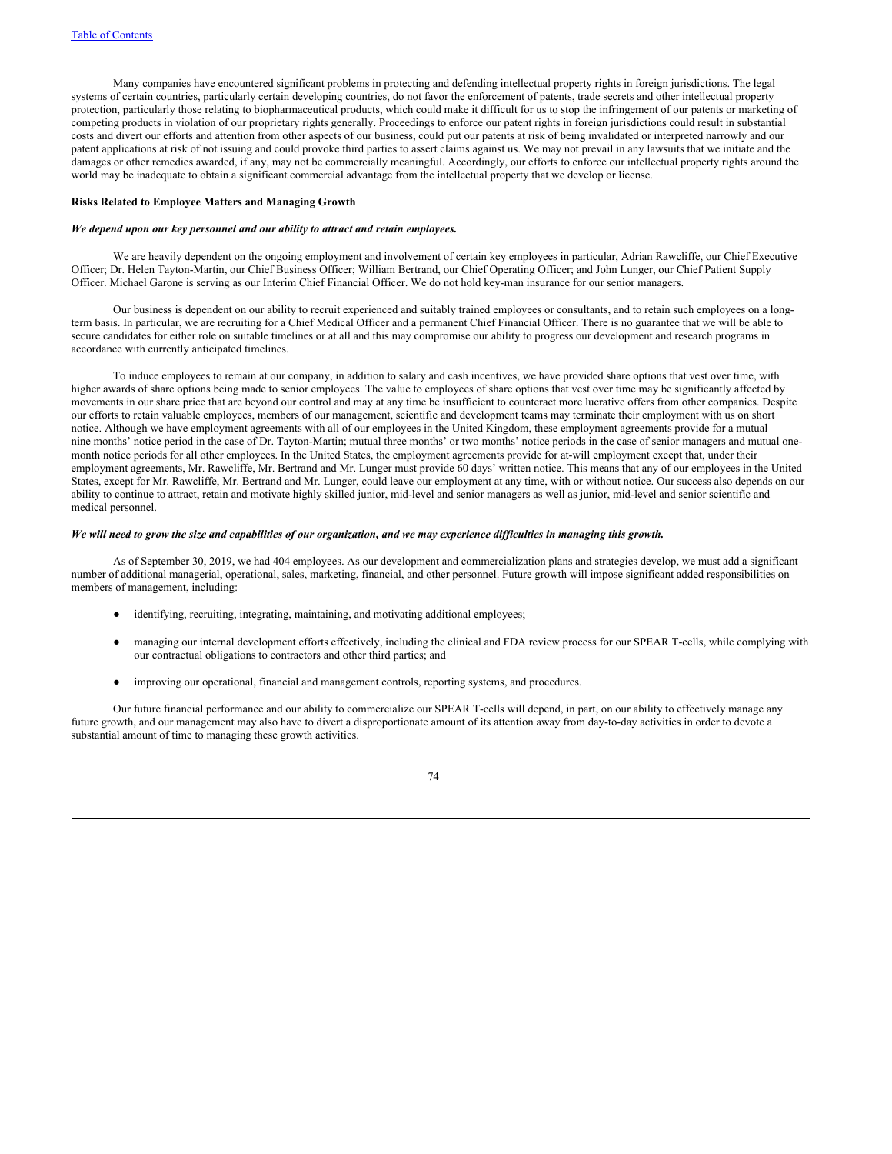Many companies have encountered significant problems in protecting and defending intellectual property rights in foreign jurisdictions. The legal systems of certain countries, particularly certain developing countries, do not favor the enforcement of patents, trade secrets and other intellectual property protection, particularly those relating to biopharmaceutical products, which could make it difficult for us to stop the infringement of our patents or marketing of competing products in violation of our proprietary rights generally. Proceedings to enforce our patent rights in foreign jurisdictions could result in substantial costs and divert our efforts and attention from other aspects of our business, could put our patents at risk of being invalidated or interpreted narrowly and our patent applications at risk of not issuing and could provoke third parties to assert claims against us. We may not prevail in any lawsuits that we initiate and the damages or other remedies awarded, if any, may not be commercially meaningful. Accordingly, our efforts to enforce our intellectual property rights around the world may be inadequate to obtain a significant commercial advantage from the intellectual property that we develop or license.

#### **Risks Related to Employee Matters and Managing Growth**

#### *We depend upon our key personnel and our ability to attract and retain employees.*

We are heavily dependent on the ongoing employment and involvement of certain key employees in particular, Adrian Rawcliffe, our Chief Executive Officer; Dr. Helen Tayton-Martin, our Chief Business Officer; William Bertrand, our Chief Operating Officer; and John Lunger, our Chief Patient Supply Officer. Michael Garone is serving as our Interim Chief Financial Officer. We do not hold key-man insurance for our senior managers.

Our business is dependent on our ability to recruit experienced and suitably trained employees or consultants, and to retain such employees on a longterm basis. In particular, we are recruiting for a Chief Medical Officer and a permanent Chief Financial Officer. There is no guarantee that we will be able to secure candidates for either role on suitable timelines or at all and this may compromise our ability to progress our development and research programs in accordance with currently anticipated timelines.

To induce employees to remain at our company, in addition to salary and cash incentives, we have provided share options that vest over time, with higher awards of share options being made to senior employees. The value to employees of share options that vest over time may be significantly affected by movements in our share price that are beyond our control and may at any time be insufficient to counteract more lucrative offers from other companies. Despite our efforts to retain valuable employees, members of our management, scientific and development teams may terminate their employment with us on short notice. Although we have employment agreements with all of our employees in the United Kingdom, these employment agreements provide for a mutual nine months' notice period in the case of Dr. Tayton-Martin; mutual three months' or two months' notice periods in the case of senior managers and mutual onemonth notice periods for all other employees. In the United States, the employment agreements provide for at-will employment except that, under their employment agreements, Mr. Rawcliffe, Mr. Bertrand and Mr. Lunger must provide 60 days' written notice. This means that any of our employees in the United States, except for Mr. Rawcliffe, Mr. Bertrand and Mr. Lunger, could leave our employment at any time, with or without notice. Our success also depends on our ability to continue to attract, retain and motivate highly skilled junior, mid-level and senior managers as well as junior, mid-level and senior scientific and medical personnel.

#### We will need to grow the size and capabilities of our organization, and we may experience difficulties in managing this growth.

As of September 30, 2019, we had 404 employees. As our development and commercialization plans and strategies develop, we must add a significant number of additional managerial, operational, sales, marketing, financial, and other personnel. Future growth will impose significant added responsibilities on members of management, including:

- identifying, recruiting, integrating, maintaining, and motivating additional employees;
- managing our internal development efforts effectively, including the clinical and FDA review process for our SPEAR T-cells, while complying with our contractual obligations to contractors and other third parties; and
- improving our operational, financial and management controls, reporting systems, and procedures.

Our future financial performance and our ability to commercialize our SPEAR T-cells will depend, in part, on our ability to effectively manage any future growth, and our management may also have to divert a disproportionate amount of its attention away from day-to-day activities in order to devote a substantial amount of time to managing these growth activities.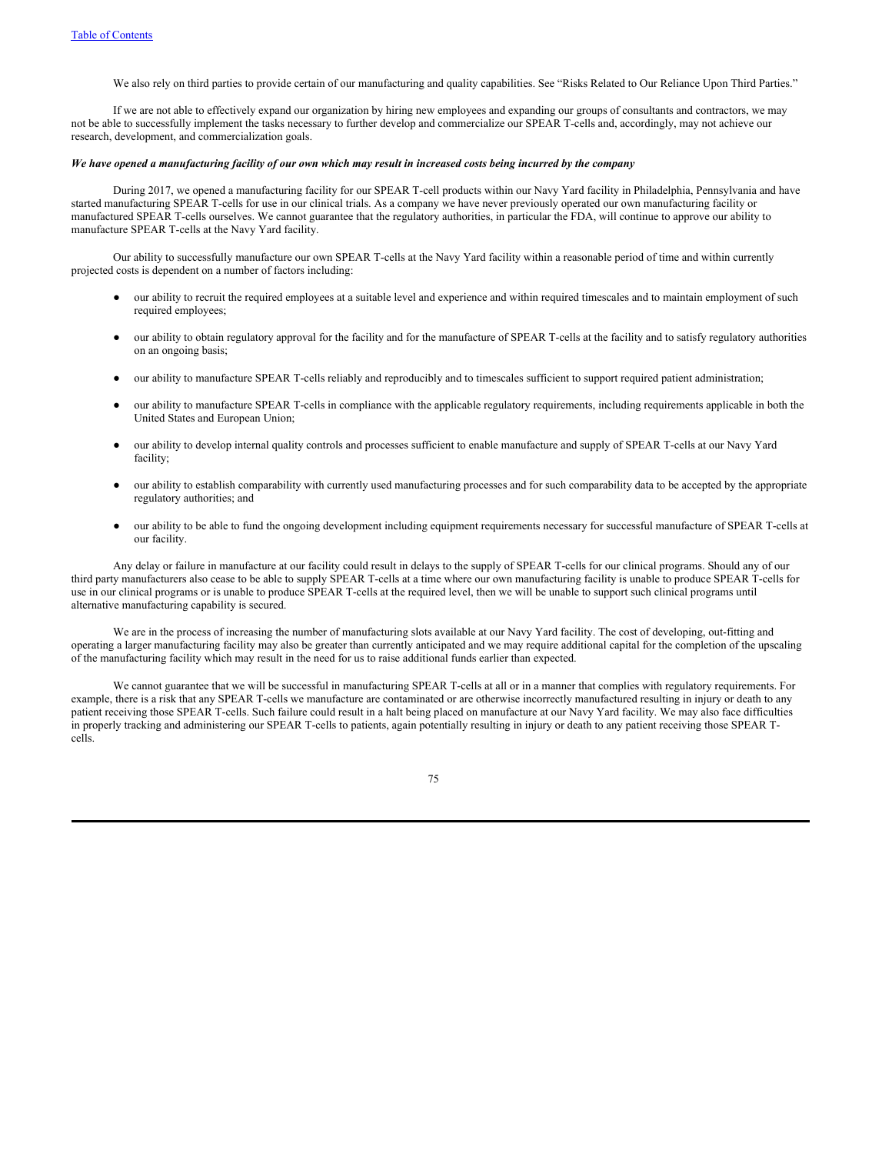We also rely on third parties to provide certain of our manufacturing and quality capabilities. See "Risks Related to Our Reliance Upon Third Parties."

If we are not able to effectively expand our organization by hiring new employees and expanding our groups of consultants and contractors, we may not be able to successfully implement the tasks necessary to further develop and commercialize our SPEAR T-cells and, accordingly, may not achieve our research, development, and commercialization goals.

#### We have opened a manufacturing facility of our own which may result in increased costs being incurred by the company

During 2017, we opened a manufacturing facility for our SPEAR T-cell products within our Navy Yard facility in Philadelphia, Pennsylvania and have started manufacturing SPEAR T-cells for use in our clinical trials. As a company we have never previously operated our own manufacturing facility or manufactured SPEAR T-cells ourselves. We cannot guarantee that the regulatory authorities, in particular the FDA, will continue to approve our ability to manufacture SPEAR T-cells at the Navy Yard facility.

Our ability to successfully manufacture our own SPEAR T-cells at the Navy Yard facility within a reasonable period of time and within currently projected costs is dependent on a number of factors including:

- our ability to recruit the required employees at a suitable level and experience and within required timescales and to maintain employment of such required employees;
- our ability to obtain regulatory approval for the facility and for the manufacture of SPEAR T-cells at the facility and to satisfy regulatory authorities on an ongoing basis;
- our ability to manufacture SPEAR T-cells reliably and reproducibly and to timescales sufficient to support required patient administration;
- our ability to manufacture SPEAR T-cells in compliance with the applicable regulatory requirements, including requirements applicable in both the United States and European Union;
- our ability to develop internal quality controls and processes sufficient to enable manufacture and supply of SPEAR T-cells at our Navy Yard facility;
- our ability to establish comparability with currently used manufacturing processes and for such comparability data to be accepted by the appropriate regulatory authorities; and
- our ability to be able to fund the ongoing development including equipment requirements necessary for successful manufacture of SPEAR T-cells at our facility.

Any delay or failure in manufacture at our facility could result in delays to the supply of SPEAR T-cells for our clinical programs. Should any of our third party manufacturers also cease to be able to supply SPEAR T-cells at a time where our own manufacturing facility is unable to produce SPEAR T-cells for use in our clinical programs or is unable to produce SPEAR T-cells at the required level, then we will be unable to support such clinical programs until alternative manufacturing capability is secured.

We are in the process of increasing the number of manufacturing slots available at our Navy Yard facility. The cost of developing, out-fitting and operating a larger manufacturing facility may also be greater than currently anticipated and we may require additional capital for the completion of the upscaling of the manufacturing facility which may result in the need for us to raise additional funds earlier than expected.

We cannot guarantee that we will be successful in manufacturing SPEAR T-cells at all or in a manner that complies with regulatory requirements. For example, there is a risk that any SPEAR T-cells we manufacture are contaminated or are otherwise incorrectly manufactured resulting in injury or death to any patient receiving those SPEAR T-cells. Such failure could result in a halt being placed on manufacture at our Navy Yard facility. We may also face difficulties in properly tracking and administering our SPEAR T-cells to patients, again potentially resulting in injury or death to any patient receiving those SPEAR Tcells.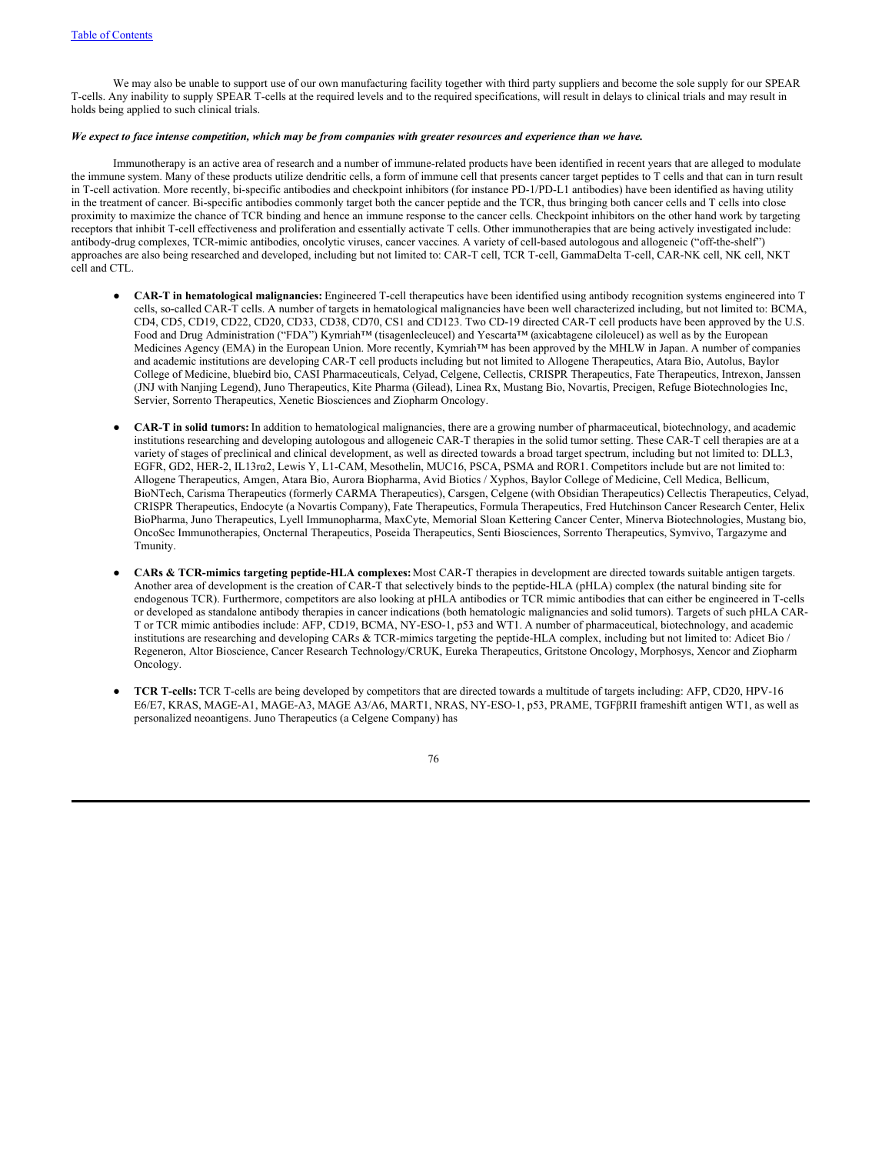We may also be unable to support use of our own manufacturing facility together with third party suppliers and become the sole supply for our SPEAR T-cells. Any inability to supply SPEAR T-cells at the required levels and to the required specifications, will result in delays to clinical trials and may result in holds being applied to such clinical trials.

#### We expect to face intense competition, which may be from companies with greater resources and experience than we have.

Immunotherapy is an active area of research and a number of immune-related products have been identified in recent years that are alleged to modulate the immune system. Many of these products utilize dendritic cells, a form of immune cell that presents cancer target peptides to T cells and that can in turn result in T-cell activation. More recently, bi-specific antibodies and checkpoint inhibitors (for instance PD-1/PD-L1 antibodies) have been identified as having utility in the treatment of cancer. Bi-specific antibodies commonly target both the cancer peptide and the TCR, thus bringing both cancer cells and T cells into close proximity to maximize the chance of TCR binding and hence an immune response to the cancer cells. Checkpoint inhibitors on the other hand work by targeting receptors that inhibit T-cell effectiveness and proliferation and essentially activate T cells. Other immunotherapies that are being actively investigated include: antibody-drug complexes, TCR-mimic antibodies, oncolytic viruses, cancer vaccines. A variety of cell-based autologous and allogeneic ("off-the-shelf") approaches are also being researched and developed, including but not limited to: CAR-T cell, TCR T-cell, GammaDelta T-cell, CAR-NK cell, NK cell, NKT cell and CTL.

- **CAR-T in hematological malignancies:** Engineered T-cell therapeutics have been identified using antibody recognition systems engineered into T cells, so-called CAR-T cells. A number of targets in hematological malignancies have been well characterized including, but not limited to: BCMA, CD4, CD5, CD19, CD22, CD20, CD33, CD38, CD70, CS1 and CD123. Two CD-19 directed CAR-T cell products have been approved by the U.S. Food and Drug Administration ("FDA") Kymriah™ (tisagenlecleucel) and Yescarta™ (axicabtagene ciloleucel) as well as by the European Medicines Agency (EMA) in the European Union. More recently, Kymriah™ has been approved by the MHLW in Japan. A number of companies and academic institutions are developing CAR-T cell products including but not limited to Allogene Therapeutics, Atara Bio, Autolus, Baylor College of Medicine, bluebird bio, CASI Pharmaceuticals, Celyad, Celgene, Cellectis, CRISPR Therapeutics, Fate Therapeutics, Intrexon, Janssen (JNJ with Nanjing Legend), Juno Therapeutics, Kite Pharma (Gilead), Linea Rx, Mustang Bio, Novartis, Precigen, Refuge Biotechnologies Inc, Servier, Sorrento Therapeutics, Xenetic Biosciences and Ziopharm Oncology.
- **CAR-T in solid tumors:** In addition to hematological malignancies, there are a growing number of pharmaceutical, biotechnology, and academic institutions researching and developing autologous and allogeneic CAR-T therapies in the solid tumor setting. These CAR-T cell therapies are at a variety of stages of preclinical and clinical development, as well as directed towards a broad target spectrum, including but not limited to: DLL3, EGFR, GD2, HER-2, IL13rα2, Lewis Y, L1-CAM, Mesothelin, MUC16, PSCA, PSMA and ROR1. Competitors include but are not limited to: Allogene Therapeutics, Amgen, Atara Bio, Aurora Biopharma, Avid Biotics / Xyphos, Baylor College of Medicine, Cell Medica, Bellicum, BioNTech, Carisma Therapeutics (formerly CARMA Therapeutics), Carsgen, Celgene (with Obsidian Therapeutics) Cellectis Therapeutics, Celyad, CRISPR Therapeutics, Endocyte (a Novartis Company), Fate Therapeutics, Formula Therapeutics, Fred Hutchinson Cancer Research Center, Helix BioPharma, Juno Therapeutics, Lyell Immunopharma, MaxCyte, Memorial Sloan Kettering Cancer Center, Minerva Biotechnologies, Mustang bio, OncoSec Immunotherapies, Oncternal Therapeutics, Poseida Therapeutics, Senti Biosciences, Sorrento Therapeutics, Symvivo, Targazyme and Tmunity.
- **CARs & TCR-mimics targeting peptide-HLA complexes:** Most CAR-T therapies in development are directed towards suitable antigen targets. Another area of development is the creation of CAR-T that selectively binds to the peptide-HLA (pHLA) complex (the natural binding site for endogenous TCR). Furthermore, competitors are also looking at pHLA antibodies or TCR mimic antibodies that can either be engineered in T-cells or developed as standalone antibody therapies in cancer indications (both hematologic malignancies and solid tumors). Targets of such pHLA CAR-T or TCR mimic antibodies include: AFP, CD19, BCMA, NY-ESO-1, p53 and WT1. A number of pharmaceutical, biotechnology, and academic institutions are researching and developing CARs & TCR-mimics targeting the peptide-HLA complex, including but not limited to: Adicet Bio / Regeneron, Altor Bioscience, Cancer Research Technology/CRUK, Eureka Therapeutics, Gritstone Oncology, Morphosys, Xencor and Ziopharm Oncology.
- **TCR T-cells:** TCR T-cells are being developed by competitors that are directed towards a multitude of targets including: AFP, CD20, HPV-16 E6/E7, KRAS, MAGE-A1, MAGE-A3, MAGE A3/A6, MART1, NRAS, NY-ESO-1, p53, PRAME, TGFβRII frameshift antigen WT1, as well as personalized neoantigens. Juno Therapeutics (a Celgene Company) has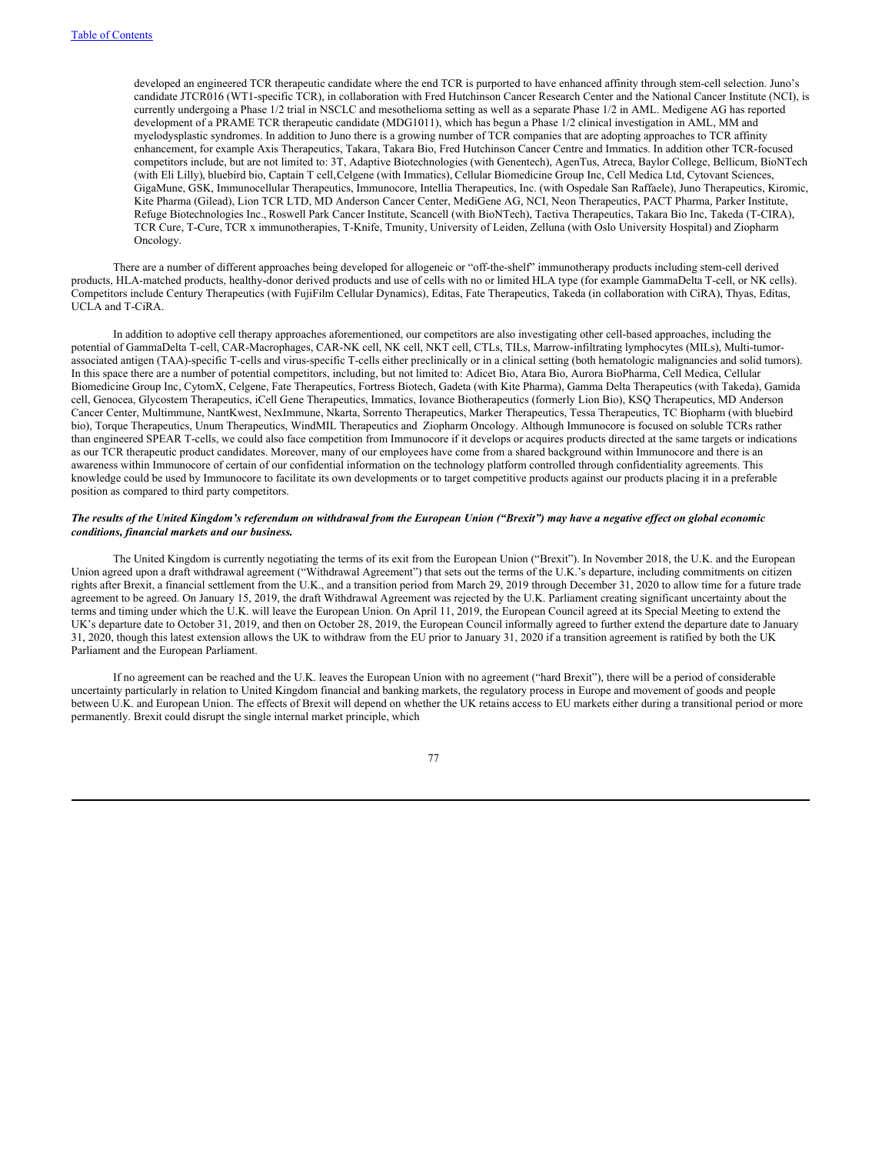developed an engineered TCR therapeutic candidate where the end TCR is purported to have enhanced affinity through stem-cell selection. Juno's candidate JTCR016 (WT1-specific TCR), in collaboration with Fred Hutchinson Cancer Research Center and the National Cancer Institute (NCI), is currently undergoing a Phase 1/2 trial in NSCLC and mesothelioma setting as well as a separate Phase 1/2 in AML. Medigene AG has reported development of a PRAME TCR therapeutic candidate (MDG1011), which has begun a Phase 1/2 clinical investigation in AML, MM and myelodysplastic syndromes. In addition to Juno there is a growing number of TCR companies that are adopting approaches to TCR affinity enhancement, for example Axis Therapeutics, Takara, Takara Bio, Fred Hutchinson Cancer Centre and Immatics. In addition other TCR-focused competitors include, but are not limited to: 3T, Adaptive Biotechnologies (with Genentech), AgenTus, Atreca, Baylor College, Bellicum, BioNTech (with Eli Lilly), bluebird bio, Captain T cell,Celgene (with Immatics), Cellular Biomedicine Group Inc, Cell Medica Ltd, Cytovant Sciences, GigaMune, GSK, Immunocellular Therapeutics, Immunocore, Intellia Therapeutics, Inc. (with Ospedale San Raffaele), Juno Therapeutics, Kiromic, Kite Pharma (Gilead), Lion TCR LTD, MD Anderson Cancer Center, MediGene AG, NCI, Neon Therapeutics, PACT Pharma, Parker Institute, Refuge Biotechnologies Inc., Roswell Park Cancer Institute, Scancell (with BioNTech), Tactiva Therapeutics, Takara Bio Inc, Takeda (T-CIRA), TCR Cure, T-Cure, TCR x immunotherapies, T-Knife, Tmunity, University of Leiden, Zelluna (with Oslo University Hospital) and Ziopharm Oncology.

There are a number of different approaches being developed for allogeneic or "off-the-shelf" immunotherapy products including stem-cell derived products, HLA-matched products, healthy-donor derived products and use of cells with no or limited HLA type (for example GammaDelta T-cell, or NK cells). Competitors include Century Therapeutics (with FujiFilm Cellular Dynamics), Editas, Fate Therapeutics, Takeda (in collaboration with CiRA), Thyas, Editas, UCLA and T-CiRA.

In addition to adoptive cell therapy approaches aforementioned, our competitors are also investigating other cell-based approaches, including the potential of GammaDelta T-cell, CAR-Macrophages, CAR-NK cell, NK cell, NKT cell, CTLs, TILs, Marrow-infiltrating lymphocytes (MILs), Multi-tumorassociated antigen (TAA)-specific T-cells and virus-specific T-cells either preclinically or in a clinical setting (both hematologic malignancies and solid tumors). In this space there are a number of potential competitors, including, but not limited to: Adicet Bio, Atara Bio, Aurora BioPharma, Cell Medica, Cellular Biomedicine Group Inc, CytomX, Celgene, Fate Therapeutics, Fortress Biotech, Gadeta (with Kite Pharma), Gamma Delta Therapeutics (with Takeda), Gamida cell, Genocea, Glycostem Therapeutics, iCell Gene Therapeutics, Immatics, Iovance Biotherapeutics (formerly Lion Bio), KSQ Therapeutics, MD Anderson Cancer Center, Multimmune, NantKwest, NexImmune, Nkarta, Sorrento Therapeutics, Marker Therapeutics, Tessa Therapeutics, TC Biopharm (with bluebird bio), Torque Therapeutics, Unum Therapeutics, WindMIL Therapeutics and Ziopharm Oncology. Although Immunocore is focused on soluble TCRs rather than engineered SPEAR T-cells, we could also face competition from Immunocore if it develops or acquires products directed at the same targets or indications as our TCR therapeutic product candidates. Moreover, many of our employees have come from a shared background within Immunocore and there is an awareness within Immunocore of certain of our confidential information on the technology platform controlled through confidentiality agreements. This knowledge could be used by Immunocore to facilitate its own developments or to target competitive products against our products placing it in a preferable position as compared to third party competitors.

## The results of the United Kingdom's referendum on withdrawal from the European Union ("Brexit") may have a negative effect on global economic *conditions, financial markets and our business.*

The United Kingdom is currently negotiating the terms of its exit from the European Union ("Brexit"). In November 2018, the U.K. and the European Union agreed upon a draft withdrawal agreement ("Withdrawal Agreement") that sets out the terms of the U.K.'s departure, including commitments on citizen rights after Brexit, a financial settlement from the U.K., and a transition period from March 29, 2019 through December 31, 2020 to allow time for a future trade agreement to be agreed. On January 15, 2019, the draft Withdrawal Agreement was rejected by the U.K. Parliament creating significant uncertainty about the terms and timing under which the U.K. will leave the European Union. On April 11, 2019, the European Council agreed at its Special Meeting to extend the UK's departure date to October 31, 2019, and then on October 28, 2019, the European Council informally agreed to further extend the departure date to January 31, 2020, though this latest extension allows the UK to withdraw from the EU prior to January 31, 2020 if a transition agreement is ratified by both the UK Parliament and the European Parliament.

If no agreement can be reached and the U.K. leaves the European Union with no agreement ("hard Brexit"), there will be a period of considerable uncertainty particularly in relation to United Kingdom financial and banking markets, the regulatory process in Europe and movement of goods and people between U.K. and European Union. The effects of Brexit will depend on whether the UK retains access to EU markets either during a transitional period or more permanently. Brexit could disrupt the single internal market principle, which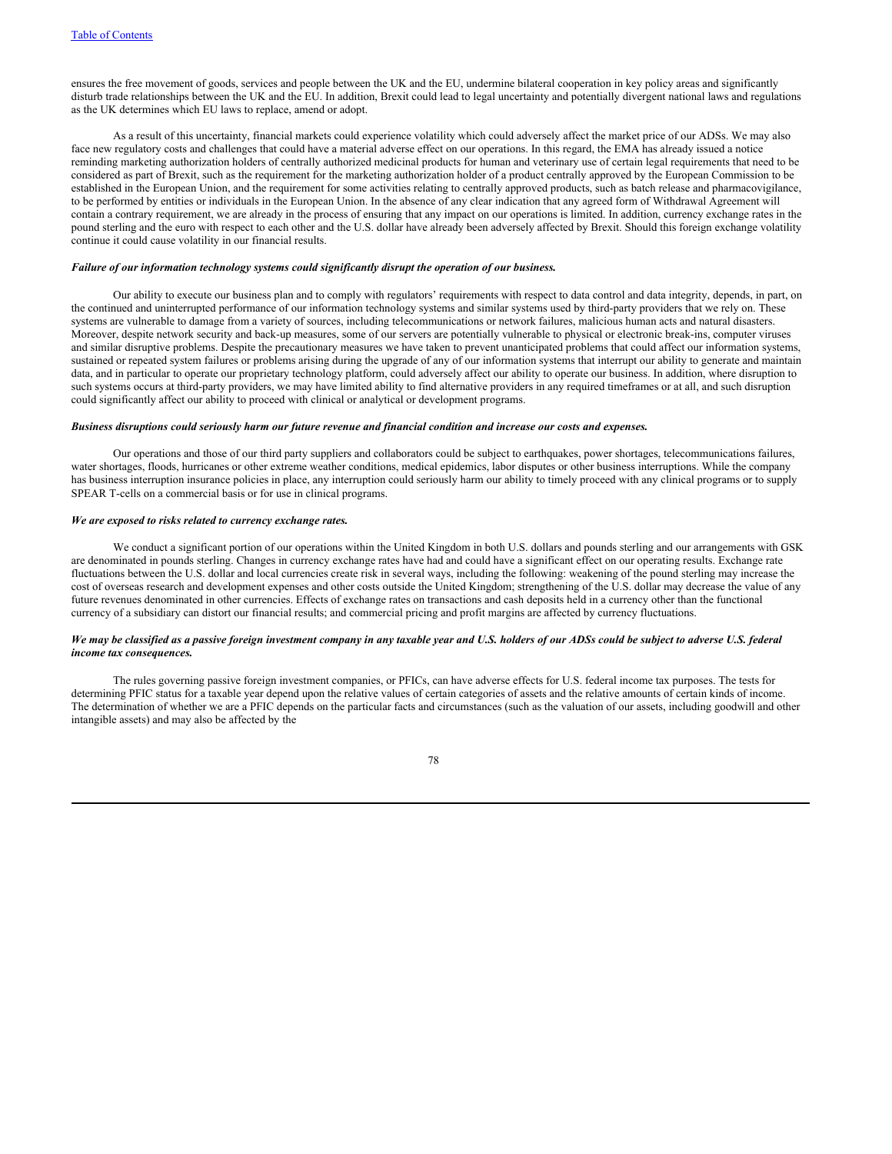ensures the free movement of goods, services and people between the UK and the EU, undermine bilateral cooperation in key policy areas and significantly disturb trade relationships between the UK and the EU. In addition, Brexit could lead to legal uncertainty and potentially divergent national laws and regulations as the UK determines which EU laws to replace, amend or adopt.

As a result of this uncertainty, financial markets could experience volatility which could adversely affect the market price of our ADSs. We may also face new regulatory costs and challenges that could have a material adverse effect on our operations. In this regard, the EMA has already issued a notice reminding marketing authorization holders of centrally authorized medicinal products for human and veterinary use of certain legal requirements that need to be considered as part of Brexit, such as the requirement for the marketing authorization holder of a product centrally approved by the European Commission to be established in the European Union, and the requirement for some activities relating to centrally approved products, such as batch release and pharmacovigilance, to be performed by entities or individuals in the European Union. In the absence of any clear indication that any agreed form of Withdrawal Agreement will contain a contrary requirement, we are already in the process of ensuring that any impact on our operations is limited. In addition, currency exchange rates in the pound sterling and the euro with respect to each other and the U.S. dollar have already been adversely affected by Brexit. Should this foreign exchange volatility continue it could cause volatility in our financial results.

#### *Failure of our information technology systems could significantly disrupt the operation of our business.*

Our ability to execute our business plan and to comply with regulators' requirements with respect to data control and data integrity, depends, in part, on the continued and uninterrupted performance of our information technology systems and similar systems used by third-party providers that we rely on. These systems are vulnerable to damage from a variety of sources, including telecommunications or network failures, malicious human acts and natural disasters. Moreover, despite network security and back-up measures, some of our servers are potentially vulnerable to physical or electronic break-ins, computer viruses and similar disruptive problems. Despite the precautionary measures we have taken to prevent unanticipated problems that could affect our information systems, sustained or repeated system failures or problems arising during the upgrade of any of our information systems that interrupt our ability to generate and maintain data, and in particular to operate our proprietary technology platform, could adversely affect our ability to operate our business. In addition, where disruption to such systems occurs at third-party providers, we may have limited ability to find alternative providers in any required timeframes or at all, and such disruption could significantly affect our ability to proceed with clinical or analytical or development programs.

### Business disruptions could seriously harm our future revenue and financial condition and increase our costs and expenses.

Our operations and those of our third party suppliers and collaborators could be subject to earthquakes, power shortages, telecommunications failures, water shortages, floods, hurricanes or other extreme weather conditions, medical epidemics, labor disputes or other business interruptions. While the company has business interruption insurance policies in place, any interruption could seriously harm our ability to timely proceed with any clinical programs or to supply SPEAR T-cells on a commercial basis or for use in clinical programs.

#### *We are exposed to risks related to currency exchange rates.*

We conduct a significant portion of our operations within the United Kingdom in both U.S. dollars and pounds sterling and our arrangements with GSK are denominated in pounds sterling. Changes in currency exchange rates have had and could have a significant effect on our operating results. Exchange rate fluctuations between the U.S. dollar and local currencies create risk in several ways, including the following: weakening of the pound sterling may increase the cost of overseas research and development expenses and other costs outside the United Kingdom; strengthening of the U.S. dollar may decrease the value of any future revenues denominated in other currencies. Effects of exchange rates on transactions and cash deposits held in a currency other than the functional currency of a subsidiary can distort our financial results; and commercial pricing and profit margins are affected by currency fluctuations.

### We may be classified as a passive foreign investment company in any taxable year and U.S. holders of our ADSs could be subject to adverse U.S. federal *income tax consequences.*

The rules governing passive foreign investment companies, or PFICs, can have adverse effects for U.S. federal income tax purposes. The tests for determining PFIC status for a taxable year depend upon the relative values of certain categories of assets and the relative amounts of certain kinds of income. The determination of whether we are a PFIC depends on the particular facts and circumstances (such as the valuation of our assets, including goodwill and other intangible assets) and may also be affected by the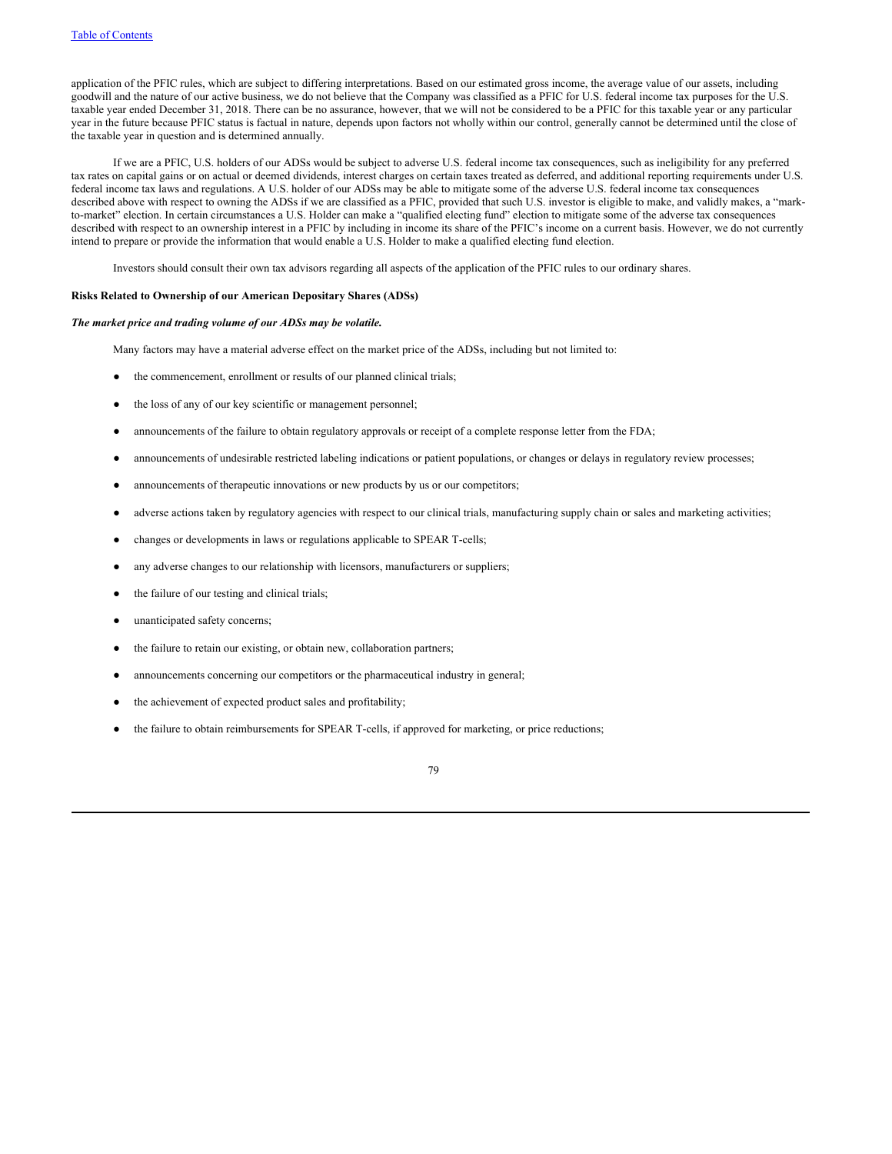application of the PFIC rules, which are subject to differing interpretations. Based on our estimated gross income, the average value of our assets, including goodwill and the nature of our active business, we do not believe that the Company was classified as a PFIC for U.S. federal income tax purposes for the U.S. taxable year ended December 31, 2018. There can be no assurance, however, that we will not be considered to be a PFIC for this taxable year or any particular year in the future because PFIC status is factual in nature, depends upon factors not wholly within our control, generally cannot be determined until the close of the taxable year in question and is determined annually.

If we are a PFIC, U.S. holders of our ADSs would be subject to adverse U.S. federal income tax consequences, such as ineligibility for any preferred tax rates on capital gains or on actual or deemed dividends, interest charges on certain taxes treated as deferred, and additional reporting requirements under U.S. federal income tax laws and regulations. A U.S. holder of our ADSs may be able to mitigate some of the adverse U.S. federal income tax consequences described above with respect to owning the ADSs if we are classified as a PFIC, provided that such U.S. investor is eligible to make, and validly makes, a "markto-market" election. In certain circumstances a U.S. Holder can make a "qualified electing fund" election to mitigate some of the adverse tax consequences described with respect to an ownership interest in a PFIC by including in income its share of the PFIC's income on a current basis. However, we do not currently intend to prepare or provide the information that would enable a U.S. Holder to make a qualified electing fund election.

Investors should consult their own tax advisors regarding all aspects of the application of the PFIC rules to our ordinary shares.

## **Risks Related to Ownership of our American Depositary Shares (ADSs)**

## *The market price and trading volume of our ADSs may be volatile.*

Many factors may have a material adverse effect on the market price of the ADSs, including but not limited to:

- the commencement, enrollment or results of our planned clinical trials;
- the loss of any of our key scientific or management personnel;
- announcements of the failure to obtain regulatory approvals or receipt of a complete response letter from the FDA;
- announcements of undesirable restricted labeling indications or patient populations, or changes or delays in regulatory review processes;
- announcements of therapeutic innovations or new products by us or our competitors;
- adverse actions taken by regulatory agencies with respect to our clinical trials, manufacturing supply chain or sales and marketing activities;
- changes or developments in laws or regulations applicable to SPEAR T-cells;
- any adverse changes to our relationship with licensors, manufacturers or suppliers;
- the failure of our testing and clinical trials;
- unanticipated safety concerns;
- the failure to retain our existing, or obtain new, collaboration partners;
- announcements concerning our competitors or the pharmaceutical industry in general;
- the achievement of expected product sales and profitability;
- the failure to obtain reimbursements for SPEAR T-cells, if approved for marketing, or price reductions;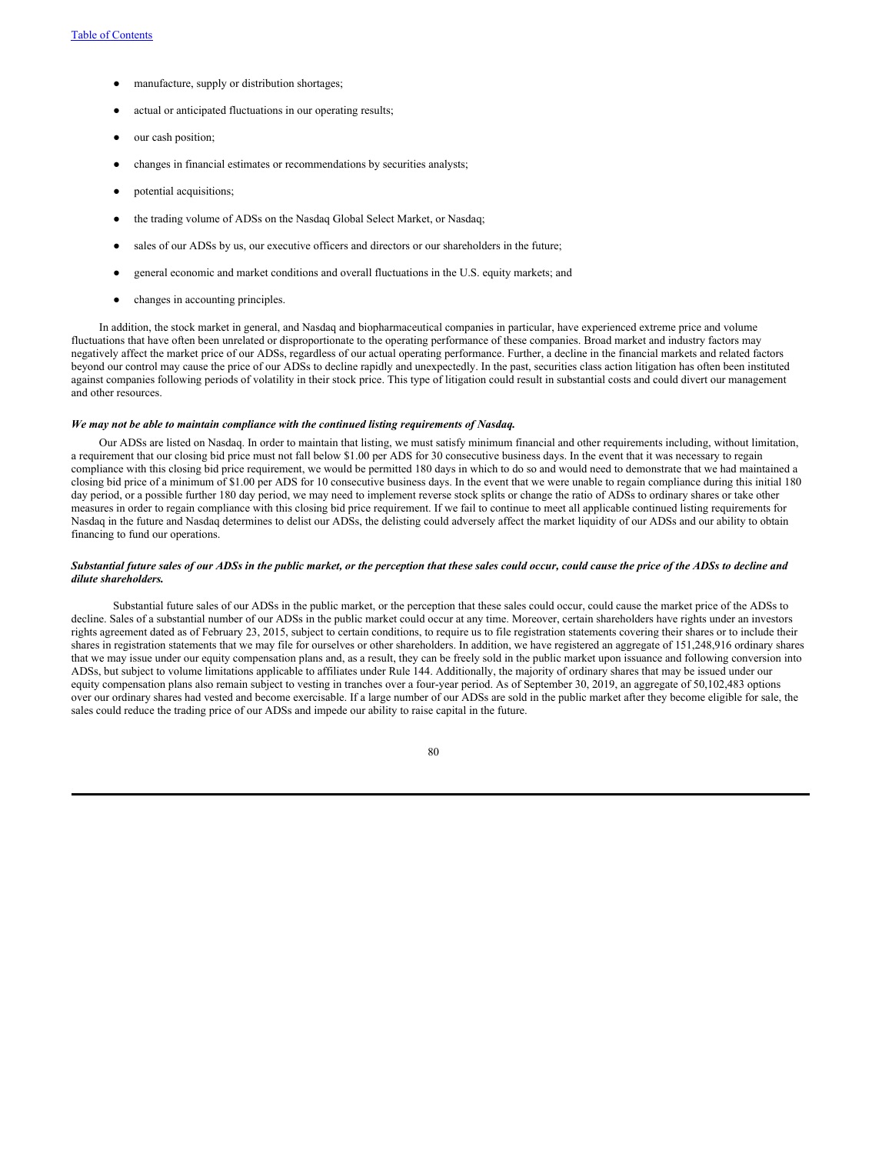- manufacture, supply or distribution shortages;
- actual or anticipated fluctuations in our operating results;
- our cash position;
- changes in financial estimates or recommendations by securities analysts;
- potential acquisitions;
- the trading volume of ADSs on the Nasdaq Global Select Market, or Nasdaq;
- sales of our ADSs by us, our executive officers and directors or our shareholders in the future;
- general economic and market conditions and overall fluctuations in the U.S. equity markets; and
- changes in accounting principles.

In addition, the stock market in general, and Nasdaq and biopharmaceutical companies in particular, have experienced extreme price and volume fluctuations that have often been unrelated or disproportionate to the operating performance of these companies. Broad market and industry factors may negatively affect the market price of our ADSs, regardless of our actual operating performance. Further, a decline in the financial markets and related factors beyond our control may cause the price of our ADSs to decline rapidly and unexpectedly. In the past, securities class action litigation has often been instituted against companies following periods of volatility in their stock price. This type of litigation could result in substantial costs and could divert our management and other resources.

#### *We may not be able to maintain compliance with the continued listing requirements of Nasdaq.*

Our ADSs are listed on Nasdaq. In order to maintain that listing, we must satisfy minimum financial and other requirements including, without limitation, a requirement that our closing bid price must not fall below \$1.00 per ADS for 30 consecutive business days. In the event that it was necessary to regain compliance with this closing bid price requirement, we would be permitted 180 days in which to do so and would need to demonstrate that we had maintained a closing bid price of a minimum of \$1.00 per ADS for 10 consecutive business days. In the event that we were unable to regain compliance during this initial 180 day period, or a possible further 180 day period, we may need to implement reverse stock splits or change the ratio of ADSs to ordinary shares or take other measures in order to regain compliance with this closing bid price requirement. If we fail to continue to meet all applicable continued listing requirements for Nasdaq in the future and Nasdaq determines to delist our ADSs, the delisting could adversely affect the market liquidity of our ADSs and our ability to obtain financing to fund our operations.

#### Substantial future sales of our ADSs in the public market, or the perception that these sales could occur, could cause the price of the ADSs to decline and *dilute shareholders.*

Substantial future sales of our ADSs in the public market, or the perception that these sales could occur, could cause the market price of the ADSs to decline. Sales of a substantial number of our ADSs in the public market could occur at any time. Moreover, certain shareholders have rights under an investors rights agreement dated as of February 23, 2015, subject to certain conditions, to require us to file registration statements covering their shares or to include their shares in registration statements that we may file for ourselves or other shareholders. In addition, we have registered an aggregate of 151,248,916 ordinary shares that we may issue under our equity compensation plans and, as a result, they can be freely sold in the public market upon issuance and following conversion into ADSs, but subject to volume limitations applicable to affiliates under Rule 144. Additionally, the majority of ordinary shares that may be issued under our equity compensation plans also remain subject to vesting in tranches over a four-year period. As of September 30, 2019, an aggregate of 50,102,483 options over our ordinary shares had vested and become exercisable. If a large number of our ADSs are sold in the public market after they become eligible for sale, the sales could reduce the trading price of our ADSs and impede our ability to raise capital in the future.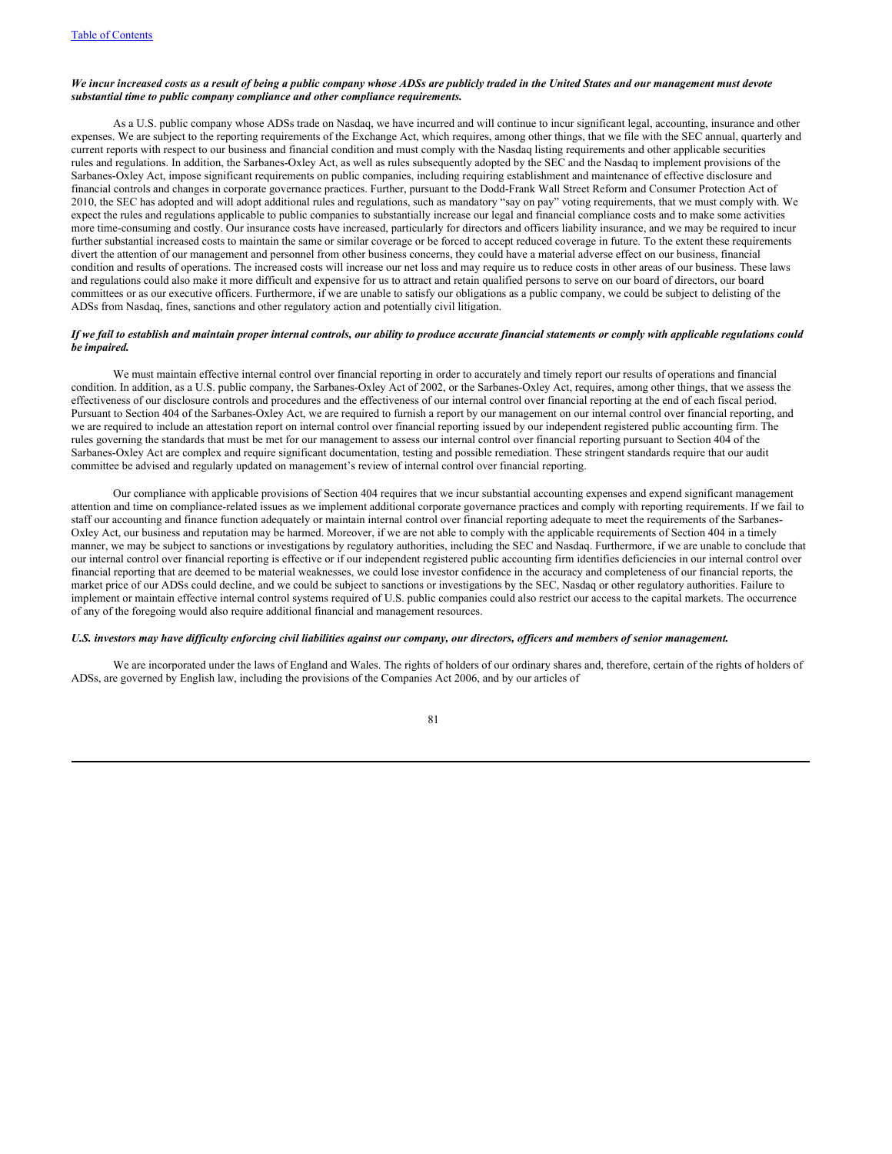### We incur increased costs as a result of being a public company whose ADSs are publicly traded in the United States and our management must devote *substantial time to public company compliance and other compliance requirements.*

As a U.S. public company whose ADSs trade on Nasdaq, we have incurred and will continue to incur significant legal, accounting, insurance and other expenses. We are subject to the reporting requirements of the Exchange Act, which requires, among other things, that we file with the SEC annual, quarterly and current reports with respect to our business and financial condition and must comply with the Nasdaq listing requirements and other applicable securities rules and regulations. In addition, the Sarbanes-Oxley Act, as well as rules subsequently adopted by the SEC and the Nasdaq to implement provisions of the Sarbanes-Oxley Act, impose significant requirements on public companies, including requiring establishment and maintenance of effective disclosure and financial controls and changes in corporate governance practices. Further, pursuant to the Dodd-Frank Wall Street Reform and Consumer Protection Act of 2010, the SEC has adopted and will adopt additional rules and regulations, such as mandatory "say on pay" voting requirements, that we must comply with. We expect the rules and regulations applicable to public companies to substantially increase our legal and financial compliance costs and to make some activities more time-consuming and costly. Our insurance costs have increased, particularly for directors and officers liability insurance, and we may be required to incur further substantial increased costs to maintain the same or similar coverage or be forced to accept reduced coverage in future. To the extent these requirements divert the attention of our management and personnel from other business concerns, they could have a material adverse effect on our business, financial condition and results of operations. The increased costs will increase our net loss and may require us to reduce costs in other areas of our business. These laws and regulations could also make it more difficult and expensive for us to attract and retain qualified persons to serve on our board of directors, our board committees or as our executive officers. Furthermore, if we are unable to satisfy our obligations as a public company, we could be subject to delisting of the ADSs from Nasdaq, fines, sanctions and other regulatory action and potentially civil litigation.

## If we fail to establish and maintain proper internal controls, our ability to produce accurate financial statements or comply with applicable regulations could *be impaired.*

We must maintain effective internal control over financial reporting in order to accurately and timely report our results of operations and financial condition. In addition, as a U.S. public company, the Sarbanes-Oxley Act of 2002, or the Sarbanes-Oxley Act, requires, among other things, that we assess the effectiveness of our disclosure controls and procedures and the effectiveness of our internal control over financial reporting at the end of each fiscal period. Pursuant to Section 404 of the Sarbanes-Oxley Act, we are required to furnish a report by our management on our internal control over financial reporting, and we are required to include an attestation report on internal control over financial reporting issued by our independent registered public accounting firm. The rules governing the standards that must be met for our management to assess our internal control over financial reporting pursuant to Section 404 of the Sarbanes-Oxley Act are complex and require significant documentation, testing and possible remediation. These stringent standards require that our audit committee be advised and regularly updated on management's review of internal control over financial reporting.

Our compliance with applicable provisions of Section 404 requires that we incur substantial accounting expenses and expend significant management attention and time on compliance-related issues as we implement additional corporate governance practices and comply with reporting requirements. If we fail to staff our accounting and finance function adequately or maintain internal control over financial reporting adequate to meet the requirements of the Sarbanes-Oxley Act, our business and reputation may be harmed. Moreover, if we are not able to comply with the applicable requirements of Section 404 in a timely manner, we may be subject to sanctions or investigations by regulatory authorities, including the SEC and Nasdaq. Furthermore, if we are unable to conclude that our internal control over financial reporting is effective or if our independent registered public accounting firm identifies deficiencies in our internal control over financial reporting that are deemed to be material weaknesses, we could lose investor confidence in the accuracy and completeness of our financial reports, the market price of our ADSs could decline, and we could be subject to sanctions or investigations by the SEC, Nasdaq or other regulatory authorities. Failure to implement or maintain effective internal control systems required of U.S. public companies could also restrict our access to the capital markets. The occurrence of any of the foregoing would also require additional financial and management resources.

## U.S. investors may have difficulty enforcing civil liabilities against our company, our directors, officers and members of senior management.

We are incorporated under the laws of England and Wales. The rights of holders of our ordinary shares and, therefore, certain of the rights of holders of ADSs, are governed by English law, including the provisions of the Companies Act 2006, and by our articles of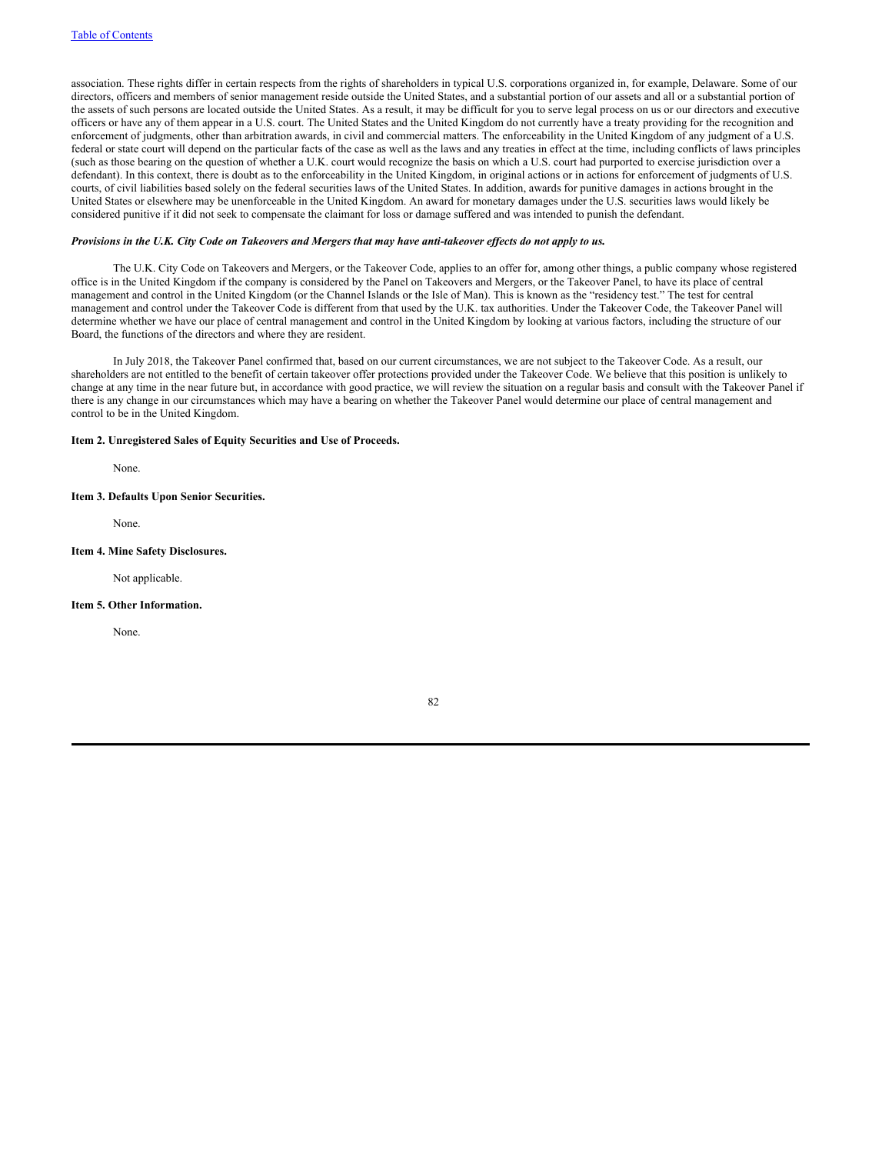association. These rights differ in certain respects from the rights of shareholders in typical U.S. corporations organized in, for example, Delaware. Some of our directors, officers and members of senior management reside outside the United States, and a substantial portion of our assets and all or a substantial portion of the assets of such persons are located outside the United States. As a result, it may be difficult for you to serve legal process on us or our directors and executive officers or have any of them appear in a U.S. court. The United States and the United Kingdom do not currently have a treaty providing for the recognition and enforcement of judgments, other than arbitration awards, in civil and commercial matters. The enforceability in the United Kingdom of any judgment of a U.S. federal or state court will depend on the particular facts of the case as well as the laws and any treaties in effect at the time, including conflicts of laws principles (such as those bearing on the question of whether a U.K. court would recognize the basis on which a U.S. court had purported to exercise jurisdiction over a defendant). In this context, there is doubt as to the enforceability in the United Kingdom, in original actions or in actions for enforcement of judgments of U.S. courts, of civil liabilities based solely on the federal securities laws of the United States. In addition, awards for punitive damages in actions brought in the United States or elsewhere may be unenforceable in the United Kingdom. An award for monetary damages under the U.S. securities laws would likely be considered punitive if it did not seek to compensate the claimant for loss or damage suffered and was intended to punish the defendant.

#### Provisions in the U.K. City Code on Takeovers and Mergers that may have anti-takeover effects do not apply to us.

The U.K. City Code on Takeovers and Mergers, or the Takeover Code, applies to an offer for, among other things, a public company whose registered office is in the United Kingdom if the company is considered by the Panel on Takeovers and Mergers, or the Takeover Panel, to have its place of central management and control in the United Kingdom (or the Channel Islands or the Isle of Man). This is known as the "residency test." The test for central management and control under the Takeover Code is different from that used by the U.K. tax authorities. Under the Takeover Code, the Takeover Panel will determine whether we have our place of central management and control in the United Kingdom by looking at various factors, including the structure of our Board, the functions of the directors and where they are resident.

In July 2018, the Takeover Panel confirmed that, based on our current circumstances, we are not subject to the Takeover Code. As a result, our shareholders are not entitled to the benefit of certain takeover offer protections provided under the Takeover Code. We believe that this position is unlikely to change at any time in the near future but, in accordance with good practice, we will review the situation on a regular basis and consult with the Takeover Panel if there is any change in our circumstances which may have a bearing on whether the Takeover Panel would determine our place of central management and control to be in the United Kingdom.

#### **Item 2. Unregistered Sales of Equity Securities and Use of Proceeds.**

None.

## **Item 3. Defaults Upon Senior Securities.**

None.

### **Item 4. Mine Safety Disclosures.**

Not applicable.

## **Item 5. Other Information.**

None.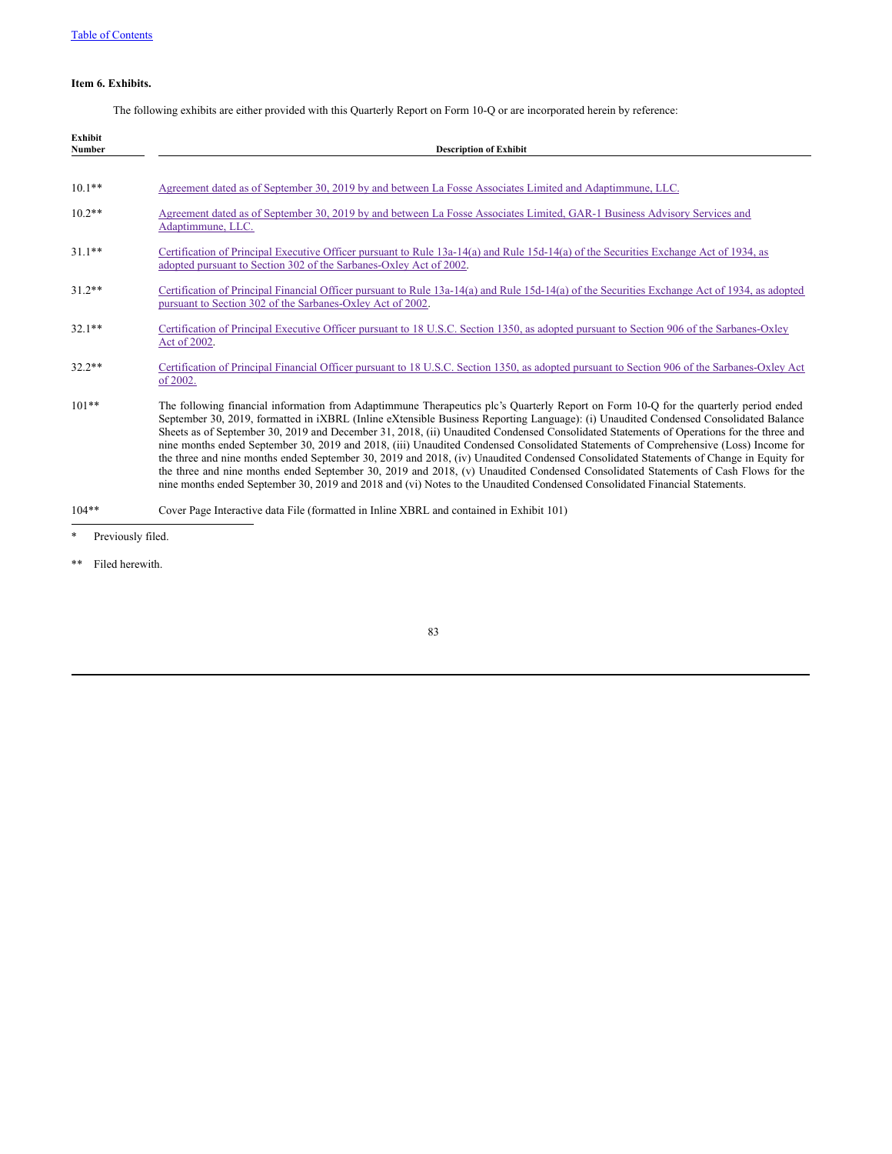# **Item 6. Exhibits.**

The following exhibits are either provided with this Quarterly Report on Form 10-Q or are incorporated herein by reference:

| Exhibit<br>Number | <b>Description of Exhibit</b>                                                                                                                                                                                                                                                                                                                                                                                                                                                                                                                                                                                                                                                                                                                                                                                                                                                                                                                                               |
|-------------------|-----------------------------------------------------------------------------------------------------------------------------------------------------------------------------------------------------------------------------------------------------------------------------------------------------------------------------------------------------------------------------------------------------------------------------------------------------------------------------------------------------------------------------------------------------------------------------------------------------------------------------------------------------------------------------------------------------------------------------------------------------------------------------------------------------------------------------------------------------------------------------------------------------------------------------------------------------------------------------|
|                   |                                                                                                                                                                                                                                                                                                                                                                                                                                                                                                                                                                                                                                                                                                                                                                                                                                                                                                                                                                             |
| $10.1**$          | Agreement dated as of September 30, 2019 by and between La Fosse Associates Limited and Adaptimmune, LLC.                                                                                                                                                                                                                                                                                                                                                                                                                                                                                                                                                                                                                                                                                                                                                                                                                                                                   |
| $10.2**$          | Agreement dated as of September 30, 2019 by and between La Fosse Associates Limited, GAR-1 Business Advisory Services and<br>Adaptimmune, LLC.                                                                                                                                                                                                                                                                                                                                                                                                                                                                                                                                                                                                                                                                                                                                                                                                                              |
| $31.1***$         | Certification of Principal Executive Officer pursuant to Rule 13a-14(a) and Rule 15d-14(a) of the Securities Exchange Act of 1934, as<br>adopted pursuant to Section 302 of the Sarbanes-Oxley Act of 2002.                                                                                                                                                                                                                                                                                                                                                                                                                                                                                                                                                                                                                                                                                                                                                                 |
| $31.2**$          | Certification of Principal Financial Officer pursuant to Rule 13a-14(a) and Rule 15d-14(a) of the Securities Exchange Act of 1934, as adopted<br>pursuant to Section 302 of the Sarbanes-Oxley Act of 2002.                                                                                                                                                                                                                                                                                                                                                                                                                                                                                                                                                                                                                                                                                                                                                                 |
| $32.1**$          | Certification of Principal Executive Officer pursuant to 18 U.S.C. Section 1350, as adopted pursuant to Section 906 of the Sarbanes-Oxley<br>Act of 2002.                                                                                                                                                                                                                                                                                                                                                                                                                                                                                                                                                                                                                                                                                                                                                                                                                   |
| $32.2**$          | Certification of Principal Financial Officer pursuant to 18 U.S.C. Section 1350, as adopted pursuant to Section 906 of the Sarbanes-Oxley Act<br>of 2002.                                                                                                                                                                                                                                                                                                                                                                                                                                                                                                                                                                                                                                                                                                                                                                                                                   |
| $101**$           | The following financial information from Adaptimmune Therapeutics plc's Quarterly Report on Form 10-Q for the quarterly period ended<br>September 30, 2019, formatted in iXBRL (Inline eXtensible Business Reporting Language): (i) Unaudited Condensed Consolidated Balance<br>Sheets as of September 30, 2019 and December 31, 2018, (ii) Unaudited Condensed Consolidated Statements of Operations for the three and<br>nine months ended September 30, 2019 and 2018, (iii) Unaudited Condensed Consolidated Statements of Comprehensive (Loss) Income for<br>the three and nine months ended September 30, 2019 and 2018, (iv) Unaudited Condensed Consolidated Statements of Change in Equity for<br>the three and nine months ended September 30, 2019 and 2018, (v) Unaudited Condensed Consolidated Statements of Cash Flows for the<br>nine months ended September 30, 2019 and 2018 and (vi) Notes to the Unaudited Condensed Consolidated Financial Statements. |
| $104**$           | Cover Page Interactive data File (formatted in Inline XBRL and contained in Exhibit 101)                                                                                                                                                                                                                                                                                                                                                                                                                                                                                                                                                                                                                                                                                                                                                                                                                                                                                    |

\* Previously filed.

\*\* Filed herewith.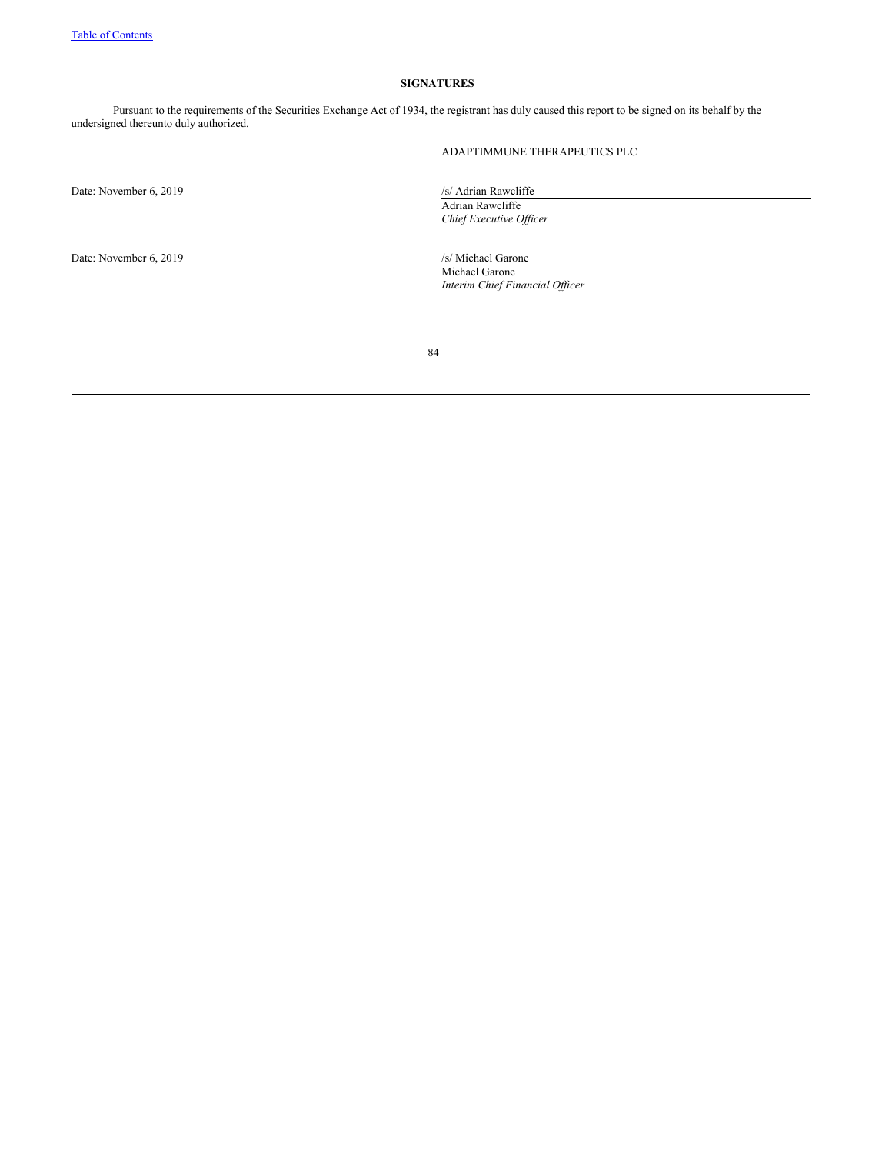# **SIGNATURES**

Pursuant to the requirements of the Securities Exchange Act of 1934, the registrant has duly caused this report to be signed on its behalf by the undersigned thereunto duly authorized.

ADAPTIMMUNE THERAPEUTICS PLC

Date: November 6, 2019 /s/ Adrian Rawcliffe

Date: November 6, 2019 /s/ Michael Garone

Adrian Rawcliffe *Chief Executive Of icer*

Michael Garone *Interim Chief Financial Of icer*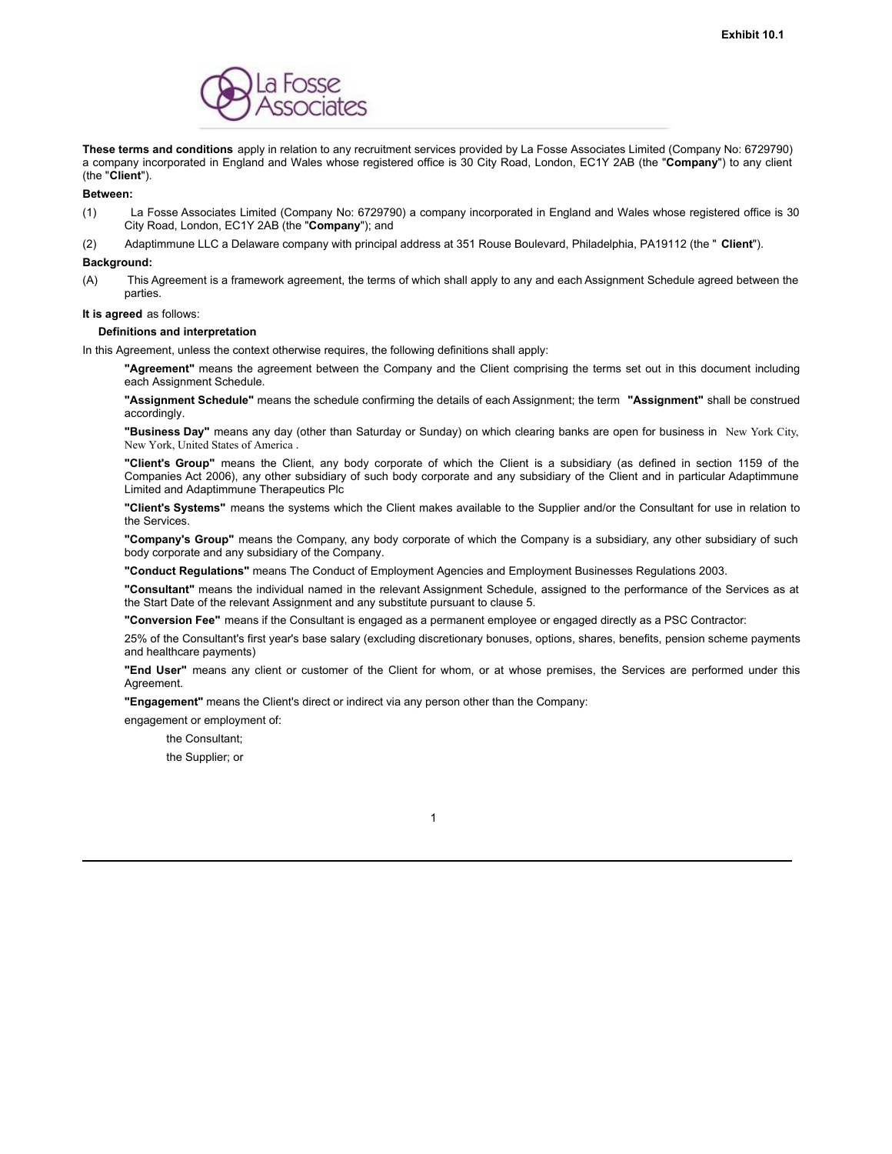

**These terms and conditions** apply in relation to any recruitment services provided by La Fosse Associates Limited (Company No: 6729790) a company incorporated in England and Wales whose registered office is 30 City Road, London, EC1Y 2AB (the "**Company**") to any client (the "**Client**").

**Between:**

- (1) La Fosse Associates Limited (Company No: 6729790) a company incorporated in England and Wales whose registered office is 30 City Road, London, EC1Y 2AB (the "**Company**"); and
- (2) Adaptimmune LLC a Delaware company with principal address at 351 Rouse Boulevard, Philadelphia, PA19112 (the " **Client**").

## **Background:**

(A) This Agreement is a framework agreement, the terms of which shall apply to any and each Assignment Schedule agreed between the parties.

#### **It is agreed** as follows:

#### **Definitions and interpretation**

In this Agreement, unless the context otherwise requires, the following definitions shall apply:

**"Agreement"** means the agreement between the Company and the Client comprising the terms set out in this document including each Assignment Schedule.

**"Assignment Schedule"** means the schedule confirming the details of each Assignment; the term **"Assignment"** shall be construed accordingly.

**"Business Day"** means any day (other than Saturday or Sunday) on which clearing banks are open for business in New York City, New York, United States of America .

**"Client's Group"** means the Client, any body corporate of which the Client is a subsidiary (as defined in section 1159 of the Companies Act 2006), any other subsidiary of such body corporate and any subsidiary of the Client and in particular Adaptimmune Limited and Adaptimmune Therapeutics Plc

**"Client's Systems"** means the systems which the Client makes available to the Supplier and/or the Consultant for use in relation to the Services.

**"Company's Group"** means the Company, any body corporate of which the Company is a subsidiary, any other subsidiary of such body corporate and any subsidiary of the Company.

**"Conduct Regulations"** means The Conduct of Employment Agencies and Employment Businesses Regulations 2003.

**"Consultant"** means the individual named in the relevant Assignment Schedule, assigned to the performance of the Services as at the Start Date of the relevant Assignment and any substitute pursuant to clause 5.

**"Conversion Fee"** means if the Consultant is engaged as a permanent employee or engaged directly as a PSC Contractor:

25% of the Consultant's first year's base salary (excluding discretionary bonuses, options, shares, benefits, pension scheme payments and healthcare payments)

**"End User"** means any client or customer of the Client for whom, or at whose premises, the Services are performed under this Agreement.

**"Engagement"** means the Client's direct or indirect via any person other than the Company:

engagement or employment of:

the Consultant; the Supplier; or

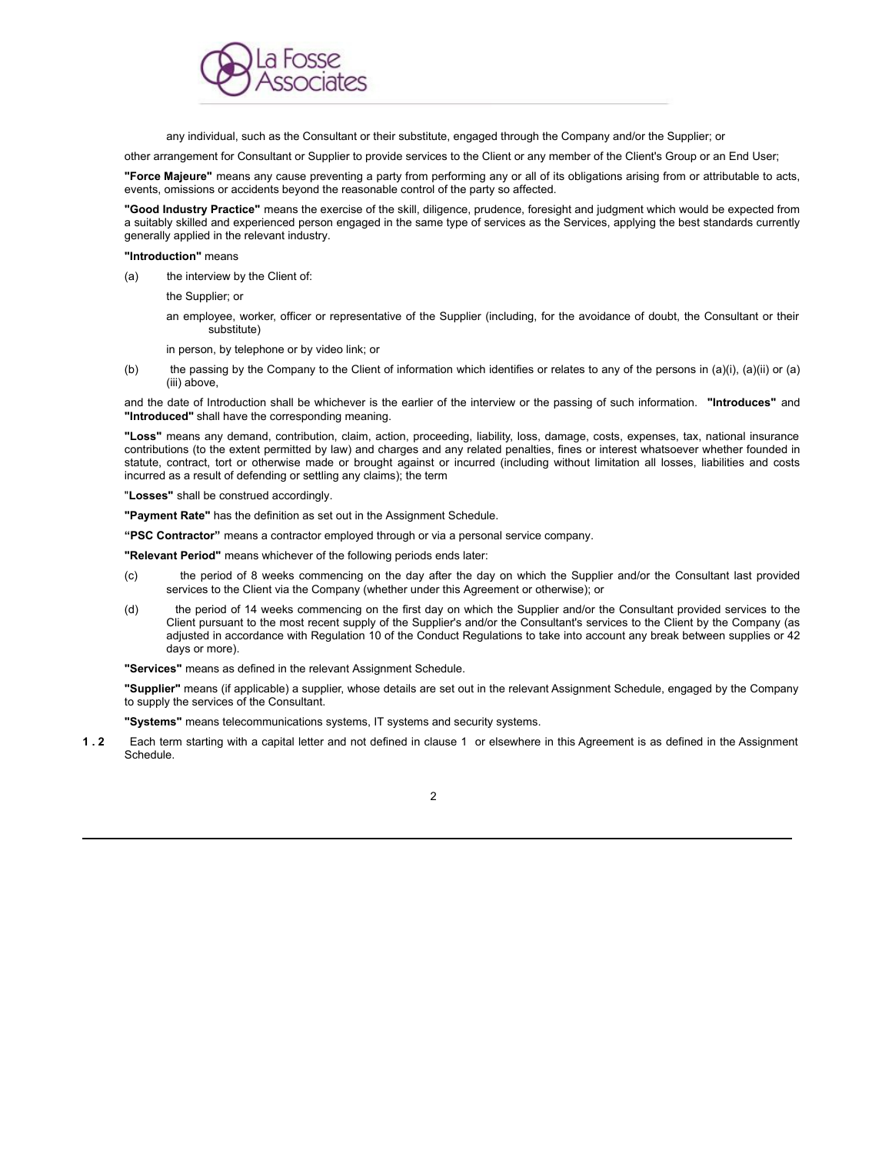

any individual, such as the Consultant or their substitute, engaged through the Company and/or the Supplier; or

other arrangement for Consultant or Supplier to provide services to the Client or any member of the Client's Group or an End User;

**"Force Majeure"** means any cause preventing a party from performing any or all of its obligations arising from or attributable to acts, events, omissions or accidents beyond the reasonable control of the party so affected.

**"Good Industry Practice"** means the exercise of the skill, diligence, prudence, foresight and judgment which would be expected from a suitably skilled and experienced person engaged in the same type of services as the Services, applying the best standards currently generally applied in the relevant industry.

### **"Introduction"** means

- (a) the interview by the Client of:
	- the Supplier; or
	- an employee, worker, officer or representative of the Supplier (including, for the avoidance of doubt, the Consultant or their substitute)
	- in person, by telephone or by video link; or
- (b) the passing by the Company to the Client of information which identifies or relates to any of the persons in (a)(i), (a)(ii) or (a) (iii) above,

and the date of Introduction shall be whichever is the earlier of the interview or the passing of such information. **"Introduces"** and **"Introduced"** shall have the corresponding meaning.

**"Loss"** means any demand, contribution, claim, action, proceeding, liability, loss, damage, costs, expenses, tax, national insurance contributions (to the extent permitted by law) and charges and any related penalties, fines or interest whatsoever whether founded in statute, contract, tort or otherwise made or brought against or incurred (including without limitation all losses, liabilities and costs incurred as a result of defending or settling any claims); the term

"**Losses"** shall be construed accordingly.

**"Payment Rate"** has the definition as set out in the Assignment Schedule.

**"PSC Contractor"** means a contractor employed through or via a personal service company.

**"Relevant Period"** means whichever of the following periods ends later:

- (c) the period of 8 weeks commencing on the day after the day on which the Supplier and/or the Consultant last provided services to the Client via the Company (whether under this Agreement or otherwise); or
- (d) the period of 14 weeks commencing on the first day on which the Supplier and/or the Consultant provided services to the Client pursuant to the most recent supply of the Supplier's and/or the Consultant's services to the Client by the Company (as adjusted in accordance with Regulation 10 of the Conduct Regulations to take into account any break between supplies or 42 days or more).

**"Services"** means as defined in the relevant Assignment Schedule.

**"Supplier"** means (if applicable) a supplier, whose details are set out in the relevant Assignment Schedule, engaged by the Company to supply the services of the Consultant.

**"Systems"** means telecommunications systems, IT systems and security systems.

**1 . 2** Each term starting with a capital letter and not defined in clause 1 or elsewhere in this Agreement is as defined in the Assignment Schedule.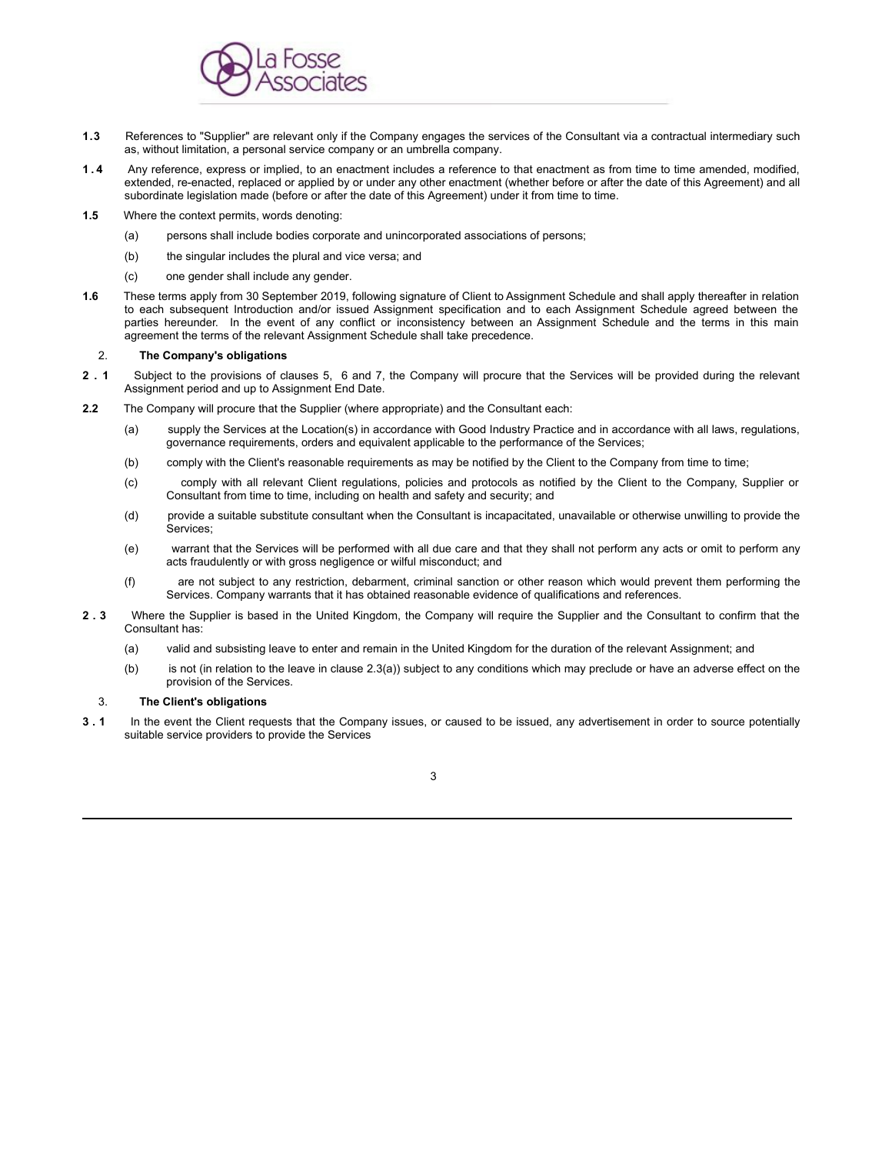

- **1.3** References to "Supplier" are relevant only if the Company engages the services of the Consultant via a contractual intermediary such as, without limitation, a personal service company or an umbrella company.
- **1 . 4** Any reference, express or implied, to an enactment includes a reference to that enactment as from time to time amended, modified, extended, re-enacted, replaced or applied by or under any other enactment (whether before or after the date of this Agreement) and all subordinate legislation made (before or after the date of this Agreement) under it from time to time.
- **1.5** Where the context permits, words denoting:
	- (a) persons shall include bodies corporate and unincorporated associations of persons;
	- (b) the singular includes the plural and vice versa; and
	- (c) one gender shall include any gender.
- **1.6** These terms apply from 30 September 2019, following signature of Client to Assignment Schedule and shall apply thereafter in relation to each subsequent Introduction and/or issued Assignment specification and to each Assignment Schedule agreed between the parties hereunder. In the event of any conflict or inconsistency between an Assignment Schedule and the terms in this main agreement the terms of the relevant Assignment Schedule shall take precedence.

### 2. **The Company's obligations**

- **2 . 1** Subject to the provisions of clauses 5, 6 and 7, the Company will procure that the Services will be provided during the relevant Assignment period and up to Assignment End Date.
- **2.2** The Company will procure that the Supplier (where appropriate) and the Consultant each:
	- (a) supply the Services at the Location(s) in accordance with Good Industry Practice and in accordance with all laws, regulations, governance requirements, orders and equivalent applicable to the performance of the Services;
	- (b) comply with the Client's reasonable requirements as may be notified by the Client to the Company from time to time;
	- (c) comply with all relevant Client regulations, policies and protocols as notified by the Client to the Company, Supplier or Consultant from time to time, including on health and safety and security; and
	- (d) provide a suitable substitute consultant when the Consultant is incapacitated, unavailable or otherwise unwilling to provide the Services;
	- (e) warrant that the Services will be performed with all due care and that they shall not perform any acts or omit to perform any acts fraudulently or with gross negligence or wilful misconduct; and
	- (f) are not subject to any restriction, debarment, criminal sanction or other reason which would prevent them performing the Services. Company warrants that it has obtained reasonable evidence of qualifications and references.
- **2 . 3** Where the Supplier is based in the United Kingdom, the Company will require the Supplier and the Consultant to confirm that the Consultant has:
	- (a) valid and subsisting leave to enter and remain in the United Kingdom for the duration of the relevant Assignment; and
	- (b) is not (in relation to the leave in clause 2.3(a)) subject to any conditions which may preclude or have an adverse effect on the provision of the Services.

## 3. **The Client's obligations**

**3 . 1** In the event the Client requests that the Company issues, or caused to be issued, any advertisement in order to source potentially suitable service providers to provide the Services

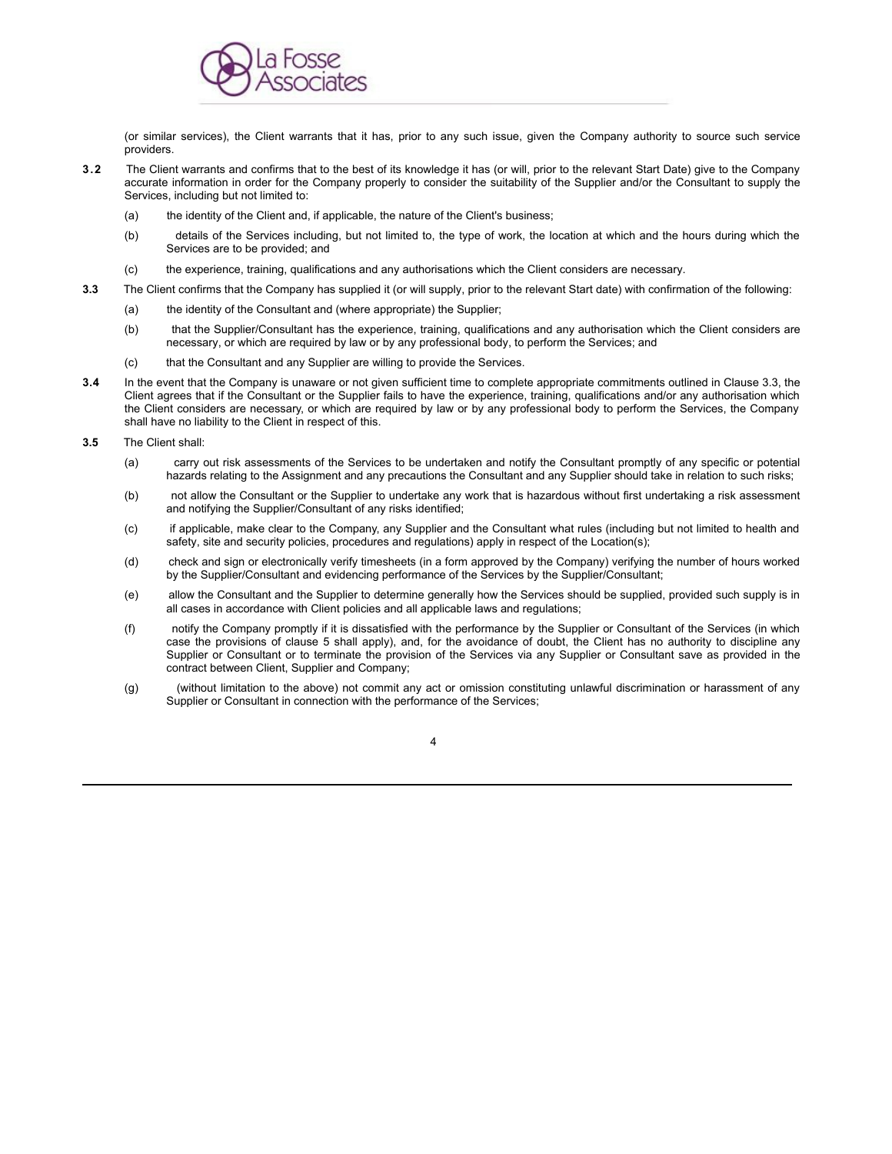

(or similar services), the Client warrants that it has, prior to any such issue, given the Company authority to source such service providers.

- **3.2** The Client warrants and confirms that to the best of its knowledge it has (or will, prior to the relevant Start Date) give to the Company accurate information in order for the Company properly to consider the suitability of the Supplier and/or the Consultant to supply the Services, including but not limited to:
	- (a) the identity of the Client and, if applicable, the nature of the Client's business;
	- (b) details of the Services including, but not limited to, the type of work, the location at which and the hours during which the Services are to be provided; and
	- (c) the experience, training, qualifications and any authorisations which the Client considers are necessary.
- **3.3** The Client confirms that the Company has supplied it (or will supply, prior to the relevant Start date) with confirmation of the following:
	- (a) the identity of the Consultant and (where appropriate) the Supplier;
	- (b) that the Supplier/Consultant has the experience, training, qualifications and any authorisation which the Client considers are necessary, or which are required by law or by any professional body, to perform the Services; and
	- (c) that the Consultant and any Supplier are willing to provide the Services.
- **3.4** In the event that the Company is unaware or not given sufficient time to complete appropriate commitments outlined in Clause 3.3, the Client agrees that if the Consultant or the Supplier fails to have the experience, training, qualifications and/or any authorisation which the Client considers are necessary, or which are required by law or by any professional body to perform the Services, the Company shall have no liability to the Client in respect of this.
- **3.5** The Client shall:
	- (a) carry out risk assessments of the Services to be undertaken and notify the Consultant promptly of any specific or potential hazards relating to the Assignment and any precautions the Consultant and any Supplier should take in relation to such risks;
	- (b) not allow the Consultant or the Supplier to undertake any work that is hazardous without first undertaking a risk assessment and notifying the Supplier/Consultant of any risks identified;
	- (c) if applicable, make clear to the Company, any Supplier and the Consultant what rules (including but not limited to health and safety, site and security policies, procedures and regulations) apply in respect of the Location(s);
	- (d) check and sign or electronically verify timesheets (in a form approved by the Company) verifying the number of hours worked by the Supplier/Consultant and evidencing performance of the Services by the Supplier/Consultant;
	- (e) allow the Consultant and the Supplier to determine generally how the Services should be supplied, provided such supply is in all cases in accordance with Client policies and all applicable laws and regulations;
	- (f) notify the Company promptly if it is dissatisfied with the performance by the Supplier or Consultant of the Services (in which case the provisions of clause 5 shall apply), and, for the avoidance of doubt, the Client has no authority to discipline any Supplier or Consultant or to terminate the provision of the Services via any Supplier or Consultant save as provided in the contract between Client, Supplier and Company;
	- (g) (without limitation to the above) not commit any act or omission constituting unlawful discrimination or harassment of any Supplier or Consultant in connection with the performance of the Services;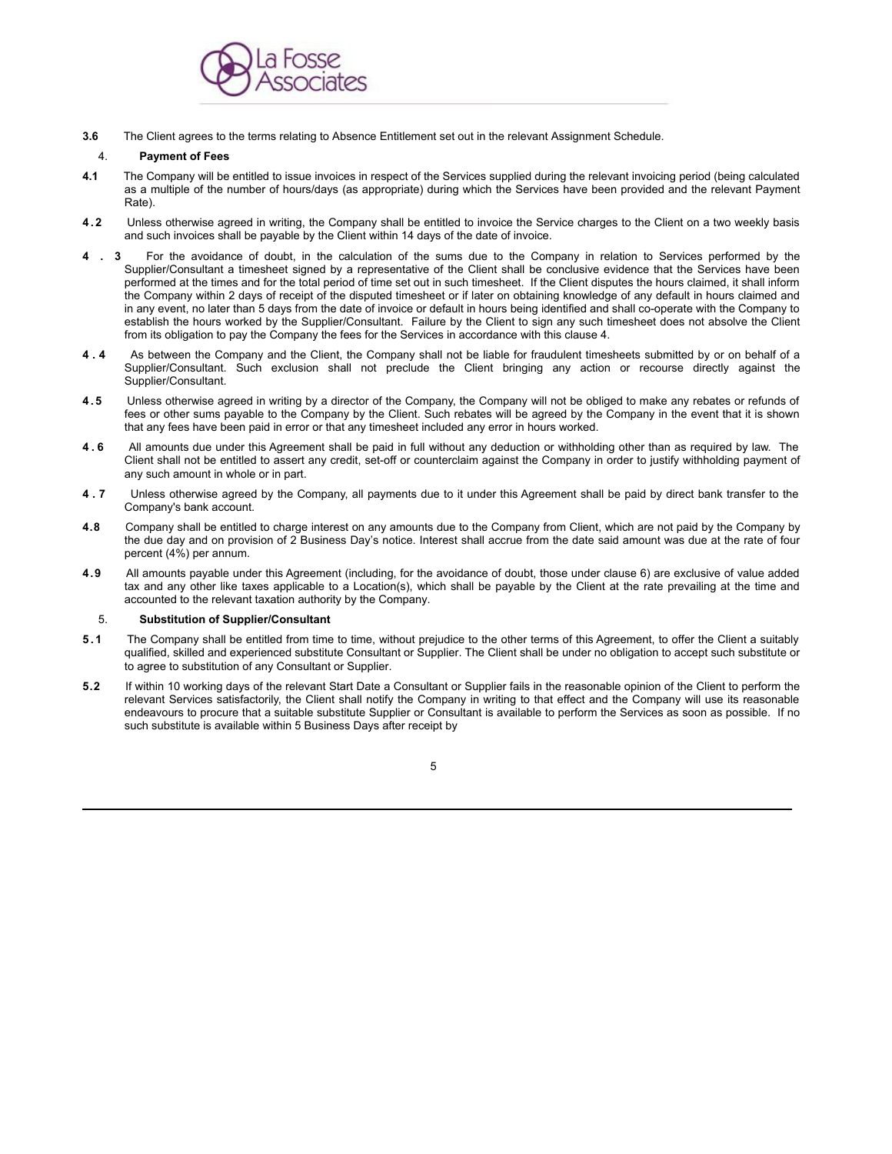

**3.6** The Client agrees to the terms relating to Absence Entitlement set out in the relevant Assignment Schedule.

### 4. **Payment of Fees**

- **4.1** The Company will be entitled to issue invoices in respect of the Services supplied during the relevant invoicing period (being calculated as a multiple of the number of hours/days (as appropriate) during which the Services have been provided and the relevant Payment Rate).
- **4 . 2** Unless otherwise agreed in writing, the Company shall be entitled to invoice the Service charges to the Client on a two weekly basis and such invoices shall be payable by the Client within 14 days of the date of invoice.
- **4 . 3** For the avoidance of doubt, in the calculation of the sums due to the Company in relation to Services performed by the Supplier/Consultant a timesheet signed by a representative of the Client shall be conclusive evidence that the Services have been performed at the times and for the total period of time set out in such timesheet. If the Client disputes the hours claimed, it shall inform the Company within 2 days of receipt of the disputed timesheet or if later on obtaining knowledge of any default in hours claimed and in any event, no later than 5 days from the date of invoice or default in hours being identified and shall co-operate with the Company to establish the hours worked by the Supplier/Consultant. Failure by the Client to sign any such timesheet does not absolve the Client from its obligation to pay the Company the fees for the Services in accordance with this clause 4.
- **4 . 4** As between the Company and the Client, the Company shall not be liable for fraudulent timesheets submitted by or on behalf of a Supplier/Consultant. Such exclusion shall not preclude the Client bringing any action or recourse directly against the Supplier/Consultant.
- **4 . 5** Unless otherwise agreed in writing by a director of the Company, the Company will not be obliged to make any rebates or refunds of fees or other sums payable to the Company by the Client. Such rebates will be agreed by the Company in the event that it is shown that any fees have been paid in error or that any timesheet included any error in hours worked.
- **4 . 6** All amounts due under this Agreement shall be paid in full without any deduction or withholding other than as required by law. The Client shall not be entitled to assert any credit, set-off or counterclaim against the Company in order to justify withholding payment of any such amount in whole or in part.
- **4 . 7** Unless otherwise agreed by the Company, all payments due to it under this Agreement shall be paid by direct bank transfer to the Company's bank account.
- **4.8** Company shall be entitled to charge interest on any amounts due to the Company from Client, which are not paid by the Company by the due day and on provision of 2 Business Day's notice. Interest shall accrue from the date said amount was due at the rate of four percent (4%) per annum.
- **4.9** All amounts payable under this Agreement (including, for the avoidance of doubt, those under clause 6) are exclusive of value added tax and any other like taxes applicable to a Location(s), which shall be payable by the Client at the rate prevailing at the time and accounted to the relevant taxation authority by the Company.

### 5. **Substitution of Supplier/Consultant**

- **5 . 1** The Company shall be entitled from time to time, without prejudice to the other terms of this Agreement, to offer the Client a suitably qualified, skilled and experienced substitute Consultant or Supplier. The Client shall be under no obligation to accept such substitute or to agree to substitution of any Consultant or Supplier.
- **5.2** If within 10 working days of the relevant Start Date a Consultant or Supplier fails in the reasonable opinion of the Client to perform the relevant Services satisfactorily, the Client shall notify the Company in writing to that effect and the Company will use its reasonable endeavours to procure that a suitable substitute Supplier or Consultant is available to perform the Services as soon as possible. If no such substitute is available within 5 Business Days after receipt by

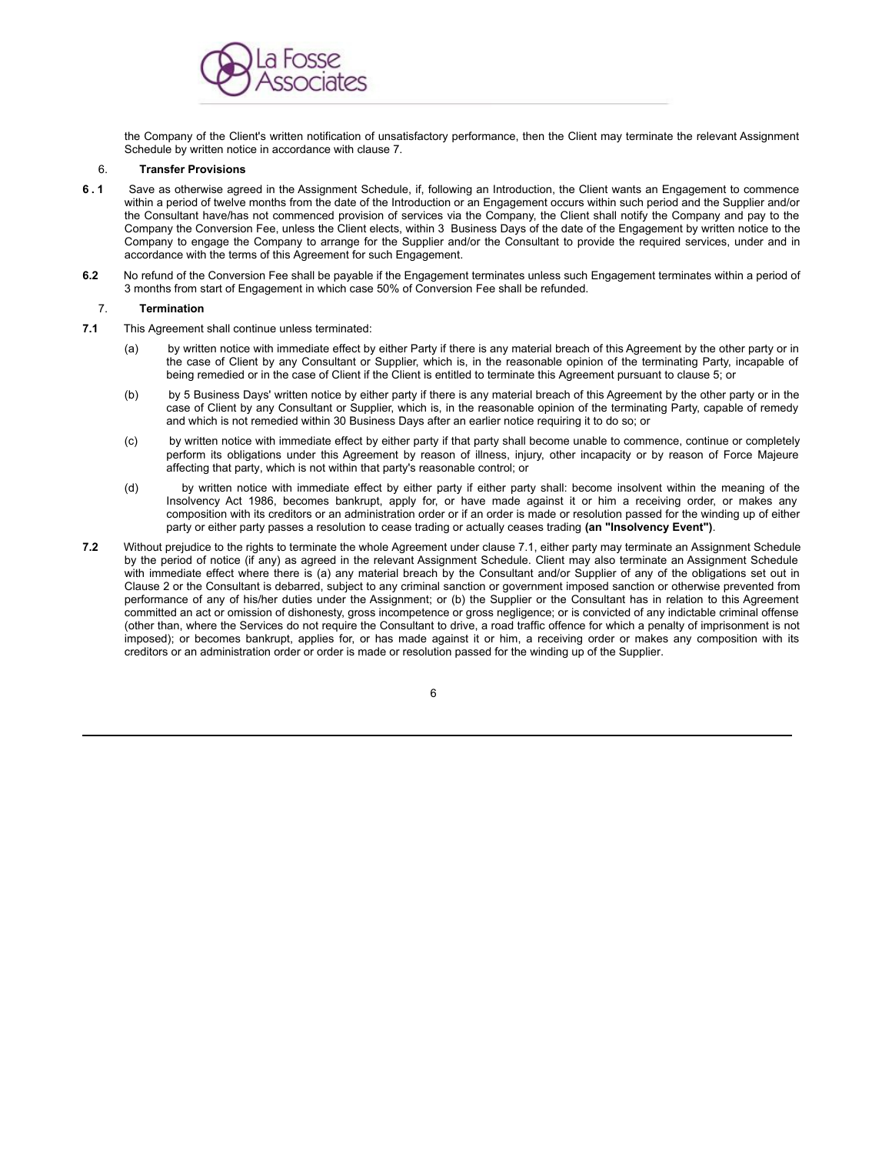

the Company of the Client's written notification of unsatisfactory performance, then the Client may terminate the relevant Assignment Schedule by written notice in accordance with clause 7.

## 6. **Transfer Provisions**

- **6 . 1** Save as otherwise agreed in the Assignment Schedule, if, following an Introduction, the Client wants an Engagement to commence within a period of twelve months from the date of the Introduction or an Engagement occurs within such period and the Supplier and/or the Consultant have/has not commenced provision of services via the Company, the Client shall notify the Company and pay to the Company the Conversion Fee, unless the Client elects, within 3 Business Days of the date of the Engagement by written notice to the Company to engage the Company to arrange for the Supplier and/or the Consultant to provide the required services, under and in accordance with the terms of this Agreement for such Engagement.
- **6.2** No refund of the Conversion Fee shall be payable if the Engagement terminates unless such Engagement terminates within a period of 3 months from start of Engagement in which case 50% of Conversion Fee shall be refunded.

## 7. **Termination**

- **7.1** This Agreement shall continue unless terminated:
	- (a) by written notice with immediate effect by either Party if there is any material breach of this Agreement by the other party or in the case of Client by any Consultant or Supplier, which is, in the reasonable opinion of the terminating Party, incapable of being remedied or in the case of Client if the Client is entitled to terminate this Agreement pursuant to clause 5; or
	- (b) by 5 Business Days' written notice by either party if there is any material breach of this Agreement by the other party or in the case of Client by any Consultant or Supplier, which is, in the reasonable opinion of the terminating Party, capable of remedy and which is not remedied within 30 Business Days after an earlier notice requiring it to do so; or
	- (c) by written notice with immediate effect by either party if that party shall become unable to commence, continue or completely perform its obligations under this Agreement by reason of illness, injury, other incapacity or by reason of Force Majeure affecting that party, which is not within that party's reasonable control; or
	- (d) by written notice with immediate effect by either party if either party shall: become insolvent within the meaning of the Insolvency Act 1986, becomes bankrupt, apply for, or have made against it or him a receiving order, or makes any composition with its creditors or an administration order or if an order is made or resolution passed for the winding up of either party or either party passes a resolution to cease trading or actually ceases trading **(an "Insolvency Event")**.
- **7.2** Without prejudice to the rights to terminate the whole Agreement under clause 7.1, either party may terminate an Assignment Schedule by the period of notice (if any) as agreed in the relevant Assignment Schedule. Client may also terminate an Assignment Schedule with immediate effect where there is (a) any material breach by the Consultant and/or Supplier of any of the obligations set out in Clause 2 or the Consultant is debarred, subject to any criminal sanction or government imposed sanction or otherwise prevented from performance of any of his/her duties under the Assignment; or (b) the Supplier or the Consultant has in relation to this Agreement committed an act or omission of dishonesty, gross incompetence or gross negligence; or is convicted of any indictable criminal offense (other than, where the Services do not require the Consultant to drive, a road traffic offence for which a penalty of imprisonment is not imposed); or becomes bankrupt, applies for, or has made against it or him, a receiving order or makes any composition with its creditors or an administration order or order is made or resolution passed for the winding up of the Supplier.

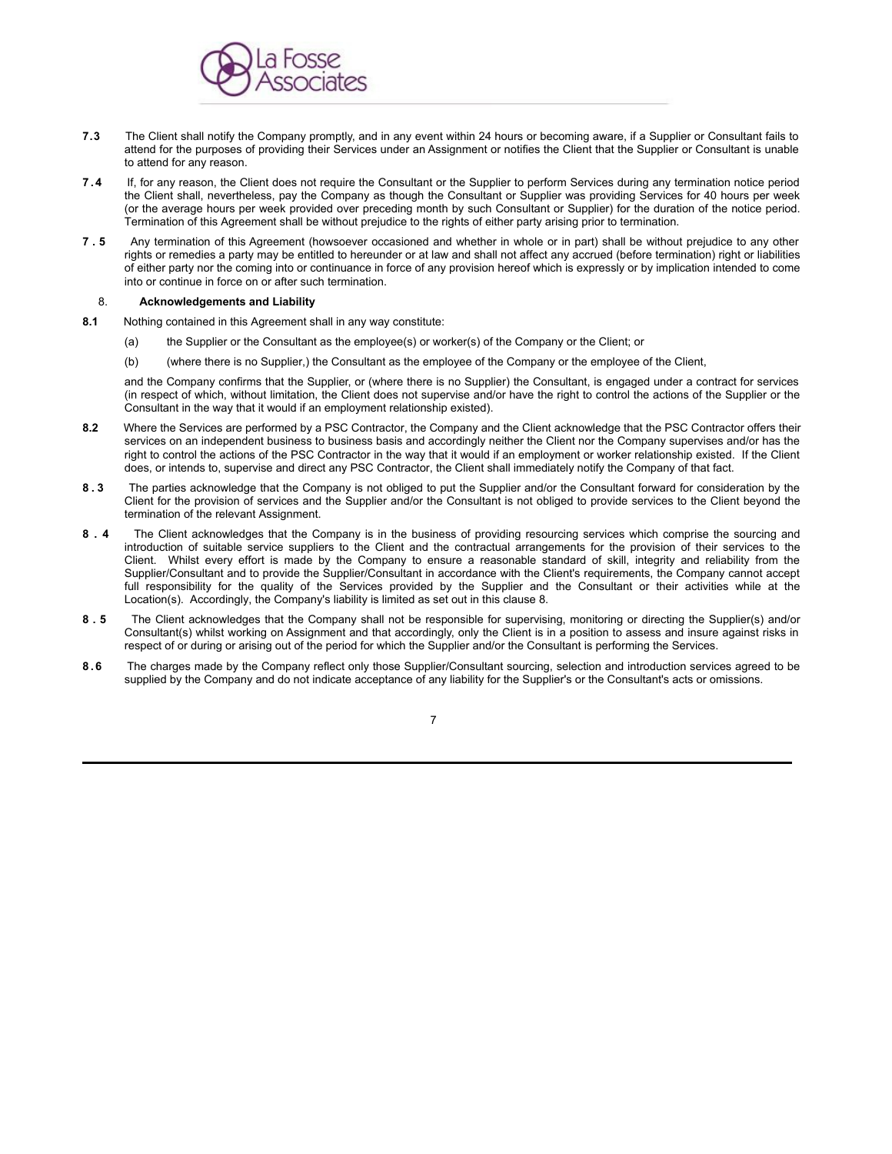

- **7.3** The Client shall notify the Company promptly, and in any event within 24 hours or becoming aware, if a Supplier or Consultant fails to attend for the purposes of providing their Services under an Assignment or notifies the Client that the Supplier or Consultant is unable to attend for any reason.
- **7 . 4** If, for any reason, the Client does not require the Consultant or the Supplier to perform Services during any termination notice period the Client shall, nevertheless, pay the Company as though the Consultant or Supplier was providing Services for 40 hours per week (or the average hours per week provided over preceding month by such Consultant or Supplier) for the duration of the notice period. Termination of this Agreement shall be without prejudice to the rights of either party arising prior to termination.
- **7 . 5** Any termination of this Agreement (howsoever occasioned and whether in whole or in part) shall be without prejudice to any other rights or remedies a party may be entitled to hereunder or at law and shall not affect any accrued (before termination) right or liabilities of either party nor the coming into or continuance in force of any provision hereof which is expressly or by implication intended to come into or continue in force on or after such termination.

## 8. **Acknowledgements and Liability**

- **8.1** Nothing contained in this Agreement shall in any way constitute:
	- (a) the Supplier or the Consultant as the employee(s) or worker(s) of the Company or the Client; or
	- (b) (where there is no Supplier,) the Consultant as the employee of the Company or the employee of the Client,

and the Company confirms that the Supplier, or (where there is no Supplier) the Consultant, is engaged under a contract for services (in respect of which, without limitation, the Client does not supervise and/or have the right to control the actions of the Supplier or the Consultant in the way that it would if an employment relationship existed).

- **8.2** Where the Services are performed by a PSC Contractor, the Company and the Client acknowledge that the PSC Contractor offers their services on an independent business to business basis and accordingly neither the Client nor the Company supervises and/or has the right to control the actions of the PSC Contractor in the way that it would if an employment or worker relationship existed. If the Client does, or intends to, supervise and direct any PSC Contractor, the Client shall immediately notify the Company of that fact.
- **8 . 3** The parties acknowledge that the Company is not obliged to put the Supplier and/or the Consultant forward for consideration by the Client for the provision of services and the Supplier and/or the Consultant is not obliged to provide services to the Client beyond the termination of the relevant Assignment.
- **8 . 4** The Client acknowledges that the Company is in the business of providing resourcing services which comprise the sourcing and introduction of suitable service suppliers to the Client and the contractual arrangements for the provision of their services to the Client. Whilst every effort is made by the Company to ensure a reasonable standard of skill, integrity and reliability from the Supplier/Consultant and to provide the Supplier/Consultant in accordance with the Client's requirements, the Company cannot accept full responsibility for the quality of the Services provided by the Supplier and the Consultant or their activities while at the Location(s). Accordingly, the Company's liability is limited as set out in this clause 8.
- **8 . 5** The Client acknowledges that the Company shall not be responsible for supervising, monitoring or directing the Supplier(s) and/or Consultant(s) whilst working on Assignment and that accordingly, only the Client is in a position to assess and insure against risks in respect of or during or arising out of the period for which the Supplier and/or the Consultant is performing the Services.
- **8 . 6** The charges made by the Company reflect only those Supplier/Consultant sourcing, selection and introduction services agreed to be supplied by the Company and do not indicate acceptance of any liability for the Supplier's or the Consultant's acts or omissions.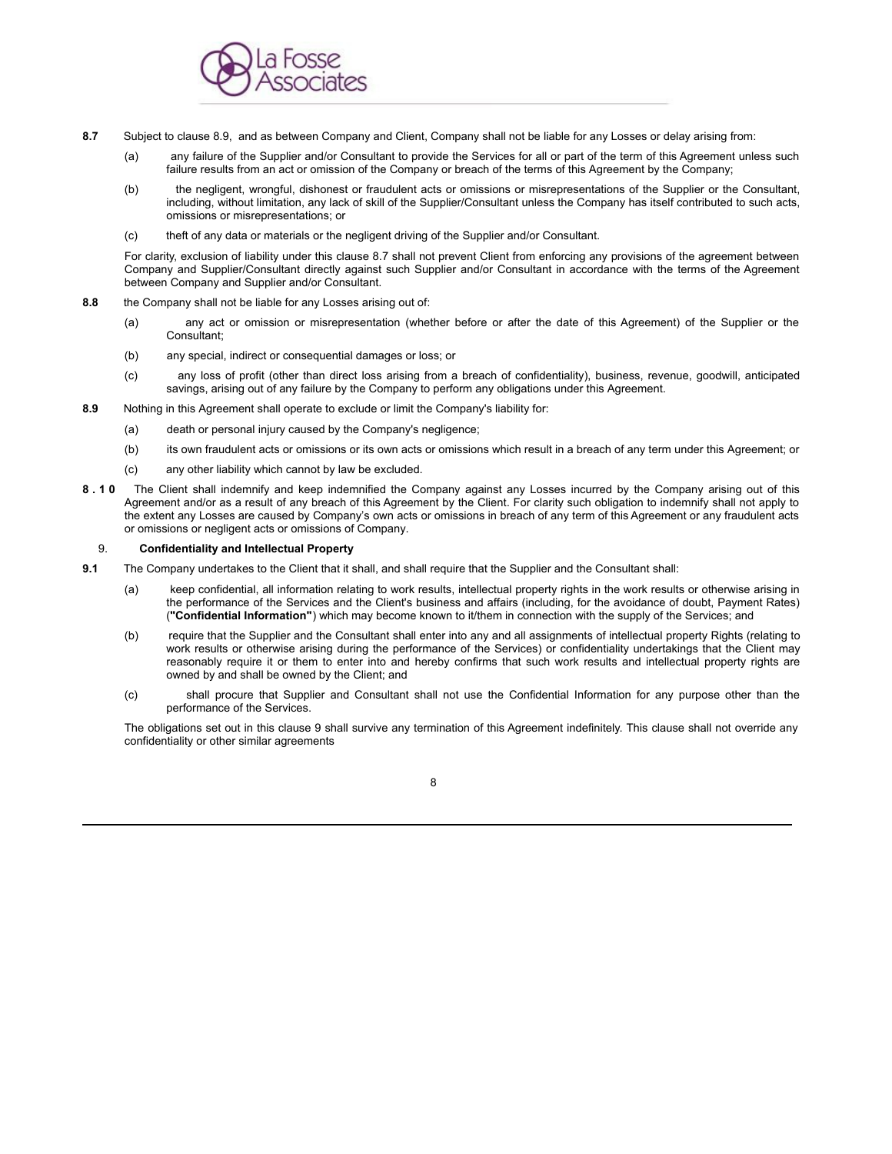

- **8.7** Subject to clause 8.9, and as between Company and Client, Company shall not be liable for any Losses or delay arising from:
	- (a) any failure of the Supplier and/or Consultant to provide the Services for all or part of the term of this Agreement unless such failure results from an act or omission of the Company or breach of the terms of this Agreement by the Company;
	- (b) the negligent, wrongful, dishonest or fraudulent acts or omissions or misrepresentations of the Supplier or the Consultant, including, without limitation, any lack of skill of the Supplier/Consultant unless the Company has itself contributed to such acts, omissions or misrepresentations; or
	- (c) theft of any data or materials or the negligent driving of the Supplier and/or Consultant.

For clarity, exclusion of liability under this clause 8.7 shall not prevent Client from enforcing any provisions of the agreement between Company and Supplier/Consultant directly against such Supplier and/or Consultant in accordance with the terms of the Agreement between Company and Supplier and/or Consultant.

- **8.8** the Company shall not be liable for any Losses arising out of:
	- (a) any act or omission or misrepresentation (whether before or after the date of this Agreement) of the Supplier or the Consultant;
	- (b) any special, indirect or consequential damages or loss; or
	- (c) any loss of profit (other than direct loss arising from a breach of confidentiality), business, revenue, goodwill, anticipated savings, arising out of any failure by the Company to perform any obligations under this Agreement.
- **8.9** Nothing in this Agreement shall operate to exclude or limit the Company's liability for:
	- (a) death or personal injury caused by the Company's negligence;
	- (b) its own fraudulent acts or omissions or its own acts or omissions which result in a breach of any term under this Agreement; or
	- (c) any other liability which cannot by law be excluded.
- **8 . 1 0** The Client shall indemnify and keep indemnified the Company against any Losses incurred by the Company arising out of this Agreement and/or as a result of any breach of this Agreement by the Client. For clarity such obligation to indemnify shall not apply to the extent any Losses are caused by Company's own acts or omissions in breach of any term of this Agreement or any fraudulent acts or omissions or negligent acts or omissions of Company.

#### 9. **Confidentiality and Intellectual Property**

- **9.1** The Company undertakes to the Client that it shall, and shall require that the Supplier and the Consultant shall:
	- (a) keep confidential, all information relating to work results, intellectual property rights in the work results or otherwise arising in the performance of the Services and the Client's business and affairs (including, for the avoidance of doubt, Payment Rates) (**"Confidential Information"**) which may become known to it/them in connection with the supply of the Services; and
	- (b) require that the Supplier and the Consultant shall enter into any and all assignments of intellectual property Rights (relating to work results or otherwise arising during the performance of the Services) or confidentiality undertakings that the Client may reasonably require it or them to enter into and hereby confirms that such work results and intellectual property rights are owned by and shall be owned by the Client; and
	- (c) shall procure that Supplier and Consultant shall not use the Confidential Information for any purpose other than the performance of the Services.

The obligations set out in this clause 9 shall survive any termination of this Agreement indefinitely. This clause shall not override any confidentiality or other similar agreements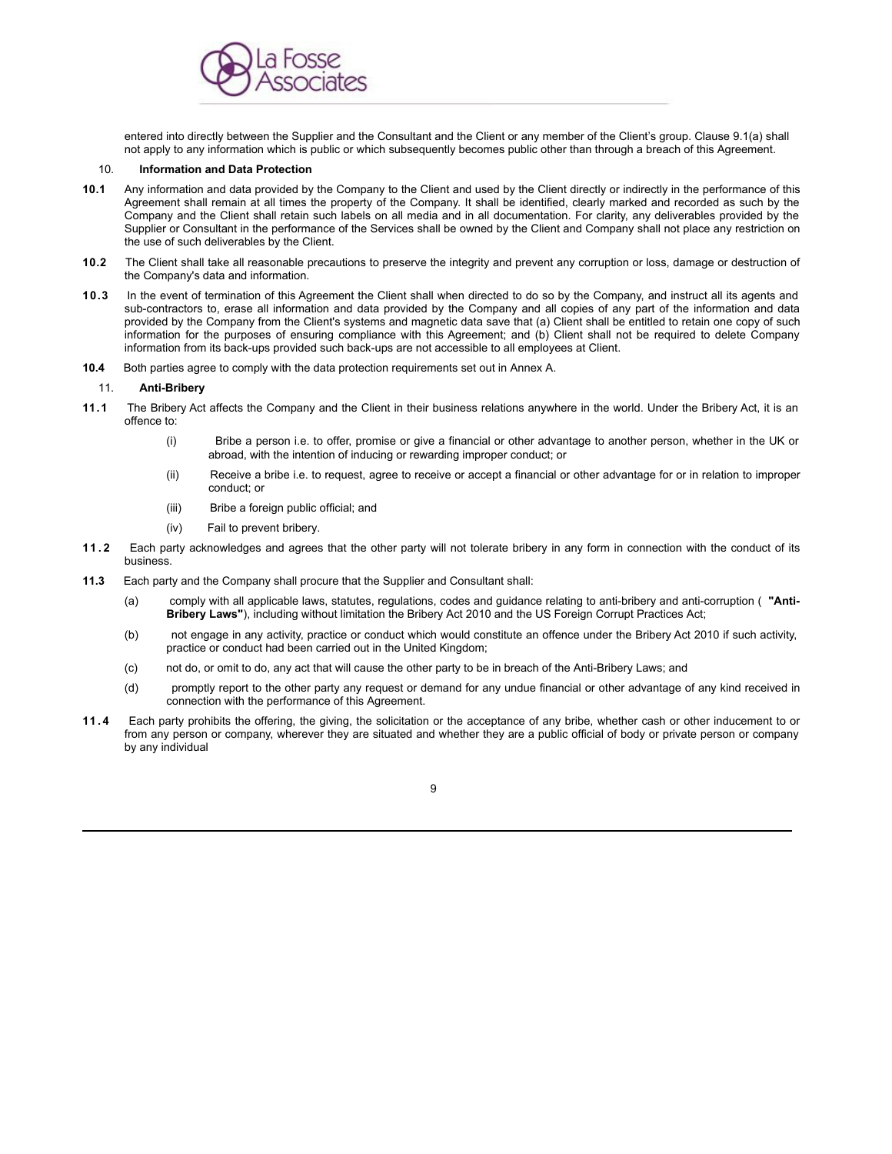<span id="page-92-0"></span>

entered into directly between the Supplier and the Consultant and the Client or any member of the Client's group. Clause 9.1(a) shall not apply to any information which is public or which subsequently becomes public other than through a breach of this Agreement.

## 10. **Information and Data Protection**

- 10.1 Any information and data provided by the Company to the Client and used by the Client directly or indirectly in the performance of this Agreement shall remain at all times the property of the Company. It shall be identified, clearly marked and recorded as such by the Company and the Client shall retain such labels on all media and in all documentation. For clarity, any deliverables provided by the Supplier or Consultant in the performance of the Services shall be owned by the Client and Company shall not place any restriction on the use of such deliverables by the Client.
- **10.2** The Client shall take all reasonable precautions to preserve the integrity and prevent any corruption or loss, damage or destruction of the Company's data and information.
- **10.3** In the event of termination of this Agreement the Client shall when directed to do so by the Company, and instruct all its agents and sub-contractors to, erase all information and data provided by the Company and all copies of any part of the information and data provided by the Company from the Client's systems and magnetic data save that (a) Client shall be entitled to retain one copy of such information for the purposes of ensuring compliance with this Agreement; and (b) Client shall not be required to delete Company information from its back-ups provided such back-ups are not accessible to all employees at Client.
- **10.4** Both parties agree to comply with the data protection requirements set out in Annex A.

## 11. **Anti-Bribery**

- **11.1** The Bribery Act affects the Company and the Client in their business relations anywhere in the world. Under the Bribery Act, it is an offence to:
	- (i) Bribe a person i.e. to offer, promise or give a financial or other advantage to another person, whether in the UK or abroad, with the intention of inducing or rewarding improper conduct; or
	- (ii) Receive a bribe i.e. to request, agree to receive or accept a financial or other advantage for or in relation to improper conduct; or
	- (iii) Bribe a foreign public official; and
	- (iv) Fail to prevent bribery.
- **11 . 2** Each party acknowledges and agrees that the other party will not tolerate bribery in any form in connection with the conduct of its business.
- **11.3** Each party and the Company shall procure that the Supplier and Consultant shall:
	- (a) comply with all applicable laws, statutes, regulations, codes and guidance relating to anti-bribery and anti-corruption ( **"Anti-Bribery Laws"**), including without limitation the Bribery Act 2010 and the US Foreign Corrupt Practices Act;
	- (b) not engage in any activity, practice or conduct which would constitute an offence under the Bribery Act 2010 if such activity, practice or conduct had been carried out in the United Kingdom;
	- (c) not do, or omit to do, any act that will cause the other party to be in breach of the Anti-Bribery Laws; and
	- (d) promptly report to the other party any request or demand for any undue financial or other advantage of any kind received in connection with the performance of this Agreement.
- **11 . 4** Each party prohibits the offering, the giving, the solicitation or the acceptance of any bribe, whether cash or other inducement to or from any person or company, wherever they are situated and whether they are a public official of body or private person or company by any individual

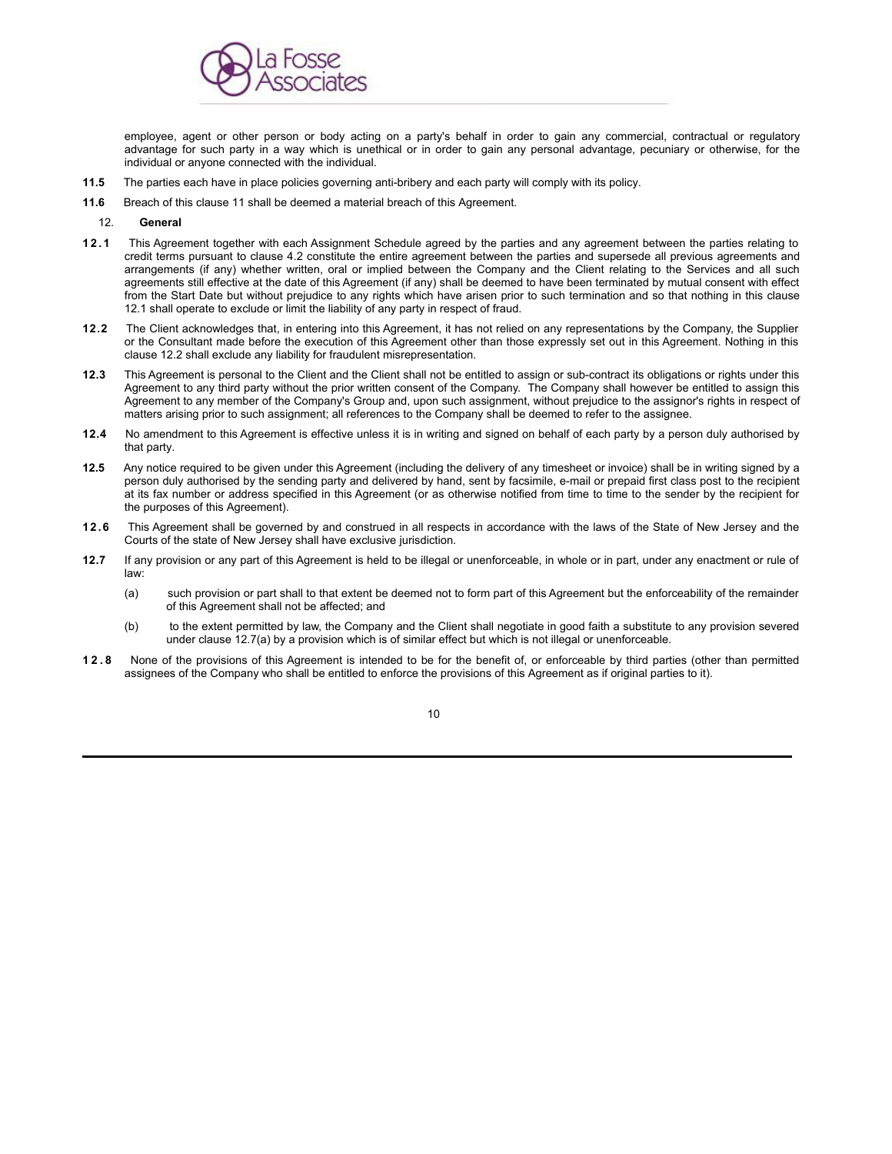

employee, agent or other person or body acting on a party's behalf in order to gain any commercial, contractual or regulatory advantage for such party in a way which is unethical or in order to gain any personal advantage, pecuniary or otherwise, for the individual or anyone connected with the individual.

- **11.5** The parties each have in place policies governing anti-bribery and each party will comply with its policy.
- **11.6** Breach of this clause 11 shall be deemed a material breach of this Agreement.

### 12. **General**

- **1 2 . 1** This Agreement together with each Assignment Schedule agreed by the parties and any agreement between the parties relating to credit terms pursuant to clause 4.2 constitute the entire agreement between the parties and supersede all previous agreements and arrangements (if any) whether written, oral or implied between the Company and the Client relating to the Services and all such agreements still effective at the date of this Agreement (if any) shall be deemed to have been terminated by mutual consent with effect from the Start Date but without prejudice to any rights which have arisen prior to such termination and so that nothing in this clause 12.1 shall operate to exclude or limit the liability of any party in respect of fraud.
- **12.2** The Client acknowledges that, in entering into this Agreement, it has not relied on any representations by the Company, the Supplier or the Consultant made before the execution of this Agreement other than those expressly set out in this Agreement. Nothing in this clause 12.2 shall exclude any liability for fraudulent misrepresentation.
- **12.3** This Agreement is personal to the Client and the Client shall not be entitled to assign or sub-contract its obligations or rights under this Agreement to any third party without the prior written consent of the Company. The Company shall however be entitled to assign this Agreement to any member of the Company's Group and, upon such assignment, without prejudice to the assignor's rights in respect of matters arising prior to such assignment; all references to the Company shall be deemed to refer to the assignee.
- **12.4** No amendment to this Agreement is effective unless it is in writing and signed on behalf of each party by a person duly authorised by that party.
- **12.5** Any notice required to be given under this Agreement (including the delivery of any timesheet or invoice) shall be in writing signed by a person duly authorised by the sending party and delivered by hand, sent by facsimile, e-mail or prepaid first class post to the recipient at its fax number or address specified in this Agreement (or as otherwise notified from time to time to the sender by the recipient for the purposes of this Agreement).
- **12.6** This Agreement shall be governed by and construed in all respects in accordance with the laws of the State of New Jersey and the Courts of the state of New Jersey shall have exclusive jurisdiction.
- **12.7** If any provision or any part of this Agreement is held to be illegal or unenforceable, in whole or in part, under any enactment or rule of law:
	- (a) such provision or part shall to that extent be deemed not to form part of this Agreement but the enforceability of the remainder of this Agreement shall not be affected; and
	- (b) to the extent permitted by law, the Company and the Client shall negotiate in good faith a substitute to any provision severed under clause 12.7(a) by a provision which is of similar effect but which is not illegal or unenforceable.
- **1 2 . 8** None of the provisions of this Agreement is intended to be for the benefit of, or enforceable by third parties (other than permitted assignees of the Company who shall be entitled to enforce the provisions of this Agreement as if original parties to it).

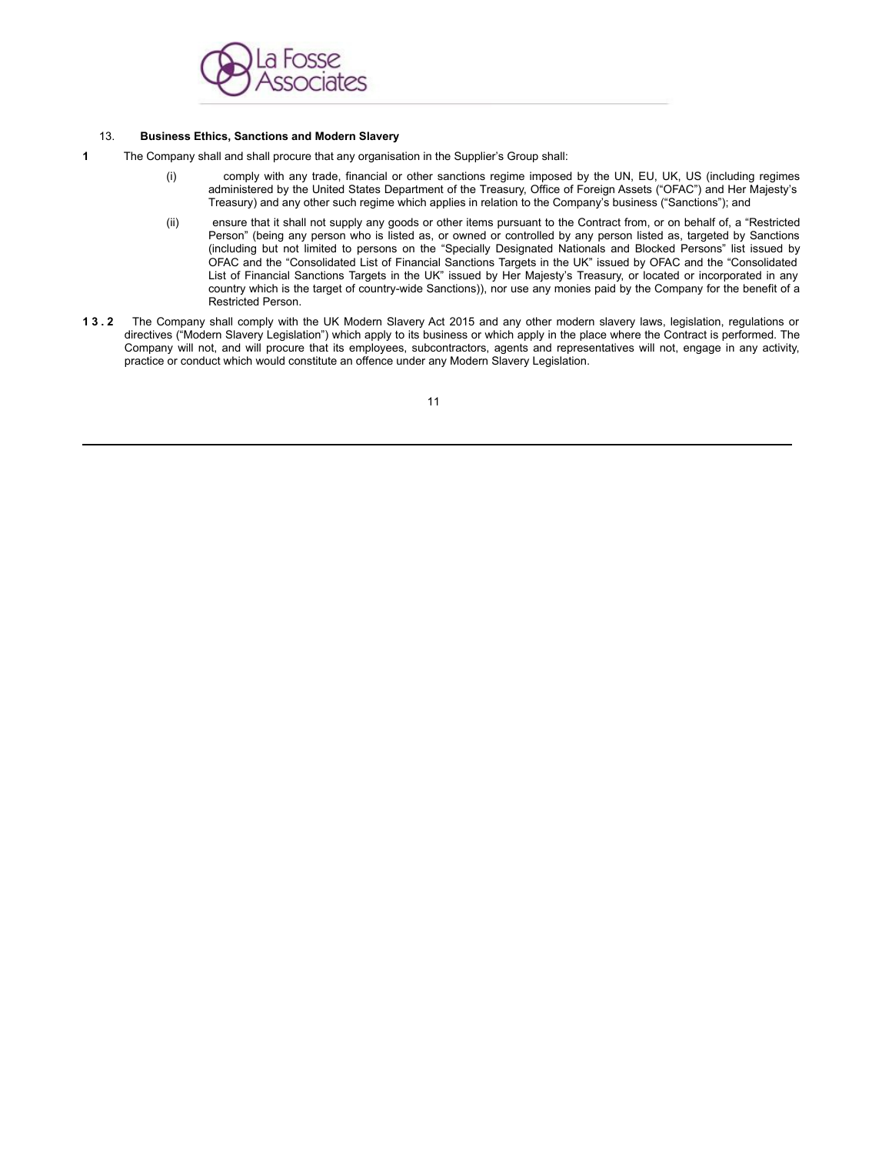

# 13. **Business Ethics, Sanctions and Modern Slavery**

- **1** The Company shall and shall procure that any organisation in the Supplier's Group shall:
	- (i) comply with any trade, financial or other sanctions regime imposed by the UN, EU, UK, US (including regimes administered by the United States Department of the Treasury, Office of Foreign Assets ("OFAC") and Her Majesty's Treasury) and any other such regime which applies in relation to the Company's business ("Sanctions"); and
	- (ii) ensure that it shall not supply any goods or other items pursuant to the Contract from, or on behalf of, a "Restricted Person" (being any person who is listed as, or owned or controlled by any person listed as, targeted by Sanctions (including but not limited to persons on the "Specially Designated Nationals and Blocked Persons" list issued by OFAC and the "Consolidated List of Financial Sanctions Targets in the UK" issued by OFAC and the "Consolidated List of Financial Sanctions Targets in the UK" issued by Her Majesty's Treasury, or located or incorporated in any country which is the target of country-wide Sanctions)), nor use any monies paid by the Company for the benefit of a Restricted Person.
- **1 3 . 2** The Company shall comply with the UK Modern Slavery Act 2015 and any other modern slavery laws, legislation, regulations or directives ("Modern Slavery Legislation") which apply to its business or which apply in the place where the Contract is performed. The Company will not, and will procure that its employees, subcontractors, agents and representatives will not, engage in any activity, practice or conduct which would constitute an offence under any Modern Slavery Legislation.

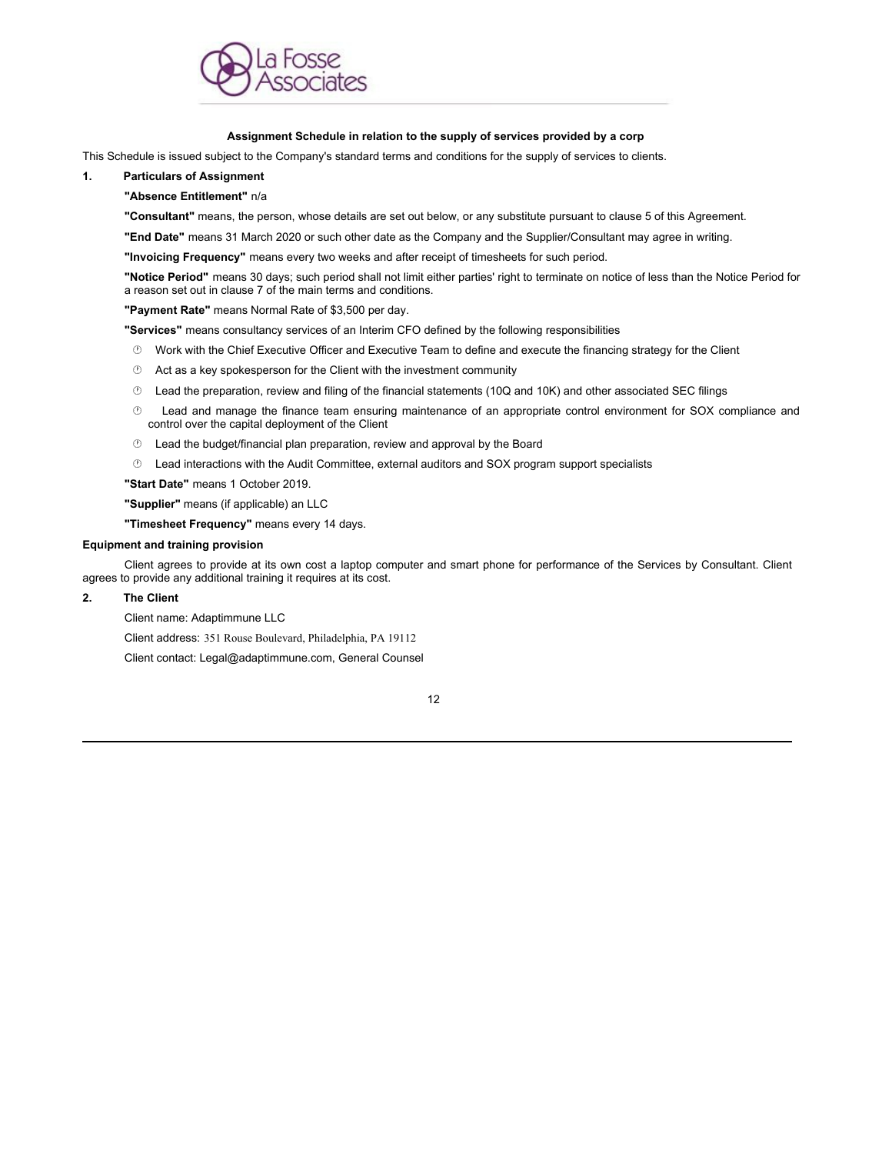

# **Assignment Schedule in relation to the supply of services provided by a corp**

This Schedule is issued subject to the Company's standard terms and conditions for the supply of services to clients.

## **1. Particulars of Assignment**

# **"Absence Entitlement"** n/a

**"Consultant"** means, the person, whose details are set out below, or any substitute pursuant to clause 5 of this Agreement.

**"End Date"** means 31 March 2020 or such other date as the Company and the Supplier/Consultant may agree in writing.

**"Invoicing Frequency"** means every two weeks and after receipt of timesheets for such period.

**"Notice Period"** means 30 days; such period shall not limit either parties' right to terminate on notice of less than the Notice Period for a reason set out in clause 7 of the main terms and conditions.

**"Payment Rate"** means Normal Rate of \$3,500 per day.

**"Services"** means consultancy services of an Interim CFO defined by the following responsibilities

- $\degree$  Work with the Chief Executive Officer and Executive Team to define and execute the financing strategy for the Client
- $\circled{2}$  Act as a key spokesperson for the Client with the investment community
- · Lead the preparation, review and filing of the financial statements (10Q and 10K) and other associated SEC filings
- · Lead and manage the finance team ensuring maintenance of an appropriate control environment for SOX compliance and control over the capital deployment of the Client
- *<b>D* Lead the budget/financial plan preparation, review and approval by the Board
- · Lead interactions with the Audit Committee, external auditors and SOX program support specialists

**"Start Date"** means 1 October 2019.

**"Supplier"** means (if applicable) an LLC

**"Timesheet Frequency"** means every 14 days.

## **Equipment and training provision**

Client agrees to provide at its own cost a laptop computer and smart phone for performance of the Services by Consultant. Client agrees to provide any additional training it requires at its cost.

**2. The Client**

Client name: Adaptimmune LLC

Client address: 351 Rouse Boulevard, Philadelphia, PA 19112

Client contact: Legal@adaptimmune.com, General Counsel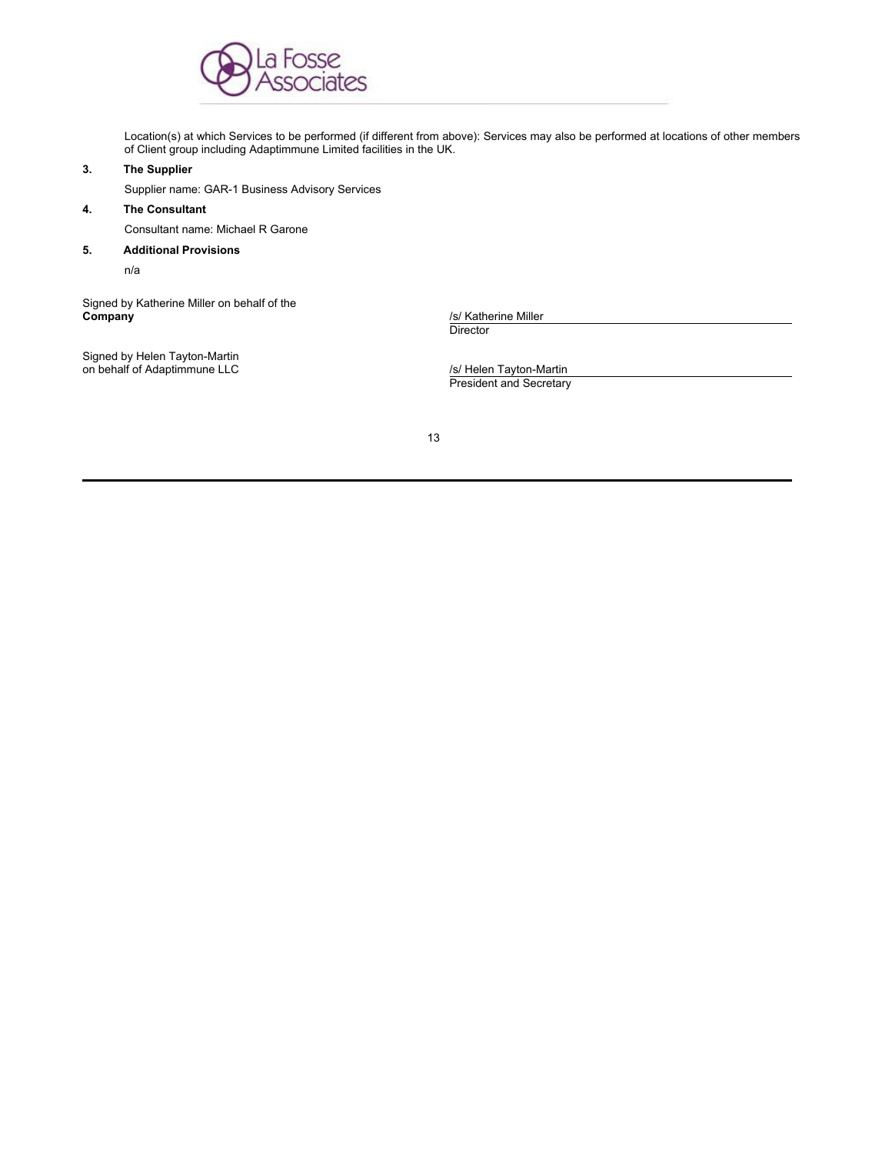

Location(s) at which Services to be performed (if different from above): Services may also be performed at locations of other members of Client group including Adaptimmune Limited facilities in the UK.

# **3. The Supplier**

Supplier name: GAR-1 Business Advisory Services

# **4. The Consultant**

Consultant name: Michael R Garone

# **5. Additional Provisions**

n/a

Signed by Katherine Miller on behalf of the

/s/ Katherine Miller **Director** 

Signed by Helen Tayton-Martin on behalf of Adaptimmune LLC **interest of Adaptimmune LLC** and the set of the set of the set of the set of the set of the set of the set of the set of the set of the set of the set of the set of the set of the set of the s

President and Secretary

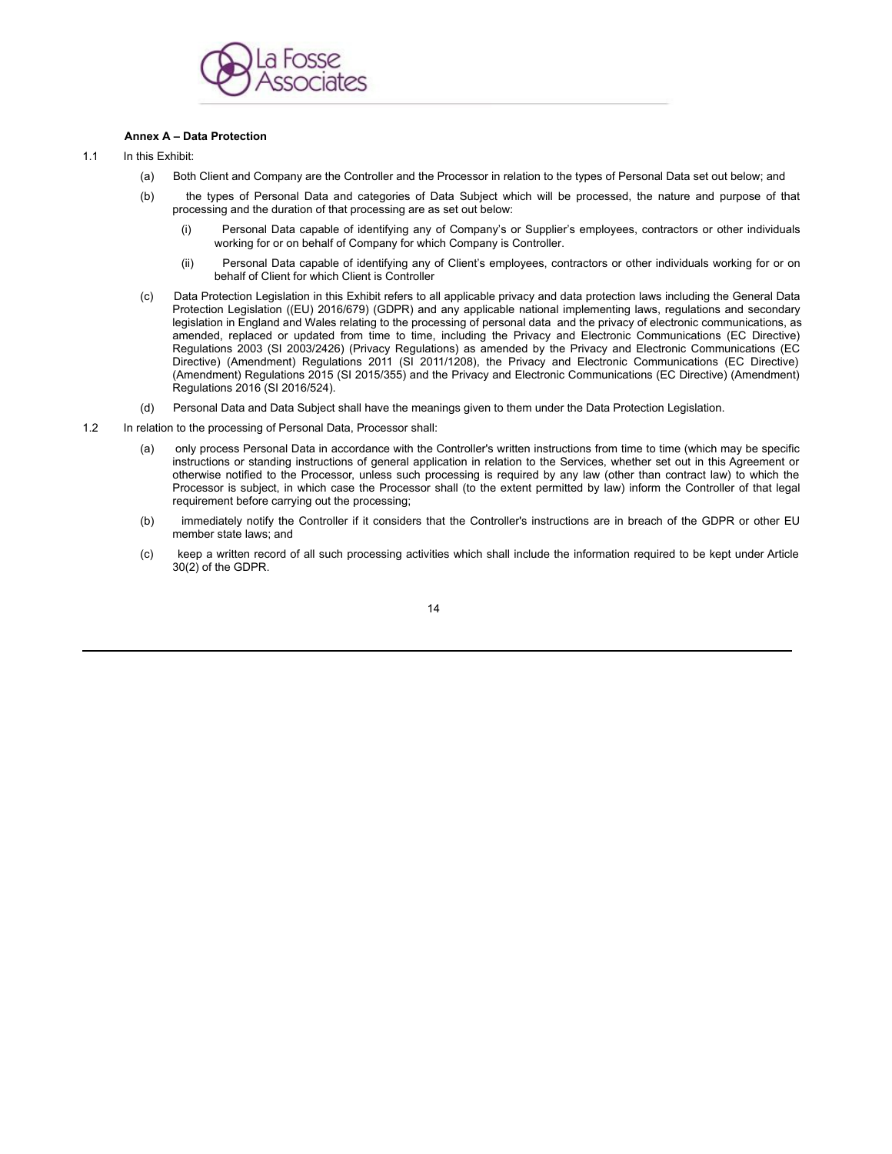

# **Annex A – Data Protection**

## 1.1 In this Exhibit:

- (a) Both Client and Company are the Controller and the Processor in relation to the types of Personal Data set out below; and
- (b) the types of Personal Data and categories of Data Subject which will be processed, the nature and purpose of that processing and the duration of that processing are as set out below:
	- (i) Personal Data capable of identifying any of Company's or Supplier's employees, contractors or other individuals working for or on behalf of Company for which Company is Controller.
	- (ii) Personal Data capable of identifying any of Client's employees, contractors or other individuals working for or on behalf of Client for which Client is Controller
- (c) Data Protection Legislation in this Exhibit refers to all applicable privacy and data protection laws including the General Data Protection Legislation ((EU) 2016/679) (GDPR) and any applicable national implementing laws, regulations and secondary legislation in England and Wales relating to the processing of personal data and the privacy of electronic communications, as amended, replaced or updated from time to time, including the Privacy and Electronic Communications (EC Directive) Regulations 2003 (SI 2003/2426) (Privacy Regulations) as amended by the Privacy and Electronic Communications (EC Directive) (Amendment) Regulations 2011 (SI 2011/1208), the Privacy and Electronic Communications (EC Directive) (Amendment) Regulations 2015 (SI 2015/355) and the Privacy and Electronic Communications (EC Directive) (Amendment) Regulations 2016 (SI 2016/524).
- (d) Personal Data and Data Subject shall have the meanings given to them under the Data Protection Legislation.
- 1.2 In relation to the processing of Personal Data, Processor shall:
	- (a) only process Personal Data in accordance with the Controller's written instructions from time to time (which may be specific instructions or standing instructions of general application in relation to the Services, whether set out in this Agreement or otherwise notified to the Processor, unless such processing is required by any law (other than contract law) to which the Processor is subject, in which case the Processor shall (to the extent permitted by law) inform the Controller of that legal requirement before carrying out the processing;
	- (b) immediately notify the Controller if it considers that the Controller's instructions are in breach of the GDPR or other EU member state laws; and
	- (c) keep a written record of all such processing activities which shall include the information required to be kept under Article 30(2) of the GDPR.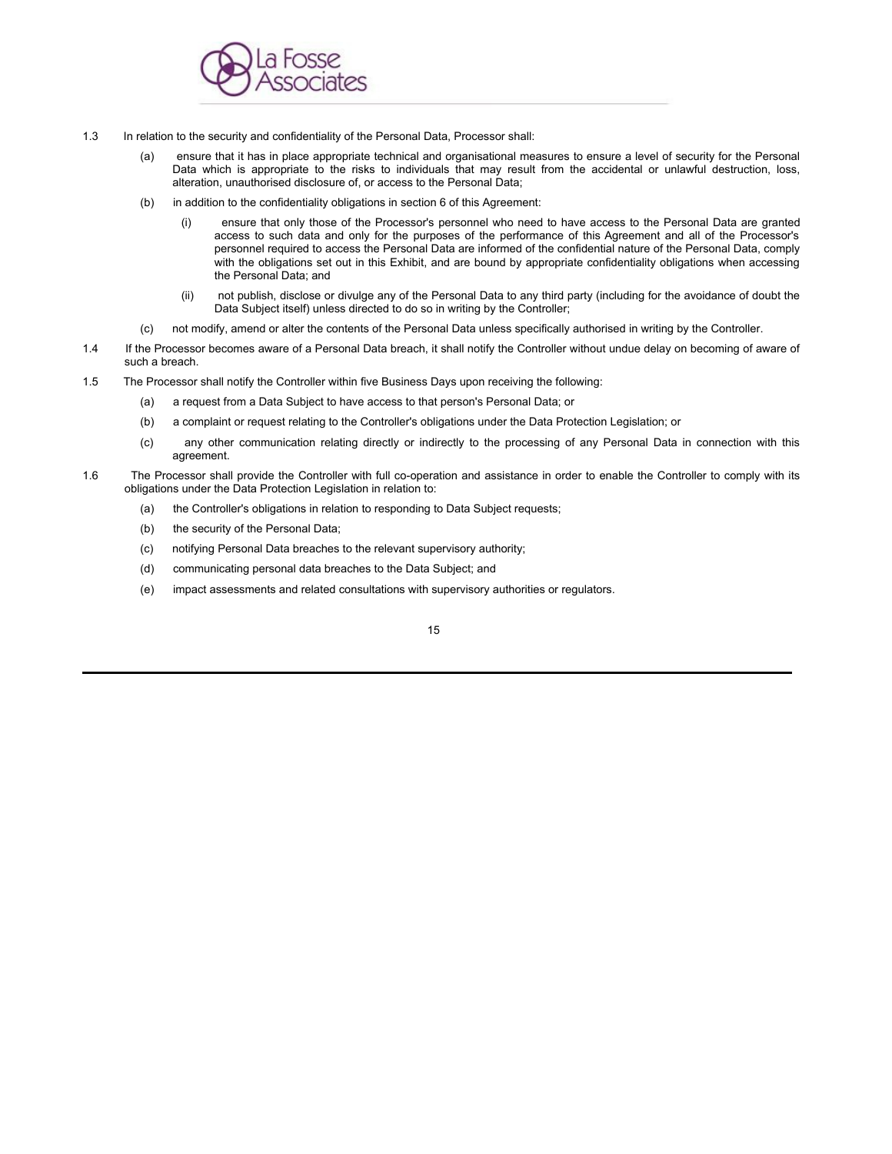

- 1.3 In relation to the security and confidentiality of the Personal Data, Processor shall:
	- (a) ensure that it has in place appropriate technical and organisational measures to ensure a level of security for the Personal Data which is appropriate to the risks to individuals that may result from the accidental or unlawful destruction, loss, alteration, unauthorised disclosure of, or access to the Personal Data;
	- (b) in addition to the confidentiality obligations in section 6 of this Agreement:
		- (i) ensure that only those of the Processor's personnel who need to have access to the Personal Data are granted access to such data and only for the purposes of the performance of this Agreement and all of the Processor's personnel required to access the Personal Data are informed of the confidential nature of the Personal Data, comply with the obligations set out in this Exhibit, and are bound by appropriate confidentiality obligations when accessing the Personal Data; and
		- (ii) not publish, disclose or divulge any of the Personal Data to any third party (including for the avoidance of doubt the Data Subject itself) unless directed to do so in writing by the Controller;
	- (c) not modify, amend or alter the contents of the Personal Data unless specifically authorised in writing by the Controller.
- 1.4 If the Processor becomes aware of a Personal Data breach, it shall notify the Controller without undue delay on becoming of aware of such a breach.
- 1.5 The Processor shall notify the Controller within five Business Days upon receiving the following:
	- (a) a request from a Data Subject to have access to that person's Personal Data; or
	- (b) a complaint or request relating to the Controller's obligations under the Data Protection Legislation; or
	- (c) any other communication relating directly or indirectly to the processing of any Personal Data in connection with this agreement.
- 1.6 The Processor shall provide the Controller with full co-operation and assistance in order to enable the Controller to comply with its obligations under the Data Protection Legislation in relation to:
	- (a) the Controller's obligations in relation to responding to Data Subject requests;
	- (b) the security of the Personal Data;
	- (c) notifying Personal Data breaches to the relevant supervisory authority;
	- (d) communicating personal data breaches to the Data Subject; and
	- (e) impact assessments and related consultations with supervisory authorities or regulators.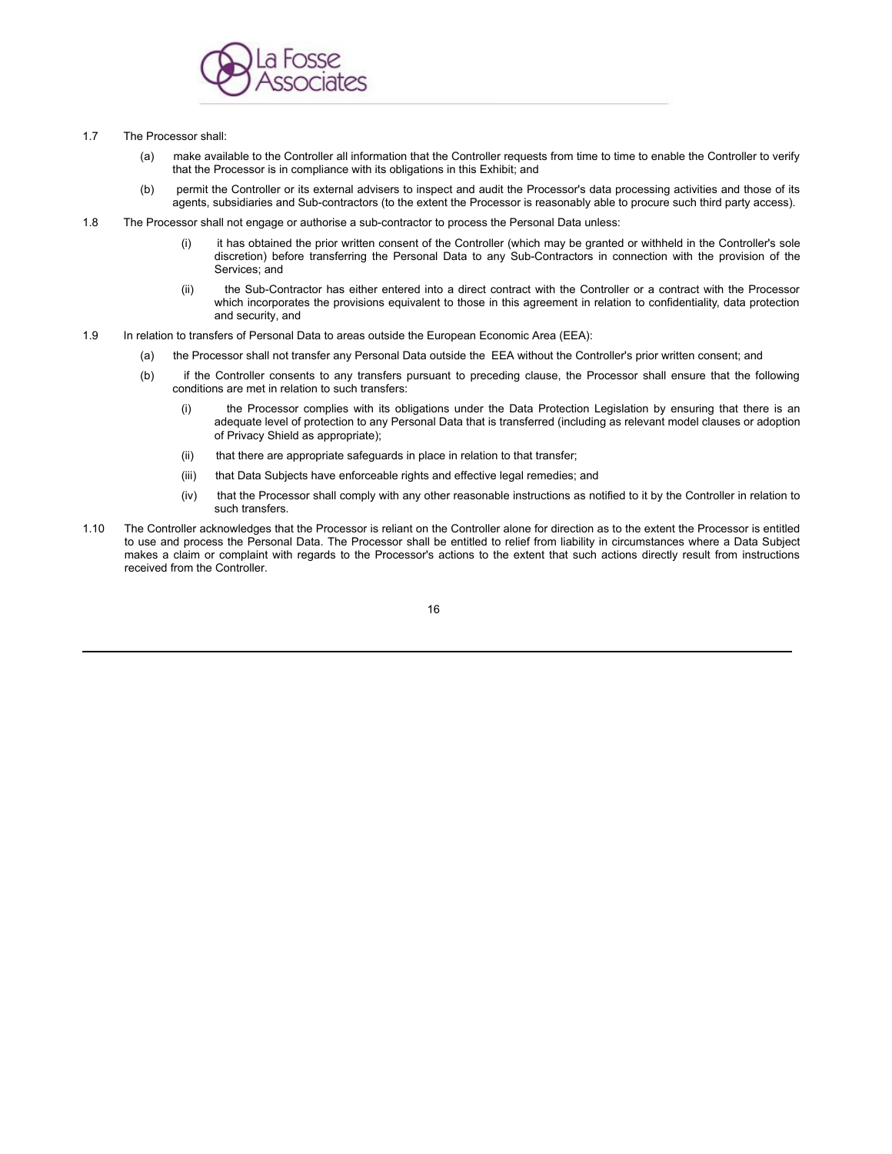

# 1.7 The Processor shall:

- (a) make available to the Controller all information that the Controller requests from time to time to enable the Controller to verify that the Processor is in compliance with its obligations in this Exhibit; and
- (b) permit the Controller or its external advisers to inspect and audit the Processor's data processing activities and those of its agents, subsidiaries and Sub-contractors (to the extent the Processor is reasonably able to procure such third party access).
- 1.8 The Processor shall not engage or authorise a sub-contractor to process the Personal Data unless:
	- (i) it has obtained the prior written consent of the Controller (which may be granted or withheld in the Controller's sole discretion) before transferring the Personal Data to any Sub-Contractors in connection with the provision of the Services; and
	- (ii) the Sub-Contractor has either entered into a direct contract with the Controller or a contract with the Processor which incorporates the provisions equivalent to those in this agreement in relation to confidentiality, data protection and security, and
- 1.9 In relation to transfers of Personal Data to areas outside the European Economic Area (EEA):
	- (a) the Processor shall not transfer any Personal Data outside the EEA without the Controller's prior written consent; and
	- (b) if the Controller consents to any transfers pursuant to preceding clause, the Processor shall ensure that the following conditions are met in relation to such transfers:
		- (i) the Processor complies with its obligations under the Data Protection Legislation by ensuring that there is an adequate level of protection to any Personal Data that is transferred (including as relevant model clauses or adoption of Privacy Shield as appropriate);
		- (ii) that there are appropriate safeguards in place in relation to that transfer;
		- (iii) that Data Subjects have enforceable rights and effective legal remedies; and
		- (iv) that the Processor shall comply with any other reasonable instructions as notified to it by the Controller in relation to such transfers.
- 1.10 The Controller acknowledges that the Processor is reliant on the Controller alone for direction as to the extent the Processor is entitled to use and process the Personal Data. The Processor shall be entitled to relief from liability in circumstances where a Data Subject makes a claim or complaint with regards to the Processor's actions to the extent that such actions directly result from instructions received from the Controller.

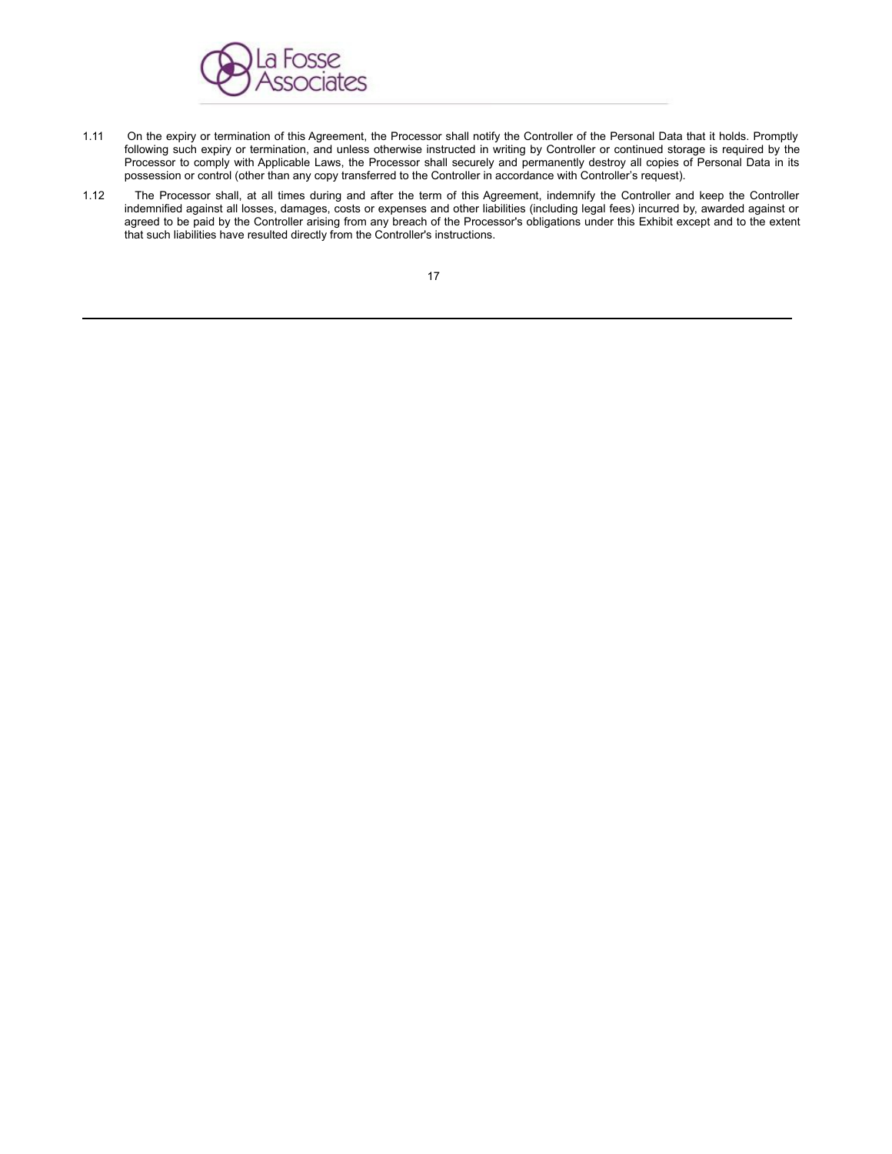

- 1.11 On the expiry or termination of this Agreement, the Processor shall notify the Controller of the Personal Data that it holds. Promptly following such expiry or termination, and unless otherwise instructed in writing by Controller or continued storage is required by the Processor to comply with Applicable Laws, the Processor shall securely and permanently destroy all copies of Personal Data in its possession or control (other than any copy transferred to the Controller in accordance with Controller's request).
- 1.12 The Processor shall, at all times during and after the term of this Agreement, indemnify the Controller and keep the Controller indemnified against all losses, damages, costs or expenses and other liabilities (including legal fees) incurred by, awarded against or agreed to be paid by the Controller arising from any breach of the Processor's obligations under this Exhibit except and to the extent that such liabilities have resulted directly from the Controller's instructions.

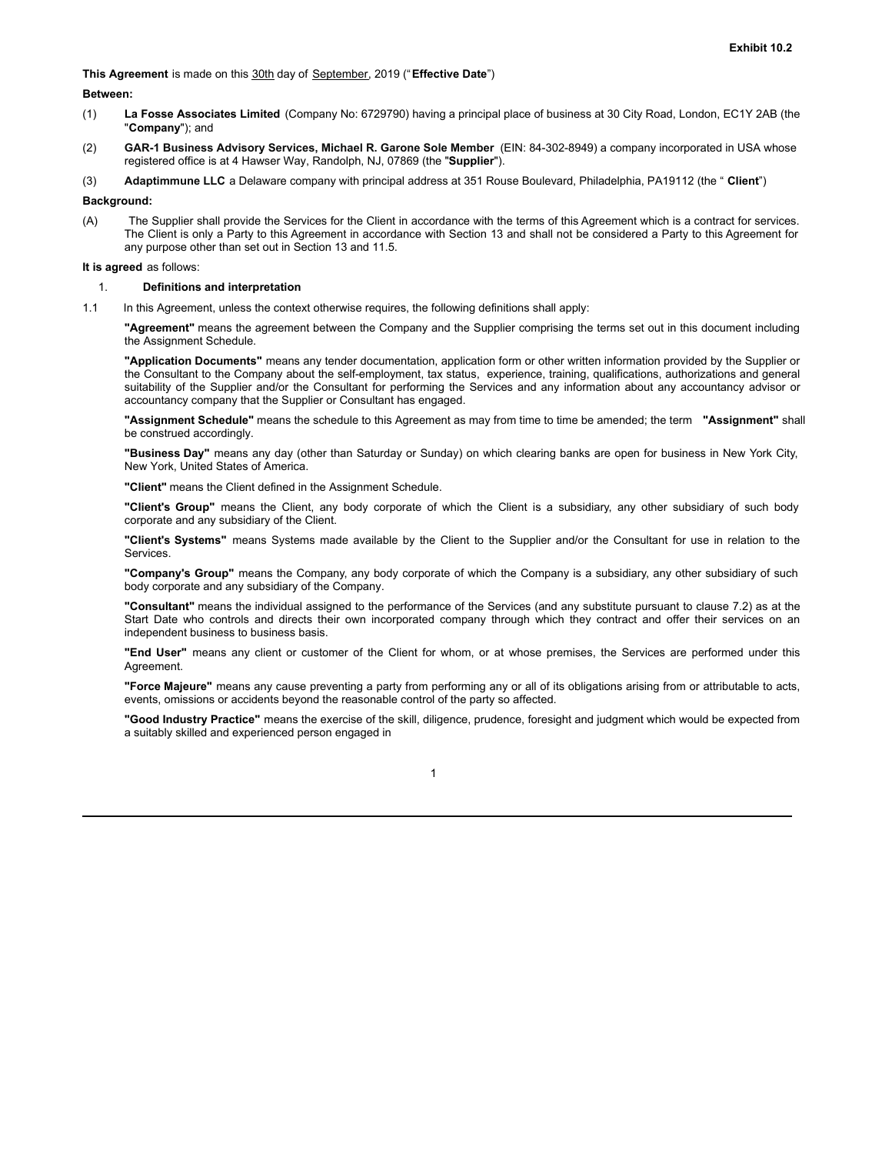# **This Agreement** is made on this 30th day of September, 2019 ("**Effective Date**")

#### **Between:**

- (1) **La Fosse Associates Limited** (Company No: 6729790) having a principal place of business at 30 City Road, London, EC1Y 2AB (the "**Company**"); and
- (2) **GAR-1 Business Advisory Services, Michael R. Garone Sole Member** (EIN: 84-302-8949) a company incorporated in USA whose registered office is at 4 Hawser Way, Randolph, NJ, 07869 (the "**Supplier**").
- (3) **Adaptimmune LLC** a Delaware company with principal address at 351 Rouse Boulevard, Philadelphia, PA19112 (the " **Client**")

### **Background:**

(A) The Supplier shall provide the Services for the Client in accordance with the terms of this Agreement which is a contract for services. The Client is only a Party to this Agreement in accordance with Section 13 and shall not be considered a Party to this Agreement for any purpose other than set out in Section 13 and 11.5.

# **It is agreed** as follows:

#### 1. **Definitions and interpretation**

1.1 In this Agreement, unless the context otherwise requires, the following definitions shall apply:

**"Agreement"** means the agreement between the Company and the Supplier comprising the terms set out in this document including the Assignment Schedule.

**"Application Documents"** means any tender documentation, application form or other written information provided by the Supplier or the Consultant to the Company about the self-employment, tax status, experience, training, qualifications, authorizations and general suitability of the Supplier and/or the Consultant for performing the Services and any information about any accountancy advisor or accountancy company that the Supplier or Consultant has engaged.

**"Assignment Schedule"** means the schedule to this Agreement as may from time to time be amended; the term **"Assignment"** shall be construed accordingly.

**"Business Day"** means any day (other than Saturday or Sunday) on which clearing banks are open for business in New York City, New York, United States of America.

**"Client"** means the Client defined in the Assignment Schedule.

**"Client's Group"** means the Client, any body corporate of which the Client is a subsidiary, any other subsidiary of such body corporate and any subsidiary of the Client.

**"Client's Systems"** means Systems made available by the Client to the Supplier and/or the Consultant for use in relation to the Services.

**"Company's Group"** means the Company, any body corporate of which the Company is a subsidiary, any other subsidiary of such body corporate and any subsidiary of the Company.

**"Consultant"** means the individual assigned to the performance of the Services (and any substitute pursuant to clause 7.2) as at the Start Date who controls and directs their own incorporated company through which they contract and offer their services on an independent business to business basis.

**"End User"** means any client or customer of the Client for whom, or at whose premises, the Services are performed under this Agreement.

**"Force Majeure"** means any cause preventing a party from performing any or all of its obligations arising from or attributable to acts, events, omissions or accidents beyond the reasonable control of the party so affected.

**"Good Industry Practice"** means the exercise of the skill, diligence, prudence, foresight and judgment which would be expected from a suitably skilled and experienced person engaged in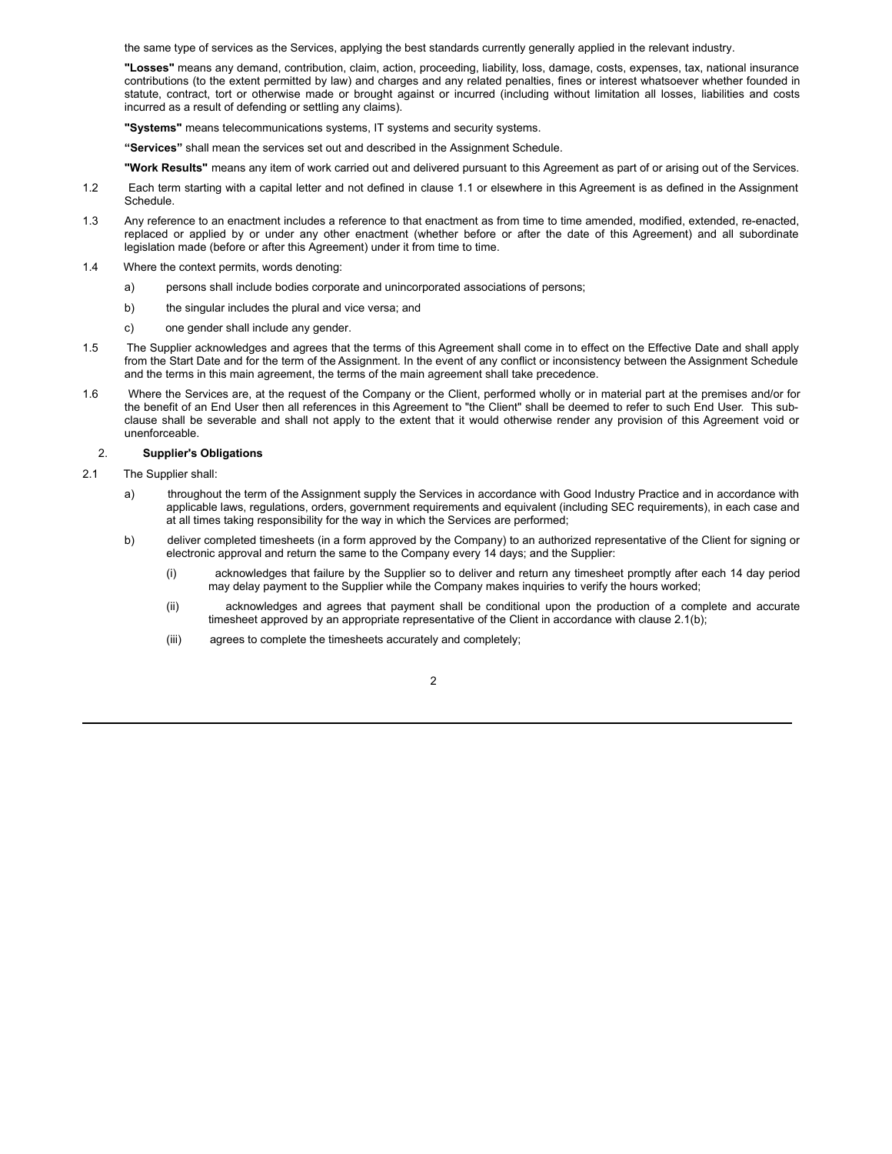the same type of services as the Services, applying the best standards currently generally applied in the relevant industry.

**"Losses"** means any demand, contribution, claim, action, proceeding, liability, loss, damage, costs, expenses, tax, national insurance contributions (to the extent permitted by law) and charges and any related penalties, fines or interest whatsoever whether founded in statute, contract, tort or otherwise made or brought against or incurred (including without limitation all losses, liabilities and costs incurred as a result of defending or settling any claims).

**"Systems"** means telecommunications systems, IT systems and security systems.

**"Services"** shall mean the services set out and described in the Assignment Schedule.

- **"Work Results"** means any item of work carried out and delivered pursuant to this Agreement as part of or arising out of the Services.
- 1.2 Each term starting with a capital letter and not defined in clause 1.1 or elsewhere in this Agreement is as defined in the Assignment Schedule.
- 1.3 Any reference to an enactment includes a reference to that enactment as from time to time amended, modified, extended, re-enacted, replaced or applied by or under any other enactment (whether before or after the date of this Agreement) and all subordinate legislation made (before or after this Agreement) under it from time to time.
- 1.4 Where the context permits, words denoting:
	- a) persons shall include bodies corporate and unincorporated associations of persons;
	- b) the singular includes the plural and vice versa; and
	- c) one gender shall include any gender.
- 1.5 The Supplier acknowledges and agrees that the terms of this Agreement shall come in to effect on the Effective Date and shall apply from the Start Date and for the term of the Assignment. In the event of any conflict or inconsistency between the Assignment Schedule and the terms in this main agreement, the terms of the main agreement shall take precedence.
- 1.6 Where the Services are, at the request of the Company or the Client, performed wholly or in material part at the premises and/or for the benefit of an End User then all references in this Agreement to "the Client" shall be deemed to refer to such End User. This subclause shall be severable and shall not apply to the extent that it would otherwise render any provision of this Agreement void or unenforceable.

### 2. **Supplier's Obligations**

- 2.1 The Supplier shall:
	- a) throughout the term of the Assignment supply the Services in accordance with Good Industry Practice and in accordance with applicable laws, regulations, orders, government requirements and equivalent (including SEC requirements), in each case and at all times taking responsibility for the way in which the Services are performed;
	- b) deliver completed timesheets (in a form approved by the Company) to an authorized representative of the Client for signing or electronic approval and return the same to the Company every 14 days; and the Supplier:
		- (i) acknowledges that failure by the Supplier so to deliver and return any timesheet promptly after each 14 day period may delay payment to the Supplier while the Company makes inquiries to verify the hours worked;
		- (ii) acknowledges and agrees that payment shall be conditional upon the production of a complete and accurate timesheet approved by an appropriate representative of the Client in accordance with clause 2.1(b);
		- (iii) agrees to complete the timesheets accurately and completely;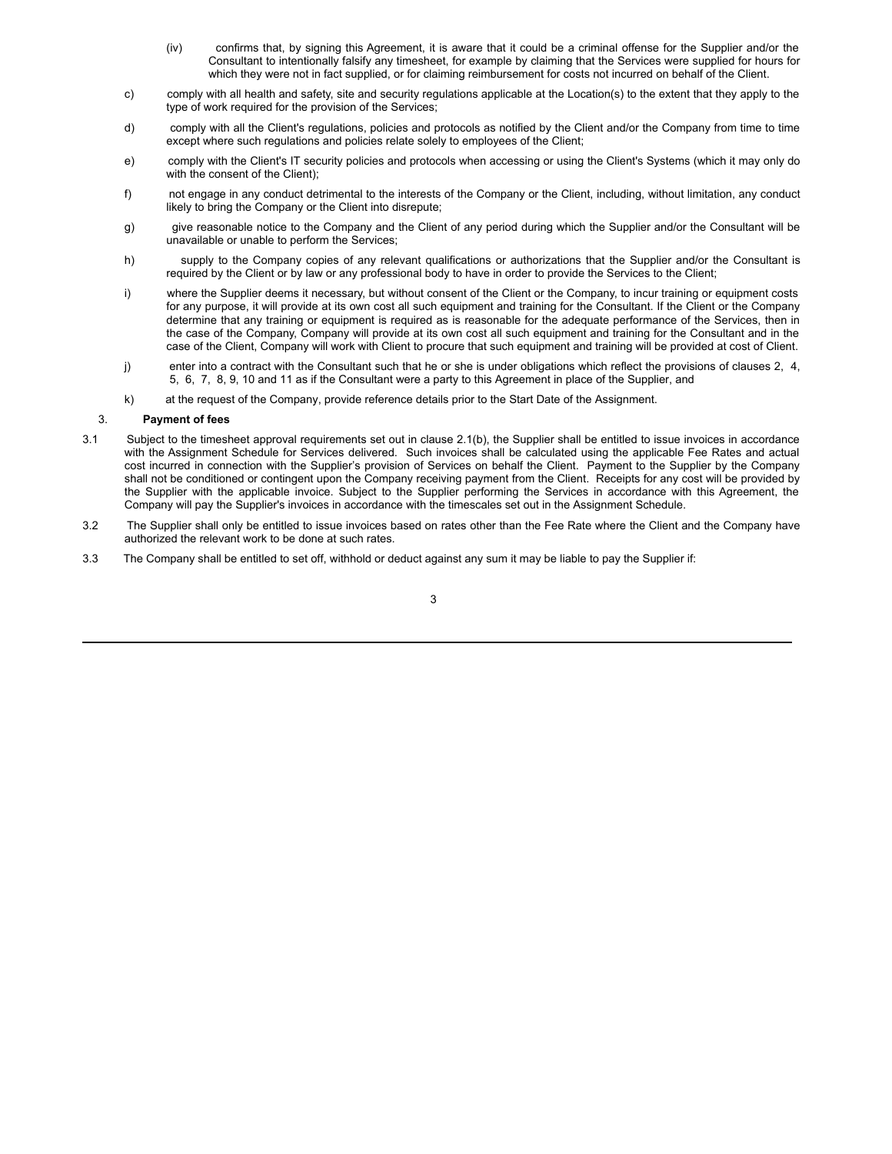- (iv) confirms that, by signing this Agreement, it is aware that it could be a criminal offense for the Supplier and/or the Consultant to intentionally falsify any timesheet, for example by claiming that the Services were supplied for hours for which they were not in fact supplied, or for claiming reimbursement for costs not incurred on behalf of the Client.
- c) comply with all health and safety, site and security regulations applicable at the Location(s) to the extent that they apply to the type of work required for the provision of the Services;
- d) comply with all the Client's regulations, policies and protocols as notified by the Client and/or the Company from time to time except where such regulations and policies relate solely to employees of the Client;
- e) comply with the Client's IT security policies and protocols when accessing or using the Client's Systems (which it may only do with the consent of the Client);
- f) not engage in any conduct detrimental to the interests of the Company or the Client, including, without limitation, any conduct likely to bring the Company or the Client into disrepute;
- g) give reasonable notice to the Company and the Client of any period during which the Supplier and/or the Consultant will be unavailable or unable to perform the Services;
- h) supply to the Company copies of any relevant qualifications or authorizations that the Supplier and/or the Consultant is required by the Client or by law or any professional body to have in order to provide the Services to the Client;
- i) where the Supplier deems it necessary, but without consent of the Client or the Company, to incur training or equipment costs for any purpose, it will provide at its own cost all such equipment and training for the Consultant. If the Client or the Company determine that any training or equipment is required as is reasonable for the adequate performance of the Services, then in the case of the Company, Company will provide at its own cost all such equipment and training for the Consultant and in the case of the Client, Company will work with Client to procure that such equipment and training will be provided at cost of Client.
- j) enter into a contract with the Consultant such that he or she is under obligations which reflect the provisions of clauses 2, 4, 5, 6, 7, 8, 9, 10 and 11 as if the Consultant were a party to this Agreement in place of the Supplier, and
- k) at the request of the Company, provide reference details prior to the Start Date of the Assignment.

# 3. **Payment of fees**

- 3.1 Subject to the timesheet approval requirements set out in clause 2.1(b), the Supplier shall be entitled to issue invoices in accordance with the Assignment Schedule for Services delivered. Such invoices shall be calculated using the applicable Fee Rates and actual cost incurred in connection with the Supplier's provision of Services on behalf the Client. Payment to the Supplier by the Company shall not be conditioned or contingent upon the Company receiving payment from the Client. Receipts for any cost will be provided by the Supplier with the applicable invoice. Subject to the Supplier performing the Services in accordance with this Agreement, the Company will pay the Supplier's invoices in accordance with the timescales set out in the Assignment Schedule.
- 3.2 The Supplier shall only be entitled to issue invoices based on rates other than the Fee Rate where the Client and the Company have authorized the relevant work to be done at such rates.
- 3.3 The Company shall be entitled to set off, withhold or deduct against any sum it may be liable to pay the Supplier if: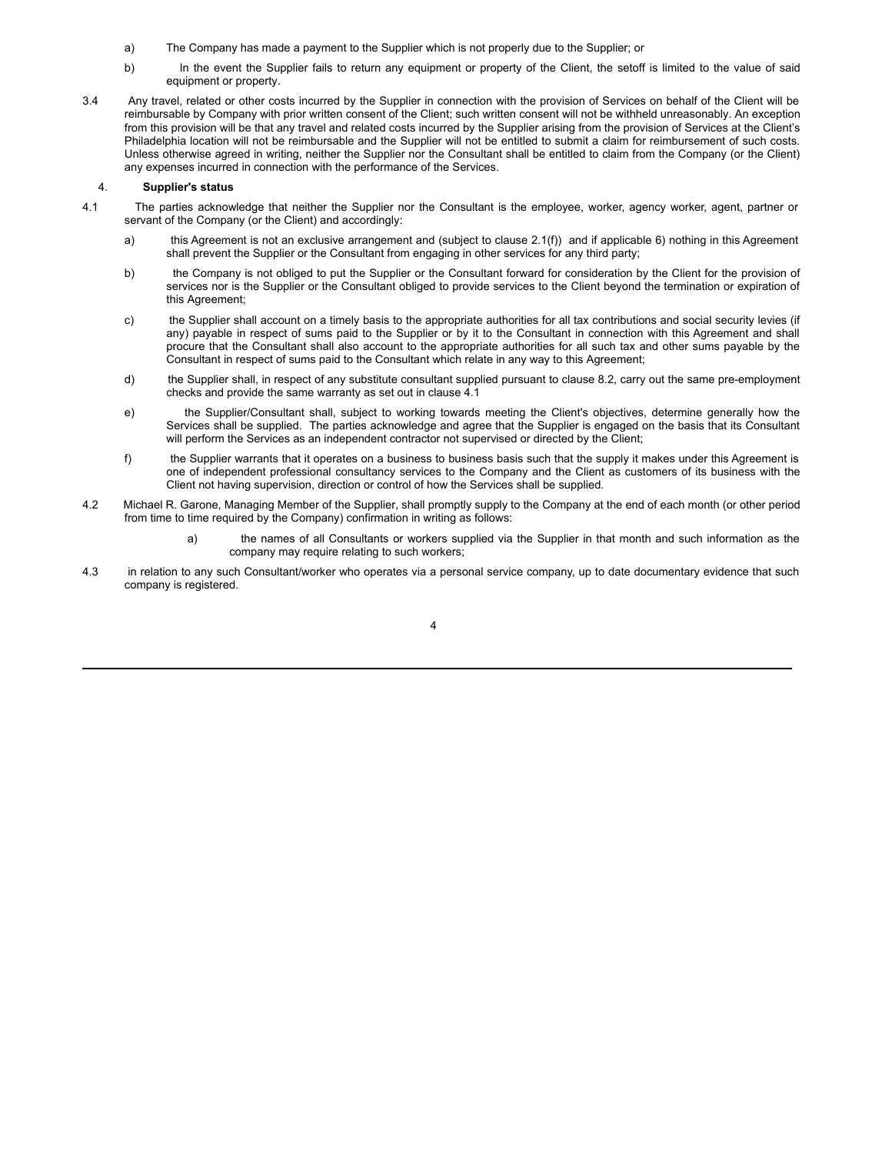- a) The Company has made a payment to the Supplier which is not properly due to the Supplier; or
- b) In the event the Supplier fails to return any equipment or property of the Client, the setoff is limited to the value of said equipment or property.
- 3.4 Any travel, related or other costs incurred by the Supplier in connection with the provision of Services on behalf of the Client will be reimbursable by Company with prior written consent of the Client; such written consent will not be withheld unreasonably. An exception from this provision will be that any travel and related costs incurred by the Supplier arising from the provision of Services at the Client's Philadelphia location will not be reimbursable and the Supplier will not be entitled to submit a claim for reimbursement of such costs. Unless otherwise agreed in writing, neither the Supplier nor the Consultant shall be entitled to claim from the Company (or the Client) any expenses incurred in connection with the performance of the Services.

## 4. **Supplier's status**

- 4.1 The parties acknowledge that neither the Supplier nor the Consultant is the employee, worker, agency worker, agent, partner or servant of the Company (or the Client) and accordingly:
	- a) this Agreement is not an exclusive arrangement and (subject to clause 2.1(f)) and if applicable 6) nothing in this Agreement shall prevent the Supplier or the Consultant from engaging in other services for any third party;
	- b) the Company is not obliged to put the Supplier or the Consultant forward for consideration by the Client for the provision of services nor is the Supplier or the Consultant obliged to provide services to the Client beyond the termination or expiration of this Agreement;
	- c) the Supplier shall account on a timely basis to the appropriate authorities for all tax contributions and social security levies (if any) payable in respect of sums paid to the Supplier or by it to the Consultant in connection with this Agreement and shall procure that the Consultant shall also account to the appropriate authorities for all such tax and other sums payable by the Consultant in respect of sums paid to the Consultant which relate in any way to this Agreement;
	- d) the Supplier shall, in respect of any substitute consultant supplied pursuant to clause 8.2, carry out the same pre-employment checks and provide the same warranty as set out in clause 4.1
	- e) the Supplier/Consultant shall, subject to working towards meeting the Client's objectives, determine generally how the Services shall be supplied. The parties acknowledge and agree that the Supplier is engaged on the basis that its Consultant will perform the Services as an independent contractor not supervised or directed by the Client;
	- f) the Supplier warrants that it operates on a business to business basis such that the supply it makes under this Agreement is one of independent professional consultancy services to the Company and the Client as customers of its business with the Client not having supervision, direction or control of how the Services shall be supplied.
- 4.2 Michael R. Garone, Managing Member of the Supplier, shall promptly supply to the Company at the end of each month (or other period from time to time required by the Company) confirmation in writing as follows:
	- a) the names of all Consultants or workers supplied via the Supplier in that month and such information as the company may require relating to such workers;
- 4.3 in relation to any such Consultant/worker who operates via a personal service company, up to date documentary evidence that such company is registered.

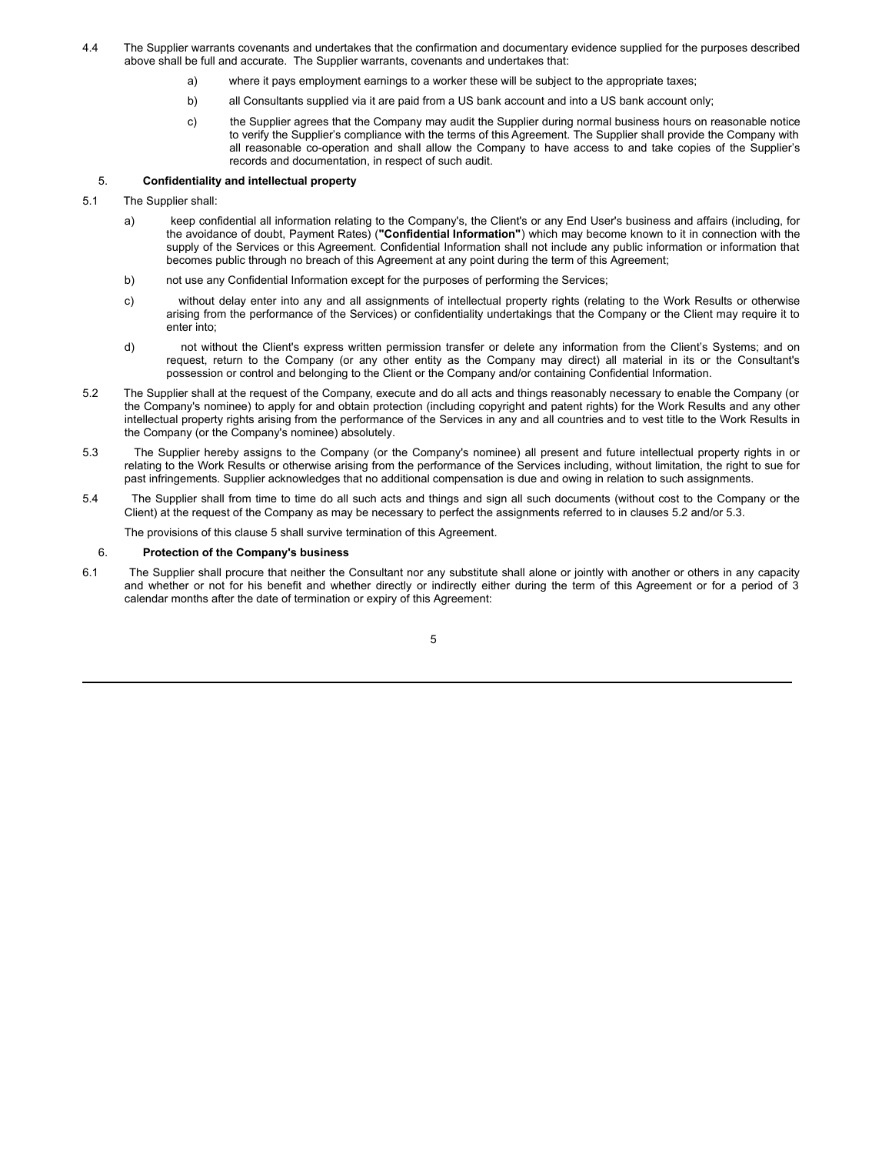- 4.4 The Supplier warrants covenants and undertakes that the confirmation and documentary evidence supplied for the purposes described above shall be full and accurate. The Supplier warrants, covenants and undertakes that:
	- a) where it pays employment earnings to a worker these will be subject to the appropriate taxes;
	- b) all Consultants supplied via it are paid from a US bank account and into a US bank account only;
	- c) the Supplier agrees that the Company may audit the Supplier during normal business hours on reasonable notice to verify the Supplier's compliance with the terms of this Agreement. The Supplier shall provide the Company with all reasonable co-operation and shall allow the Company to have access to and take copies of the Supplier's records and documentation, in respect of such audit.

# 5. **Confidentiality and intellectual property**

- 5.1 The Supplier shall:
	- a) keep confidential all information relating to the Company's, the Client's or any End User's business and affairs (including, for the avoidance of doubt, Payment Rates) (**"Confidential Information"**) which may become known to it in connection with the supply of the Services or this Agreement. Confidential Information shall not include any public information or information that becomes public through no breach of this Agreement at any point during the term of this Agreement;
	- b) not use any Confidential Information except for the purposes of performing the Services;
	- c) without delay enter into any and all assignments of intellectual property rights (relating to the Work Results or otherwise arising from the performance of the Services) or confidentiality undertakings that the Company or the Client may require it to enter into;
	- d) not without the Client's express written permission transfer or delete any information from the Client's Systems; and on request, return to the Company (or any other entity as the Company may direct) all material in its or the Consultant's possession or control and belonging to the Client or the Company and/or containing Confidential Information.
- 5.2 The Supplier shall at the request of the Company, execute and do all acts and things reasonably necessary to enable the Company (or the Company's nominee) to apply for and obtain protection (including copyright and patent rights) for the Work Results and any other intellectual property rights arising from the performance of the Services in any and all countries and to vest title to the Work Results in the Company (or the Company's nominee) absolutely.
- 5.3 The Supplier hereby assigns to the Company (or the Company's nominee) all present and future intellectual property rights in or relating to the Work Results or otherwise arising from the performance of the Services including, without limitation, the right to sue for past infringements. Supplier acknowledges that no additional compensation is due and owing in relation to such assignments.
- 5.4 The Supplier shall from time to time do all such acts and things and sign all such documents (without cost to the Company or the Client) at the request of the Company as may be necessary to perfect the assignments referred to in clauses 5.2 and/or 5.3.

The provisions of this clause 5 shall survive termination of this Agreement.

## 6. **Protection of the Company's business**

6.1 The Supplier shall procure that neither the Consultant nor any substitute shall alone or jointly with another or others in any capacity and whether or not for his benefit and whether directly or indirectly either during the term of this Agreement or for a period of 3 calendar months after the date of termination or expiry of this Agreement: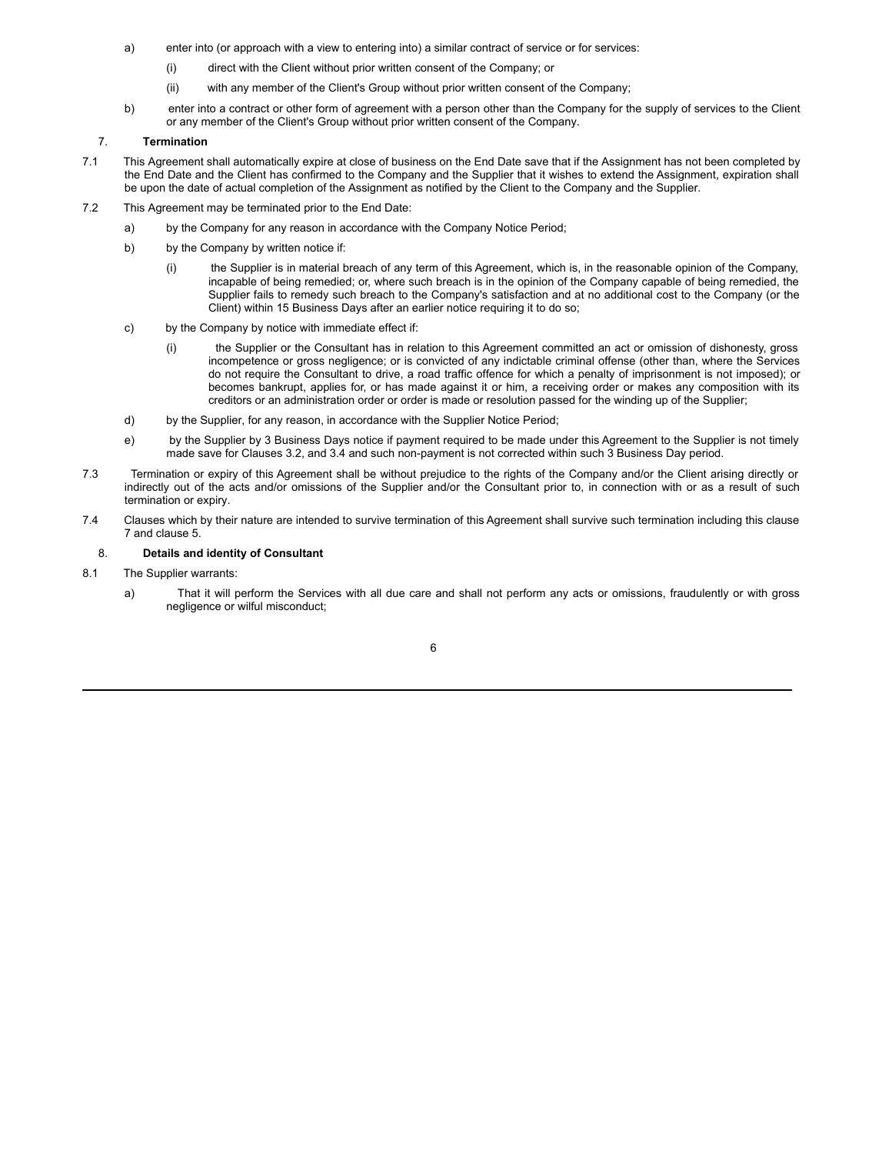- a) enter into (or approach with a view to entering into) a similar contract of service or for services:
	- (i) direct with the Client without prior written consent of the Company; or
	- (ii) with any member of the Client's Group without prior written consent of the Company;
- b) enter into a contract or other form of agreement with a person other than the Company for the supply of services to the Client or any member of the Client's Group without prior written consent of the Company.

# 7. **Termination**

- 7.1 This Agreement shall automatically expire at close of business on the End Date save that if the Assignment has not been completed by the End Date and the Client has confirmed to the Company and the Supplier that it wishes to extend the Assignment, expiration shall be upon the date of actual completion of the Assignment as notified by the Client to the Company and the Supplier.
- 7.2 This Agreement may be terminated prior to the End Date:
	- a) by the Company for any reason in accordance with the Company Notice Period;
	- b) by the Company by written notice if:
		- (i) the Supplier is in material breach of any term of this Agreement, which is, in the reasonable opinion of the Company, incapable of being remedied; or, where such breach is in the opinion of the Company capable of being remedied, the Supplier fails to remedy such breach to the Company's satisfaction and at no additional cost to the Company (or the Client) within 15 Business Days after an earlier notice requiring it to do so;
	- c) by the Company by notice with immediate effect if:
		- (i) the Supplier or the Consultant has in relation to this Agreement committed an act or omission of dishonesty, gross incompetence or gross negligence; or is convicted of any indictable criminal offense (other than, where the Services do not require the Consultant to drive, a road traffic offence for which a penalty of imprisonment is not imposed); or becomes bankrupt, applies for, or has made against it or him, a receiving order or makes any composition with its creditors or an administration order or order is made or resolution passed for the winding up of the Supplier;
	- d) by the Supplier, for any reason, in accordance with the Supplier Notice Period;
	- e) by the Supplier by 3 Business Days notice if payment required to be made under this Agreement to the Supplier is not timely made save for Clauses 3.2, and 3.4 and such non-payment is not corrected within such 3 Business Day period.
- 7.3 Termination or expiry of this Agreement shall be without prejudice to the rights of the Company and/or the Client arising directly or indirectly out of the acts and/or omissions of the Supplier and/or the Consultant prior to, in connection with or as a result of such termination or expiry.
- 7.4 Clauses which by their nature are intended to survive termination of this Agreement shall survive such termination including this clause 7 and clause 5.

# 8. **Details and identity of Consultant**

- 8.1 The Supplier warrants:
	- a) That it will perform the Services with all due care and shall not perform any acts or omissions, fraudulently or with gross negligence or wilful misconduct;

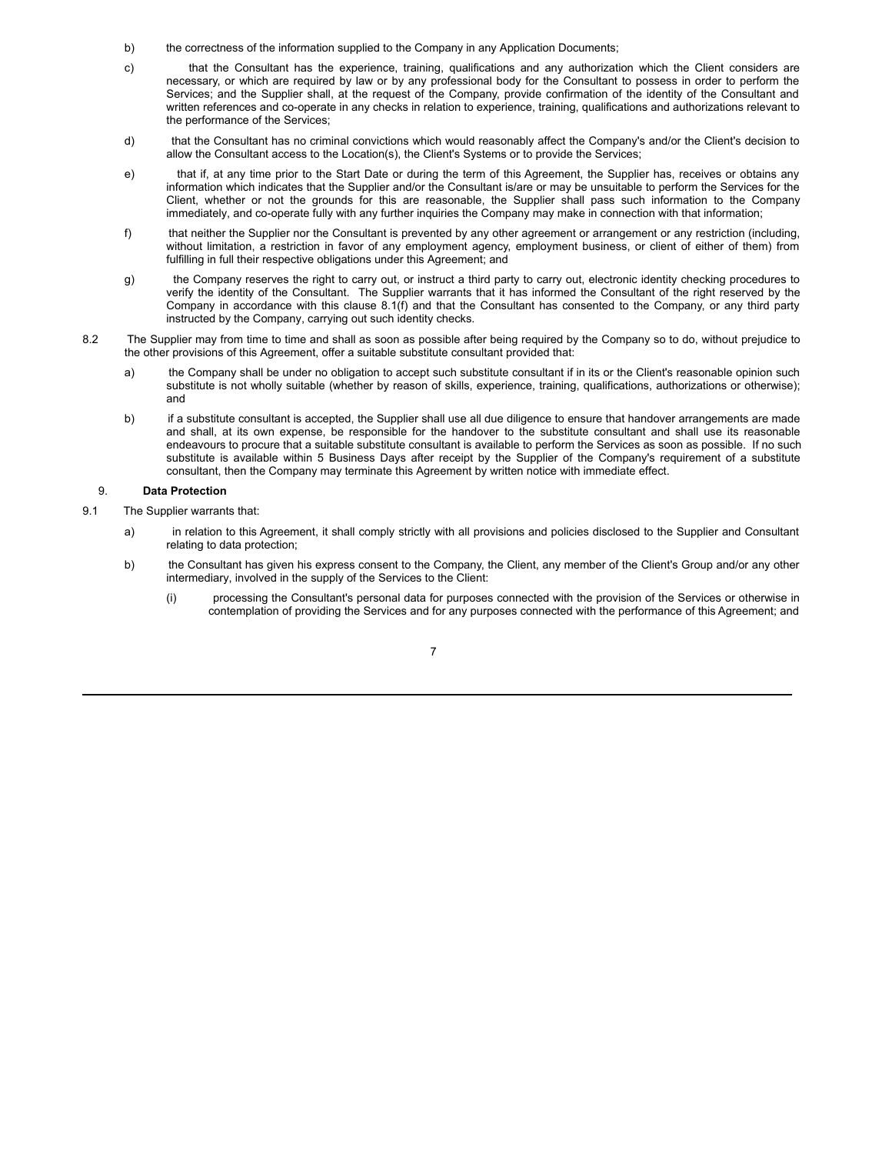- b) the correctness of the information supplied to the Company in any Application Documents;
- c) that the Consultant has the experience, training, qualifications and any authorization which the Client considers are necessary, or which are required by law or by any professional body for the Consultant to possess in order to perform the Services; and the Supplier shall, at the request of the Company, provide confirmation of the identity of the Consultant and written references and co-operate in any checks in relation to experience, training, qualifications and authorizations relevant to the performance of the Services;
- d) that the Consultant has no criminal convictions which would reasonably affect the Company's and/or the Client's decision to allow the Consultant access to the Location(s), the Client's Systems or to provide the Services;
- e) that if, at any time prior to the Start Date or during the term of this Agreement, the Supplier has, receives or obtains any information which indicates that the Supplier and/or the Consultant is/are or may be unsuitable to perform the Services for the Client, whether or not the grounds for this are reasonable, the Supplier shall pass such information to the Company immediately, and co-operate fully with any further inquiries the Company may make in connection with that information;
- f) that neither the Supplier nor the Consultant is prevented by any other agreement or arrangement or any restriction (including, without limitation, a restriction in favor of any employment agency, employment business, or client of either of them) from fulfilling in full their respective obligations under this Agreement; and
- g) the Company reserves the right to carry out, or instruct a third party to carry out, electronic identity checking procedures to verify the identity of the Consultant. The Supplier warrants that it has informed the Consultant of the right reserved by the Company in accordance with this clause 8.1(f) and that the Consultant has consented to the Company, or any third party instructed by the Company, carrying out such identity checks.
- 8.2 The Supplier may from time to time and shall as soon as possible after being required by the Company so to do, without prejudice to the other provisions of this Agreement, offer a suitable substitute consultant provided that:
	- a) the Company shall be under no obligation to accept such substitute consultant if in its or the Client's reasonable opinion such substitute is not wholly suitable (whether by reason of skills, experience, training, qualifications, authorizations or otherwise); and
	- b) if a substitute consultant is accepted, the Supplier shall use all due diligence to ensure that handover arrangements are made and shall, at its own expense, be responsible for the handover to the substitute consultant and shall use its reasonable endeavours to procure that a suitable substitute consultant is available to perform the Services as soon as possible. If no such substitute is available within 5 Business Days after receipt by the Supplier of the Company's requirement of a substitute consultant, then the Company may terminate this Agreement by written notice with immediate effect.

# 9. **Data Protection**

- 9.1 The Supplier warrants that:
	- a) in relation to this Agreement, it shall comply strictly with all provisions and policies disclosed to the Supplier and Consultant relating to data protection;
	- b) the Consultant has given his express consent to the Company, the Client, any member of the Client's Group and/or any other intermediary, involved in the supply of the Services to the Client:
		- (i) processing the Consultant's personal data for purposes connected with the provision of the Services or otherwise in contemplation of providing the Services and for any purposes connected with the performance of this Agreement; and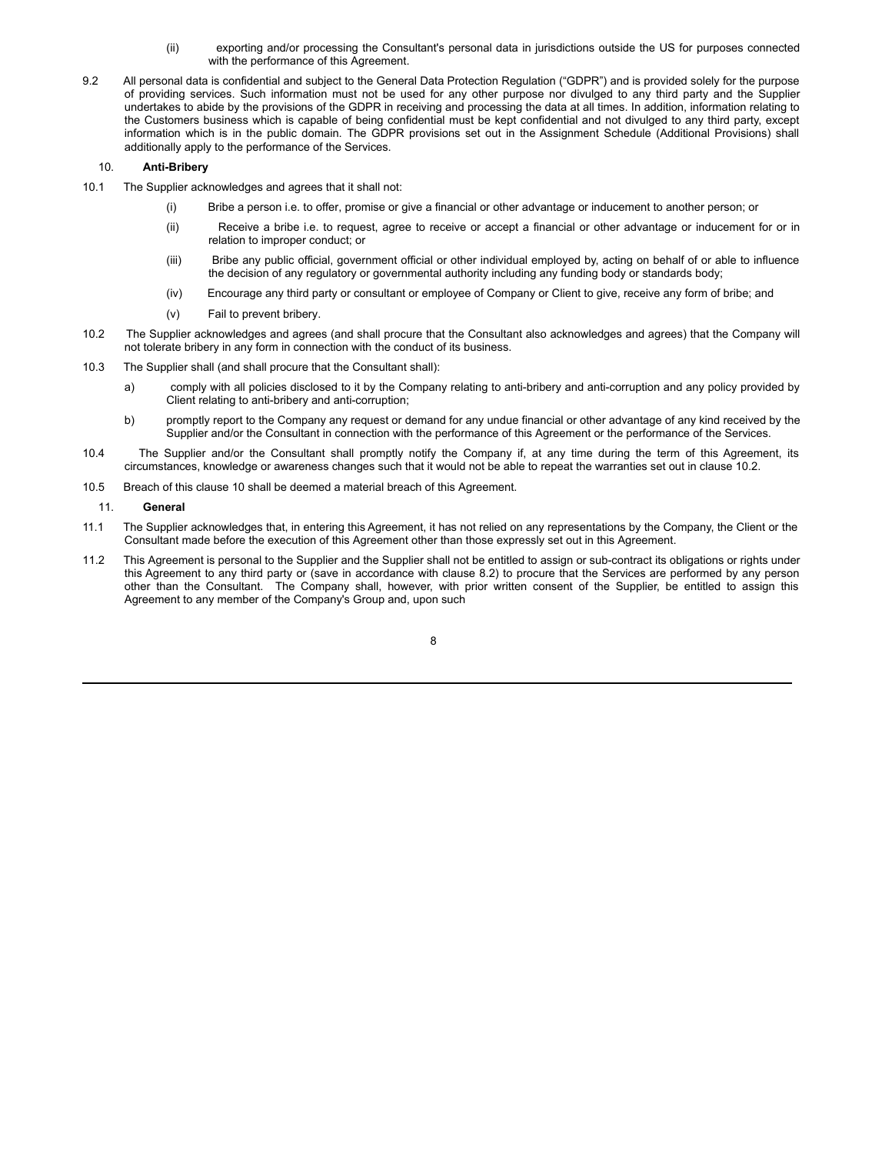- (ii) exporting and/or processing the Consultant's personal data in jurisdictions outside the US for purposes connected with the performance of this Agreement.
- 9.2 All personal data is confidential and subject to the General Data Protection Regulation ("GDPR") and is provided solely for the purpose of providing services. Such information must not be used for any other purpose nor divulged to any third party and the Supplier undertakes to abide by the provisions of the GDPR in receiving and processing the data at all times. In addition, information relating to the Customers business which is capable of being confidential must be kept confidential and not divulged to any third party, except information which is in the public domain. The GDPR provisions set out in the Assignment Schedule (Additional Provisions) shall additionally apply to the performance of the Services.

# 10. **Anti-Bribery**

- 10.1 The Supplier acknowledges and agrees that it shall not:
	- (i) Bribe a person i.e. to offer, promise or give a financial or other advantage or inducement to another person; or
	- (ii) Receive a bribe i.e. to request, agree to receive or accept a financial or other advantage or inducement for or in relation to improper conduct; or
	- (iii) Bribe any public official, government official or other individual employed by, acting on behalf of or able to influence the decision of any regulatory or governmental authority including any funding body or standards body;
	- (iv) Encourage any third party or consultant or employee of Company or Client to give, receive any form of bribe; and
	- (v) Fail to prevent bribery.
- 10.2 The Supplier acknowledges and agrees (and shall procure that the Consultant also acknowledges and agrees) that the Company will not tolerate bribery in any form in connection with the conduct of its business.
- 10.3 The Supplier shall (and shall procure that the Consultant shall):
	- a) comply with all policies disclosed to it by the Company relating to anti-bribery and anti-corruption and any policy provided by Client relating to anti-bribery and anti-corruption;
	- b) promptly report to the Company any request or demand for any undue financial or other advantage of any kind received by the Supplier and/or the Consultant in connection with the performance of this Agreement or the performance of the Services.
- 10.4 The Supplier and/or the Consultant shall promptly notify the Company if, at any time during the term of this Agreement, its circumstances, knowledge or awareness changes such that it would not be able to repeat the warranties set out in clause 10.2.
- 10.5 Breach of this clause 10 shall be deemed a material breach of this Agreement.

# 11. **General**

- 11.1 The Supplier acknowledges that, in entering this Agreement, it has not relied on any representations by the Company, the Client or the Consultant made before the execution of this Agreement other than those expressly set out in this Agreement.
- 11.2 This Agreement is personal to the Supplier and the Supplier shall not be entitled to assign or sub-contract its obligations or rights under this Agreement to any third party or (save in accordance with clause 8.2) to procure that the Services are performed by any person other than the Consultant. The Company shall, however, with prior written consent of the Supplier, be entitled to assign this Agreement to any member of the Company's Group and, upon such

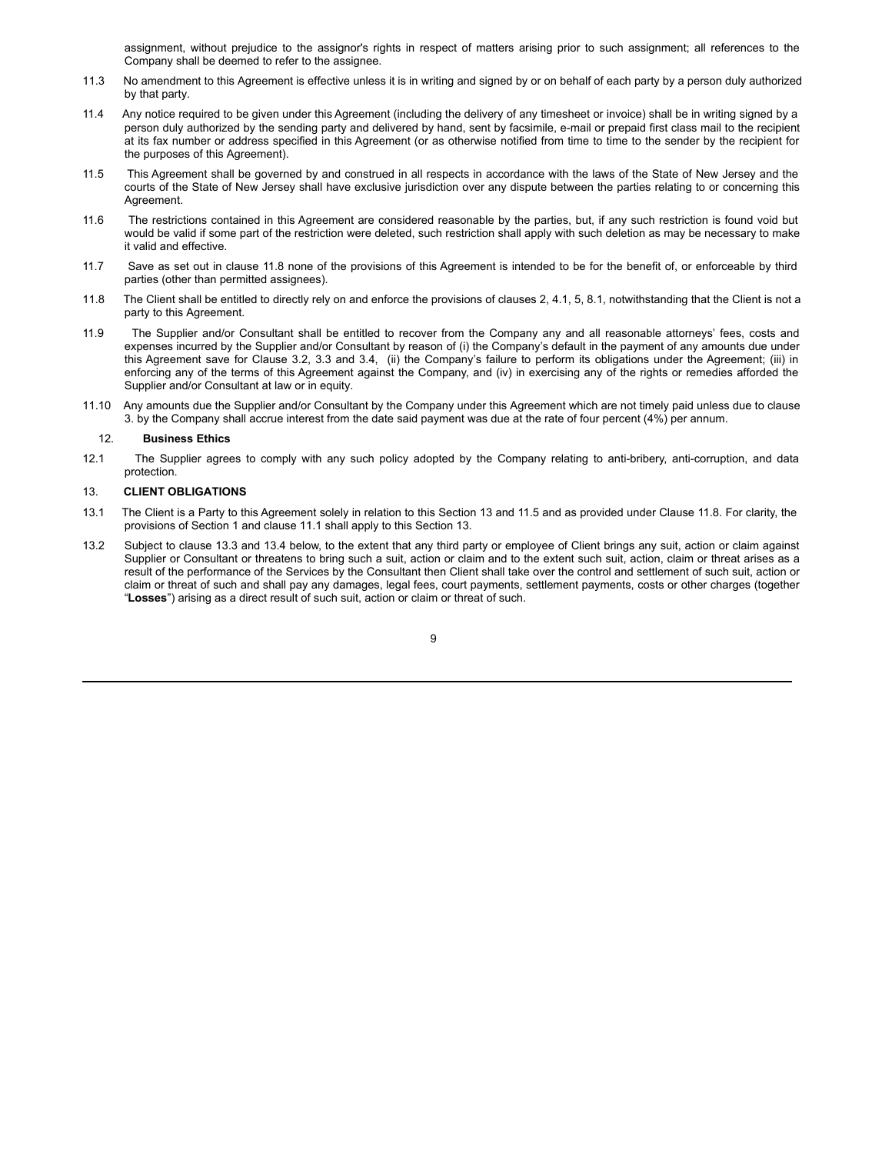assignment, without prejudice to the assignor's rights in respect of matters arising prior to such assignment; all references to the Company shall be deemed to refer to the assignee.

- 11.3 No amendment to this Agreement is effective unless it is in writing and signed by or on behalf of each party by a person duly authorized by that party.
- 11.4 Any notice required to be given under this Agreement (including the delivery of any timesheet or invoice) shall be in writing signed by a person duly authorized by the sending party and delivered by hand, sent by facsimile, e-mail or prepaid first class mail to the recipient at its fax number or address specified in this Agreement (or as otherwise notified from time to time to the sender by the recipient for the purposes of this Agreement).
- 11.5 This Agreement shall be governed by and construed in all respects in accordance with the laws of the State of New Jersey and the courts of the State of New Jersey shall have exclusive jurisdiction over any dispute between the parties relating to or concerning this Agreement.
- 11.6 The restrictions contained in this Agreement are considered reasonable by the parties, but, if any such restriction is found void but would be valid if some part of the restriction were deleted, such restriction shall apply with such deletion as may be necessary to make it valid and effective.
- 11.7 Save as set out in clause 11.8 none of the provisions of this Agreement is intended to be for the benefit of, or enforceable by third parties (other than permitted assignees).
- 11.8 The Client shall be entitled to directly rely on and enforce the provisions of clauses 2, 4.1, 5, 8.1, notwithstanding that the Client is not a party to this Agreement.
- 11.9 The Supplier and/or Consultant shall be entitled to recover from the Company any and all reasonable attorneys' fees, costs and expenses incurred by the Supplier and/or Consultant by reason of (i) the Company's default in the payment of any amounts due under this Agreement save for Clause 3.2, 3.3 and 3.4, (ii) the Company's failure to perform its obligations under the Agreement; (iii) in enforcing any of the terms of this Agreement against the Company, and (iv) in exercising any of the rights or remedies afforded the Supplier and/or Consultant at law or in equity.
- 11.10 Any amounts due the Supplier and/or Consultant by the Company under this Agreement which are not timely paid unless due to clause 3. by the Company shall accrue interest from the date said payment was due at the rate of four percent (4%) per annum.

# 12. **Business Ethics**

12.1 The Supplier agrees to comply with any such policy adopted by the Company relating to anti-bribery, anti-corruption, and data protection.

# 13. **CLIENT OBLIGATIONS**

- 13.1 The Client is a Party to this Agreement solely in relation to this Section 13 and 11.5 and as provided under Clause 11.8. For clarity, the provisions of Section 1 and clause 11.1 shall apply to this Section 13.
- 13.2 Subject to clause 13.3 and 13.4 below, to the extent that any third party or employee of Client brings any suit, action or claim against Supplier or Consultant or threatens to bring such a suit, action or claim and to the extent such suit, action, claim or threat arises as a result of the performance of the Services by the Consultant then Client shall take over the control and settlement of such suit, action or claim or threat of such and shall pay any damages, legal fees, court payments, settlement payments, costs or other charges (together "**Losses**") arising as a direct result of such suit, action or claim or threat of such.

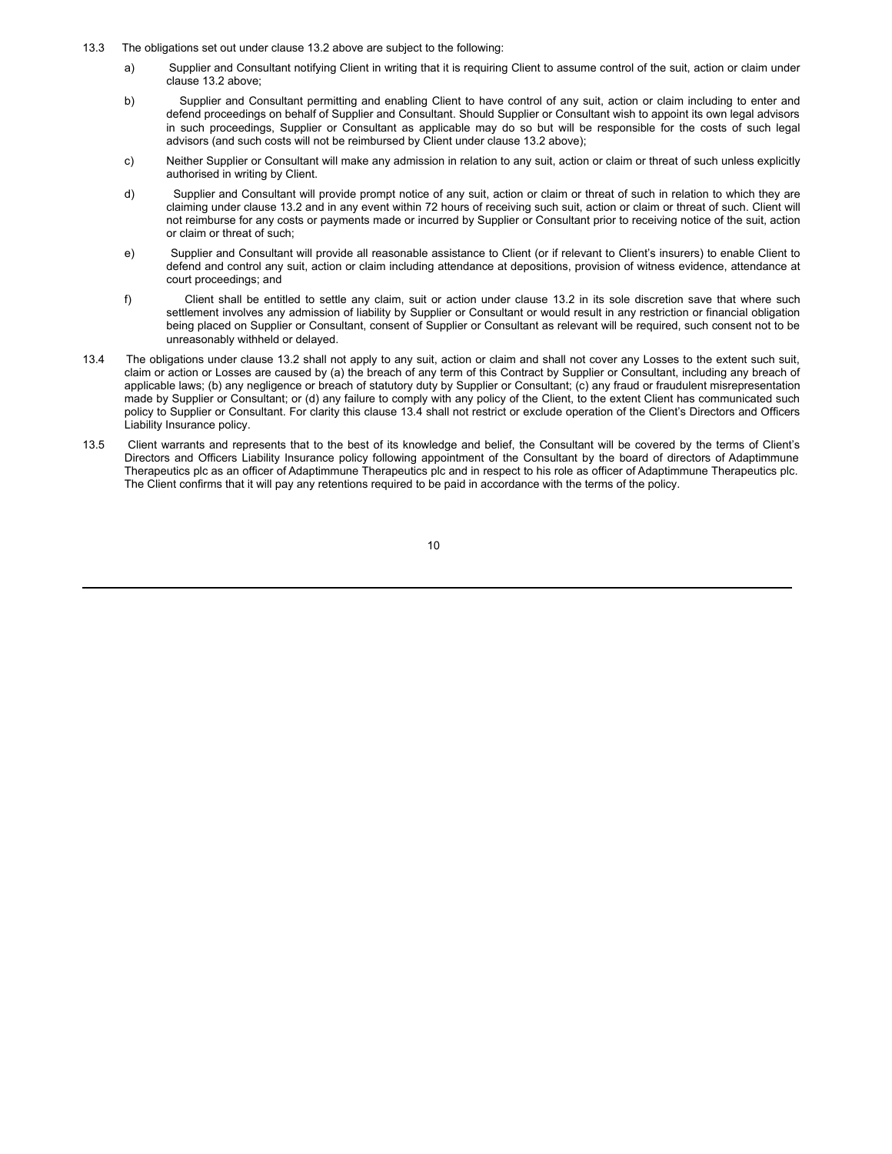- 13.3 The obligations set out under clause 13.2 above are subject to the following:
	- a) Supplier and Consultant notifying Client in writing that it is requiring Client to assume control of the suit, action or claim under clause 13.2 above;
	- b) Supplier and Consultant permitting and enabling Client to have control of any suit, action or claim including to enter and defend proceedings on behalf of Supplier and Consultant. Should Supplier or Consultant wish to appoint its own legal advisors in such proceedings, Supplier or Consultant as applicable may do so but will be responsible for the costs of such legal advisors (and such costs will not be reimbursed by Client under clause 13.2 above);
	- c) Neither Supplier or Consultant will make any admission in relation to any suit, action or claim or threat of such unless explicitly authorised in writing by Client.
	- d) Supplier and Consultant will provide prompt notice of any suit, action or claim or threat of such in relation to which they are claiming under clause 13.2 and in any event within 72 hours of receiving such suit, action or claim or threat of such. Client will not reimburse for any costs or payments made or incurred by Supplier or Consultant prior to receiving notice of the suit, action or claim or threat of such;
	- e) Supplier and Consultant will provide all reasonable assistance to Client (or if relevant to Client's insurers) to enable Client to defend and control any suit, action or claim including attendance at depositions, provision of witness evidence, attendance at court proceedings; and
	- f) Client shall be entitled to settle any claim, suit or action under clause 13.2 in its sole discretion save that where such settlement involves any admission of liability by Supplier or Consultant or would result in any restriction or financial obligation being placed on Supplier or Consultant, consent of Supplier or Consultant as relevant will be required, such consent not to be unreasonably withheld or delayed.
- 13.4 The obligations under clause 13.2 shall not apply to any suit, action or claim and shall not cover any Losses to the extent such suit, claim or action or Losses are caused by (a) the breach of any term of this Contract by Supplier or Consultant, including any breach of applicable laws; (b) any negligence or breach of statutory duty by Supplier or Consultant; (c) any fraud or fraudulent misrepresentation made by Supplier or Consultant; or (d) any failure to comply with any policy of the Client, to the extent Client has communicated such policy to Supplier or Consultant. For clarity this clause 13.4 shall not restrict or exclude operation of the Client's Directors and Officers Liability Insurance policy.
- 13.5 Client warrants and represents that to the best of its knowledge and belief, the Consultant will be covered by the terms of Client's Directors and Officers Liability Insurance policy following appointment of the Consultant by the board of directors of Adaptimmune Therapeutics plc as an officer of Adaptimmune Therapeutics plc and in respect to his role as officer of Adaptimmune Therapeutics plc. The Client confirms that it will pay any retentions required to be paid in accordance with the terms of the policy.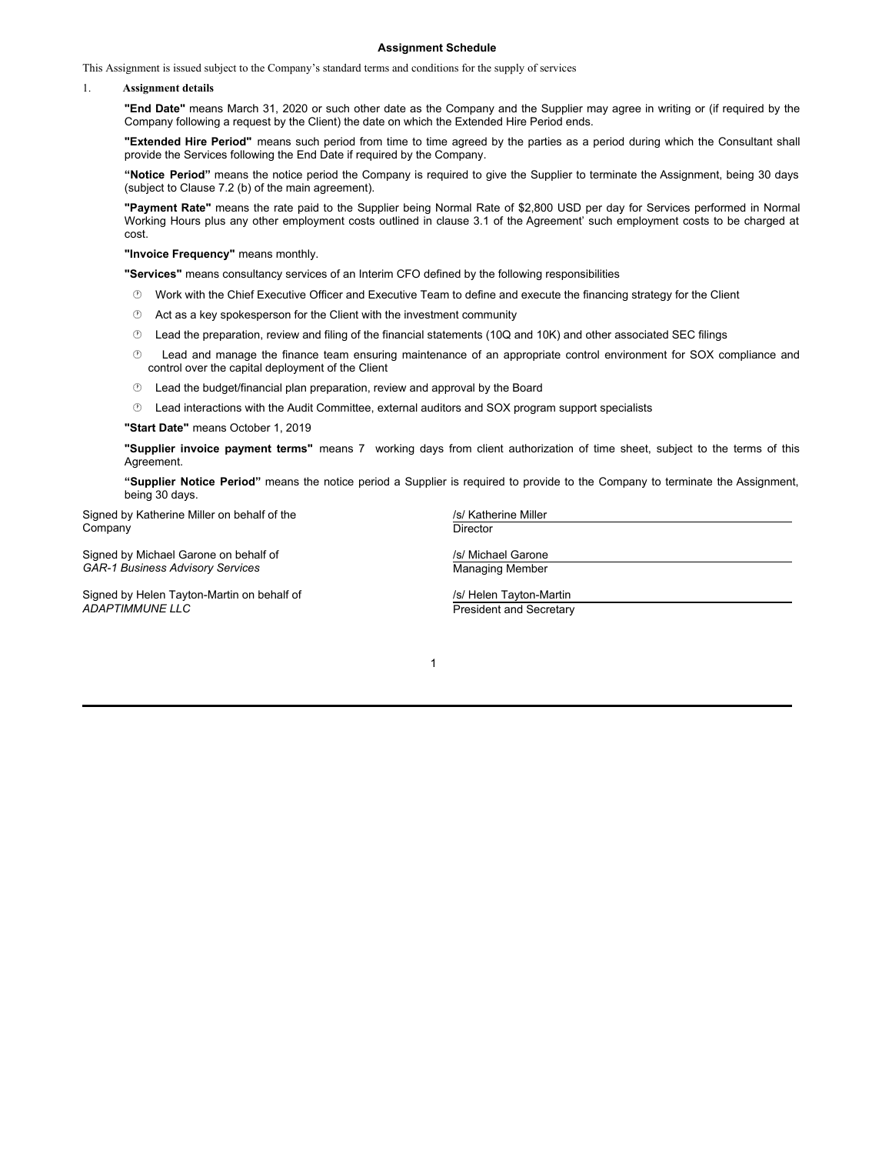#### **Assignment Schedule**

This Assignment is issued subject to the Company's standard terms and conditions for the supply of services

# 1. **Assignment details**

**"End Date"** means March 31, 2020 or such other date as the Company and the Supplier may agree in writing or (if required by the Company following a request by the Client) the date on which the Extended Hire Period ends.

**"Extended Hire Period"** means such period from time to time agreed by the parties as a period during which the Consultant shall provide the Services following the End Date if required by the Company.

**"Notice Period"** means the notice period the Company is required to give the Supplier to terminate the Assignment, being 30 days (subject to Clause 7.2 (b) of the main agreement).

**"Payment Rate"** means the rate paid to the Supplier being Normal Rate of \$2,800 USD per day for Services performed in Normal Working Hours plus any other employment costs outlined in clause 3.1 of the Agreement' such employment costs to be charged at cost.

**"Invoice Frequency"** means monthly.

**"Services"** means consultancy services of an Interim CFO defined by the following responsibilities

- · Work with the Chief Executive Officer and Executive Team to define and execute the financing strategy for the Client
- $\circled{e}$  Act as a key spokesperson for the Client with the investment community
- $\degree$  Lead the preparation, review and filing of the financial statements (10Q and 10K) and other associated SEC filings
- · Lead and manage the finance team ensuring maintenance of an appropriate control environment for SOX compliance and control over the capital deployment of the Client
- $\circled{e}$  Lead the budget/financial plan preparation, review and approval by the Board

 $\heartsuit$  Lead interactions with the Audit Committee, external auditors and SOX program support specialists

**"Start Date"** means October 1, 2019

**"Supplier invoice payment terms"** means 7 working days from client authorization of time sheet, subject to the terms of this Agreement.

**"Supplier Notice Period"** means the notice period a Supplier is required to provide to the Company to terminate the Assignment, being 30 days.

Signed by Katherine Miller on behalf of the Company

Signed by Michael Garone on behalf of *GAR-1 Business Advisory Services*

Signed by Helen Tayton-Martin on behalf of *ADAPTIMMUNE LLC*

/s/ Katherine Miller Director

/s/ Michael Garone Managing Member

/s/ Helen Tayton-Martin President and Secretary

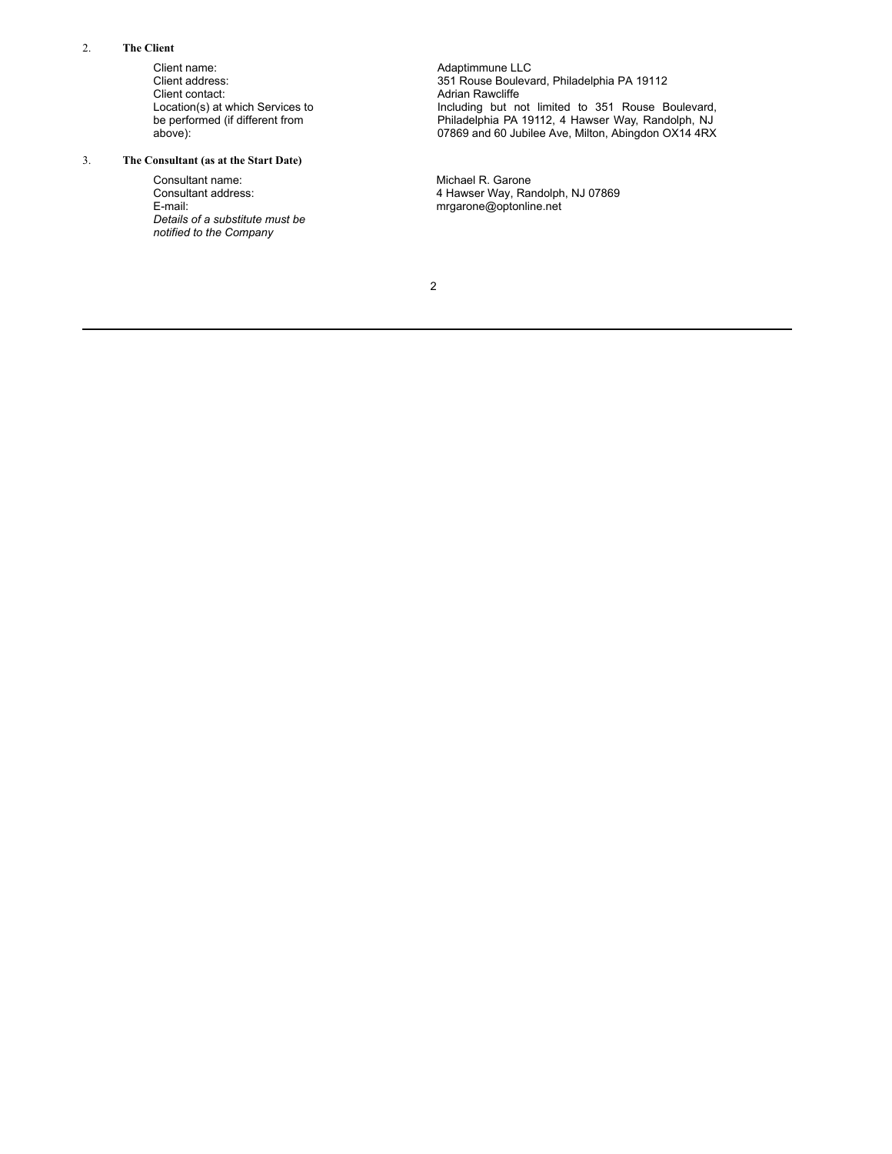# 2. **The Client**

Client name: <br>Client address: The Client address and the Client address and the Client address and the Client Adaptimmune LLC Location(s) at which Services to be performed (if different from above):

# 3. **The Consultant (as at the Start Date)**

Consultant name:<br>
Consultant address:<br>
Consultant address:<br>
A Hawser Way, Rai E-mail: example and the contract of the method of the method of the method of the method of the method of the method of the method of the method of the method of the method of the method of the method of the method of the *Details of a substitute must be notified to the Company*

Client address: 351 Rouse Boulevard, Philadelphia PA 19112 Adrian Rawcliffe Including but not limited to 351 Rouse Boulevard, Philadelphia PA 19112, 4 Hawser Way, Randolph, NJ 07869 and 60 Jubilee Ave, Milton, Abingdon OX14 4RX

Consultant address: 4 Hawser Way, Randolph, NJ 07869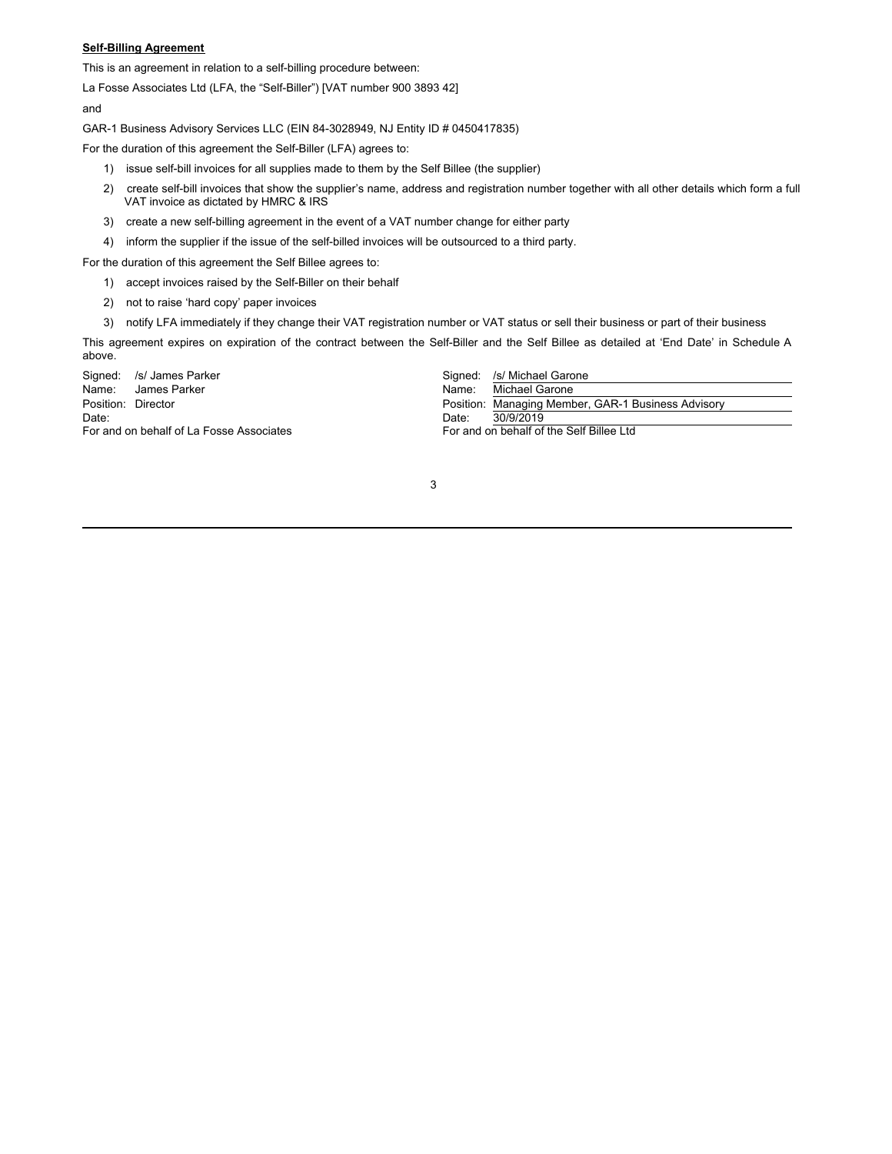# **Self-Billing Agreement**

This is an agreement in relation to a self-billing procedure between:

La Fosse Associates Ltd (LFA, the "Self-Biller") [VAT number 900 3893 42]

and

GAR-1 Business Advisory Services LLC (EIN 84-3028949, NJ Entity ID # 0450417835)

For the duration of this agreement the Self-Biller (LFA) agrees to:

- 1) issue self-bill invoices for all supplies made to them by the Self Billee (the supplier)
- 2) create self-bill invoices that show the supplier's name, address and registration number together with all other details which form a full VAT invoice as dictated by HMRC & IRS
- 3) create a new self-billing agreement in the event of a VAT number change for either party
- 4) inform the supplier if the issue of the self-billed invoices will be outsourced to a third party.

For the duration of this agreement the Self Billee agrees to:

- 1) accept invoices raised by the Self-Biller on their behalf
- 2) not to raise 'hard copy' paper invoices
- 3) notify LFA immediately if they change their VAT registration number or VAT status or sell their business or part of their business

This agreement expires on expiration of the contract between the Self-Biller and the Self Billee as detailed at 'End Date' in Schedule A above.

Signed: /s/ James Parker Name: James Parker Position: Director Date: Date: 30/9/2019 For and on behalf of La Fosse Associates

|                                          | Signed: /s/ Michael Garone                         |
|------------------------------------------|----------------------------------------------------|
| Name:                                    | <b>Michael Garone</b>                              |
|                                          | Position: Managing Member, GAR-1 Business Advisory |
| Date:                                    | 30/9/2019                                          |
| For and on behalf of the Self Billee Ltd |                                                    |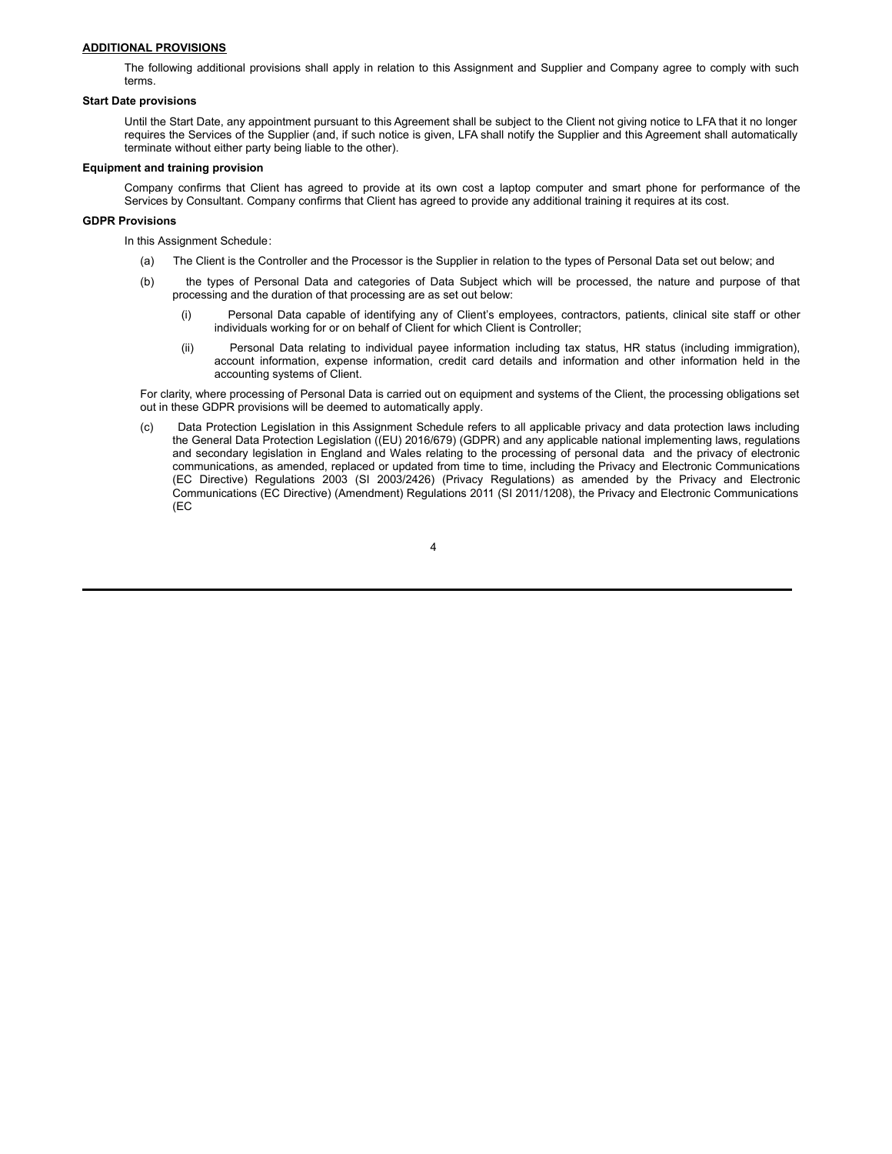## **ADDITIONAL PROVISIONS**

The following additional provisions shall apply in relation to this Assignment and Supplier and Company agree to comply with such terms.

#### **Start Date provisions**

Until the Start Date, any appointment pursuant to this Agreement shall be subject to the Client not giving notice to LFA that it no longer requires the Services of the Supplier (and, if such notice is given, LFA shall notify the Supplier and this Agreement shall automatically terminate without either party being liable to the other).

## **Equipment and training provision**

Company confirms that Client has agreed to provide at its own cost a laptop computer and smart phone for performance of the Services by Consultant. Company confirms that Client has agreed to provide any additional training it requires at its cost.

# **GDPR Provisions**

In this Assignment Schedule:

- (a) The Client is the Controller and the Processor is the Supplier in relation to the types of Personal Data set out below; and
- (b) the types of Personal Data and categories of Data Subject which will be processed, the nature and purpose of that processing and the duration of that processing are as set out below:
	- (i) Personal Data capable of identifying any of Client's employees, contractors, patients, clinical site staff or other individuals working for or on behalf of Client for which Client is Controller;
	- (ii) Personal Data relating to individual payee information including tax status, HR status (including immigration), account information, expense information, credit card details and information and other information held in the accounting systems of Client.

For clarity, where processing of Personal Data is carried out on equipment and systems of the Client, the processing obligations set out in these GDPR provisions will be deemed to automatically apply.

(c) Data Protection Legislation in this Assignment Schedule refers to all applicable privacy and data protection laws including the General Data Protection Legislation ((EU) 2016/679) (GDPR) and any applicable national implementing laws, regulations and secondary legislation in England and Wales relating to the processing of personal data and the privacy of electronic communications, as amended, replaced or updated from time to time, including the Privacy and Electronic Communications (EC Directive) Regulations 2003 (SI 2003/2426) (Privacy Regulations) as amended by the Privacy and Electronic Communications (EC Directive) (Amendment) Regulations 2011 (SI 2011/1208), the Privacy and Electronic Communications (EC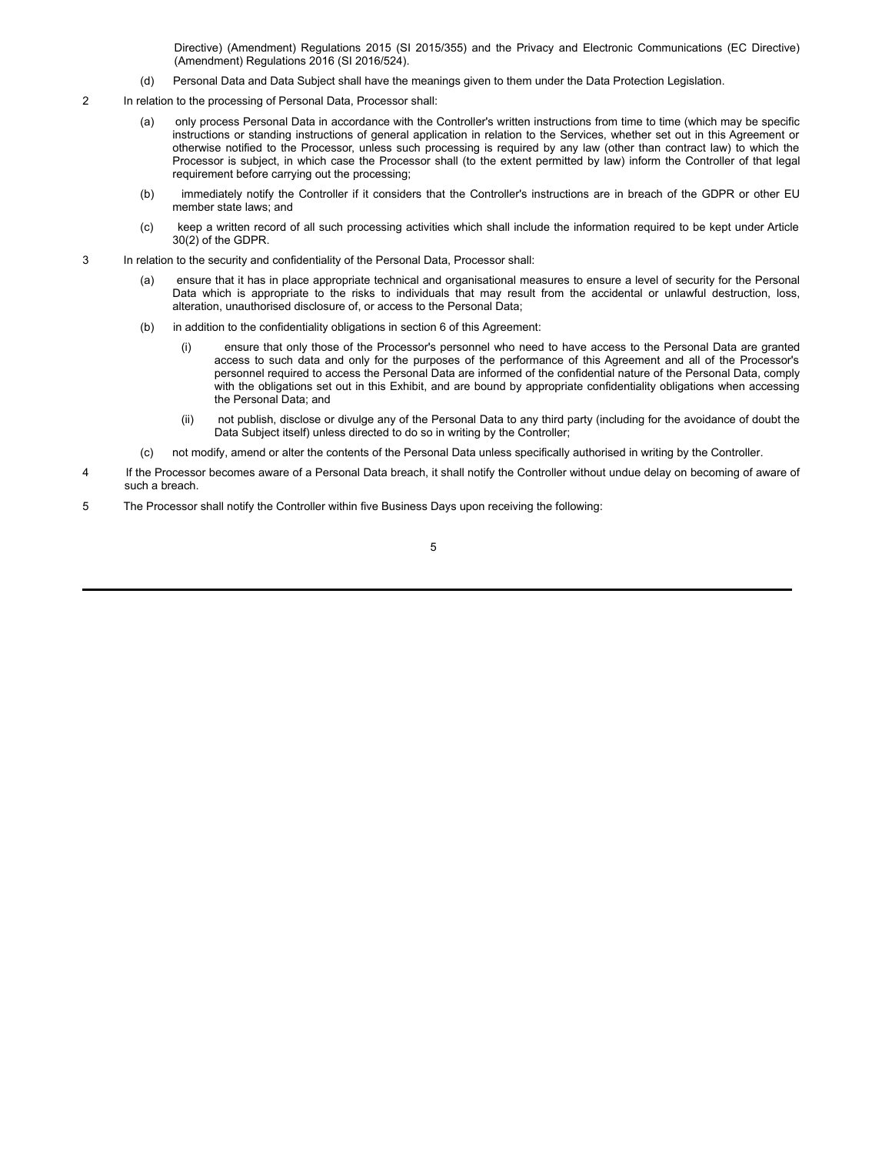Directive) (Amendment) Regulations 2015 (SI 2015/355) and the Privacy and Electronic Communications (EC Directive) (Amendment) Regulations 2016 (SI 2016/524).

- (d) Personal Data and Data Subject shall have the meanings given to them under the Data Protection Legislation.
- 2 In relation to the processing of Personal Data, Processor shall:
	- (a) only process Personal Data in accordance with the Controller's written instructions from time to time (which may be specific instructions or standing instructions of general application in relation to the Services, whether set out in this Agreement or otherwise notified to the Processor, unless such processing is required by any law (other than contract law) to which the Processor is subject, in which case the Processor shall (to the extent permitted by law) inform the Controller of that legal requirement before carrying out the processing;
	- (b) immediately notify the Controller if it considers that the Controller's instructions are in breach of the GDPR or other EU member state laws; and
	- (c) keep a written record of all such processing activities which shall include the information required to be kept under Article 30(2) of the GDPR.
- 3 In relation to the security and confidentiality of the Personal Data, Processor shall:
	- (a) ensure that it has in place appropriate technical and organisational measures to ensure a level of security for the Personal Data which is appropriate to the risks to individuals that may result from the accidental or unlawful destruction, loss, alteration, unauthorised disclosure of, or access to the Personal Data;
	- (b) in addition to the confidentiality obligations in section 6 of this Agreement:
		- (i) ensure that only those of the Processor's personnel who need to have access to the Personal Data are granted access to such data and only for the purposes of the performance of this Agreement and all of the Processor's personnel required to access the Personal Data are informed of the confidential nature of the Personal Data, comply with the obligations set out in this Exhibit, and are bound by appropriate confidentiality obligations when accessing the Personal Data; and
		- (ii) not publish, disclose or divulge any of the Personal Data to any third party (including for the avoidance of doubt the Data Subject itself) unless directed to do so in writing by the Controller;
	- (c) not modify, amend or alter the contents of the Personal Data unless specifically authorised in writing by the Controller.
- 4 If the Processor becomes aware of a Personal Data breach, it shall notify the Controller without undue delay on becoming of aware of such a breach.
- 5 The Processor shall notify the Controller within five Business Days upon receiving the following: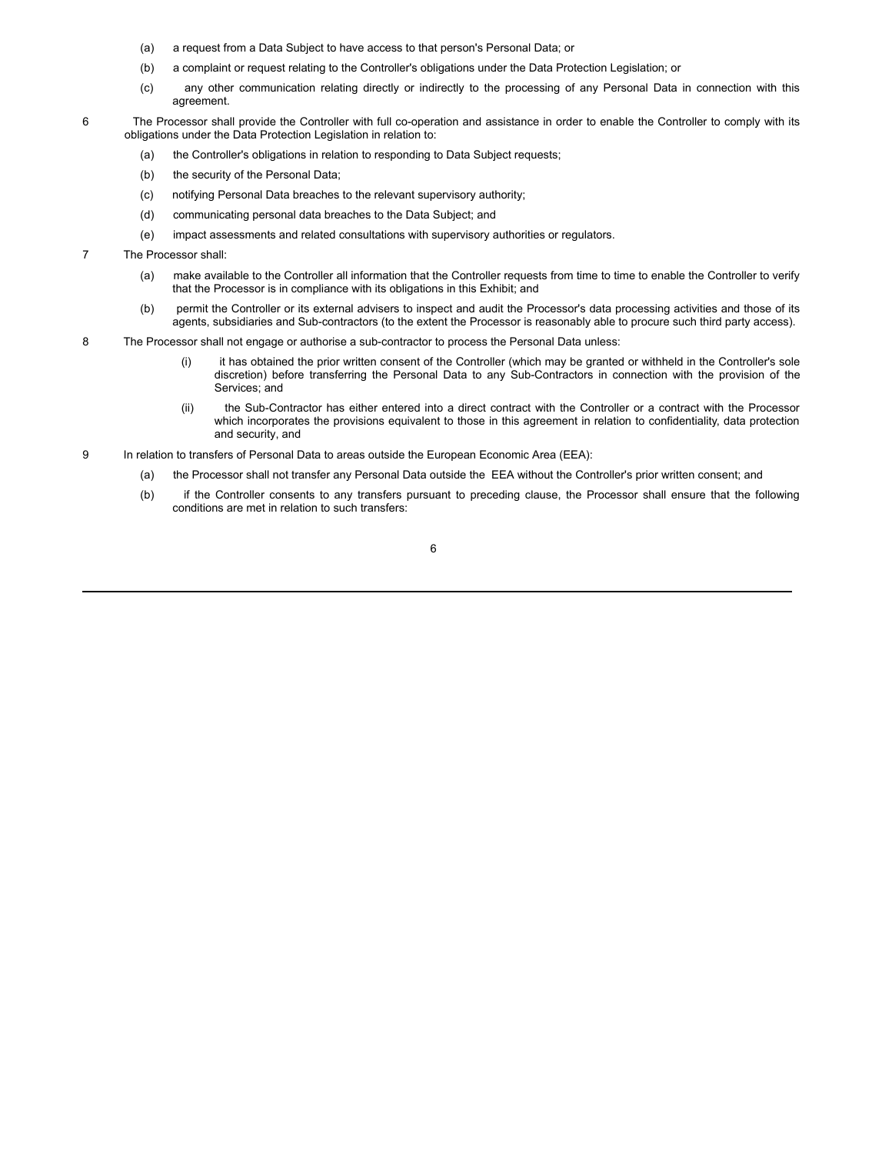- (a) a request from a Data Subject to have access to that person's Personal Data; or
- (b) a complaint or request relating to the Controller's obligations under the Data Protection Legislation; or
- (c) any other communication relating directly or indirectly to the processing of any Personal Data in connection with this agreement.
- 6 The Processor shall provide the Controller with full co-operation and assistance in order to enable the Controller to comply with its obligations under the Data Protection Legislation in relation to:
	- (a) the Controller's obligations in relation to responding to Data Subject requests;
	- (b) the security of the Personal Data;
	- (c) notifying Personal Data breaches to the relevant supervisory authority;
	- (d) communicating personal data breaches to the Data Subject; and
	- (e) impact assessments and related consultations with supervisory authorities or regulators.
- 7 The Processor shall:
	- (a) make available to the Controller all information that the Controller requests from time to time to enable the Controller to verify that the Processor is in compliance with its obligations in this Exhibit; and
	- (b) permit the Controller or its external advisers to inspect and audit the Processor's data processing activities and those of its agents, subsidiaries and Sub-contractors (to the extent the Processor is reasonably able to procure such third party access).
- 8 The Processor shall not engage or authorise a sub-contractor to process the Personal Data unless:
	- (i) it has obtained the prior written consent of the Controller (which may be granted or withheld in the Controller's sole discretion) before transferring the Personal Data to any Sub-Contractors in connection with the provision of the Services; and
	- (ii) the Sub-Contractor has either entered into a direct contract with the Controller or a contract with the Processor which incorporates the provisions equivalent to those in this agreement in relation to confidentiality, data protection and security, and
- 9 In relation to transfers of Personal Data to areas outside the European Economic Area (EEA):
	- (a) the Processor shall not transfer any Personal Data outside the EEA without the Controller's prior written consent; and
	- (b) if the Controller consents to any transfers pursuant to preceding clause, the Processor shall ensure that the following conditions are met in relation to such transfers: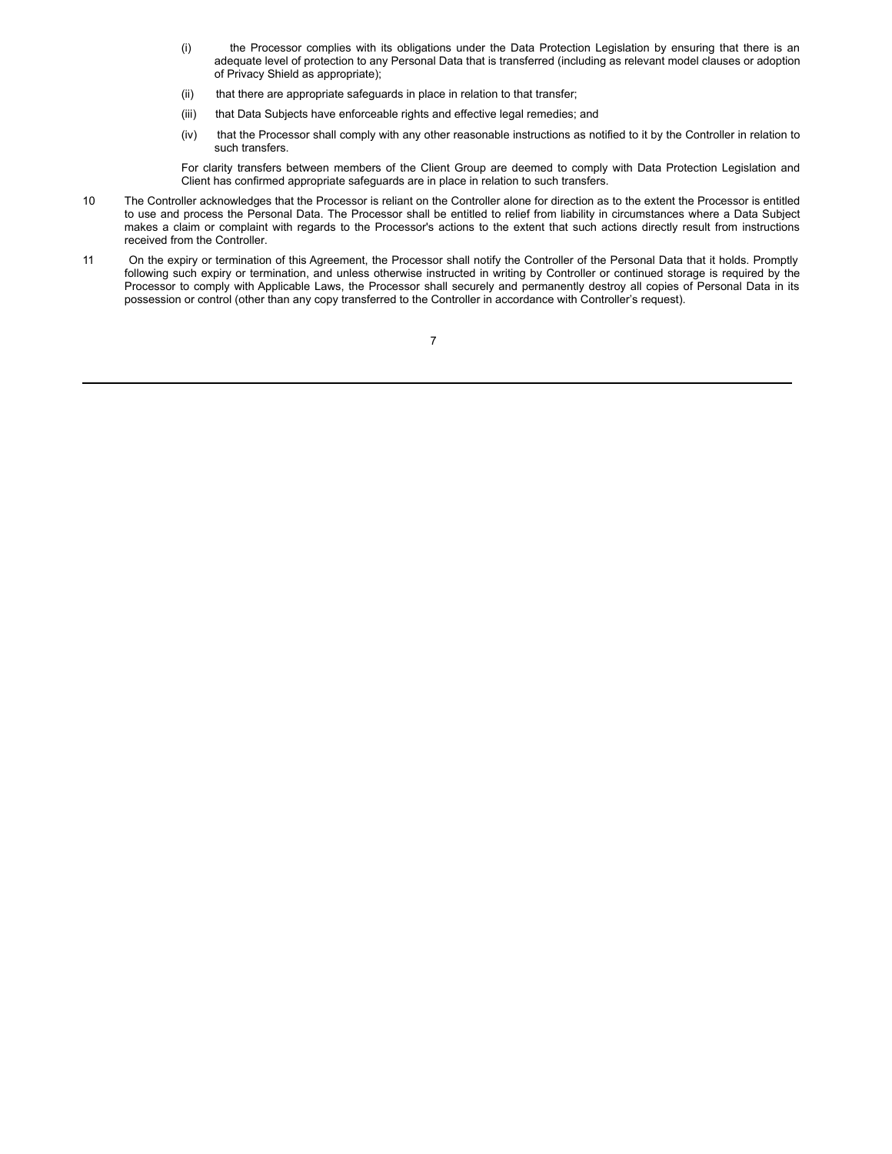- (i) the Processor complies with its obligations under the Data Protection Legislation by ensuring that there is an adequate level of protection to any Personal Data that is transferred (including as relevant model clauses or adoption of Privacy Shield as appropriate);
- (ii) that there are appropriate safeguards in place in relation to that transfer;
- (iii) that Data Subjects have enforceable rights and effective legal remedies; and
- (iv) that the Processor shall comply with any other reasonable instructions as notified to it by the Controller in relation to such transfers.

For clarity transfers between members of the Client Group are deemed to comply with Data Protection Legislation and Client has confirmed appropriate safeguards are in place in relation to such transfers.

- 10 The Controller acknowledges that the Processor is reliant on the Controller alone for direction as to the extent the Processor is entitled to use and process the Personal Data. The Processor shall be entitled to relief from liability in circumstances where a Data Subject makes a claim or complaint with regards to the Processor's actions to the extent that such actions directly result from instructions received from the Controller.
- 11 On the expiry or termination of this Agreement, the Processor shall notify the Controller of the Personal Data that it holds. Promptly following such expiry or termination, and unless otherwise instructed in writing by Controller or continued storage is required by the Processor to comply with Applicable Laws, the Processor shall securely and permanently destroy all copies of Personal Data in its possession or control (other than any copy transferred to the Controller in accordance with Controller's request).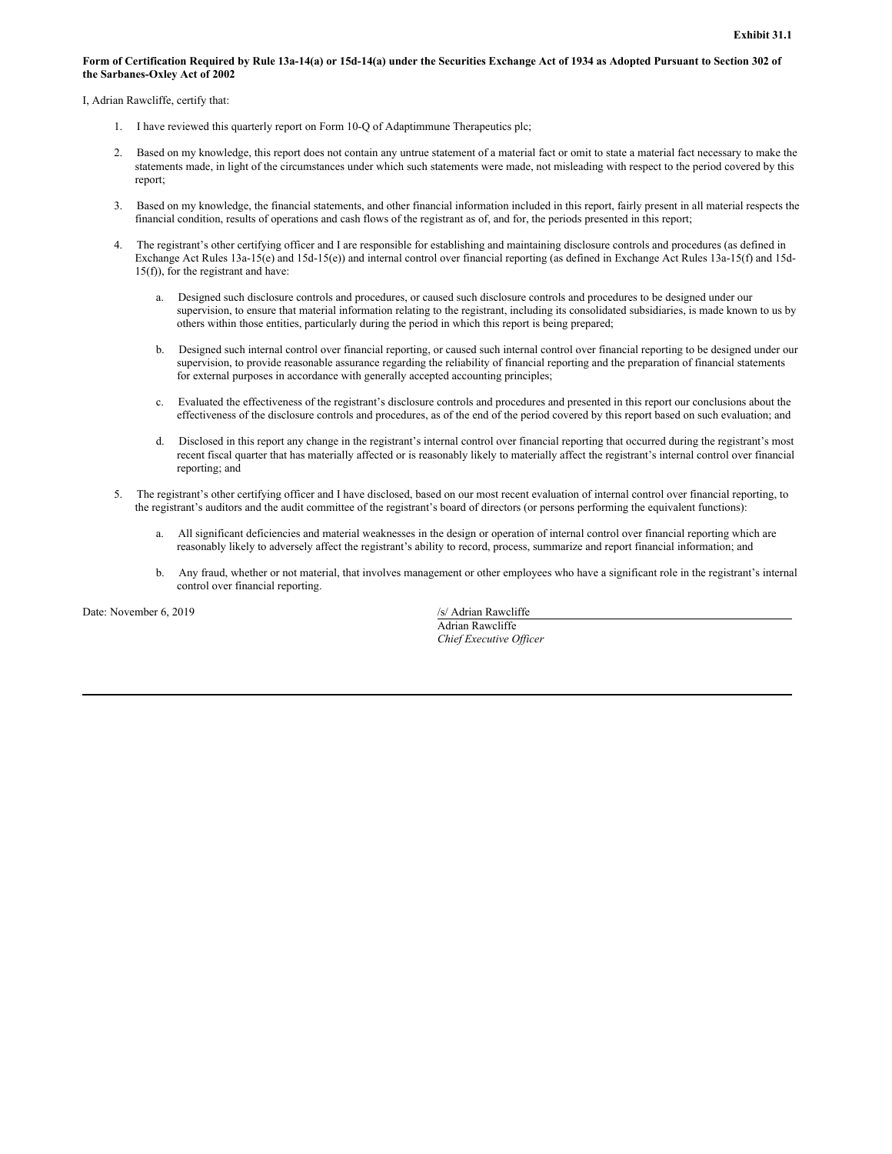## Form of Certification Required by Rule 13a-14(a) or 15d-14(a) under the Securities Exchange Act of 1934 as Adopted Pursuant to Section 302 of **the Sarbanes-Oxley Act of 2002**

I, Adrian Rawcliffe, certify that:

- 1. I have reviewed this quarterly report on Form 10-Q of Adaptimmune Therapeutics plc;
- 2. Based on my knowledge, this report does not contain any untrue statement of a material fact or omit to state a material fact necessary to make the statements made, in light of the circumstances under which such statements were made, not misleading with respect to the period covered by this report;
- 3. Based on my knowledge, the financial statements, and other financial information included in this report, fairly present in all material respects the financial condition, results of operations and cash flows of the registrant as of, and for, the periods presented in this report;
- 4. The registrant's other certifying officer and I are responsible for establishing and maintaining disclosure controls and procedures (as defined in Exchange Act Rules 13a-15(e) and 15d-15(e)) and internal control over financial reporting (as defined in Exchange Act Rules 13a-15(f) and 15d-15(f)), for the registrant and have:
	- a. Designed such disclosure controls and procedures, or caused such disclosure controls and procedures to be designed under our supervision, to ensure that material information relating to the registrant, including its consolidated subsidiaries, is made known to us by others within those entities, particularly during the period in which this report is being prepared;
	- b. Designed such internal control over financial reporting, or caused such internal control over financial reporting to be designed under our supervision, to provide reasonable assurance regarding the reliability of financial reporting and the preparation of financial statements for external purposes in accordance with generally accepted accounting principles;
	- c. Evaluated the effectiveness of the registrant's disclosure controls and procedures and presented in this report our conclusions about the effectiveness of the disclosure controls and procedures, as of the end of the period covered by this report based on such evaluation; and
	- d. Disclosed in this report any change in the registrant's internal control over financial reporting that occurred during the registrant's most recent fiscal quarter that has materially affected or is reasonably likely to materially affect the registrant's internal control over financial reporting; and
- 5. The registrant's other certifying officer and I have disclosed, based on our most recent evaluation of internal control over financial reporting, to the registrant's auditors and the audit committee of the registrant's board of directors (or persons performing the equivalent functions):
	- All significant deficiencies and material weaknesses in the design or operation of internal control over financial reporting which are reasonably likely to adversely affect the registrant's ability to record, process, summarize and report financial information; and
	- b. Any fraud, whether or not material, that involves management or other employees who have a significant role in the registrant's internal control over financial reporting.

Date: November 6, 2019 /s/ Adrian Rawcliffe

Adrian Rawcliffe *Chief Executive Of icer*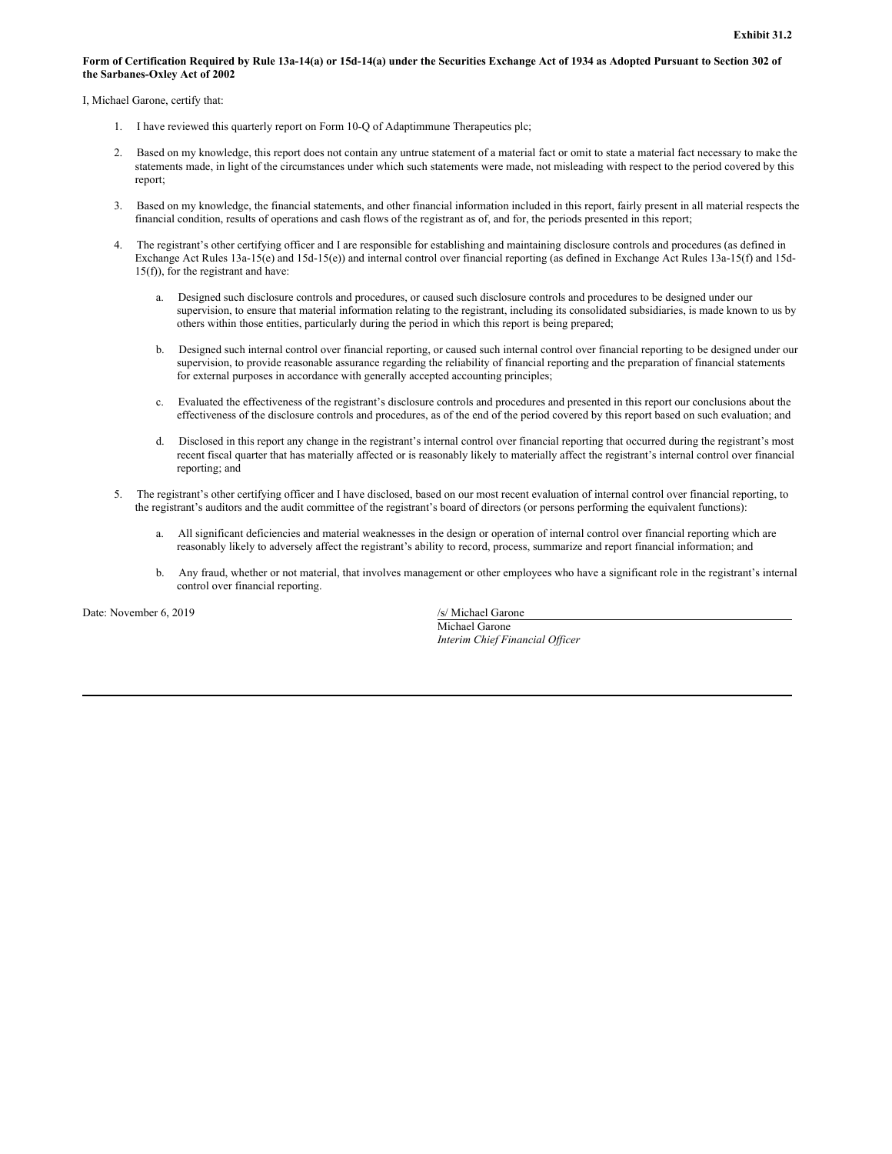## Form of Certification Required by Rule 13a-14(a) or 15d-14(a) under the Securities Exchange Act of 1934 as Adopted Pursuant to Section 302 of **the Sarbanes-Oxley Act of 2002**

I, Michael Garone, certify that:

- 1. I have reviewed this quarterly report on Form 10-Q of Adaptimmune Therapeutics plc;
- 2. Based on my knowledge, this report does not contain any untrue statement of a material fact or omit to state a material fact necessary to make the statements made, in light of the circumstances under which such statements were made, not misleading with respect to the period covered by this report;
- 3. Based on my knowledge, the financial statements, and other financial information included in this report, fairly present in all material respects the financial condition, results of operations and cash flows of the registrant as of, and for, the periods presented in this report;
- 4. The registrant's other certifying officer and I are responsible for establishing and maintaining disclosure controls and procedures (as defined in Exchange Act Rules 13a-15(e) and 15d-15(e)) and internal control over financial reporting (as defined in Exchange Act Rules 13a-15(f) and 15d-15(f)), for the registrant and have:
	- a. Designed such disclosure controls and procedures, or caused such disclosure controls and procedures to be designed under our supervision, to ensure that material information relating to the registrant, including its consolidated subsidiaries, is made known to us by others within those entities, particularly during the period in which this report is being prepared;
	- b. Designed such internal control over financial reporting, or caused such internal control over financial reporting to be designed under our supervision, to provide reasonable assurance regarding the reliability of financial reporting and the preparation of financial statements for external purposes in accordance with generally accepted accounting principles;
	- c. Evaluated the effectiveness of the registrant's disclosure controls and procedures and presented in this report our conclusions about the effectiveness of the disclosure controls and procedures, as of the end of the period covered by this report based on such evaluation; and
	- d. Disclosed in this report any change in the registrant's internal control over financial reporting that occurred during the registrant's most recent fiscal quarter that has materially affected or is reasonably likely to materially affect the registrant's internal control over financial reporting; and
- 5. The registrant's other certifying officer and I have disclosed, based on our most recent evaluation of internal control over financial reporting, to the registrant's auditors and the audit committee of the registrant's board of directors (or persons performing the equivalent functions):
	- a. All significant deficiencies and material weaknesses in the design or operation of internal control over financial reporting which are reasonably likely to adversely affect the registrant's ability to record, process, summarize and report financial information; and
	- b. Any fraud, whether or not material, that involves management or other employees who have a significant role in the registrant's internal control over financial reporting.

Date: November 6, 2019 /s/ Michael Garone

Michael Garone *Interim Chief Financial Of icer*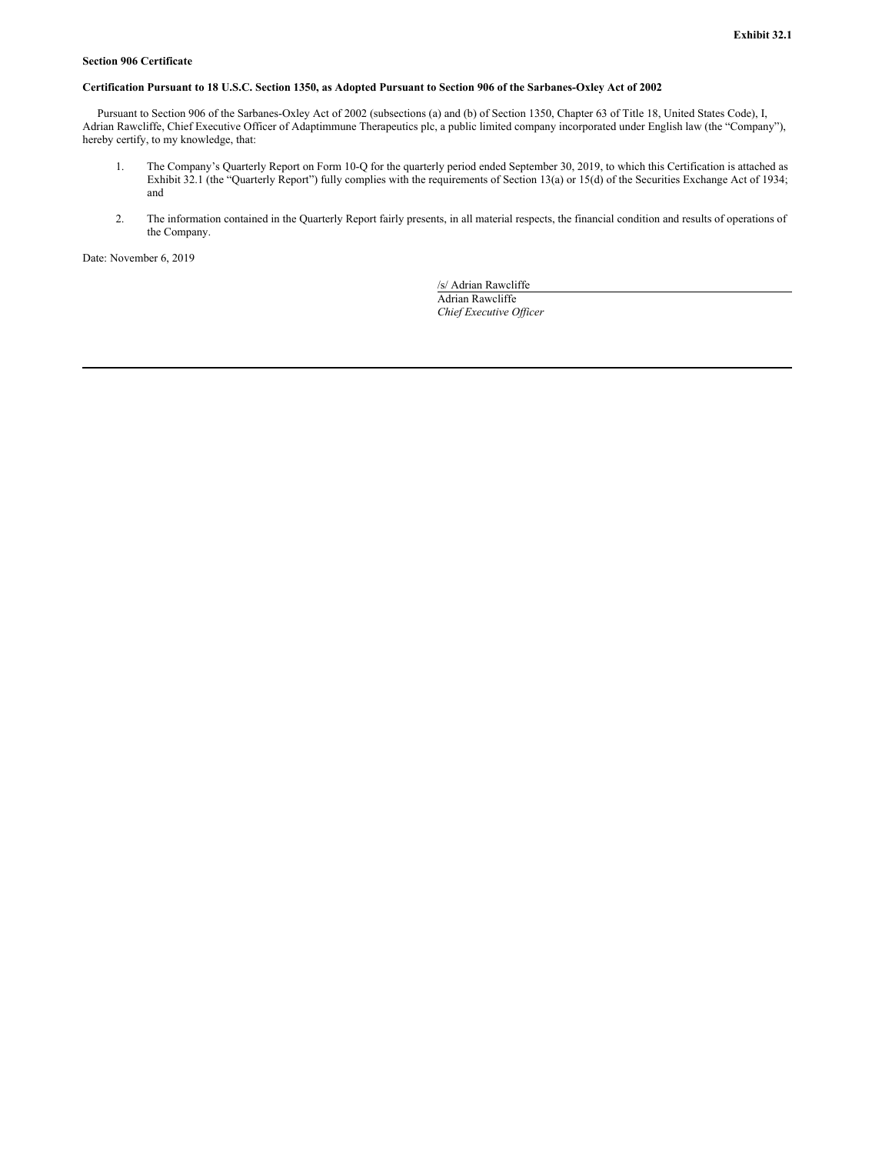## **Section 906 Certificate**

## Certification Pursuant to 18 U.S.C. Section 1350, as Adopted Pursuant to Section 906 of the Sarbanes-Oxley Act of 2002

Pursuant to Section 906 of the Sarbanes-Oxley Act of 2002 (subsections (a) and (b) of Section 1350, Chapter 63 of Title 18, United States Code), I, Adrian Rawcliffe, Chief Executive Officer of Adaptimmune Therapeutics plc, a public limited company incorporated under English law (the "Company"), hereby certify, to my knowledge, that:

- 1. The Company's Quarterly Report on Form 10-Q for the quarterly period ended September 30, 2019, to which this Certification is attached as Exhibit 32.1 (the "Quarterly Report") fully complies with the requirements of Section 13(a) or 15(d) of the Securities Exchange Act of 1934; and
- 2. The information contained in the Quarterly Report fairly presents, in all material respects, the financial condition and results of operations of the Company.

Date: November 6, 2019

/s/ Adrian Rawcliffe Adrian Rawcliffe *Chief Executive Of icer*